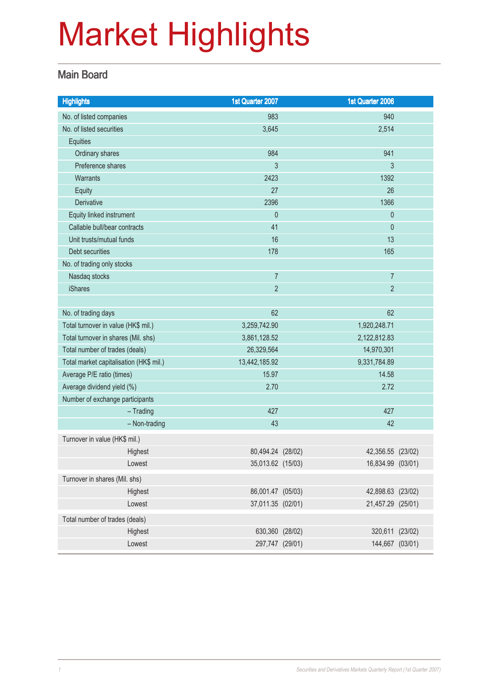#### Main Board

| <b>Highlights</b>                       |               | 1st Quarter 2007  | 1st Quarter 2006  |  |
|-----------------------------------------|---------------|-------------------|-------------------|--|
| No. of listed companies                 |               | 983               | 940               |  |
| No. of listed securities                |               | 3,645             | 2,514             |  |
| Equities                                |               |                   |                   |  |
| Ordinary shares                         |               | 984               | 941               |  |
| Preference shares                       |               | 3                 | 3                 |  |
| <b>Warrants</b>                         |               | 2423              | 1392              |  |
| Equity                                  |               | 27                | 26                |  |
| Derivative                              |               | 2396              | 1366              |  |
| Equity linked instrument                |               | $\pmb{0}$         | $\theta$          |  |
| Callable bull/bear contracts            |               | 41                | $\mathbf{0}$      |  |
| Unit trusts/mutual funds                |               | 16                | 13                |  |
| Debt securities                         |               | 178               | 165               |  |
| No. of trading only stocks              |               |                   |                   |  |
| Nasdaq stocks                           |               | $\overline{7}$    | $\overline{7}$    |  |
| <b>iShares</b>                          |               | $\overline{2}$    | $\overline{2}$    |  |
|                                         |               |                   |                   |  |
| No. of trading days                     |               | 62                | 62                |  |
| Total turnover in value (HK\$ mil.)     |               | 3,259,742.90      | 1,920,248.71      |  |
| Total turnover in shares (Mil. shs)     |               | 3,861,128.52      | 2,122,812.83      |  |
| Total number of trades (deals)          |               | 26,329,564        | 14,970,301        |  |
| Total market capitalisation (HK\$ mil.) |               | 13,442,185.92     | 9,331,784.89      |  |
| Average P/E ratio (times)               |               | 15.97             | 14.58             |  |
| Average dividend yield (%)              |               | 2.70              | 2.72              |  |
| Number of exchange participants         |               |                   |                   |  |
|                                         | $-$ Trading   | 427               | 427               |  |
|                                         | - Non-trading | 43                | 42                |  |
| Turnover in value (HK\$ mil.)           |               |                   |                   |  |
|                                         | Highest       | 80,494.24 (28/02) | 42,356.55 (23/02) |  |
|                                         | Lowest        | 35,013.62 (15/03) | 16,834.99 (03/01) |  |
| Turnover in shares (Mil. shs)           |               |                   |                   |  |
|                                         | Highest       | 86,001.47 (05/03) | 42,898.63 (23/02) |  |
|                                         | Lowest        | 37,011.35 (02/01) | 21,457.29 (25/01) |  |
| Total number of trades (deals)          |               |                   |                   |  |
|                                         | Highest       | 630,360 (28/02)   | 320,611 (23/02)   |  |
|                                         | Lowest        | 297,747 (29/01)   | 144,667 (03/01)   |  |
|                                         |               |                   |                   |  |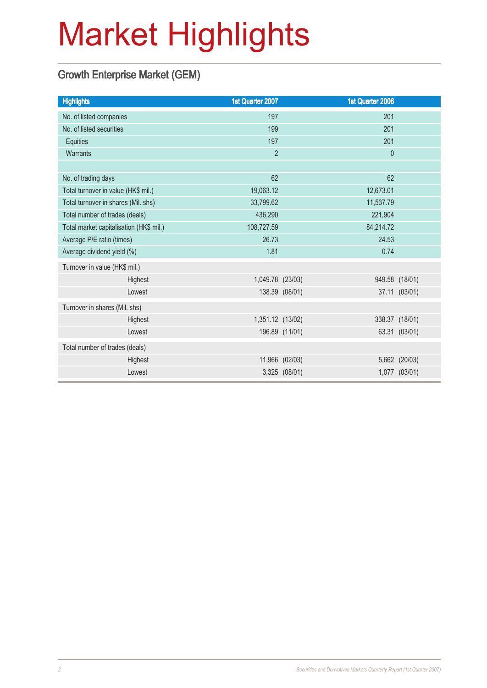### Growth Enterprise Market (GEM)

| <b>Highlights</b>                       | 1st Quarter 2007 |                | 1st Quarter 2006 |                |
|-----------------------------------------|------------------|----------------|------------------|----------------|
| No. of listed companies                 | 197              |                | 201              |                |
| No. of listed securities                | 199              |                | 201              |                |
| Equities                                | 197              |                | 201              |                |
| Warrants                                | $\overline{2}$   |                | $\mathbf 0$      |                |
|                                         |                  |                |                  |                |
| No. of trading days                     | 62               |                | 62               |                |
| Total turnover in value (HK\$ mil.)     | 19,063.12        |                | 12,673.01        |                |
| Total turnover in shares (Mil. shs)     | 33,799.62        |                | 11,537.79        |                |
| Total number of trades (deals)          | 436,290          |                | 221,904          |                |
| Total market capitalisation (HK\$ mil.) | 108,727.59       |                | 84,214.72        |                |
| Average P/E ratio (times)               | 26.73            |                | 24.53            |                |
| Average dividend yield (%)              | 1.81             |                | 0.74             |                |
| Turnover in value (HK\$ mil.)           |                  |                |                  |                |
| Highest                                 | 1,049.78 (23/03) |                |                  | 949.58 (18/01) |
| Lowest                                  |                  | 138.39 (08/01) |                  | 37.11 (03/01)  |
| Turnover in shares (Mil. shs)           |                  |                |                  |                |
| Highest                                 | 1,351.12 (13/02) |                |                  | 338.37 (18/01) |
| Lowest                                  |                  | 196.89 (11/01) |                  | 63.31 (03/01)  |
| Total number of trades (deals)          |                  |                |                  |                |
| Highest                                 |                  | 11,966 (02/03) |                  | 5,662 (20/03)  |
| Lowest                                  |                  | 3,325 (08/01)  |                  | 1,077 (03/01)  |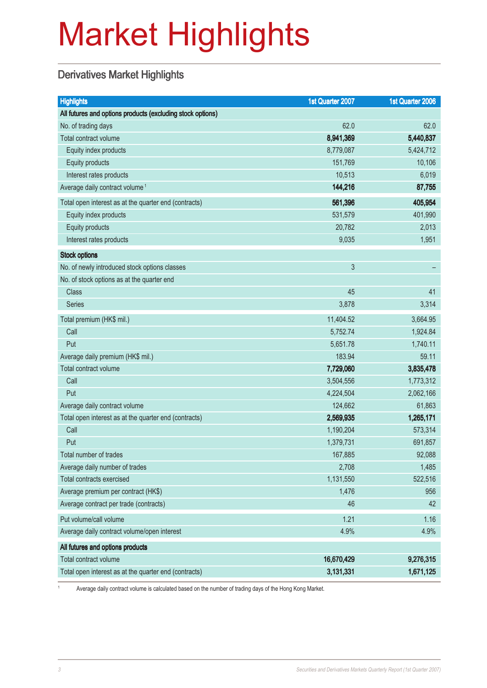### Derivatives Market Highlights

| <b>Highlights</b>                                          | 1st Quarter 2007 | 1st Quarter 2006 |
|------------------------------------------------------------|------------------|------------------|
| All futures and options products (excluding stock options) |                  |                  |
| No. of trading days                                        | 62.0             | 62.0             |
| Total contract volume                                      | 8,941,369        | 5,440,837        |
| Equity index products                                      | 8,779,087        | 5,424,712        |
| Equity products                                            | 151,769          | 10,106           |
| Interest rates products                                    | 10,513           | 6,019            |
| Average daily contract volume <sup>1</sup>                 | 144,216          | 87,755           |
| Total open interest as at the quarter end (contracts)      | 561,396          | 405,954          |
| Equity index products                                      | 531,579          | 401,990          |
| <b>Equity products</b>                                     | 20,782           | 2,013            |
| Interest rates products                                    | 9,035            | 1,951            |
| <b>Stock options</b>                                       |                  |                  |
| No. of newly introduced stock options classes              | 3                |                  |
| No. of stock options as at the quarter end                 |                  |                  |
| <b>Class</b>                                               | 45               | 41               |
| Series                                                     | 3,878            | 3,314            |
| Total premium (HK\$ mil.)                                  | 11,404.52        | 3,664.95         |
| Call                                                       | 5,752.74         | 1,924.84         |
| Put                                                        | 5,651.78         | 1,740.11         |
| Average daily premium (HK\$ mil.)                          | 183.94           | 59.11            |
| Total contract volume                                      | 7,729,060        | 3,835,478        |
| Call                                                       | 3,504,556        | 1,773,312        |
| Put                                                        | 4,224,504        | 2,062,166        |
| Average daily contract volume                              | 124,662          | 61,863           |
| Total open interest as at the quarter end (contracts)      | 2,569,935        | 1,265,171        |
| Call                                                       | 1,190,204        | 573,314          |
| Put                                                        | 1,379,731        | 691,857          |
| Total number of trades                                     | 167,885          | 92,088           |
| Average daily number of trades                             | 2,708            | 1,485            |
| Total contracts exercised                                  | 1,131,550        | 522,516          |
| Average premium per contract (HK\$)                        | 1,476            | 956              |
| Average contract per trade (contracts)                     | 46               | 42               |
| Put volume/call volume                                     | 1.21             | 1.16             |
| Average daily contract volume/open interest                | 4.9%             | 4.9%             |
| All futures and options products                           |                  |                  |
| Total contract volume                                      | 16,670,429       | 9,276,315        |
| Total open interest as at the quarter end (contracts)      | 3,131,331        | 1,671,125        |

<sup>1</sup> Average daily contract volume is calculated based on the number of trading days of the Hong Kong Market.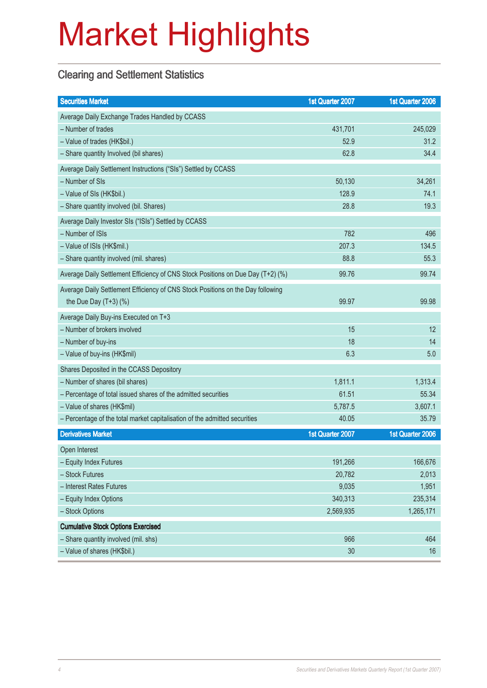### Clearing and Settlement Statistics

| <b>Securities Market</b>                                                        | 1st Quarter 2007 | 1st Quarter 2006 |
|---------------------------------------------------------------------------------|------------------|------------------|
| Average Daily Exchange Trades Handled by CCASS                                  |                  |                  |
| - Number of trades                                                              | 431,701          | 245,029          |
| - Value of trades (HK\$bil.)                                                    | 52.9             | 31.2             |
| - Share quantity Involved (bil shares)                                          | 62.8             | 34.4             |
| Average Daily Settlement Instructions ("SIs") Settled by CCASS                  |                  |                  |
| - Number of SIs                                                                 | 50,130           | 34,261           |
| - Value of SIs (HK\$bil.)                                                       | 128.9            | 74.1             |
| - Share quantity involved (bil. Shares)                                         | 28.8             | 19.3             |
| Average Daily Investor SIs ("ISIs") Settled by CCASS                            |                  |                  |
| - Number of ISIs                                                                | 782              | 496              |
| - Value of ISIs (HK\$mil.)                                                      | 207.3            | 134.5            |
| - Share quantity involved (mil. shares)                                         | 88.8             | 55.3             |
| Average Daily Settlement Efficiency of CNS Stock Positions on Due Day (T+2) (%) | 99.76            | 99.74            |
| Average Daily Settlement Efficiency of CNS Stock Positions on the Day following |                  |                  |
| the Due Day $(T+3)$ (%)                                                         | 99.97            | 99.98            |
| Average Daily Buy-ins Executed on T+3                                           |                  |                  |
| - Number of brokers involved                                                    | 15               | 12               |
| - Number of buy-ins                                                             | 18               | 14               |
| - Value of buy-ins (HK\$mil)                                                    | 6.3              | 5.0              |
| Shares Deposited in the CCASS Depository                                        |                  |                  |
| - Number of shares (bil shares)                                                 | 1,811.1          | 1,313.4          |
| - Percentage of total issued shares of the admitted securities                  | 61.51            | 55.34            |
| - Value of shares (HK\$mil)                                                     | 5,787.5          | 3,607.1          |
| - Percentage of the total market capitalisation of the admitted securities      | 40.05            | 35.79            |
| <b>Derivatives Market</b>                                                       | 1st Quarter 2007 | 1st Quarter 2006 |
| Open Interest                                                                   |                  |                  |
| - Equity Index Futures                                                          | 191,266          | 166,676          |
| - Stock Futures                                                                 | 20,782           | 2,013            |
| - Interest Rates Futures                                                        | 9,035            | 1,951            |
| - Equity Index Options                                                          | 340,313          | 235,314          |
| - Stock Options                                                                 | 2,569,935        | 1,265,171        |
| <b>Cumulative Stock Options Exercised</b>                                       |                  |                  |
| - Share quantity involved (mil. shs)                                            | 966              | 464              |
| - Value of shares (HK\$bil.)                                                    | 30               | 16               |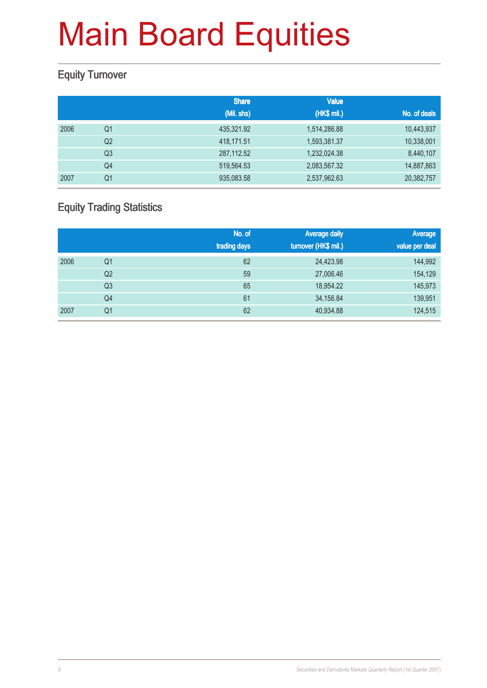### Equity Turnover

|      |                | <b>Share</b> | <b>Value</b> |              |
|------|----------------|--------------|--------------|--------------|
|      |                | (Mil. shs)   | (HK\$ mil.)  | No. of deals |
| 2006 | Q1             | 435.321.92   | 1,514,286.88 | 10,443,937   |
|      | Q <sub>2</sub> | 418,171.51   | 1,593,381.37 | 10,338,001   |
|      | Q <sub>3</sub> | 287,112.52   | 1,232,024.38 | 8,440,107    |
|      | Q4             | 519,564.53   | 2,083,567.32 | 14,887,863   |
| 2007 | Q1             | 935,083.58   | 2,537,962.63 | 20,382,757   |

### Equity Trading Statistics

|      |                | No. of<br>trading days | <b>Average daily</b><br>turnover (HK\$ mil.) | Average<br>value per deal |
|------|----------------|------------------------|----------------------------------------------|---------------------------|
| 2006 | Q <sub>1</sub> | 62                     | 24,423.98                                    | 144,992                   |
|      | Q2             | 59                     | 27,006.46                                    | 154,129                   |
|      | Q <sub>3</sub> | 65                     | 18,954.22                                    | 145,973                   |
|      | Q <sub>4</sub> | 61                     | 34,156.84                                    | 139,951                   |
| 2007 | Q <sub>1</sub> | 62                     | 40,934.88                                    | 124,515                   |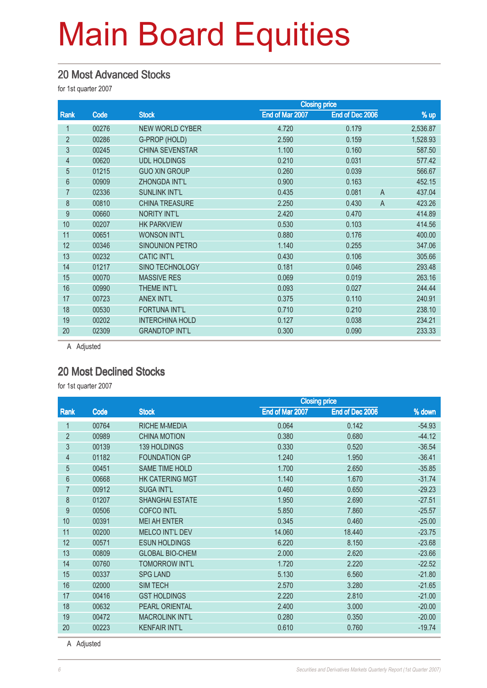#### 20 Most Advanced Stocks

for 1st quarter 2007

|       |                        | <b>Closing price</b> |                         |          |
|-------|------------------------|----------------------|-------------------------|----------|
| Code  | <b>Stock</b>           | End of Mar 2007      | End of Dec 2006         | % up     |
| 00276 | <b>NEW WORLD CYBER</b> | 4.720                | 0.179                   | 2,536.87 |
| 00286 | G-PROP (HOLD)          | 2.590                | 0.159                   | 1,528.93 |
| 00245 | <b>CHINA SEVENSTAR</b> | 1.100                | 0.160                   | 587.50   |
| 00620 | <b>UDL HOLDINGS</b>    | 0.210                | 0.031                   | 577.42   |
| 01215 | <b>GUO XIN GROUP</b>   | 0.260                | 0.039                   | 566.67   |
| 00909 | <b>ZHONGDA INT'L</b>   | 0.900                | 0.163                   | 452.15   |
| 02336 | <b>SUNLINK INT'L</b>   | 0.435                | 0.081<br>$\overline{A}$ | 437.04   |
| 00810 | <b>CHINA TREASURE</b>  | 2.250                | 0.430<br>$\overline{A}$ | 423.26   |
| 00660 | NORITY INT'L           | 2.420                | 0.470                   | 414.89   |
| 00207 | <b>HK PARKVIEW</b>     | 0.530                | 0.103                   | 414.56   |
| 00651 | <b>WONSON INT'L</b>    | 0.880                | 0.176                   | 400.00   |
| 00346 | <b>SINOUNION PETRO</b> | 1.140                | 0.255                   | 347.06   |
| 00232 | <b>CATIC INT'L</b>     | 0.430                | 0.106                   | 305.66   |
| 01217 | <b>SINO TECHNOLOGY</b> | 0.181                | 0.046                   | 293.48   |
| 00070 | <b>MASSIVE RES</b>     | 0.069                | 0.019                   | 263.16   |
| 00990 | THEME INT'L            | 0.093                | 0.027                   | 244.44   |
| 00723 | <b>ANEX INT'L</b>      | 0.375                | 0.110                   | 240.91   |
| 00530 | <b>FORTUNA INT'L</b>   | 0.710                | 0.210                   | 238.10   |
| 00202 | <b>INTERCHINA HOLD</b> | 0.127                | 0.038                   | 234.21   |
| 02309 | <b>GRANDTOP INT'L</b>  | 0.300                | 0.090                   | 233.33   |
|       |                        |                      |                         |          |

A Adjusted

#### 20 Most Declined Stocks

for 1st quarter 2007

|                |       |                        |                 | <b>Closing price</b> |          |
|----------------|-------|------------------------|-----------------|----------------------|----------|
| Rank           | Code  | <b>Stock</b>           | End of Mar 2007 | End of Dec 2006      | % down   |
| $\mathbf{1}$   | 00764 | <b>RICHE M-MEDIA</b>   | 0.064           | 0.142                | $-54.93$ |
| $\overline{2}$ | 00989 | <b>CHINA MOTION</b>    | 0.380           | 0.680                | $-44.12$ |
| 3              | 00139 | 139 HOLDINGS           | 0.330           | 0.520                | $-36.54$ |
| 4              | 01182 | <b>FOUNDATION GP</b>   | 1.240           | 1.950                | $-36.41$ |
| 5              | 00451 | <b>SAME TIME HOLD</b>  | 1.700           | 2.650                | $-35.85$ |
| 6              | 00668 | <b>HK CATERING MGT</b> | 1.140           | 1.670                | $-31.74$ |
| 7              | 00912 | <b>SUGA INT'L</b>      | 0.460           | 0.650                | $-29.23$ |
| 8              | 01207 | <b>SHANGHAI ESTATE</b> | 1.950           | 2.690                | $-27.51$ |
| 9              | 00506 | <b>COFCO INTL</b>      | 5.850           | 7.860                | $-25.57$ |
| 10             | 00391 | <b>MEI AH ENTER</b>    | 0.345           | 0.460                | $-25.00$ |
| 11             | 00200 | <b>MELCO INT'L DEV</b> | 14.060          | 18.440               | $-23.75$ |
| 12             | 00571 | <b>ESUN HOLDINGS</b>   | 6.220           | 8.150                | $-23.68$ |
| 13             | 00809 | <b>GLOBAL BIO-CHEM</b> | 2.000           | 2.620                | $-23.66$ |
| 14             | 00760 | <b>TOMORROW INT'L</b>  | 1.720           | 2.220                | $-22.52$ |
| 15             | 00337 | <b>SPG LAND</b>        | 5.130           | 6.560                | $-21.80$ |
| 16             | 02000 | <b>SIM TECH</b>        | 2.570           | 3.280                | $-21.65$ |
| 17             | 00416 | <b>GST HOLDINGS</b>    | 2.220           | 2.810                | $-21.00$ |
| 18             | 00632 | <b>PEARL ORIENTAL</b>  | 2.400           | 3.000                | $-20.00$ |
| 19             | 00472 | <b>MACROLINK INT'L</b> | 0.280           | 0.350                | $-20.00$ |
| 20             | 00223 | <b>KENFAIR INT'L</b>   | 0.610           | 0.760                | $-19.74$ |

A Adjusted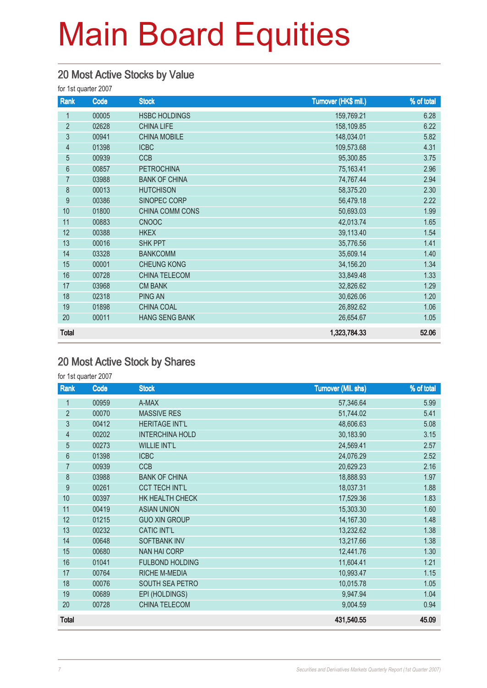### 20 Most Active Stocks by Value

for 1st quarter 2007

| Rank           | Code  | <b>Stock</b>          | Turnover (HK\$ mil.) | % of total |
|----------------|-------|-----------------------|----------------------|------------|
| 1              | 00005 | <b>HSBC HOLDINGS</b>  | 159,769.21           | 6.28       |
| $\overline{2}$ | 02628 | <b>CHINA LIFE</b>     | 158,109.85           | 6.22       |
| 3              | 00941 | <b>CHINA MOBILE</b>   | 148,034.01           | 5.82       |
| $\overline{4}$ | 01398 | <b>ICBC</b>           | 109,573.68           | 4.31       |
| 5              | 00939 | <b>CCB</b>            | 95,300.85            | 3.75       |
| 6              | 00857 | <b>PETROCHINA</b>     | 75,163.41            | 2.96       |
| $\overline{7}$ | 03988 | <b>BANK OF CHINA</b>  | 74,767.44            | 2.94       |
| 8              | 00013 | <b>HUTCHISON</b>      | 58,375.20            | 2.30       |
| 9              | 00386 | SINOPEC CORP          | 56,479.18            | 2.22       |
| 10             | 01800 | CHINA COMM CONS       | 50,693.03            | 1.99       |
| 11             | 00883 | <b>CNOOC</b>          | 42,013.74            | 1.65       |
| 12             | 00388 | <b>HKEX</b>           | 39,113.40            | 1.54       |
| 13             | 00016 | <b>SHK PPT</b>        | 35,776.56            | 1.41       |
| 14             | 03328 | <b>BANKCOMM</b>       | 35,609.14            | 1.40       |
| 15             | 00001 | <b>CHEUNG KONG</b>    | 34,156.20            | 1.34       |
| 16             | 00728 | CHINA TELECOM         | 33,849.48            | 1.33       |
| 17             | 03968 | <b>CM BANK</b>        | 32,826.62            | 1.29       |
| 18             | 02318 | PING AN               | 30,626.06            | 1.20       |
| 19             | 01898 | <b>CHINA COAL</b>     | 26,892.62            | 1.06       |
| 20             | 00011 | <b>HANG SENG BANK</b> | 26,654.67            | 1.05       |
| <b>Total</b>   |       |                       | 1,323,784.33         | 52.06      |

### 20 Most Active Stock by Shares

for 1st quarter 2007

| Rank           | Code  | <b>Stock</b>           | <b>Turnover (Mil. shs)</b> | % of total |
|----------------|-------|------------------------|----------------------------|------------|
| 1              | 00959 | A-MAX                  | 57,346.64                  | 5.99       |
| $\overline{2}$ | 00070 | <b>MASSIVE RES</b>     | 51,744.02                  | 5.41       |
| $\mathfrak{Z}$ | 00412 | <b>HERITAGE INT'L</b>  | 48,606.63                  | 5.08       |
| $\overline{4}$ | 00202 | <b>INTERCHINA HOLD</b> | 30,183.90                  | 3.15       |
| $\overline{5}$ | 00273 | <b>WILLIE INT'L</b>    | 24,569.41                  | 2.57       |
| $6\phantom{a}$ | 01398 | <b>ICBC</b>            | 24,076.29                  | 2.52       |
| $\overline{7}$ | 00939 | <b>CCB</b>             | 20,629.23                  | 2.16       |
| 8              | 03988 | <b>BANK OF CHINA</b>   | 18,888.93                  | 1.97       |
| 9              | 00261 | <b>CCT TECH INT'L</b>  | 18,037.31                  | 1.88       |
| 10             | 00397 | HK HEALTH CHECK        | 17,529.36                  | 1.83       |
| 11             | 00419 | <b>ASIAN UNION</b>     | 15,303.30                  | 1.60       |
| 12             | 01215 | <b>GUO XIN GROUP</b>   | 14,167.30                  | 1.48       |
| 13             | 00232 | <b>CATIC INT'L</b>     | 13,232.62                  | 1.38       |
| 14             | 00648 | <b>SOFTBANK INV</b>    | 13,217.66                  | 1.38       |
| 15             | 00680 | <b>NAN HAI CORP</b>    | 12,441.76                  | 1.30       |
| 16             | 01041 | <b>FULBOND HOLDING</b> | 11,604.41                  | 1.21       |
| 17             | 00764 | RICHE M-MEDIA          | 10,993.47                  | 1.15       |
| 18             | 00076 | SOUTH SEA PETRO        | 10,015.78                  | 1.05       |
| 19             | 00689 | EPI (HOLDINGS)         | 9,947.94                   | 1.04       |
| 20             | 00728 | CHINA TELECOM          | 9,004.59                   | 0.94       |
| <b>Total</b>   |       |                        | 431,540.55                 | 45.09      |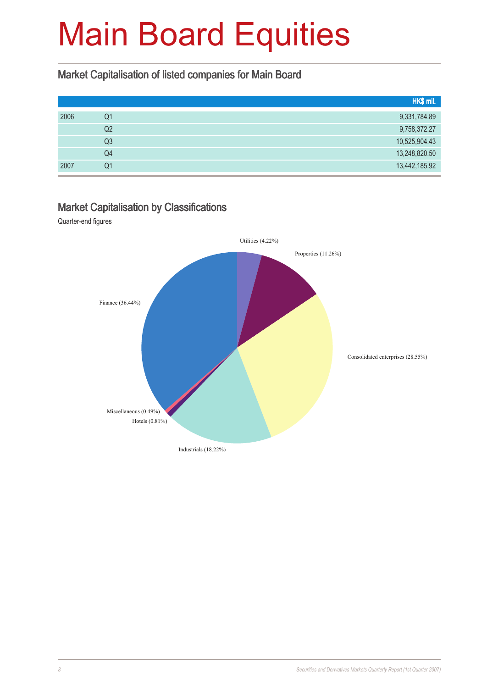### Market Capitalisation of listed companies for Main Board

|      |                | HK\$ mil.     |
|------|----------------|---------------|
| 2006 | Q1             | 9,331,784.89  |
|      | Q2             | 9,758,372.27  |
|      | Q <sub>3</sub> | 10,525,904.43 |
|      | Q4             | 13,248,820.50 |
| 2007 | Q <sub>1</sub> | 13,442,185.92 |

#### Market Capitalisation by Classifications

Quarter-end figures

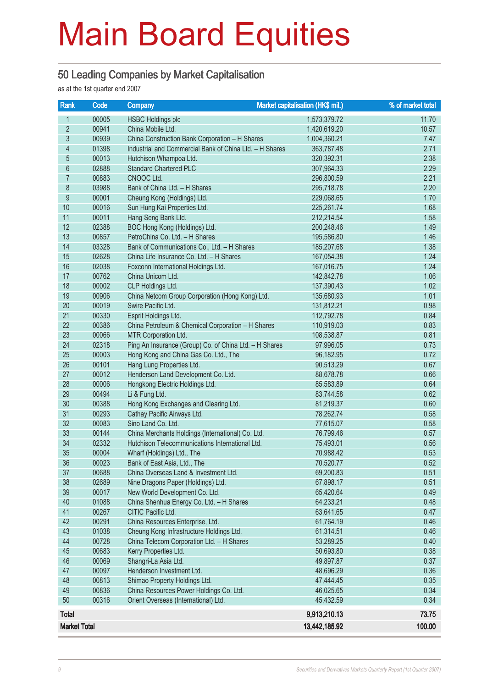#### 50 Leading Companies by Market Capitalisation

as at the 1st quarter end 2007

| Rank                | Code  | <b>Company</b>                                          | Market capitalisation (HK\$ mil.) | % of market total |
|---------------------|-------|---------------------------------------------------------|-----------------------------------|-------------------|
| 1                   | 00005 | <b>HSBC Holdings plc</b>                                | 1,573,379.72                      | 11.70             |
| $\overline{2}$      | 00941 | China Mobile Ltd.                                       | 1,420,619.20                      | 10.57             |
| $\mathfrak{S}$      | 00939 | China Construction Bank Corporation - H Shares          | 1,004,360.21                      | 7.47              |
| $\overline{4}$      | 01398 | Industrial and Commercial Bank of China Ltd. - H Shares | 363,787.48                        | 2.71              |
| $\overline{5}$      | 00013 | Hutchison Whampoa Ltd.                                  | 320,392.31                        | 2.38              |
| 6                   | 02888 | <b>Standard Chartered PLC</b>                           | 307,964.33                        | 2.29              |
| $\overline{7}$      | 00883 | CNOOC Ltd.                                              | 296,800.59                        | 2.21              |
| 8                   | 03988 | Bank of China Ltd. - H Shares                           | 295,718.78                        | 2.20              |
| 9                   | 00001 | Cheung Kong (Holdings) Ltd.                             | 229,068.65                        | 1.70              |
| 10                  | 00016 | Sun Hung Kai Properties Ltd.                            | 225,261.74                        | 1.68              |
| 11                  | 00011 | Hang Seng Bank Ltd.                                     | 212,214.54                        | 1.58              |
| 12                  | 02388 | BOC Hong Kong (Holdings) Ltd.                           | 200,248.46                        | 1.49              |
| 13                  | 00857 | PetroChina Co. Ltd. - H Shares                          | 195,586.80                        | 1.46              |
| 14                  | 03328 | Bank of Communications Co., Ltd. - H Shares             | 185,207.68                        | 1.38              |
| 15                  | 02628 | China Life Insurance Co. Ltd. - H Shares                | 167,054.38                        | 1.24              |
| 16                  | 02038 | Foxconn International Holdings Ltd.                     | 167,016.75                        | 1.24              |
| 17                  | 00762 | China Unicom Ltd.                                       | 142,842.78                        | 1.06              |
| 18                  | 00002 | CLP Holdings Ltd.                                       | 137,390.43                        | 1.02              |
| 19                  | 00906 | China Netcom Group Corporation (Hong Kong) Ltd.         | 135,680.93                        | 1.01              |
| 20                  | 00019 | Swire Pacific Ltd.                                      | 131,812.21                        | 0.98              |
| 21                  | 00330 | Esprit Holdings Ltd.                                    | 112,792.78                        | 0.84              |
| 22                  | 00386 | China Petroleum & Chemical Corporation - H Shares       | 110,919.03                        | 0.83              |
| 23                  | 00066 | MTR Corporation Ltd.                                    | 108,538.87                        | 0.81              |
| 24                  | 02318 | Ping An Insurance (Group) Co. of China Ltd. - H Shares  | 97,996.05                         | 0.73              |
| 25                  | 00003 | Hong Kong and China Gas Co. Ltd., The                   | 96,182.95                         | 0.72              |
| 26                  | 00101 | Hang Lung Properties Ltd.                               | 90,513.29                         | 0.67              |
| 27                  | 00012 | Henderson Land Development Co. Ltd.                     | 88,678.78                         | 0.66              |
| 28                  | 00006 | Hongkong Electric Holdings Ltd.                         | 85,583.89                         | 0.64              |
| 29                  | 00494 | Li & Fung Ltd.                                          | 83,744.58                         | 0.62              |
| 30                  | 00388 | Hong Kong Exchanges and Clearing Ltd.                   | 81,219.37                         | 0.60              |
| 31                  | 00293 | Cathay Pacific Airways Ltd.                             | 78,262.74                         | 0.58              |
| 32                  | 00083 | Sino Land Co. Ltd.                                      | 77,615.07                         | 0.58              |
| 33                  | 00144 | China Merchants Holdings (International) Co. Ltd.       | 76,799.46                         | 0.57              |
| 34                  | 02332 | Hutchison Telecommunications International Ltd.         | 75,493.01                         | 0.56              |
| 35                  | 00004 | Wharf (Holdings) Ltd., The                              | 70,988.42                         | 0.53              |
| 36                  | 00023 | Bank of East Asia, Ltd., The                            | 70,520.77                         | 0.52              |
| 37                  | 00688 | China Overseas Land & Investment Ltd.                   | 69,200.83                         | 0.51              |
| 38                  | 02689 | Nine Dragons Paper (Holdings) Ltd.                      | 67,898.17                         | 0.51              |
| 39                  | 00017 | New World Development Co. Ltd.                          | 65,420.64                         | 0.49              |
| 40                  | 01088 | China Shenhua Energy Co. Ltd. - H Shares                | 64,233.21                         | 0.48              |
| 41                  | 00267 | CITIC Pacific Ltd.                                      | 63,641.65                         | 0.47              |
| 42                  | 00291 | China Resources Enterprise, Ltd.                        | 61,764.19                         | 0.46              |
| 43                  | 01038 | Cheung Kong Infrastructure Holdings Ltd.                | 61,314.51                         | 0.46              |
| 44                  | 00728 | China Telecom Corporation Ltd. - H Shares               | 53,289.25                         | 0.40              |
| 45                  | 00683 | Kerry Properties Ltd.                                   | 50,693.80                         | 0.38              |
| 46                  | 00069 | Shangri-La Asia Ltd.                                    | 49,897.87                         | 0.37              |
| 47                  | 00097 | Henderson Investment Ltd.                               | 48,696.29                         | 0.36              |
| 48                  | 00813 | Shimao Property Holdings Ltd.                           | 47,444.45                         | 0.35              |
| 49                  | 00836 | China Resources Power Holdings Co. Ltd.                 | 46,025.65                         | 0.34              |
| 50                  | 00316 | Orient Overseas (International) Ltd.                    | 45,432.59                         | 0.34              |
| <b>Total</b>        |       |                                                         | 9,913,210.13                      | 73.75             |
| <b>Market Total</b> |       |                                                         | 13,442,185.92                     | 100.00            |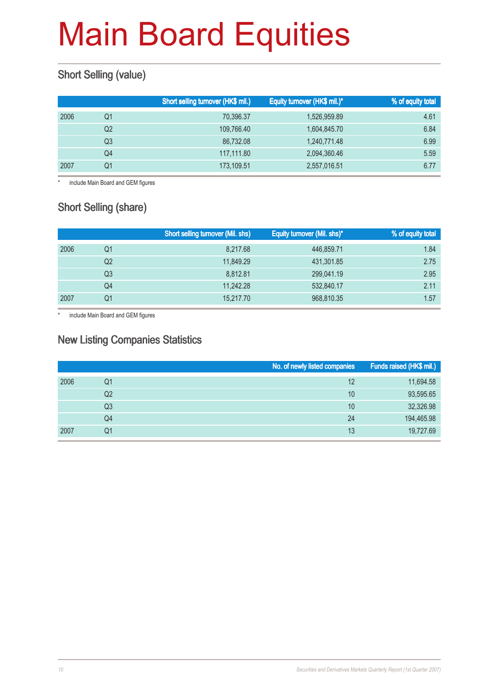### **Short Selling (value)**

|                | Short selling turnover (HK\$ mil.) | Equity turnover (HK\$ mil.)* | % of equity total |
|----------------|------------------------------------|------------------------------|-------------------|
| Q1             | 70,396.37                          | 1,526,959.89                 | 4.61              |
| Q <sub>2</sub> | 109,766.40                         | 1,604,845.70                 | 6.84              |
| Q3             | 86,732.08                          | 1,240,771.48                 | 6.99              |
| Q4             | 117.111.80                         | 2,094,360.46                 | 5.59              |
| Q1             | 173,109.51                         | 2,557,016.51                 | 6.77              |
|                |                                    |                              |                   |

\* include Main Board and GEM figures

### Short Selling (share)

|      |                | <b>Short selling turnover (Mil. shs)</b> | Equity turnover (Mil. shs)* | % of equity total |
|------|----------------|------------------------------------------|-----------------------------|-------------------|
| 2006 | Q1             | 8.217.68                                 | 446,859.71                  | 1.84              |
|      | Q <sub>2</sub> | 11.849.29                                | 431,301.85                  | 2.75              |
|      | Q3             | 8.812.81                                 | 299,041.19                  | 2.95              |
|      | Q4             | 11.242.28                                | 532,840.17                  | 2.11              |
| 2007 | Q1             | 15,217.70                                | 968,810.35                  | 1.57              |

\* include Main Board and GEM figures

#### New Listing Companies Statistics

|      |                | No. of newly listed companies | Funds raised (HK\$ mil.) |
|------|----------------|-------------------------------|--------------------------|
| 2006 | Q1             | 12                            | 11,694.58                |
|      | Q2             | 10                            | 93,595.65                |
|      | Q <sub>3</sub> | 10                            | 32,326.98                |
|      | Q4             | 24                            | 194,465.98               |
| 2007 | Q1             | 13                            | 19,727.69                |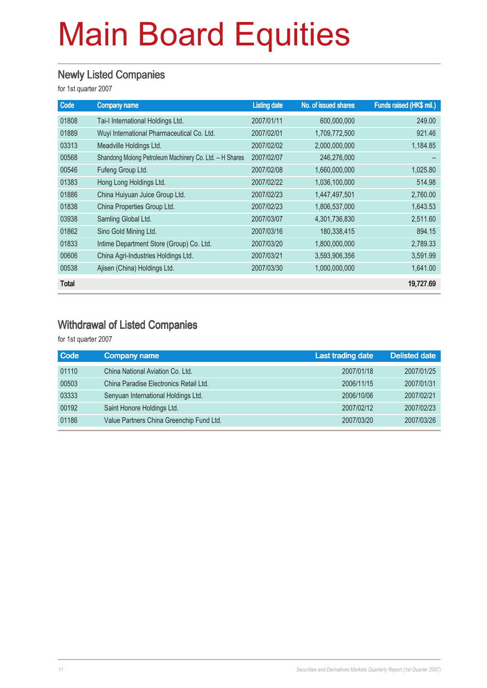#### Newly Listed Companies

for 1st quarter 2007

| Code         | <b>Company name</b>                                     | <b>Listing date</b> | No. of issued shares | Funds raised (HK\$ mil.) |
|--------------|---------------------------------------------------------|---------------------|----------------------|--------------------------|
| 01808        | Tai-I International Holdings Ltd.                       | 2007/01/11          | 600,000,000          | 249.00                   |
| 01889        | Wuyi International Pharmaceutical Co. Ltd.              | 2007/02/01          | 1,709,772,500        | 921.46                   |
| 03313        | Meadville Holdings Ltd.                                 | 2007/02/02          | 2,000,000,000        | 1,184.85                 |
| 00568        | Shandong Molong Petroleum Machinery Co. Ltd. - H Shares | 2007/02/07          | 246,276,000          |                          |
| 00546        | Fufeng Group Ltd.                                       | 2007/02/08          | 1,660,000,000        | 1,025.80                 |
| 01383        | Hong Long Holdings Ltd.                                 | 2007/02/22          | 1,036,100,000        | 514.98                   |
| 01886        | China Huiyuan Juice Group Ltd.                          | 2007/02/23          | 1,447,497,501        | 2,760.00                 |
| 01838        | China Properties Group Ltd.                             | 2007/02/23          | 1,806,537,000        | 1,643.53                 |
| 03938        | Samling Global Ltd.                                     | 2007/03/07          | 4,301,736,830        | 2,511.60                 |
| 01862        | Sino Gold Mining Ltd.                                   | 2007/03/16          | 180,338,415          | 894.15                   |
| 01833        | Intime Department Store (Group) Co. Ltd.                | 2007/03/20          | 1,800,000,000        | 2,789.33                 |
| 00606        | China Agri-Industries Holdings Ltd.                     | 2007/03/21          | 3,593,906,356        | 3,591.99                 |
| 00538        | Ajisen (China) Holdings Ltd.                            | 2007/03/30          | 1,000,000,000        | 1,641.00                 |
| <b>Total</b> |                                                         |                     |                      | 19,727.69                |

### Withdrawal of Listed Companies

for 1st quarter 2007

| <b>Code</b> | <b>Company name</b>                      | <b>Last trading date</b> | <b>Delisted date</b> |
|-------------|------------------------------------------|--------------------------|----------------------|
| 01110       | China National Aviation Co. Ltd.         | 2007/01/18               | 2007/01/25           |
| 00503       | China Paradise Electronics Retail Ltd.   | 2006/11/15               | 2007/01/31           |
| 03333       | Senyuan International Holdings Ltd.      | 2006/10/06               | 2007/02/21           |
| 00192       | Saint Honore Holdings Ltd.               | 2007/02/12               | 2007/02/23           |
| 01186       | Value Partners China Greenchip Fund Ltd. | 2007/03/20               | 2007/03/26           |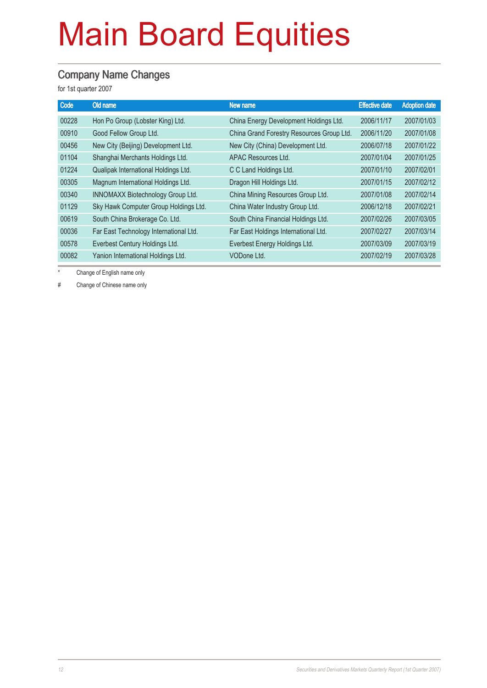#### Company Name Changes

for 1st quarter 2007

| Code  | Old name                               | New name                                  | <b>Effective date</b> | <b>Adoption date</b> |
|-------|----------------------------------------|-------------------------------------------|-----------------------|----------------------|
| 00228 | Hon Po Group (Lobster King) Ltd.       | China Energy Development Holdings Ltd.    | 2006/11/17            | 2007/01/03           |
| 00910 | Good Fellow Group Ltd.                 | China Grand Forestry Resources Group Ltd. | 2006/11/20            | 2007/01/08           |
| 00456 | New City (Beijing) Development Ltd.    | New City (China) Development Ltd.         | 2006/07/18            | 2007/01/22           |
| 01104 | Shanghai Merchants Holdings Ltd.       | APAC Resources Ltd.                       | 2007/01/04            | 2007/01/25           |
| 01224 | Qualipak International Holdings Ltd.   | C C Land Holdings Ltd.                    | 2007/01/10            | 2007/02/01           |
| 00305 | Magnum International Holdings Ltd.     | Dragon Hill Holdings Ltd.                 | 2007/01/15            | 2007/02/12           |
| 00340 | INNOMAXX Biotechnology Group Ltd.      | China Mining Resources Group Ltd.         | 2007/01/08            | 2007/02/14           |
| 01129 | Sky Hawk Computer Group Holdings Ltd.  | China Water Industry Group Ltd.           | 2006/12/18            | 2007/02/21           |
| 00619 | South China Brokerage Co. Ltd.         | South China Financial Holdings Ltd.       | 2007/02/26            | 2007/03/05           |
| 00036 | Far East Technology International Ltd. | Far East Holdings International Ltd.      | 2007/02/27            | 2007/03/14           |
| 00578 | Everbest Century Holdings Ltd.         | Everbest Energy Holdings Ltd.             | 2007/03/09            | 2007/03/19           |
| 00082 | Yanion International Holdings Ltd.     | VODone Ltd.                               | 2007/02/19            | 2007/03/28           |
|       |                                        |                                           |                       |                      |

Change of English name only

# Change of Chinese name only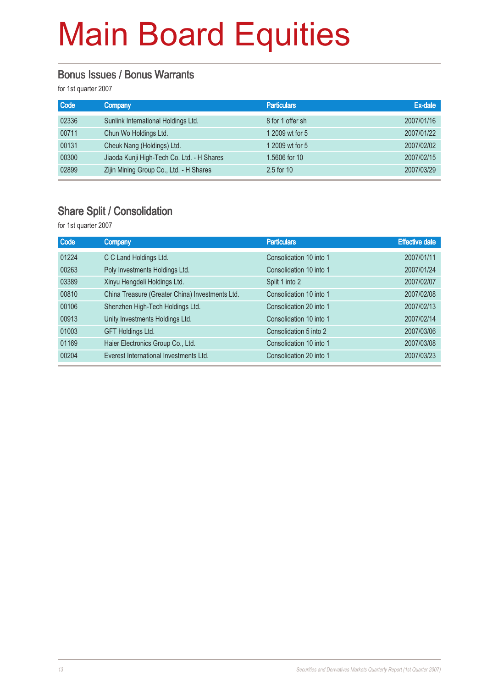#### Bonus Issues / Bonus Warrants

for 1st quarter 2007

| Code  | <b>Company</b>                             | <b>Particulars</b> | Ex-date    |
|-------|--------------------------------------------|--------------------|------------|
| 02336 | Sunlink International Holdings Ltd.        | 8 for 1 offer sh   | 2007/01/16 |
| 00711 | Chun Wo Holdings Ltd.                      | 1 2009 wt for 5    | 2007/01/22 |
| 00131 | Cheuk Nang (Holdings) Ltd.                 | 1 2009 wt for 5    | 2007/02/02 |
| 00300 | Jiaoda Kunji High-Tech Co. Ltd. - H Shares | 1.5606 for 10      | 2007/02/15 |
| 02899 | Zijin Mining Group Co., Ltd. - H Shares    | 2.5 for 10         | 2007/03/29 |

#### Share Split / Consolidation

for 1st quarter 2007

| Code  | <b>Company</b>                                  | <b>Particulars</b>      | <b>Effective date</b> |
|-------|-------------------------------------------------|-------------------------|-----------------------|
| 01224 | C C Land Holdings Ltd.                          | Consolidation 10 into 1 | 2007/01/11            |
| 00263 | Poly Investments Holdings Ltd.                  | Consolidation 10 into 1 | 2007/01/24            |
| 03389 | Xinyu Hengdeli Holdings Ltd.                    | Split 1 into 2          | 2007/02/07            |
| 00810 | China Treasure (Greater China) Investments Ltd. | Consolidation 10 into 1 | 2007/02/08            |
| 00106 | Shenzhen High-Tech Holdings Ltd.                | Consolidation 20 into 1 | 2007/02/13            |
| 00913 | Unity Investments Holdings Ltd.                 | Consolidation 10 into 1 | 2007/02/14            |
| 01003 | GFT Holdings Ltd.                               | Consolidation 5 into 2  | 2007/03/06            |
| 01169 | Haier Electronics Group Co., Ltd.               | Consolidation 10 into 1 | 2007/03/08            |
| 00204 | Everest International Investments Ltd.          | Consolidation 20 into 1 | 2007/03/23            |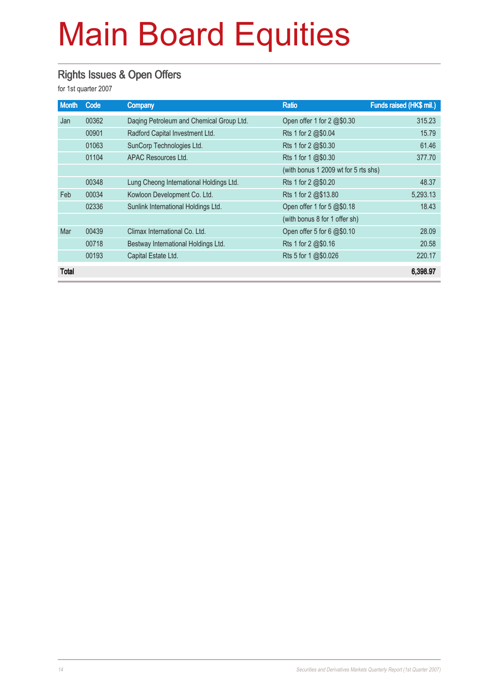### Rights Issues & Open Offers

for 1st quarter 2007

| <b>Month</b> | Code  | Company                                  | <b>Ratio</b>                         | Funds raised (HK\$ mil.) |
|--------------|-------|------------------------------------------|--------------------------------------|--------------------------|
| Jan          | 00362 | Daqing Petroleum and Chemical Group Ltd. | Open offer 1 for 2 $@$0.30$          | 315.23                   |
|              | 00901 | Radford Capital Investment Ltd.          | Rts 1 for 2 @\$0.04                  | 15.79                    |
|              | 01063 | SunCorp Technologies Ltd.                | Rts 1 for 2 @\$0.30                  | 61.46                    |
|              | 01104 | APAC Resources Ltd.                      | Rts 1 for 1 @\$0.30                  | 377.70                   |
|              |       |                                          | (with bonus 1 2009 wt for 5 rts shs) |                          |
|              | 00348 | Lung Cheong International Holdings Ltd.  | Rts 1 for 2 @\$0.20                  | 48.37                    |
| Feb          | 00034 | Kowloon Development Co. Ltd.             | Rts 1 for 2 @\$13.80                 | 5,293.13                 |
|              | 02336 | Sunlink International Holdings Ltd.      | Open offer 1 for 5 @\$0.18           | 18.43                    |
|              |       |                                          | (with bonus 8 for 1 offer sh)        |                          |
| Mar          | 00439 | Climax International Co. Ltd.            | Open offer 5 for 6 @\$0.10           | 28.09                    |
|              | 00718 | Bestway International Holdings Ltd.      | Rts 1 for 2 @\$0.16                  | 20.58                    |
|              | 00193 | Capital Estate Ltd.                      | Rts 5 for 1 @\$0.026                 | 220.17                   |
| Total        |       |                                          |                                      | 6,398.97                 |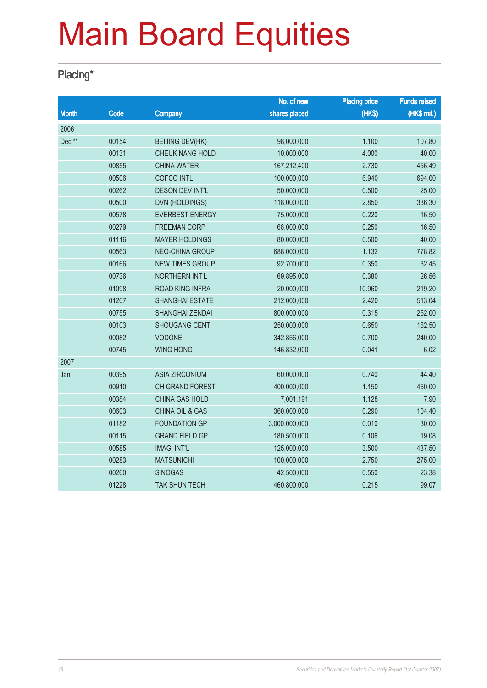### Placing\*

|              |       |                            | No. of new    | <b>Placing price</b> | <b>Funds raised</b> |
|--------------|-------|----------------------------|---------------|----------------------|---------------------|
| <b>Month</b> | Code  | Company                    | shares placed | (HKS)                | (HK\$ mil.)         |
| 2006         |       |                            |               |                      |                     |
| Dec**        | 00154 | <b>BEIJING DEV(HK)</b>     | 98,000,000    | 1.100                | 107.80              |
|              | 00131 | CHEUK NANG HOLD            | 10,000,000    | 4.000                | 40.00               |
|              | 00855 | <b>CHINA WATER</b>         | 167,212,400   | 2.730                | 456.49              |
|              | 00506 | <b>COFCO INTL</b>          | 100,000,000   | 6.940                | 694.00              |
|              | 00262 | <b>DESON DEV INT'L</b>     | 50,000,000    | 0.500                | 25.00               |
|              | 00500 | <b>DVN (HOLDINGS)</b>      | 118,000,000   | 2.850                | 336.30              |
|              | 00578 | <b>EVERBEST ENERGY</b>     | 75,000,000    | 0.220                | 16.50               |
|              | 00279 | <b>FREEMAN CORP</b>        | 66,000,000    | 0.250                | 16.50               |
|              | 01116 | <b>MAYER HOLDINGS</b>      | 80,000,000    | 0.500                | 40.00               |
|              | 00563 | NEO-CHINA GROUP            | 688,000,000   | 1.132                | 778.82              |
|              | 00166 | <b>NEW TIMES GROUP</b>     | 92,700,000    | 0.350                | 32.45               |
|              | 00736 | NORTHERN INT'L             | 69,895,000    | 0.380                | 26.56               |
|              | 01098 | <b>ROAD KING INFRA</b>     | 20,000,000    | 10.960               | 219.20              |
|              | 01207 | <b>SHANGHAI ESTATE</b>     | 212,000,000   | 2.420                | 513.04              |
|              | 00755 | SHANGHAI ZENDAI            | 800,000,000   | 0.315                | 252.00              |
|              | 00103 | <b>SHOUGANG CENT</b>       | 250,000,000   | 0.650                | 162.50              |
|              | 00082 | <b>VODONE</b>              | 342,856,000   | 0.700                | 240.00              |
|              | 00745 | <b>WING HONG</b>           | 146,832,000   | 0.041                | 6.02                |
| 2007         |       |                            |               |                      |                     |
| Jan          | 00395 | <b>ASIA ZIRCONIUM</b>      | 60,000,000    | 0.740                | 44.40               |
|              | 00910 | <b>CH GRAND FOREST</b>     | 400,000,000   | 1.150                | 460.00              |
|              | 00384 | CHINA GAS HOLD             | 7,001,191     | 1.128                | 7.90                |
|              | 00603 | <b>CHINA OIL &amp; GAS</b> | 360,000,000   | 0.290                | 104.40              |
|              | 01182 | <b>FOUNDATION GP</b>       | 3,000,000,000 | 0.010                | 30.00               |
|              | 00115 | <b>GRAND FIELD GP</b>      | 180,500,000   | 0.106                | 19.08               |
|              | 00585 | <b>IMAGI INT'L</b>         | 125,000,000   | 3.500                | 437.50              |
|              | 00283 | <b>MATSUNICHI</b>          | 100,000,000   | 2.750                | 275.00              |
|              | 00260 | <b>SINOGAS</b>             | 42,500,000    | 0.550                | 23.38               |
|              | 01228 | <b>TAK SHUN TECH</b>       | 460,800,000   | 0.215                | 99.07               |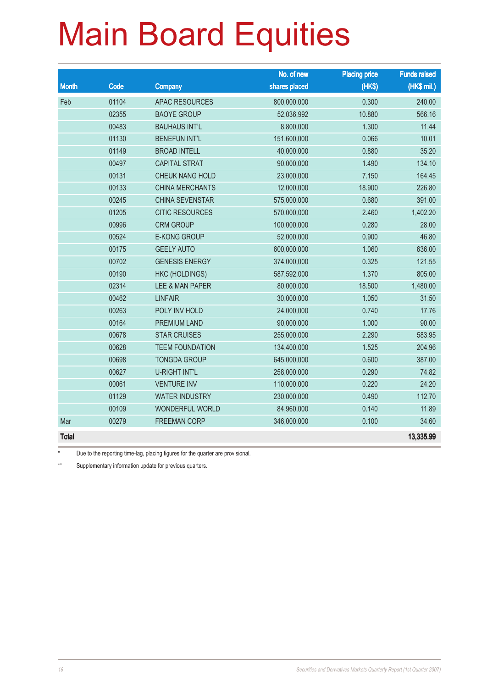|              |       |                        | No. of new    | <b>Placing price</b> | <b>Funds raised</b> |
|--------------|-------|------------------------|---------------|----------------------|---------------------|
| <b>Month</b> | Code  | <b>Company</b>         | shares placed | (HK\$)               | (HK\$ mil.)         |
| Feb          | 01104 | <b>APAC RESOURCES</b>  | 800,000,000   | 0.300                | 240.00              |
|              | 02355 | <b>BAOYE GROUP</b>     | 52,036,992    | 10.880               | 566.16              |
|              | 00483 | <b>BAUHAUS INT'L</b>   | 8,800,000     | 1.300                | 11.44               |
|              | 01130 | <b>BENEFUN INT'L</b>   | 151,600,000   | 0.066                | 10.01               |
|              | 01149 | <b>BROAD INTELL</b>    | 40,000,000    | 0.880                | 35.20               |
|              | 00497 | <b>CAPITAL STRAT</b>   | 90,000,000    | 1.490                | 134.10              |
|              | 00131 | CHEUK NANG HOLD        | 23,000,000    | 7.150                | 164.45              |
|              | 00133 | <b>CHINA MERCHANTS</b> | 12,000,000    | 18.900               | 226.80              |
|              | 00245 | CHINA SEVENSTAR        | 575,000,000   | 0.680                | 391.00              |
|              | 01205 | <b>CITIC RESOURCES</b> | 570,000,000   | 2.460                | 1,402.20            |
|              | 00996 | <b>CRM GROUP</b>       | 100,000,000   | 0.280                | 28.00               |
|              | 00524 | <b>E-KONG GROUP</b>    | 52,000,000    | 0.900                | 46.80               |
|              | 00175 | <b>GEELY AUTO</b>      | 600,000,000   | 1.060                | 636.00              |
|              | 00702 | <b>GENESIS ENERGY</b>  | 374,000,000   | 0.325                | 121.55              |
|              | 00190 | <b>HKC (HOLDINGS)</b>  | 587,592,000   | 1.370                | 805.00              |
|              | 02314 | LEE & MAN PAPER        | 80,000,000    | 18.500               | 1,480.00            |
|              | 00462 | <b>LINFAIR</b>         | 30,000,000    | 1.050                | 31.50               |
|              | 00263 | POLY INV HOLD          | 24,000,000    | 0.740                | 17.76               |
|              | 00164 | PREMIUM LAND           | 90,000,000    | 1.000                | 90.00               |
|              | 00678 | <b>STAR CRUISES</b>    | 255,000,000   | 2.290                | 583.95              |
|              | 00628 | <b>TEEM FOUNDATION</b> | 134,400,000   | 1.525                | 204.96              |
|              | 00698 | <b>TONGDA GROUP</b>    | 645,000,000   | 0.600                | 387.00              |
|              | 00627 | <b>U-RIGHT INT'L</b>   | 258,000,000   | 0.290                | 74.82               |
|              | 00061 | <b>VENTURE INV</b>     | 110,000,000   | 0.220                | 24.20               |
|              | 01129 | <b>WATER INDUSTRY</b>  | 230,000,000   | 0.490                | 112.70              |
|              | 00109 | <b>WONDERFUL WORLD</b> | 84,960,000    | 0.140                | 11.89               |
| Mar          | 00279 | <b>FREEMAN CORP</b>    | 346,000,000   | 0.100                | 34.60               |
| <b>Total</b> |       |                        |               |                      | 13,335.99           |

\* Due to the reporting time-lag, placing figures for the quarter are provisional.

\*\* Supplementary information update for previous quarters.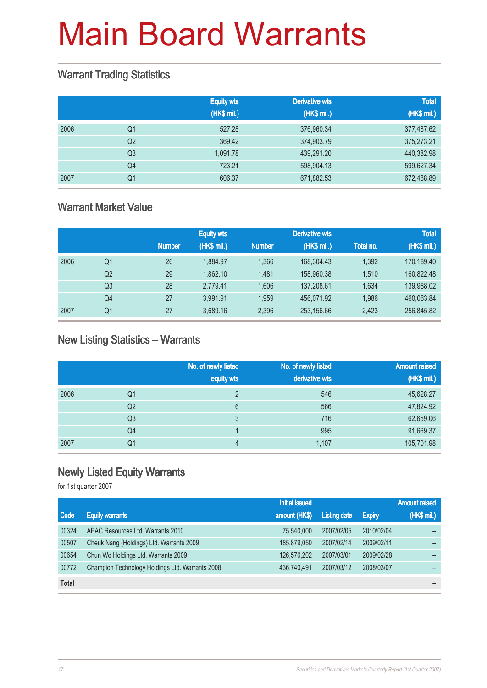#### Warrant Trading Statistics

|      |                | <b>Equity wts</b><br>(HK\$ mil.) | <b>Derivative wts</b><br>(HK\$ mil.) | <b>Total</b><br>(HK\$ mil.) |
|------|----------------|----------------------------------|--------------------------------------|-----------------------------|
| 2006 | Q1             | 527.28                           | 376,960.34                           | 377,487.62                  |
|      | Q <sub>2</sub> | 369.42                           | 374,903.79                           | 375,273.21                  |
|      | Q <sub>3</sub> | 1.091.78                         | 439,291.20                           | 440,382.98                  |
|      | Q <sub>4</sub> | 723.21                           | 598,904.13                           | 599,627.34                  |
| 2007 | Q <sub>1</sub> | 606.37                           | 671,882.53                           | 672,488.89                  |

### Warrant Market Value

|      |                |               | <b>Equity wts</b> |               | <b>Derivative wts</b> |           | <b>Total</b> |
|------|----------------|---------------|-------------------|---------------|-----------------------|-----------|--------------|
|      |                | <b>Number</b> | (HK\$ mil.)       | <b>Number</b> | (HK\$ mil.)           | Total no. | (HK\$ mil.)  |
| 2006 | Q1             | 26            | 1.884.97          | 1.366         | 168,304.43            | 1,392     | 170,189.40   |
|      | Q <sub>2</sub> | 29            | 1.862.10          | 1.481         | 158,960.38            | 1.510     | 160,822.48   |
|      | Q3             | 28            | 2.779.41          | 1.606         | 137,208.61            | 1.634     | 139,988.02   |
|      | Q4             | 27            | 3.991.91          | 1.959         | 456.071.92            | 1,986     | 460,063.84   |
| 2007 | Q1             | 27            | 3,689.16          | 2,396         | 253,156.66            | 2,423     | 256,845.82   |

#### New Listing Statistics – Warrants

|      |                | No. of newly listed<br>equity wts | No. of newly listed<br>derivative wts | <b>Amount raised</b><br>(HK\$ mil.) |
|------|----------------|-----------------------------------|---------------------------------------|-------------------------------------|
| 2006 | Q1             | $\overline{2}$                    | 546                                   | 45,628.27                           |
|      | Q2             | 6                                 | 566                                   | 47,824.92                           |
|      | Q <sub>3</sub> | 3                                 | 716                                   | 62,659.06                           |
|      | Q4             |                                   | 995                                   | 91,669.37                           |
| 2007 | Q1             | 4                                 | 1,107                                 | 105,701.98                          |

### Newly Listed Equity Warrants

for 1st quarter 2007

|              |                                                 | <b>Initial issued</b> |                     |               | <b>Amount raised</b> |
|--------------|-------------------------------------------------|-----------------------|---------------------|---------------|----------------------|
| Code         | <b>Equity warrants</b>                          | amount (HK\$)         | <b>Listing date</b> | <b>Expiry</b> | (HK\$ mil.)          |
| 00324        | APAC Resources Ltd. Warrants 2010               | 75,540,000            | 2007/02/05          | 2010/02/04    |                      |
| 00507        | Cheuk Nang (Holdings) Ltd. Warrants 2009        | 185,879,050           | 2007/02/14          | 2009/02/11    |                      |
| 00654        | Chun Wo Holdings Ltd. Warrants 2009             | 126,576,202           | 2007/03/01          | 2009/02/28    |                      |
| 00772        | Champion Technology Holdings Ltd. Warrants 2008 | 436.740.491           | 2007/03/12          | 2008/03/07    |                      |
| <b>Total</b> |                                                 |                       |                     |               |                      |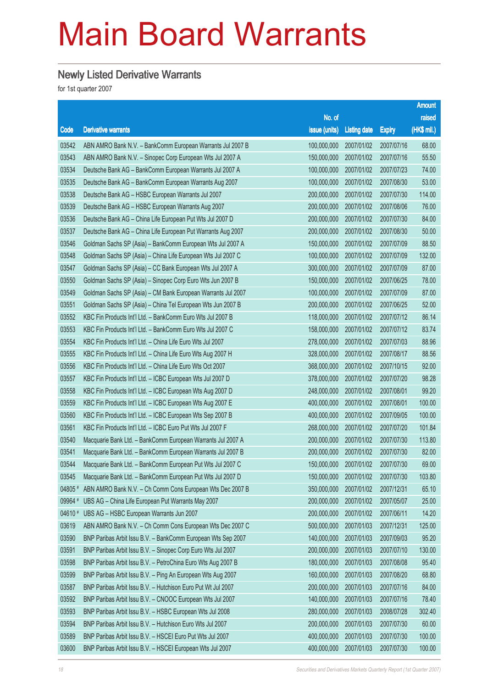#### Newly Listed Derivative Warrants

for 1st quarter 2007

|         |                                                              |               |                     |               | <b>Amount</b> |
|---------|--------------------------------------------------------------|---------------|---------------------|---------------|---------------|
|         |                                                              | No. of        |                     |               | raised        |
| Code    | <b>Derivative warrants</b>                                   | issue (units) | <b>Listing date</b> | <b>Expiry</b> | (HK\$ mil.)   |
| 03542   | ABN AMRO Bank N.V. - BankComm European Warrants Jul 2007 B   | 100,000,000   | 2007/01/02          | 2007/07/16    | 68.00         |
| 03543   | ABN AMRO Bank N.V. - Sinopec Corp European Wts Jul 2007 A    | 150,000,000   | 2007/01/02          | 2007/07/16    | 55.50         |
| 03534   | Deutsche Bank AG - BankComm European Warrants Jul 2007 A     | 100,000,000   | 2007/01/02          | 2007/07/23    | 74.00         |
| 03535   | Deutsche Bank AG - BankComm European Warrants Aug 2007       | 100,000,000   | 2007/01/02          | 2007/08/30    | 53.00         |
| 03538   | Deutsche Bank AG - HSBC European Warrants Jul 2007           | 200,000,000   | 2007/01/02          | 2007/07/30    | 114.00        |
| 03539   | Deutsche Bank AG - HSBC European Warrants Aug 2007           | 200,000,000   | 2007/01/02          | 2007/08/06    | 76.00         |
| 03536   | Deutsche Bank AG - China Life European Put Wts Jul 2007 D    | 200,000,000   | 2007/01/02          | 2007/07/30    | 84.00         |
| 03537   | Deutsche Bank AG - China Life European Put Warrants Aug 2007 | 200,000,000   | 2007/01/02          | 2007/08/30    | 50.00         |
| 03546   | Goldman Sachs SP (Asia) - BankComm European Wts Jul 2007 A   | 150,000,000   | 2007/01/02          | 2007/07/09    | 88.50         |
| 03548   | Goldman Sachs SP (Asia) - China Life European Wts Jul 2007 C | 100,000,000   | 2007/01/02          | 2007/07/09    | 132.00        |
| 03547   | Goldman Sachs SP (Asia) - CC Bank European Wts Jul 2007 A    | 300,000,000   | 2007/01/02          | 2007/07/09    | 87.00         |
| 03550   | Goldman Sachs SP (Asia) - Sinopec Corp Euro Wts Jun 2007 B   | 150,000,000   | 2007/01/02          | 2007/06/25    | 78.00         |
| 03549   | Goldman Sachs SP (Asia) - CM Bank European Warrants Jul 2007 | 100,000,000   | 2007/01/02          | 2007/07/09    | 87.00         |
| 03551   | Goldman Sachs SP (Asia) - China Tel European Wts Jun 2007 B  | 200,000,000   | 2007/01/02          | 2007/06/25    | 52.00         |
| 03552   | KBC Fin Products Int'l Ltd. - BankComm Euro Wts Jul 2007 B   | 118,000,000   | 2007/01/02          | 2007/07/12    | 86.14         |
| 03553   | KBC Fin Products Int'l Ltd. - BankComm Euro Wts Jul 2007 C   | 158,000,000   | 2007/01/02          | 2007/07/12    | 83.74         |
| 03554   | KBC Fin Products Int'l Ltd. - China Life Euro Wts Jul 2007   | 278,000,000   | 2007/01/02          | 2007/07/03    | 88.96         |
| 03555   | KBC Fin Products Int'l Ltd. - China Life Euro Wts Aug 2007 H | 328,000,000   | 2007/01/02          | 2007/08/17    | 88.56         |
| 03556   | KBC Fin Products Int'l Ltd. - China Life Euro Wts Oct 2007   | 368,000,000   | 2007/01/02          | 2007/10/15    | 92.00         |
| 03557   | KBC Fin Products Int'l Ltd. - ICBC European Wts Jul 2007 D   | 378,000,000   | 2007/01/02          | 2007/07/20    | 98.28         |
| 03558   | KBC Fin Products Int'l Ltd. - ICBC European Wts Aug 2007 D   | 248,000,000   | 2007/01/02          | 2007/08/01    | 99.20         |
| 03559   | KBC Fin Products Int'l Ltd. - ICBC European Wts Aug 2007 E   | 400,000,000   | 2007/01/02          | 2007/08/01    | 100.00        |
| 03560   | KBC Fin Products Int'l Ltd. - ICBC European Wts Sep 2007 B   | 400,000,000   | 2007/01/02          | 2007/09/05    | 100.00        |
| 03561   | KBC Fin Products Int'l Ltd. - ICBC Euro Put Wts Jul 2007 F   | 268,000,000   | 2007/01/02          | 2007/07/20    | 101.84        |
| 03540   | Macquarie Bank Ltd. - BankComm European Warrants Jul 2007 A  | 200,000,000   | 2007/01/02          | 2007/07/30    | 113.80        |
| 03541   | Macquarie Bank Ltd. - BankComm European Warrants Jul 2007 B  | 200,000,000   | 2007/01/02          | 2007/07/30    | 82.00         |
| 03544   | Macquarie Bank Ltd. - BankComm European Put Wts Jul 2007 C   | 150,000,000   | 2007/01/02          | 2007/07/30    | 69.00         |
| 03545   | Macquarie Bank Ltd. - BankComm European Put Wts Jul 2007 D   | 150,000,000   | 2007/01/02          | 2007/07/30    | 103.80        |
| 04805 # | ABN AMRO Bank N.V. - Ch Comm Cons European Wts Dec 2007 B    | 350,000,000   | 2007/01/02          | 2007/12/31    | 65.10         |
| 09964 # | UBS AG - China Life European Put Warrants May 2007           | 200,000,000   | 2007/01/02          | 2007/05/07    | 25.00         |
| 04610 # | UBS AG - HSBC European Warrants Jun 2007                     | 200,000,000   | 2007/01/02          | 2007/06/11    | 14.20         |
| 03619   | ABN AMRO Bank N.V. - Ch Comm Cons European Wts Dec 2007 C    | 500,000,000   | 2007/01/03          | 2007/12/31    | 125.00        |
| 03590   | BNP Paribas Arbit Issu B.V. - BankComm European Wts Sep 2007 | 140,000,000   | 2007/01/03          | 2007/09/03    | 95.20         |
| 03591   | BNP Paribas Arbit Issu B.V. - Sinopec Corp Euro Wts Jul 2007 | 200,000,000   | 2007/01/03          | 2007/07/10    | 130.00        |
| 03598   | BNP Paribas Arbit Issu B.V. - PetroChina Euro Wts Aug 2007 B | 180,000,000   | 2007/01/03          | 2007/08/08    | 95.40         |
| 03599   | BNP Paribas Arbit Issu B.V. - Ping An European Wts Aug 2007  | 160,000,000   | 2007/01/03          | 2007/08/20    | 68.80         |
| 03587   | BNP Paribas Arbit Issu B.V. - Hutchison Euro Put Wt Jul 2007 | 200,000,000   | 2007/01/03          | 2007/07/16    | 84.00         |
| 03592   | BNP Paribas Arbit Issu B.V. - CNOOC European Wts Jul 2007    | 140,000,000   | 2007/01/03          | 2007/07/16    | 78.40         |
| 03593   | BNP Paribas Arbit Issu B.V. - HSBC European Wts Jul 2008     | 280,000,000   | 2007/01/03          | 2008/07/28    | 302.40        |
| 03594   | BNP Paribas Arbit Issu B.V. - Hutchison Euro Wts Jul 2007    | 200,000,000   | 2007/01/03          | 2007/07/30    | 60.00         |
| 03589   | BNP Paribas Arbit Issu B.V. - HSCEI Euro Put Wts Jul 2007    | 400,000,000   | 2007/01/03          | 2007/07/30    | 100.00        |
| 03600   | BNP Paribas Arbit Issu B.V. - HSCEI European Wts Jul 2007    | 400,000,000   | 2007/01/03          | 2007/07/30    | 100.00        |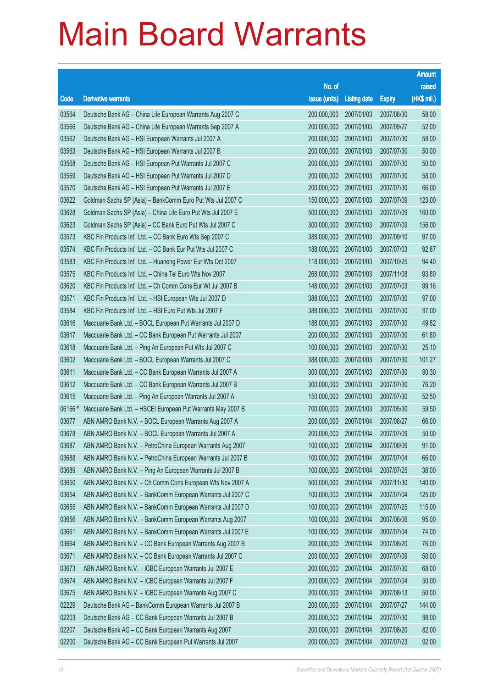|        |                                                              |                        |                     |               | <b>Amount</b> |
|--------|--------------------------------------------------------------|------------------------|---------------------|---------------|---------------|
|        |                                                              | No. of                 |                     |               | raised        |
| Code   | <b>Derivative warrants</b>                                   | issue (units)          | <b>Listing date</b> | <b>Expiry</b> | (HK\$ mil.)   |
| 03564  | Deutsche Bank AG - China Life European Warrants Aug 2007 C   | 200,000,000            | 2007/01/03          | 2007/08/30    | 58.00         |
| 03566  | Deutsche Bank AG - China Life European Warrants Sep 2007 A   | 200,000,000            | 2007/01/03          | 2007/09/27    | 52.00         |
| 03562  | Deutsche Bank AG - HSI European Warrants Jul 2007 A          | 200,000,000            | 2007/01/03          | 2007/07/30    | 58.00         |
| 03563  | Deutsche Bank AG - HSI European Warrants Jul 2007 B          | 200,000,000            | 2007/01/03          | 2007/07/30    | 50.00         |
| 03568  | Deutsche Bank AG - HSI European Put Warrants Jul 2007 C      | 200,000,000            | 2007/01/03          | 2007/07/30    | 50.00         |
| 03569  | Deutsche Bank AG - HSI European Put Warrants Jul 2007 D      | 200,000,000            | 2007/01/03          | 2007/07/30    | 58.00         |
| 03570  | Deutsche Bank AG - HSI European Put Warrants Jul 2007 E      | 200,000,000            | 2007/01/03          | 2007/07/30    | 66.00         |
| 03622  | Goldman Sachs SP (Asia) - BankComm Euro Put Wts Jul 2007 C   | 150,000,000            | 2007/01/03          | 2007/07/09    | 123.00        |
| 03628  | Goldman Sachs SP (Asia) - China Life Euro Put Wts Jul 2007 E | 500,000,000            | 2007/01/03          | 2007/07/09    | 160.00        |
| 03623  | Goldman Sachs SP (Asia) - CC Bank Euro Put Wts Jul 2007 C    | 300,000,000            | 2007/01/03          | 2007/07/09    | 156.00        |
| 03573  | KBC Fin Products Int'l Ltd. - CC Bank Euro Wts Sep 2007 C    | 388,000,000            | 2007/01/03          | 2007/09/10    | 97.00         |
| 03574  | KBC Fin Products Int'l Ltd. - CC Bank Eur Put Wts Jul 2007 C | 188,000,000            | 2007/01/03          | 2007/07/03    | 92.87         |
| 03583  | KBC Fin Products Int'l Ltd. - Huaneng Power Eur Wts Oct 2007 | 118,000,000            | 2007/01/03          | 2007/10/25    | 94.40         |
| 03575  | KBC Fin Products Int'l Ltd. - China Tel Euro Wts Nov 2007    | 268,000,000            | 2007/01/03          | 2007/11/08    | 93.80         |
| 03620  | KBC Fin Products Int'l Ltd. - Ch Comm Cons Eur Wt Jul 2007 B | 148,000,000            | 2007/01/03          | 2007/07/03    | 99.16         |
| 03571  | KBC Fin Products Int'l Ltd. - HSI European Wts Jul 2007 D    | 388,000,000            | 2007/01/03          | 2007/07/30    | 97.00         |
| 03584  | KBC Fin Products Int'l Ltd. - HSI Euro Put Wts Jul 2007 F    | 388,000,000            | 2007/01/03          | 2007/07/30    | 97.00         |
| 03616  | Macquarie Bank Ltd. - BOCL European Put Warrants Jul 2007 D  | 188,000,000            | 2007/01/03          | 2007/07/30    | 49.82         |
| 03617  | Macquarie Bank Ltd. - CC Bank European Put Warrants Jul 2007 | 200,000,000            | 2007/01/03          | 2007/07/30    | 61.80         |
| 03618  | Macquarie Bank Ltd. - Ping An European Put Wts Jul 2007 C    | 100,000,000            | 2007/01/03          | 2007/07/30    | 25.10         |
| 03602  | Macquarie Bank Ltd. - BOCL European Warrants Jul 2007 C      | 388,000,000            | 2007/01/03          | 2007/07/30    | 101.27        |
| 03611  | Macquarie Bank Ltd. - CC Bank European Warrants Jul 2007 A   | 300,000,000            | 2007/01/03          | 2007/07/30    | 90.30         |
| 03612  | Macquarie Bank Ltd. - CC Bank European Warrants Jul 2007 B   | 300,000,000            | 2007/01/03          | 2007/07/30    | 76.20         |
| 03615  | Macquarie Bank Ltd. - Ping An European Warrants Jul 2007 A   | 150,000,000            | 2007/01/03          | 2007/07/30    | 52.50         |
| 06166# | Macquarie Bank Ltd. - HSCEI European Put Warrants May 2007 B | 700,000,000            | 2007/01/03          | 2007/05/30    | 59.50         |
| 03677  | ABN AMRO Bank N.V. - BOCL European Warrants Aug 2007 A       | 200,000,000            | 2007/01/04          | 2007/08/27    | 66.00         |
| 03678  | ABN AMRO Bank N.V. - BOCL European Warrants Jul 2007 A       | 200,000,000 2007/01/04 |                     | 2007/07/09    | 50.00         |
| 03687  | ABN AMRO Bank N.V. - PetroChina European Warrants Aug 2007   | 100,000,000            | 2007/01/04          | 2007/08/06    | 91.00         |
| 03688  | ABN AMRO Bank N.V. - PetroChina European Warrants Jul 2007 B | 100,000,000            | 2007/01/04          | 2007/07/04    | 66.00         |
| 03689  | ABN AMRO Bank N.V. - Ping An European Warrants Jul 2007 B    | 100,000,000            | 2007/01/04          | 2007/07/25    | 38.00         |
| 03650  | ABN AMRO Bank N.V. - Ch Comm Cons European Wts Nov 2007 A    | 500,000,000            | 2007/01/04          | 2007/11/30    | 140.00        |
| 03654  | ABN AMRO Bank N.V. - BankComm European Warrants Jul 2007 C   | 100,000,000            | 2007/01/04          | 2007/07/04    | 125.00        |
| 03655  | ABN AMRO Bank N.V. - BankComm European Warrants Jul 2007 D   | 100,000,000            | 2007/01/04          | 2007/07/25    | 115.00        |
| 03656  | ABN AMRO Bank N.V. - BankComm European Warrants Aug 2007     | 100,000,000            | 2007/01/04          | 2007/08/06    | 95.00         |
| 03661  | ABN AMRO Bank N.V. - BankComm European Warrants Jul 2007 E   | 100,000,000            | 2007/01/04          | 2007/07/04    | 74.00         |
| 03664  | ABN AMRO Bank N.V. - CC Bank European Warrants Aug 2007 B    | 200,000,000            | 2007/01/04          | 2007/08/20    | 76.00         |
| 03671  | ABN AMRO Bank N.V. - CC Bank European Warrants Jul 2007 C    | 200,000,000            | 2007/01/04          | 2007/07/09    | 50.00         |
| 03673  | ABN AMRO Bank N.V. - ICBC European Warrants Jul 2007 E       | 200,000,000            | 2007/01/04          | 2007/07/30    | 68.00         |
| 03674  | ABN AMRO Bank N.V. - ICBC European Warrants Jul 2007 F       | 200,000,000            | 2007/01/04          | 2007/07/04    | 50.00         |
| 03675  | ABN AMRO Bank N.V. - ICBC European Warrants Aug 2007 C       | 200,000,000            | 2007/01/04          | 2007/08/13    | 50.00         |
| 02229  | Deutsche Bank AG - BankComm European Warrants Jul 2007 B     | 200,000,000            | 2007/01/04          | 2007/07/27    | 144.00        |
| 02203  | Deutsche Bank AG - CC Bank European Warrants Jul 2007 B      | 200,000,000            | 2007/01/04          | 2007/07/30    | 98.00         |
| 02207  | Deutsche Bank AG - CC Bank European Warrants Aug 2007        | 200,000,000            | 2007/01/04          | 2007/08/20    | 82.00         |
| 02200  | Deutsche Bank AG - CC Bank European Put Warrants Jul 2007    | 200,000,000            | 2007/01/04          | 2007/07/23    | 92.00         |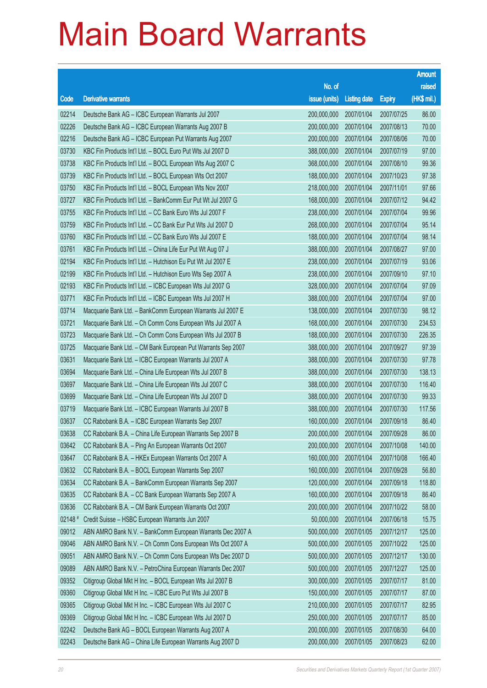|         |                                                              |                        |                     |               | <b>Amount</b> |
|---------|--------------------------------------------------------------|------------------------|---------------------|---------------|---------------|
|         |                                                              | No. of                 |                     |               | raised        |
| Code    | <b>Derivative warrants</b>                                   | issue (units)          | <b>Listing date</b> | <b>Expiry</b> | (HK\$ mil.)   |
| 02214   | Deutsche Bank AG - ICBC European Warrants Jul 2007           | 200,000,000            | 2007/01/04          | 2007/07/25    | 86.00         |
| 02226   | Deutsche Bank AG - ICBC European Warrants Aug 2007 B         | 200,000,000            | 2007/01/04          | 2007/08/13    | 70.00         |
| 02216   | Deutsche Bank AG - ICBC European Put Warrants Aug 2007       | 200,000,000            | 2007/01/04          | 2007/08/06    | 70.00         |
| 03730   | KBC Fin Products Int'l Ltd. - BOCL Euro Put Wts Jul 2007 D   | 388,000,000            | 2007/01/04          | 2007/07/19    | 97.00         |
| 03738   | KBC Fin Products Int'l Ltd. - BOCL European Wts Aug 2007 C   | 368,000,000            | 2007/01/04          | 2007/08/10    | 99.36         |
| 03739   | KBC Fin Products Int'l Ltd. - BOCL European Wts Oct 2007     | 188,000,000            | 2007/01/04          | 2007/10/23    | 97.38         |
| 03750   | KBC Fin Products Int'l Ltd. - BOCL European Wts Nov 2007     | 218,000,000            | 2007/01/04          | 2007/11/01    | 97.66         |
| 03727   | KBC Fin Products Int'l Ltd. - BankComm Eur Put Wt Jul 2007 G | 168,000,000            | 2007/01/04          | 2007/07/12    | 94.42         |
| 03755   | KBC Fin Products Int'l Ltd. - CC Bank Euro Wts Jul 2007 F    | 238,000,000            | 2007/01/04          | 2007/07/04    | 99.96         |
| 03759   | KBC Fin Products Int'l Ltd. - CC Bank Eur Put Wts Jul 2007 D | 268,000,000            | 2007/01/04          | 2007/07/04    | 95.14         |
| 03760   | KBC Fin Products Int'l Ltd. - CC Bank Euro Wts Jul 2007 E    | 188,000,000            | 2007/01/04          | 2007/07/04    | 98.14         |
| 03761   | KBC Fin Products Int'l Ltd. - China Life Eur Put Wt Aug 07 J | 388,000,000            | 2007/01/04          | 2007/08/27    | 97.00         |
| 02194   | KBC Fin Products Int'l Ltd. - Hutchison Eu Put Wt Jul 2007 E | 238,000,000            | 2007/01/04          | 2007/07/19    | 93.06         |
| 02199   | KBC Fin Products Int'l Ltd. - Hutchison Euro Wts Sep 2007 A  | 238,000,000            | 2007/01/04          | 2007/09/10    | 97.10         |
| 02193   | KBC Fin Products Int'l Ltd. - ICBC European Wts Jul 2007 G   | 328,000,000            | 2007/01/04          | 2007/07/04    | 97.09         |
| 03771   | KBC Fin Products Int'l Ltd. - ICBC European Wts Jul 2007 H   | 388,000,000            | 2007/01/04          | 2007/07/04    | 97.00         |
| 03714   | Macquarie Bank Ltd. - BankComm European Warrants Jul 2007 E  | 138,000,000            | 2007/01/04          | 2007/07/30    | 98.12         |
| 03721   | Macquarie Bank Ltd. - Ch Comm Cons European Wts Jul 2007 A   | 168,000,000            | 2007/01/04          | 2007/07/30    | 234.53        |
| 03723   | Macquarie Bank Ltd. - Ch Comm Cons European Wts Jul 2007 B   | 188,000,000            | 2007/01/04          | 2007/07/30    | 226.35        |
| 03725   | Macquarie Bank Ltd. - CM Bank European Put Warrants Sep 2007 | 388,000,000            | 2007/01/04          | 2007/09/27    | 97.39         |
| 03631   | Macquarie Bank Ltd. - ICBC European Warrants Jul 2007 A      | 388,000,000            | 2007/01/04          | 2007/07/30    | 97.78         |
| 03694   | Macquarie Bank Ltd. - China Life European Wts Jul 2007 B     | 388,000,000            | 2007/01/04          | 2007/07/30    | 138.13        |
| 03697   | Macquarie Bank Ltd. - China Life European Wts Jul 2007 C     | 388,000,000            | 2007/01/04          | 2007/07/30    | 116.40        |
| 03699   | Macquarie Bank Ltd. - China Life European Wts Jul 2007 D     | 388,000,000            | 2007/01/04          | 2007/07/30    | 99.33         |
| 03719   | Macquarie Bank Ltd. - ICBC European Warrants Jul 2007 B      | 388,000,000            | 2007/01/04          | 2007/07/30    | 117.56        |
| 03637   | CC Rabobank B.A. - ICBC European Warrants Sep 2007           | 160,000,000            | 2007/01/04          | 2007/09/18    | 86.40         |
| 03638   | CC Rabobank B.A. - China Life European Warrants Sep 2007 B   | 200,000,000 2007/01/04 |                     | 2007/09/28    | 86.00         |
| 03642   | CC Rabobank B.A. - Ping An European Warrants Oct 2007        | 200,000,000            | 2007/01/04          | 2007/10/08    | 140.00        |
| 03647   | CC Rabobank B.A. - HKEx European Warrants Oct 2007 A         | 160,000,000            | 2007/01/04          | 2007/10/08    | 166.40        |
| 03632   | CC Rabobank B.A. - BOCL European Warrants Sep 2007           | 160,000,000            | 2007/01/04          | 2007/09/28    | 56.80         |
| 03634   | CC Rabobank B.A. - BankComm European Warrants Sep 2007       | 120,000,000            | 2007/01/04          | 2007/09/18    | 118.80        |
| 03635   | CC Rabobank B.A. - CC Bank European Warrants Sep 2007 A      | 160,000,000            | 2007/01/04          | 2007/09/18    | 86.40         |
| 03636   | CC Rabobank B.A. - CM Bank European Warrants Oct 2007        | 200,000,000            | 2007/01/04          | 2007/10/22    | 58.00         |
| 02148 # | Credit Suisse - HSBC European Warrants Jun 2007              | 50,000,000             | 2007/01/04          | 2007/06/18    | 15.75         |
| 09012   | ABN AMRO Bank N.V. - BankComm European Warrants Dec 2007 A   | 500,000,000            | 2007/01/05          | 2007/12/17    | 125.00        |
| 09046   | ABN AMRO Bank N.V. - Ch Comm Cons European Wts Oct 2007 A    | 500,000,000            | 2007/01/05          | 2007/10/22    | 125.00        |
| 09051   | ABN AMRO Bank N.V. - Ch Comm Cons European Wts Dec 2007 D    | 500,000,000            | 2007/01/05          | 2007/12/17    | 130.00        |
| 09089   | ABN AMRO Bank N.V. - PetroChina European Warrants Dec 2007   | 500,000,000            | 2007/01/05          | 2007/12/27    | 125.00        |
| 09352   | Citigroup Global Mkt H Inc. - BOCL European Wts Jul 2007 B   | 300,000,000            | 2007/01/05          | 2007/07/17    | 81.00         |
| 09360   | Citigroup Global Mkt H Inc. - ICBC Euro Put Wts Jul 2007 B   | 150,000,000            | 2007/01/05          | 2007/07/17    | 87.00         |
| 09365   | Citigroup Global Mkt H Inc. - ICBC European Wts Jul 2007 C   | 210,000,000            | 2007/01/05          | 2007/07/17    | 82.95         |
| 09369   | Citigroup Global Mkt H Inc. - ICBC European Wts Jul 2007 D   | 250,000,000            | 2007/01/05          | 2007/07/17    | 85.00         |
| 02242   | Deutsche Bank AG - BOCL European Warrants Aug 2007 A         | 200,000,000            | 2007/01/05          | 2007/08/30    | 64.00         |
| 02243   | Deutsche Bank AG - China Life European Warrants Aug 2007 D   | 200,000,000            | 2007/01/05          | 2007/08/23    | 62.00         |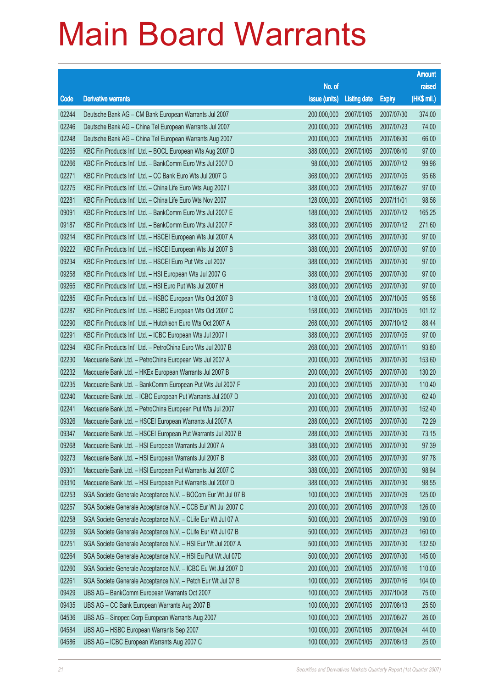|       |                                                              |                        |                     |               | <b>Amount</b> |
|-------|--------------------------------------------------------------|------------------------|---------------------|---------------|---------------|
|       |                                                              | No. of                 |                     |               | raised        |
| Code  | <b>Derivative warrants</b>                                   | issue (units)          | <b>Listing date</b> | <b>Expiry</b> | (HK\$ mil.)   |
| 02244 | Deutsche Bank AG - CM Bank European Warrants Jul 2007        | 200,000,000            | 2007/01/05          | 2007/07/30    | 374.00        |
| 02246 | Deutsche Bank AG - China Tel European Warrants Jul 2007      | 200,000,000            | 2007/01/05          | 2007/07/23    | 74.00         |
| 02248 | Deutsche Bank AG - China Tel European Warrants Aug 2007      | 200,000,000            | 2007/01/05          | 2007/08/30    | 66.00         |
| 02265 | KBC Fin Products Int'l Ltd. - BOCL European Wts Aug 2007 D   | 388,000,000            | 2007/01/05          | 2007/08/10    | 97.00         |
| 02266 | KBC Fin Products Int'l Ltd. - BankComm Euro Wts Jul 2007 D   | 98,000,000             | 2007/01/05          | 2007/07/12    | 99.96         |
| 02271 | KBC Fin Products Int'l Ltd. - CC Bank Euro Wts Jul 2007 G    | 368,000,000            | 2007/01/05          | 2007/07/05    | 95.68         |
| 02275 | KBC Fin Products Int'l Ltd. - China Life Euro Wts Aug 2007 I | 388,000,000            | 2007/01/05          | 2007/08/27    | 97.00         |
| 02281 | KBC Fin Products Int'l Ltd. - China Life Euro Wts Nov 2007   | 128,000,000            | 2007/01/05          | 2007/11/01    | 98.56         |
| 09091 | KBC Fin Products Int'l Ltd. - BankComm Euro Wts Jul 2007 E   | 188,000,000            | 2007/01/05          | 2007/07/12    | 165.25        |
| 09187 | KBC Fin Products Int'l Ltd. - BankComm Euro Wts Jul 2007 F   | 388,000,000            | 2007/01/05          | 2007/07/12    | 271.60        |
| 09214 | KBC Fin Products Int'l Ltd. - HSCEI European Wts Jul 2007 A  | 388,000,000            | 2007/01/05          | 2007/07/30    | 97.00         |
| 09222 | KBC Fin Products Int'l Ltd. - HSCEI European Wts Jul 2007 B  | 388,000,000            | 2007/01/05          | 2007/07/30    | 97.00         |
| 09234 | KBC Fin Products Int'l Ltd. - HSCEI Euro Put Wts Jul 2007    | 388,000,000            | 2007/01/05          | 2007/07/30    | 97.00         |
| 09258 | KBC Fin Products Int'l Ltd. - HSI European Wts Jul 2007 G    | 388,000,000            | 2007/01/05          | 2007/07/30    | 97.00         |
| 09265 | KBC Fin Products Int'l Ltd. - HSI Euro Put Wts Jul 2007 H    | 388,000,000            | 2007/01/05          | 2007/07/30    | 97.00         |
| 02285 | KBC Fin Products Int'l Ltd. - HSBC European Wts Oct 2007 B   | 118,000,000            | 2007/01/05          | 2007/10/05    | 95.58         |
| 02287 | KBC Fin Products Int'l Ltd. - HSBC European Wts Oct 2007 C   | 158,000,000            | 2007/01/05          | 2007/10/05    | 101.12        |
| 02290 | KBC Fin Products Int'l Ltd. - Hutchison Euro Wts Oct 2007 A  | 268,000,000            | 2007/01/05          | 2007/10/12    | 88.44         |
| 02291 | KBC Fin Products Int'l Ltd. - ICBC European Wts Jul 2007 I   | 388,000,000            | 2007/01/05          | 2007/07/05    | 97.00         |
| 02294 | KBC Fin Products Int'l Ltd. - PetroChina Euro Wts Jul 2007 B | 268,000,000            | 2007/01/05          | 2007/07/11    | 93.80         |
| 02230 | Macquarie Bank Ltd. - PetroChina European Wts Jul 2007 A     | 200,000,000            | 2007/01/05          | 2007/07/30    | 153.60        |
| 02232 | Macquarie Bank Ltd. - HKEx European Warrants Jul 2007 B      | 200,000,000            | 2007/01/05          | 2007/07/30    | 130.20        |
| 02235 | Macquarie Bank Ltd. - BankComm European Put Wts Jul 2007 F   | 200,000,000            | 2007/01/05          | 2007/07/30    | 110.40        |
| 02240 | Macquarie Bank Ltd. - ICBC European Put Warrants Jul 2007 D  | 200,000,000            | 2007/01/05          | 2007/07/30    | 62.40         |
| 02241 | Macquarie Bank Ltd. - PetroChina European Put Wts Jul 2007   | 200,000,000            | 2007/01/05          | 2007/07/30    | 152.40        |
| 09326 | Macquarie Bank Ltd. - HSCEI European Warrants Jul 2007 A     | 288,000,000            | 2007/01/05          | 2007/07/30    | 72.29         |
| 09347 | Macquarie Bank Ltd. - HSCEI European Put Warrants Jul 2007 B | 288,000,000 2007/01/05 |                     | 2007/07/30    | 73.15         |
| 09268 | Macquarie Bank Ltd. - HSI European Warrants Jul 2007 A       | 388,000,000            | 2007/01/05          | 2007/07/30    | 97.39         |
| 09273 | Macquarie Bank Ltd. - HSI European Warrants Jul 2007 B       | 388,000,000            | 2007/01/05          | 2007/07/30    | 97.78         |
| 09301 | Macquarie Bank Ltd. - HSI European Put Warrants Jul 2007 C   | 388,000,000            | 2007/01/05          | 2007/07/30    | 98.94         |
| 09310 | Macquarie Bank Ltd. - HSI European Put Warrants Jul 2007 D   | 388,000,000            | 2007/01/05          | 2007/07/30    | 98.55         |
| 02253 | SGA Societe Generale Acceptance N.V. - BOCom Eur Wt Jul 07 B | 100,000,000            | 2007/01/05          | 2007/07/09    | 125.00        |
| 02257 | SGA Societe Generale Acceptance N.V. - CCB Eur Wt Jul 2007 C | 200,000,000            | 2007/01/05          | 2007/07/09    | 126.00        |
| 02258 | SGA Societe Generale Acceptance N.V. - CLife Eur Wt Jul 07 A | 500,000,000            | 2007/01/05          | 2007/07/09    | 190.00        |
| 02259 | SGA Societe Generale Acceptance N.V. - CLife Eur Wt Jul 07 B | 500,000,000            | 2007/01/05          | 2007/07/23    | 160.00        |
| 02251 | SGA Societe Generale Acceptance N.V. - HSI Eur Wt Jul 2007 A | 500,000,000            | 2007/01/05          | 2007/07/30    | 132.50        |
| 02264 | SGA Societe Generale Acceptance N.V. - HSI Eu Put Wt Jul 07D | 500,000,000            | 2007/01/05          | 2007/07/30    | 145.00        |
| 02260 | SGA Societe Generale Acceptance N.V. - ICBC Eu Wt Jul 2007 D | 200,000,000            | 2007/01/05          | 2007/07/16    | 110.00        |
| 02261 | SGA Societe Generale Acceptance N.V. - Petch Eur Wt Jul 07 B | 100,000,000            | 2007/01/05          | 2007/07/16    | 104.00        |
| 09429 | UBS AG - BankComm European Warrants Oct 2007                 | 100,000,000            | 2007/01/05          | 2007/10/08    | 75.00         |
| 09435 | UBS AG - CC Bank European Warrants Aug 2007 B                | 100,000,000            | 2007/01/05          | 2007/08/13    | 25.50         |
| 04536 | UBS AG - Sinopec Corp European Warrants Aug 2007             | 100,000,000            | 2007/01/05          | 2007/08/27    | 26.00         |
| 04584 | UBS AG - HSBC European Warrants Sep 2007                     | 100,000,000            | 2007/01/05          | 2007/09/24    | 44.00         |
| 04586 | UBS AG - ICBC European Warrants Aug 2007 C                   | 100,000,000            | 2007/01/05          | 2007/08/13    | 25.00         |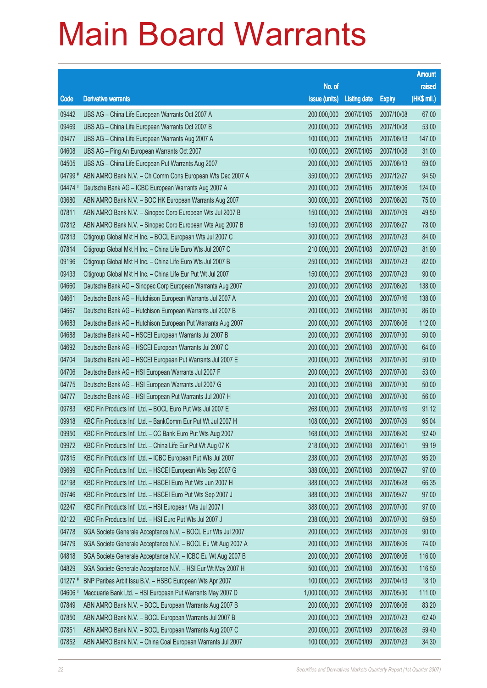|         |                                                              |                        |                     |               | <b>Amount</b> |
|---------|--------------------------------------------------------------|------------------------|---------------------|---------------|---------------|
|         |                                                              | No. of                 |                     |               | raised        |
| Code    | <b>Derivative warrants</b>                                   | issue (units)          | <b>Listing date</b> | <b>Expiry</b> | (HK\$ mil.)   |
| 09442   | UBS AG - China Life European Warrants Oct 2007 A             | 200,000,000            | 2007/01/05          | 2007/10/08    | 67.00         |
| 09469   | UBS AG - China Life European Warrants Oct 2007 B             | 200,000,000            | 2007/01/05          | 2007/10/08    | 53.00         |
| 09477   | UBS AG - China Life European Warrants Aug 2007 A             | 100,000,000            | 2007/01/05          | 2007/08/13    | 147.00        |
| 04608   | UBS AG - Ping An European Warrants Oct 2007                  | 100,000,000            | 2007/01/05          | 2007/10/08    | 31.00         |
| 04505   | UBS AG - China Life European Put Warrants Aug 2007           | 200,000,000            | 2007/01/05          | 2007/08/13    | 59.00         |
| 04799 # | ABN AMRO Bank N.V. - Ch Comm Cons European Wts Dec 2007 A    | 350,000,000            | 2007/01/05          | 2007/12/27    | 94.50         |
| 04474 # | Deutsche Bank AG - ICBC European Warrants Aug 2007 A         | 200,000,000            | 2007/01/05          | 2007/08/06    | 124.00        |
| 03680   | ABN AMRO Bank N.V. - BOC HK European Warrants Aug 2007       | 300,000,000            | 2007/01/08          | 2007/08/20    | 75.00         |
| 07811   | ABN AMRO Bank N.V. - Sinopec Corp European Wts Jul 2007 B    | 150,000,000            | 2007/01/08          | 2007/07/09    | 49.50         |
| 07812   | ABN AMRO Bank N.V. - Sinopec Corp European Wts Aug 2007 B    | 150,000,000            | 2007/01/08          | 2007/08/27    | 78.00         |
| 07813   | Citigroup Global Mkt H Inc. - BOCL European Wts Jul 2007 C   | 300,000,000            | 2007/01/08          | 2007/07/23    | 84.00         |
| 07814   | Citigroup Global Mkt H Inc. - China Life Euro Wts Jul 2007 C | 210,000,000            | 2007/01/08          | 2007/07/23    | 81.90         |
| 09196   | Citigroup Global Mkt H Inc. - China Life Euro Wts Jul 2007 B | 250,000,000            | 2007/01/08          | 2007/07/23    | 82.00         |
| 09433   | Citigroup Global Mkt H Inc. - China Life Eur Put Wt Jul 2007 | 150,000,000            | 2007/01/08          | 2007/07/23    | 90.00         |
| 04660   | Deutsche Bank AG - Sinopec Corp European Warrants Aug 2007   | 200,000,000            | 2007/01/08          | 2007/08/20    | 138.00        |
| 04661   | Deutsche Bank AG - Hutchison European Warrants Jul 2007 A    | 200,000,000            | 2007/01/08          | 2007/07/16    | 138.00        |
| 04667   | Deutsche Bank AG - Hutchison European Warrants Jul 2007 B    | 200,000,000            | 2007/01/08          | 2007/07/30    | 86.00         |
| 04683   | Deutsche Bank AG - Hutchison European Put Warrants Aug 2007  | 200,000,000            | 2007/01/08          | 2007/08/06    | 112.00        |
| 04688   | Deutsche Bank AG - HSCEI European Warrants Jul 2007 B        | 200,000,000            | 2007/01/08          | 2007/07/30    | 50.00         |
| 04692   | Deutsche Bank AG - HSCEI European Warrants Jul 2007 C        | 200,000,000            | 2007/01/08          | 2007/07/30    | 64.00         |
| 04704   | Deutsche Bank AG - HSCEI European Put Warrants Jul 2007 E    | 200,000,000            | 2007/01/08          | 2007/07/30    | 50.00         |
| 04706   | Deutsche Bank AG - HSI European Warrants Jul 2007 F          | 200,000,000            | 2007/01/08          | 2007/07/30    | 53.00         |
| 04775   | Deutsche Bank AG - HSI European Warrants Jul 2007 G          | 200,000,000            | 2007/01/08          | 2007/07/30    | 50.00         |
| 04777   | Deutsche Bank AG - HSI European Put Warrants Jul 2007 H      | 200,000,000            | 2007/01/08          | 2007/07/30    | 56.00         |
| 09783   | KBC Fin Products Int'l Ltd. - BOCL Euro Put Wts Jul 2007 E   | 268,000,000            | 2007/01/08          | 2007/07/19    | 91.12         |
| 09918   | KBC Fin Products Int'l Ltd. - BankComm Eur Put Wt Jul 2007 H | 108,000,000            | 2007/01/08          | 2007/07/09    | 95.04         |
| 09950   | KBC Fin Products Int'l Ltd. - CC Bank Euro Put Wts Aug 2007  | 168,000,000 2007/01/08 |                     | 2007/08/20    | 92.40         |
| 09972   | KBC Fin Products Int'l Ltd. - China Life Eur Put Wt Aug 07 K | 218,000,000            | 2007/01/08          | 2007/08/01    | 99.19         |
| 07815   | KBC Fin Products Int'l Ltd. - ICBC European Put Wts Jul 2007 | 238,000,000            | 2007/01/08          | 2007/07/20    | 95.20         |
| 09699   | KBC Fin Products Int'l Ltd. - HSCEI European Wts Sep 2007 G  | 388,000,000            | 2007/01/08          | 2007/09/27    | 97.00         |
| 02198   | KBC Fin Products Int'l Ltd. - HSCEI Euro Put Wts Jun 2007 H  | 388,000,000            | 2007/01/08          | 2007/06/28    | 66.35         |
| 09746   | KBC Fin Products Int'l Ltd. - HSCEI Euro Put Wts Sep 2007 J  | 388,000,000            | 2007/01/08          | 2007/09/27    | 97.00         |
| 02247   | KBC Fin Products Int'l Ltd. - HSI European Wts Jul 2007 I    | 388,000,000            | 2007/01/08          | 2007/07/30    | 97.00         |
| 02122   | KBC Fin Products Int'l Ltd. - HSI Euro Put Wts Jul 2007 J    | 238,000,000            | 2007/01/08          | 2007/07/30    | 59.50         |
| 04778   | SGA Societe Generale Acceptance N.V. - BOCL Eur Wts Jul 2007 | 200,000,000            | 2007/01/08          | 2007/07/09    | 90.00         |
| 04779   | SGA Societe Generale Acceptance N.V. - BOCL Eu Wt Aug 2007 A | 200,000,000            | 2007/01/08          | 2007/08/06    | 74.00         |
| 04818   | SGA Societe Generale Acceptance N.V. - ICBC Eu Wt Aug 2007 B | 200,000,000            | 2007/01/08          | 2007/08/06    | 116.00        |
| 04829   | SGA Societe Generale Acceptance N.V. - HSI Eur Wt May 2007 H | 500,000,000            | 2007/01/08          | 2007/05/30    | 116.50        |
| 01277 # | BNP Paribas Arbit Issu B.V. - HSBC European Wts Apr 2007     | 100,000,000            | 2007/01/08          | 2007/04/13    | 18.10         |
| 04606 # | Macquarie Bank Ltd. - HSI European Put Warrants May 2007 D   | 1,000,000,000          | 2007/01/08          | 2007/05/30    | 111.00        |
| 07849   | ABN AMRO Bank N.V. - BOCL European Warrants Aug 2007 B       | 200,000,000            | 2007/01/09          | 2007/08/06    | 83.20         |
| 07850   | ABN AMRO Bank N.V. - BOCL European Warrants Jul 2007 B       | 200,000,000            | 2007/01/09          | 2007/07/23    | 62.40         |
| 07851   | ABN AMRO Bank N.V. - BOCL European Warrants Aug 2007 C       | 200,000,000            | 2007/01/09          | 2007/08/28    | 59.40         |
| 07852   | ABN AMRO Bank N.V. - China Coal European Warrants Jul 2007   | 100,000,000            | 2007/01/09          | 2007/07/23    | 34.30         |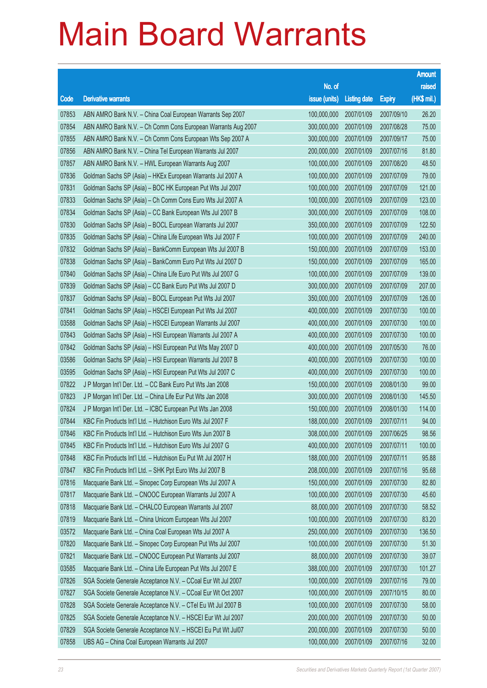|       |                                                              |                        |                     |               | <b>Amount</b> |
|-------|--------------------------------------------------------------|------------------------|---------------------|---------------|---------------|
|       |                                                              | No. of                 |                     |               | raised        |
| Code  | <b>Derivative warrants</b>                                   | issue (units)          | <b>Listing date</b> | <b>Expiry</b> | (HK\$ mil.)   |
| 07853 | ABN AMRO Bank N.V. - China Coal European Warrants Sep 2007   | 100,000,000            | 2007/01/09          | 2007/09/10    | 26.20         |
| 07854 | ABN AMRO Bank N.V. - Ch Comm Cons European Warrants Aug 2007 | 300,000,000            | 2007/01/09          | 2007/08/28    | 75.00         |
| 07855 | ABN AMRO Bank N.V. - Ch Comm Cons European Wts Sep 2007 A    | 300,000,000            | 2007/01/09          | 2007/09/17    | 75.00         |
| 07856 | ABN AMRO Bank N.V. - China Tel European Warrants Jul 2007    | 200,000,000            | 2007/01/09          | 2007/07/16    | 81.80         |
| 07857 | ABN AMRO Bank N.V. - HWL European Warrants Aug 2007          | 100,000,000            | 2007/01/09          | 2007/08/20    | 48.50         |
| 07836 | Goldman Sachs SP (Asia) – HKEx European Warrants Jul 2007 A  | 100,000,000            | 2007/01/09          | 2007/07/09    | 79.00         |
| 07831 | Goldman Sachs SP (Asia) - BOC HK European Put Wts Jul 2007   | 100,000,000            | 2007/01/09          | 2007/07/09    | 121.00        |
| 07833 | Goldman Sachs SP (Asia) - Ch Comm Cons Euro Wts Jul 2007 A   | 100,000,000            | 2007/01/09          | 2007/07/09    | 123.00        |
| 07834 | Goldman Sachs SP (Asia) - CC Bank European Wts Jul 2007 B    | 300,000,000            | 2007/01/09          | 2007/07/09    | 108.00        |
| 07830 | Goldman Sachs SP (Asia) - BOCL European Warrants Jul 2007    | 350,000,000            | 2007/01/09          | 2007/07/09    | 122.50        |
| 07835 | Goldman Sachs SP (Asia) - China Life European Wts Jul 2007 F | 100,000,000            | 2007/01/09          | 2007/07/09    | 240.00        |
| 07832 | Goldman Sachs SP (Asia) - BankComm European Wts Jul 2007 B   | 150,000,000            | 2007/01/09          | 2007/07/09    | 153.00        |
| 07838 | Goldman Sachs SP (Asia) - BankComm Euro Put Wts Jul 2007 D   | 150,000,000            | 2007/01/09          | 2007/07/09    | 165.00        |
| 07840 | Goldman Sachs SP (Asia) - China Life Euro Put Wts Jul 2007 G | 100,000,000            | 2007/01/09          | 2007/07/09    | 139.00        |
| 07839 | Goldman Sachs SP (Asia) - CC Bank Euro Put Wts Jul 2007 D    | 300,000,000            | 2007/01/09          | 2007/07/09    | 207.00        |
| 07837 | Goldman Sachs SP (Asia) - BOCL European Put Wts Jul 2007     | 350,000,000            | 2007/01/09          | 2007/07/09    | 126.00        |
| 07841 | Goldman Sachs SP (Asia) - HSCEI European Put Wts Jul 2007    | 400,000,000            | 2007/01/09          | 2007/07/30    | 100.00        |
| 03588 | Goldman Sachs SP (Asia) - HSCEI European Warrants Jul 2007   | 400,000,000            | 2007/01/09          | 2007/07/30    | 100.00        |
| 07843 | Goldman Sachs SP (Asia) - HSI European Warrants Jul 2007 A   | 400,000,000            | 2007/01/09          | 2007/07/30    | 100.00        |
| 07842 | Goldman Sachs SP (Asia) - HSI European Put Wts May 2007 D    | 400,000,000            | 2007/01/09          | 2007/05/30    | 76.00         |
| 03586 | Goldman Sachs SP (Asia) - HSI European Warrants Jul 2007 B   | 400,000,000            | 2007/01/09          | 2007/07/30    | 100.00        |
| 03595 | Goldman Sachs SP (Asia) - HSI European Put Wts Jul 2007 C    | 400,000,000            | 2007/01/09          | 2007/07/30    | 100.00        |
| 07822 | J P Morgan Int'l Der. Ltd. - CC Bank Euro Put Wts Jan 2008   | 150,000,000            | 2007/01/09          | 2008/01/30    | 99.00         |
| 07823 | J P Morgan Int'l Der. Ltd. - China Life Eur Put Wts Jan 2008 | 300,000,000            | 2007/01/09          | 2008/01/30    | 145.50        |
| 07824 | J P Morgan Int'l Der. Ltd. - ICBC European Put Wts Jan 2008  | 150,000,000            | 2007/01/09          | 2008/01/30    | 114.00        |
| 07844 | KBC Fin Products Int'l Ltd. - Hutchison Euro Wts Jul 2007 F  | 188,000,000            | 2007/01/09          | 2007/07/11    | 94.00         |
| 07846 | KBC Fin Products Int'l Ltd. - Hutchison Euro Wts Jun 2007 B  | 308,000,000 2007/01/09 |                     | 2007/06/25    | 98.56         |
| 07845 | KBC Fin Products Int'l Ltd. - Hutchison Euro Wts Jul 2007 G  | 400,000,000            | 2007/01/09          | 2007/07/11    | 100.00        |
| 07848 | KBC Fin Products Int'l Ltd. - Hutchison Eu Put Wt Jul 2007 H | 188,000,000            | 2007/01/09          | 2007/07/11    | 95.88         |
| 07847 | KBC Fin Products Int'l Ltd. - SHK Ppt Euro Wts Jul 2007 B    | 208,000,000            | 2007/01/09          | 2007/07/16    | 95.68         |
| 07816 | Macquarie Bank Ltd. - Sinopec Corp European Wts Jul 2007 A   | 150,000,000            | 2007/01/09          | 2007/07/30    | 82.80         |
| 07817 | Macquarie Bank Ltd. - CNOOC European Warrants Jul 2007 A     | 100,000,000            | 2007/01/09          | 2007/07/30    | 45.60         |
| 07818 | Macquarie Bank Ltd. - CHALCO European Warrants Jul 2007      | 88,000,000             | 2007/01/09          | 2007/07/30    | 58.52         |
| 07819 | Macquarie Bank Ltd. - China Unicom European Wts Jul 2007     | 100,000,000            | 2007/01/09          | 2007/07/30    | 83.20         |
| 03572 | Macquarie Bank Ltd. - China Coal European Wts Jul 2007 A     | 250,000,000            | 2007/01/09          | 2007/07/30    | 136.50        |
| 07820 | Macquarie Bank Ltd. - Sinopec Corp European Put Wts Jul 2007 | 100,000,000            | 2007/01/09          | 2007/07/30    | 51.30         |
| 07821 | Macquarie Bank Ltd. - CNOOC European Put Warrants Jul 2007   | 88,000,000             | 2007/01/09          | 2007/07/30    | 39.07         |
| 03585 | Macquarie Bank Ltd. - China Life European Put Wts Jul 2007 E | 388,000,000            | 2007/01/09          | 2007/07/30    | 101.27        |
| 07826 | SGA Societe Generale Acceptance N.V. - CCoal Eur Wt Jul 2007 | 100,000,000            | 2007/01/09          | 2007/07/16    | 79.00         |
| 07827 | SGA Societe Generale Acceptance N.V. - CCoal Eur Wt Oct 2007 | 100,000,000            | 2007/01/09          | 2007/10/15    | 80.00         |
| 07828 | SGA Societe Generale Acceptance N.V. - CTel Eu Wt Jul 2007 B | 100,000,000            | 2007/01/09          | 2007/07/30    | 58.00         |
| 07825 | SGA Societe Generale Acceptance N.V. - HSCEI Eur Wt Jul 2007 | 200,000,000            | 2007/01/09          | 2007/07/30    | 50.00         |
| 07829 | SGA Societe Generale Acceptance N.V. - HSCEI Eu Put Wt Jul07 | 200,000,000            | 2007/01/09          | 2007/07/30    | 50.00         |
| 07858 | UBS AG - China Coal European Warrants Jul 2007               | 100,000,000            | 2007/01/09          | 2007/07/16    | 32.00         |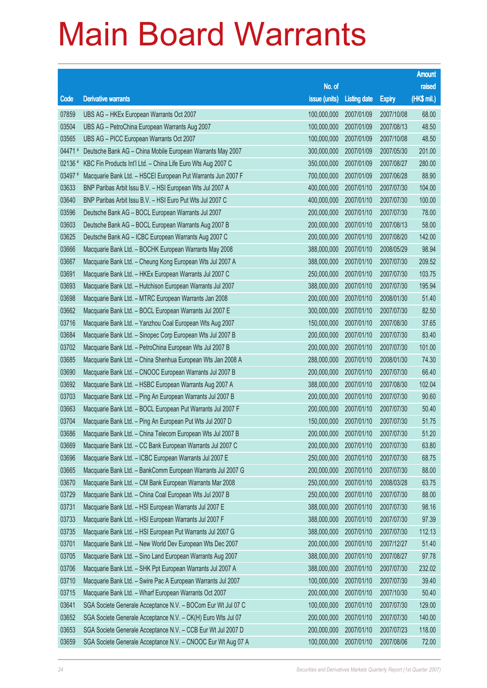|         |                                                              |                        |                     |               | <b>Amount</b> |
|---------|--------------------------------------------------------------|------------------------|---------------------|---------------|---------------|
|         |                                                              | No. of                 |                     |               | raised        |
| Code    | <b>Derivative warrants</b>                                   | issue (units)          | <b>Listing date</b> | <b>Expiry</b> | (HK\$ mil.)   |
| 07859   | UBS AG - HKEx European Warrants Oct 2007                     | 100,000,000            | 2007/01/09          | 2007/10/08    | 68.00         |
| 03504   | UBS AG - PetroChina European Warrants Aug 2007               | 100,000,000            | 2007/01/09          | 2007/08/13    | 48.50         |
| 03565   | UBS AG - PICC European Warrants Oct 2007                     | 100,000,000            | 2007/01/09          | 2007/10/08    | 48.50         |
| 04471#  | Deutsche Bank AG - China Mobile European Warrants May 2007   | 300,000,000            | 2007/01/09          | 2007/05/30    | 201.00        |
| 02136 # | KBC Fin Products Int'l Ltd. - China Life Euro Wts Aug 2007 C | 350,000,000            | 2007/01/09          | 2007/08/27    | 280.00        |
| 03497 # | Macquarie Bank Ltd. - HSCEI European Put Warrants Jun 2007 F | 700,000,000            | 2007/01/09          | 2007/06/28    | 88.90         |
| 03633   | BNP Paribas Arbit Issu B.V. - HSI European Wts Jul 2007 A    | 400,000,000            | 2007/01/10          | 2007/07/30    | 104.00        |
| 03640   | BNP Paribas Arbit Issu B.V. - HSI Euro Put Wts Jul 2007 C    | 400,000,000            | 2007/01/10          | 2007/07/30    | 100.00        |
| 03596   | Deutsche Bank AG - BOCL European Warrants Jul 2007           | 200,000,000            | 2007/01/10          | 2007/07/30    | 78.00         |
| 03603   | Deutsche Bank AG - BOCL European Warrants Aug 2007 B         | 200,000,000            | 2007/01/10          | 2007/08/13    | 58.00         |
| 03625   | Deutsche Bank AG - ICBC European Warrants Aug 2007 C         | 200,000,000            | 2007/01/10          | 2007/08/20    | 142.00        |
| 03666   | Macquarie Bank Ltd. - BOCHK European Warrants May 2008       | 388,000,000            | 2007/01/10          | 2008/05/29    | 98.94         |
| 03667   | Macquarie Bank Ltd. - Cheung Kong European Wts Jul 2007 A    | 388,000,000            | 2007/01/10          | 2007/07/30    | 209.52        |
| 03691   | Macquarie Bank Ltd. - HKEx European Warrants Jul 2007 C      | 250,000,000            | 2007/01/10          | 2007/07/30    | 103.75        |
| 03693   | Macquarie Bank Ltd. - Hutchison European Warrants Jul 2007   | 388,000,000            | 2007/01/10          | 2007/07/30    | 195.94        |
| 03698   | Macquarie Bank Ltd. - MTRC European Warrants Jan 2008        | 200,000,000            | 2007/01/10          | 2008/01/30    | 51.40         |
| 03662   | Macquarie Bank Ltd. - BOCL European Warrants Jul 2007 E      | 300,000,000            | 2007/01/10          | 2007/07/30    | 82.50         |
| 03716   | Macquarie Bank Ltd. - Yanzhou Coal European Wts Aug 2007     | 150,000,000            | 2007/01/10          | 2007/08/30    | 37.65         |
| 03684   | Macquarie Bank Ltd. - Sinopec Corp European Wts Jul 2007 B   | 200,000,000            | 2007/01/10          | 2007/07/30    | 83.40         |
| 03702   | Macquarie Bank Ltd. - PetroChina European Wts Jul 2007 B     | 200,000,000            | 2007/01/10          | 2007/07/30    | 101.00        |
| 03685   | Macquarie Bank Ltd. - China Shenhua European Wts Jan 2008 A  | 288,000,000            | 2007/01/10          | 2008/01/30    | 74.30         |
| 03690   | Macquarie Bank Ltd. - CNOOC European Warrants Jul 2007 B     | 200,000,000            | 2007/01/10          | 2007/07/30    | 66.40         |
| 03692   | Macquarie Bank Ltd. - HSBC European Warrants Aug 2007 A      | 388,000,000            | 2007/01/10          | 2007/08/30    | 102.04        |
| 03703   | Macquarie Bank Ltd. - Ping An European Warrants Jul 2007 B   | 200,000,000            | 2007/01/10          | 2007/07/30    | 90.60         |
| 03663   | Macquarie Bank Ltd. - BOCL European Put Warrants Jul 2007 F  | 200,000,000            | 2007/01/10          | 2007/07/30    | 50.40         |
| 03704   | Macquarie Bank Ltd. - Ping An European Put Wts Jul 2007 D    | 150,000,000            | 2007/01/10          | 2007/07/30    | 51.75         |
| 03686   | Macquarie Bank Ltd. - China Telecom European Wts Jul 2007 B  | 200,000,000 2007/01/10 |                     | 2007/07/30    | 51.20         |
| 03669   | Macquarie Bank Ltd. - CC Bank European Warrants Jul 2007 C   | 200,000,000            | 2007/01/10          | 2007/07/30    | 63.80         |
| 03696   | Macquarie Bank Ltd. - ICBC European Warrants Jul 2007 E      | 250,000,000            | 2007/01/10          | 2007/07/30    | 68.75         |
| 03665   | Macquarie Bank Ltd. - BankComm European Warrants Jul 2007 G  | 200,000,000            | 2007/01/10          | 2007/07/30    | 88.00         |
| 03670   | Macquarie Bank Ltd. - CM Bank European Warrants Mar 2008     | 250,000,000            | 2007/01/10          | 2008/03/28    | 63.75         |
| 03729   | Macquarie Bank Ltd. - China Coal European Wts Jul 2007 B     | 250,000,000            | 2007/01/10          | 2007/07/30    | 88.00         |
| 03731   | Macquarie Bank Ltd. - HSI European Warrants Jul 2007 E       | 388,000,000            | 2007/01/10          | 2007/07/30    | 98.16         |
| 03733   | Macquarie Bank Ltd. - HSI European Warrants Jul 2007 F       | 388,000,000            | 2007/01/10          | 2007/07/30    | 97.39         |
| 03735   | Macquarie Bank Ltd. - HSI European Put Warrants Jul 2007 G   | 388,000,000            | 2007/01/10          | 2007/07/30    | 112.13        |
| 03701   | Macquarie Bank Ltd. - New World Dev European Wts Dec 2007    | 200,000,000            | 2007/01/10          | 2007/12/27    | 51.40         |
| 03705   | Macquarie Bank Ltd. - Sino Land European Warrants Aug 2007   | 388,000,000            | 2007/01/10          | 2007/08/27    | 97.78         |
| 03706   | Macquarie Bank Ltd. - SHK Ppt European Warrants Jul 2007 A   | 388,000,000            | 2007/01/10          | 2007/07/30    | 232.02        |
| 03710   | Macquarie Bank Ltd. - Swire Pac A European Warrants Jul 2007 | 100,000,000            | 2007/01/10          | 2007/07/30    | 39.40         |
| 03715   | Macquarie Bank Ltd. - Wharf European Warrants Oct 2007       | 200,000,000            | 2007/01/10          | 2007/10/30    | 50.40         |
| 03641   | SGA Societe Generale Acceptance N.V. - BOCom Eur Wt Jul 07 C | 100,000,000            | 2007/01/10          | 2007/07/30    | 129.00        |
| 03652   | SGA Societe Generale Acceptance N.V. - CK(H) Euro Wts Jul 07 | 200,000,000            | 2007/01/10          | 2007/07/30    | 140.00        |
| 03653   | SGA Societe Generale Acceptance N.V. - CCB Eur Wt Jul 2007 D | 200,000,000            | 2007/01/10          | 2007/07/23    | 118.00        |
| 03659   | SGA Societe Generale Acceptance N.V. - CNOOC Eur Wt Aug 07 A | 100,000,000            | 2007/01/10          | 2007/08/06    | 72.00         |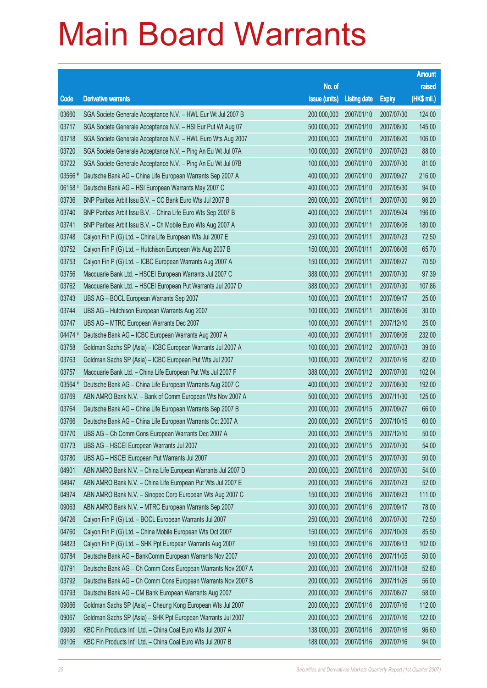|         |                                                              |                        |                     |               | <b>Amount</b> |
|---------|--------------------------------------------------------------|------------------------|---------------------|---------------|---------------|
|         |                                                              | No. of                 |                     |               | raised        |
| Code    | <b>Derivative warrants</b>                                   | issue (units)          | <b>Listing date</b> | <b>Expiry</b> | (HK\$ mil.)   |
| 03660   | SGA Societe Generale Acceptance N.V. - HWL Eur Wt Jul 2007 B | 200,000,000            | 2007/01/10          | 2007/07/30    | 124.00        |
| 03717   | SGA Societe Generale Acceptance N.V. - HSI Eur Put Wt Aug 07 | 500,000,000            | 2007/01/10          | 2007/08/30    | 145.00        |
| 03718   | SGA Societe Generale Acceptance N.V. - HWL Euro Wts Aug 2007 | 200,000,000            | 2007/01/10          | 2007/08/20    | 106.00        |
| 03720   | SGA Societe Generale Acceptance N.V. - Ping An Eu Wt Jul 07A | 100,000,000            | 2007/01/10          | 2007/07/23    | 88.00         |
| 03722   | SGA Societe Generale Acceptance N.V. - Ping An Eu Wt Jul 07B | 100,000,000            | 2007/01/10          | 2007/07/30    | 81.00         |
| 03566 # | Deutsche Bank AG - China Life European Warrants Sep 2007 A   | 400,000,000            | 2007/01/10          | 2007/09/27    | 216.00        |
| 06158 # | Deutsche Bank AG - HSI European Warrants May 2007 C          | 400,000,000            | 2007/01/10          | 2007/05/30    | 94.00         |
| 03736   | BNP Paribas Arbit Issu B.V. - CC Bank Euro Wts Jul 2007 B    | 260,000,000            | 2007/01/11          | 2007/07/30    | 96.20         |
| 03740   | BNP Paribas Arbit Issu B.V. - China Life Euro Wts Sep 2007 B | 400,000,000            | 2007/01/11          | 2007/09/24    | 196.00        |
| 03741   | BNP Paribas Arbit Issu B.V. - Ch Mobile Euro Wts Aug 2007 A  | 300,000,000            | 2007/01/11          | 2007/08/06    | 180.00        |
| 03748   | Calyon Fin P (G) Ltd. - China Life European Wts Jul 2007 E   | 250,000,000            | 2007/01/11          | 2007/07/23    | 72.50         |
| 03752   | Calyon Fin P (G) Ltd. - Hutchison European Wts Aug 2007 B    | 150,000,000            | 2007/01/11          | 2007/08/06    | 65.70         |
| 03753   | Calyon Fin P (G) Ltd. - ICBC European Warrants Aug 2007 A    | 150,000,000            | 2007/01/11          | 2007/08/27    | 70.50         |
| 03756   | Macquarie Bank Ltd. - HSCEI European Warrants Jul 2007 C     | 388,000,000            | 2007/01/11          | 2007/07/30    | 97.39         |
| 03762   | Macquarie Bank Ltd. - HSCEI European Put Warrants Jul 2007 D | 388,000,000            | 2007/01/11          | 2007/07/30    | 107.86        |
| 03743   | UBS AG - BOCL European Warrants Sep 2007                     | 100,000,000            | 2007/01/11          | 2007/09/17    | 25.00         |
| 03744   | UBS AG - Hutchison European Warrants Aug 2007                | 100,000,000            | 2007/01/11          | 2007/08/06    | 30.00         |
| 03747   | UBS AG - MTRC European Warrants Dec 2007                     | 100,000,000            | 2007/01/11          | 2007/12/10    | 25.00         |
| 04474 # | Deutsche Bank AG - ICBC European Warrants Aug 2007 A         | 400,000,000            | 2007/01/11          | 2007/08/06    | 232.00        |
| 03758   | Goldman Sachs SP (Asia) - ICBC European Warrants Jul 2007 A  | 100,000,000            | 2007/01/12          | 2007/07/03    | 39.00         |
| 03763   | Goldman Sachs SP (Asia) - ICBC European Put Wts Jul 2007     | 100,000,000            | 2007/01/12          | 2007/07/16    | 82.00         |
| 03757   | Macquarie Bank Ltd. - China Life European Put Wts Jul 2007 F | 388,000,000            | 2007/01/12          | 2007/07/30    | 102.04        |
| 03564 # | Deutsche Bank AG - China Life European Warrants Aug 2007 C   | 400,000,000            | 2007/01/12          | 2007/08/30    | 192.00        |
| 03769   | ABN AMRO Bank N.V. - Bank of Comm European Wts Nov 2007 A    | 500,000,000            | 2007/01/15          | 2007/11/30    | 125.00        |
| 03764   | Deutsche Bank AG - China Life European Warrants Sep 2007 B   | 200,000,000            | 2007/01/15          | 2007/09/27    | 66.00         |
| 03766   | Deutsche Bank AG - China Life European Warrants Oct 2007 A   | 200,000,000            | 2007/01/15          | 2007/10/15    | 60.00         |
| 03770   | UBS AG - Ch Comm Cons European Warrants Dec 2007 A           | 200,000,000 2007/01/15 |                     | 2007/12/10    | 50.00         |
| 03773   | UBS AG - HSCEI European Warrants Jul 2007                    | 200,000,000            | 2007/01/15          | 2007/07/30    | 54.00         |
| 03780   | UBS AG - HSCEI European Put Warrants Jul 2007                | 200,000,000            | 2007/01/15          | 2007/07/30    | 50.00         |
| 04901   | ABN AMRO Bank N.V. - China Life European Warrants Jul 2007 D | 200,000,000            | 2007/01/16          | 2007/07/30    | 54.00         |
| 04947   | ABN AMRO Bank N.V. - China Life European Put Wts Jul 2007 E  | 200,000,000            | 2007/01/16          | 2007/07/23    | 52.00         |
| 04974   | ABN AMRO Bank N.V. - Sinopec Corp European Wts Aug 2007 C    | 150,000,000            | 2007/01/16          | 2007/08/23    | 111.00        |
| 09063   | ABN AMRO Bank N.V. - MTRC European Warrants Sep 2007         | 300,000,000            | 2007/01/16          | 2007/09/17    | 78.00         |
| 04726   | Calyon Fin P (G) Ltd. - BOCL European Warrants Jul 2007      | 250,000,000            | 2007/01/16          | 2007/07/30    | 72.50         |
| 04760   | Calyon Fin P (G) Ltd. - China Mobile European Wts Oct 2007   | 150,000,000            | 2007/01/16          | 2007/10/09    | 85.50         |
| 04823   | Calyon Fin P (G) Ltd. - SHK Ppt European Warrants Aug 2007   | 150,000,000            | 2007/01/16          | 2007/08/13    | 102.00        |
| 03784   | Deutsche Bank AG - BankComm European Warrants Nov 2007       | 200,000,000            | 2007/01/16          | 2007/11/05    | 50.00         |
| 03791   | Deutsche Bank AG - Ch Comm Cons European Warrants Nov 2007 A | 200,000,000            | 2007/01/16          | 2007/11/08    | 52.80         |
| 03792   | Deutsche Bank AG - Ch Comm Cons European Warrants Nov 2007 B | 200,000,000            | 2007/01/16          | 2007/11/26    | 56.00         |
| 03793   | Deutsche Bank AG - CM Bank European Warrants Aug 2007        | 200,000,000            | 2007/01/16          | 2007/08/27    | 58.00         |
| 09066   | Goldman Sachs SP (Asia) - Cheung Kong European Wts Jul 2007  | 200,000,000            | 2007/01/16          | 2007/07/16    | 112.00        |
| 09067   | Goldman Sachs SP (Asia) - SHK Ppt European Warrants Jul 2007 | 200,000,000            | 2007/01/16          | 2007/07/16    | 122.00        |
| 09090   | KBC Fin Products Int'l Ltd. - China Coal Euro Wts Jul 2007 A | 138,000,000            | 2007/01/16          | 2007/07/16    | 96.60         |
| 09106   | KBC Fin Products Int'l Ltd. - China Coal Euro Wts Jul 2007 B | 188,000,000            | 2007/01/16          | 2007/07/16    | 94.00         |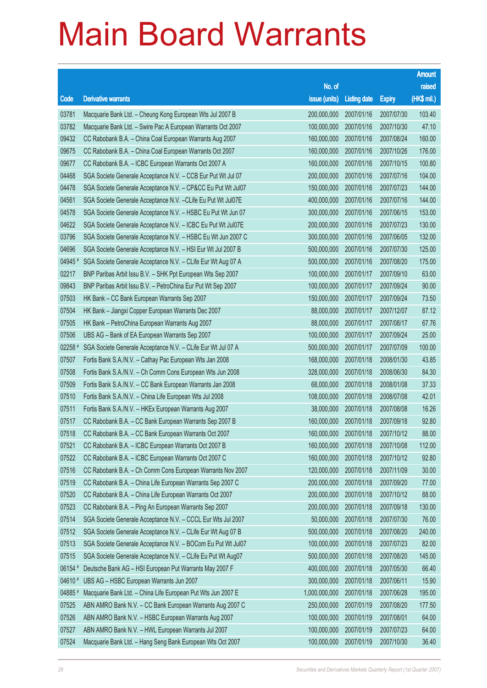|                |                                                                                                                          |                            |                          |                          | <b>Amount</b>  |
|----------------|--------------------------------------------------------------------------------------------------------------------------|----------------------------|--------------------------|--------------------------|----------------|
|                |                                                                                                                          | No. of                     |                          |                          | raised         |
| Code           | <b>Derivative warrants</b>                                                                                               | issue (units)              | <b>Listing date</b>      | <b>Expiry</b>            | (HK\$ mil.)    |
| 03781          | Macquarie Bank Ltd. - Cheung Kong European Wts Jul 2007 B                                                                | 200,000,000                | 2007/01/16               | 2007/07/30               | 103.40         |
| 03782          | Macquarie Bank Ltd. - Swire Pac A European Warrants Oct 2007                                                             | 100,000,000                | 2007/01/16               | 2007/10/30               | 47.10          |
| 09432          | CC Rabobank B.A. - China Coal European Warrants Aug 2007                                                                 | 160,000,000                | 2007/01/16               | 2007/08/24               | 160.00         |
| 09675          | CC Rabobank B.A. - China Coal European Warrants Oct 2007                                                                 | 160,000,000                | 2007/01/16               | 2007/10/26               | 176.00         |
| 09677          | CC Rabobank B.A. - ICBC European Warrants Oct 2007 A                                                                     | 160,000,000                | 2007/01/16               | 2007/10/15               | 100.80         |
| 04468          | SGA Societe Generale Acceptance N.V. - CCB Eur Put Wt Jul 07                                                             | 200,000,000                | 2007/01/16               | 2007/07/16               | 104.00         |
| 04478          | SGA Societe Generale Acceptance N.V. - CP&CC Eu Put Wt Jul07                                                             | 150,000,000                | 2007/01/16               | 2007/07/23               | 144.00         |
| 04561          | SGA Societe Generale Acceptance N.V. - CLife Eu Put Wt Jul07E                                                            | 400,000,000                | 2007/01/16               | 2007/07/16               | 144.00         |
| 04578          | SGA Societe Generale Acceptance N.V. - HSBC Eu Put Wt Jun 07                                                             | 300,000,000                | 2007/01/16               | 2007/06/15               | 153.00         |
| 04622          | SGA Societe Generale Acceptance N.V. - ICBC Eu Put Wt Jul07E                                                             | 200,000,000                | 2007/01/16               | 2007/07/23               | 130.00         |
| 03796          | SGA Societe Generale Acceptance N.V. - HSBC Eu Wt Jun 2007 C                                                             | 300,000,000                | 2007/01/16               | 2007/06/05               | 132.00         |
| 04696          | SGA Societe Generale Acceptance N.V. - HSI Eur Wt Jul 2007 B                                                             | 500,000,000                | 2007/01/16               | 2007/07/30               | 125.00         |
| 04945#         | SGA Societe Generale Acceptance N.V. - CLife Eur Wt Aug 07 A                                                             | 500,000,000                | 2007/01/16               | 2007/08/20               | 175.00         |
| 02217          | BNP Paribas Arbit Issu B.V. - SHK Ppt European Wts Sep 2007                                                              | 100,000,000                | 2007/01/17               | 2007/09/10               | 63.00          |
| 09843          | BNP Paribas Arbit Issu B.V. - PetroChina Eur Put Wt Sep 2007                                                             | 100,000,000                | 2007/01/17               | 2007/09/24               | 90.00          |
| 07503          | HK Bank - CC Bank European Warrants Sep 2007                                                                             | 150,000,000                | 2007/01/17               | 2007/09/24               | 73.50          |
| 07504          | HK Bank - Jiangxi Copper European Warrants Dec 2007                                                                      | 88,000,000                 | 2007/01/17               | 2007/12/07               | 87.12          |
| 07505          | HK Bank - PetroChina European Warrants Aug 2007                                                                          | 88,000,000                 | 2007/01/17               | 2007/08/17               | 67.76          |
| 07506          | UBS AG - Bank of EA European Warrants Sep 2007                                                                           | 100,000,000                | 2007/01/17               | 2007/09/24               | 25.00          |
| $02258$ #      | SGA Societe Generale Acceptance N.V. - CLife Eur Wt Jul 07 A                                                             | 500,000,000                | 2007/01/17               | 2007/07/09               | 100.00         |
| 07507          | Fortis Bank S.A./N.V. - Cathay Pac European Wts Jan 2008                                                                 | 168,000,000                | 2007/01/18               | 2008/01/30               | 43.85          |
| 07508          | Fortis Bank S.A./N.V. - Ch Comm Cons European Wts Jun 2008                                                               | 328,000,000                | 2007/01/18               | 2008/06/30               | 84.30          |
| 07509          | Fortis Bank S.A./N.V. - CC Bank European Warrants Jan 2008                                                               | 68,000,000                 | 2007/01/18               | 2008/01/08               | 37.33          |
| 07510          | Fortis Bank S.A./N.V. - China Life European Wts Jul 2008                                                                 | 108,000,000                | 2007/01/18               | 2008/07/08               | 42.01          |
| 07511          | Fortis Bank S.A./N.V. - HKEx European Warrants Aug 2007                                                                  | 38,000,000                 | 2007/01/18               | 2007/08/08               | 16.26          |
| 07517          | CC Rabobank B.A. - CC Bank European Warrants Sep 2007 B                                                                  | 160,000,000                | 2007/01/18               | 2007/09/18               | 92.80          |
| 07518          | CC Rabobank B.A. - CC Bank European Warrants Oct 2007                                                                    | 160,000,000 2007/01/18     |                          | 2007/10/12               | 88.00          |
| 07521          | CC Rabobank B.A. - ICBC European Warrants Oct 2007 B                                                                     | 160,000,000                | 2007/01/18<br>2007/01/18 | 2007/10/08               | 112.00         |
| 07522<br>07516 | CC Rabobank B.A. - ICBC European Warrants Oct 2007 C                                                                     | 160,000,000<br>120,000,000 |                          | 2007/10/12<br>2007/11/09 | 92.80<br>30.00 |
| 07519          | CC Rabobank B.A. - Ch Comm Cons European Warrants Nov 2007<br>CC Rabobank B.A. - China Life European Warrants Sep 2007 C | 200,000,000                | 2007/01/18               |                          | 77.00          |
| 07520          |                                                                                                                          | 200,000,000                | 2007/01/18<br>2007/01/18 | 2007/09/20<br>2007/10/12 | 88.00          |
| 07523          | CC Rabobank B.A. - China Life European Warrants Oct 2007<br>CC Rabobank B.A. - Ping An European Warrants Sep 2007        | 200,000,000                | 2007/01/18               | 2007/09/18               | 130.00         |
| 07514          | SGA Societe Generale Acceptance N.V. - CCCL Eur Wts Jul 2007                                                             | 50,000,000                 | 2007/01/18               | 2007/07/30               | 76.00          |
| 07512          | SGA Societe Generale Acceptance N.V. - CLife Eur Wt Aug 07 B                                                             | 500,000,000                | 2007/01/18               | 2007/08/20               | 240.00         |
| 07513          | SGA Societe Generale Acceptance N.V. - BOCom Eu Put Wt Jul07                                                             | 100,000,000                | 2007/01/18               | 2007/07/23               | 82.00          |
| 07515          | SGA Societe Generale Acceptance N.V. - CLife Eu Put Wt Aug07                                                             | 500,000,000                | 2007/01/18               | 2007/08/20               | 145.00         |
| 06154 #        | Deutsche Bank AG - HSI European Put Warrants May 2007 F                                                                  | 400,000,000                | 2007/01/18               | 2007/05/30               | 66.40          |
| 04610 #        | UBS AG - HSBC European Warrants Jun 2007                                                                                 | 300,000,000                | 2007/01/18               | 2007/06/11               | 15.90          |
| 04885          | Macquarie Bank Ltd. - China Life European Put Wts Jun 2007 E                                                             | 1,000,000,000              | 2007/01/18               | 2007/06/28               | 195.00         |
| 07525          | ABN AMRO Bank N.V. - CC Bank European Warrants Aug 2007 C                                                                | 250,000,000                | 2007/01/19               | 2007/08/20               | 177.50         |
| 07526          | ABN AMRO Bank N.V. - HSBC European Warrants Aug 2007                                                                     | 100,000,000                | 2007/01/19               | 2007/08/01               | 64.00          |
| 07527          | ABN AMRO Bank N.V. - HWL European Warrants Jul 2007                                                                      | 100,000,000                | 2007/01/19               | 2007/07/23               | 64.00          |
| 07524          | Macquarie Bank Ltd. - Hang Seng Bank European Wts Oct 2007                                                               | 100,000,000                | 2007/01/19               | 2007/10/30               | 36.40          |
|                |                                                                                                                          |                            |                          |                          |                |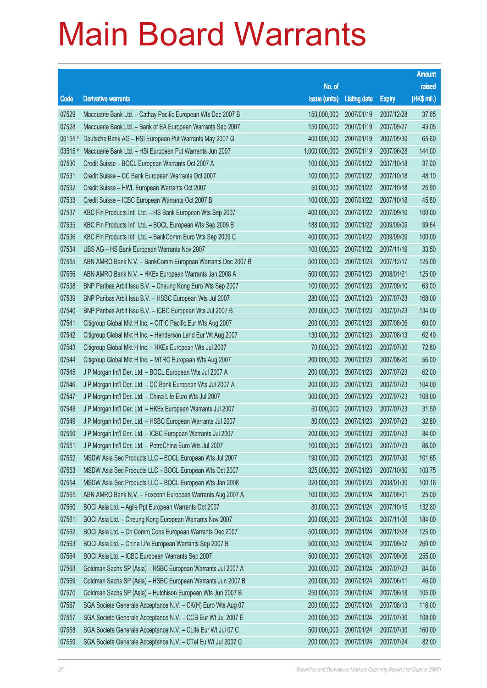|       |                                                              |                        |                     |               | <b>Amount</b> |
|-------|--------------------------------------------------------------|------------------------|---------------------|---------------|---------------|
|       |                                                              | No. of                 |                     |               | raised        |
| Code  | <b>Derivative warrants</b>                                   | issue (units)          | <b>Listing date</b> | <b>Expiry</b> | (HK\$ mil.)   |
| 07529 | Macquarie Bank Ltd. - Cathay Pacific European Wts Dec 2007 B | 150,000,000            | 2007/01/19          | 2007/12/28    | 37.65         |
| 07528 | Macquarie Bank Ltd. - Bank of EA European Warrants Sep 2007  | 150,000,000            | 2007/01/19          | 2007/09/27    | 43.05         |
| 06155 | Deutsche Bank AG - HSI European Put Warrants May 2007 G      | 400,000,000            | 2007/01/19          | 2007/05/30    | 65.60         |
| 03515 | Macquarie Bank Ltd. - HSI European Put Warrants Jun 2007     | 1,000,000,000          | 2007/01/19          | 2007/06/28    | 144.00        |
| 07530 | Credit Suisse - BOCL European Warrants Oct 2007 A            | 100,000,000            | 2007/01/22          | 2007/10/18    | 37.00         |
| 07531 | Credit Suisse - CC Bank European Warrants Oct 2007           | 100,000,000            | 2007/01/22          | 2007/10/18    | 48.10         |
| 07532 | Credit Suisse - HWL European Warrants Oct 2007               | 50,000,000             | 2007/01/22          | 2007/10/18    | 25.90         |
| 07533 | Credit Suisse - ICBC European Warrants Oct 2007 B            | 100,000,000            | 2007/01/22          | 2007/10/18    | 45.80         |
| 07537 | KBC Fin Products Int'l Ltd. - HS Bank European Wts Sep 2007  | 400,000,000            | 2007/01/22          | 2007/09/10    | 100.00        |
| 07535 | KBC Fin Products Int'l Ltd. - BOCL European Wts Sep 2009 B   | 188,000,000            | 2007/01/22          | 2009/09/09    | 99.64         |
| 07536 | KBC Fin Products Int'l Ltd. - BankComm Euro Wts Sep 2009 C   | 400,000,000            | 2007/01/22          | 2009/09/09    | 100.00        |
| 07534 | UBS AG - HS Bank European Warrants Nov 2007                  | 100,000,000            | 2007/01/22          | 2007/11/19    | 33.50         |
| 07555 | ABN AMRO Bank N.V. - BankComm European Warrants Dec 2007 B   | 500,000,000            | 2007/01/23          | 2007/12/17    | 125.00        |
| 07556 | ABN AMRO Bank N.V. - HKEx European Warrants Jan 2008 A       | 500,000,000            | 2007/01/23          | 2008/01/21    | 125.00        |
| 07538 | BNP Paribas Arbit Issu B.V. - Cheung Kong Euro Wts Sep 2007  | 100,000,000            | 2007/01/23          | 2007/09/10    | 63.00         |
| 07539 | BNP Paribas Arbit Issu B.V. - HSBC European Wts Jul 2007     | 280,000,000            | 2007/01/23          | 2007/07/23    | 168.00        |
| 07540 | BNP Paribas Arbit Issu B.V. - ICBC European Wts Jul 2007 B   | 200,000,000            | 2007/01/23          | 2007/07/23    | 134.00        |
| 07541 | Citigroup Global Mkt H Inc. - CITIC Pacific Eur Wts Aug 2007 | 200,000,000            | 2007/01/23          | 2007/08/06    | 60.00         |
| 07542 | Citigroup Global Mkt H Inc. - Henderson Land Eur Wt Aug 2007 | 130,000,000            | 2007/01/23          | 2007/08/13    | 62.40         |
| 07543 | Citigroup Global Mkt H Inc. - HKEx European Wts Jul 2007     | 70,000,000             | 2007/01/23          | 2007/07/30    | 72.80         |
| 07544 | Citigroup Global Mkt H Inc. - MTRC European Wts Aug 2007     | 200,000,000            | 2007/01/23          | 2007/08/20    | 56.00         |
| 07545 | J P Morgan Int'l Der. Ltd. - BOCL European Wts Jul 2007 A    | 200,000,000            | 2007/01/23          | 2007/07/23    | 62.00         |
| 07546 | J P Morgan Int'l Der. Ltd. - CC Bank European Wts Jul 2007 A | 200,000,000            | 2007/01/23          | 2007/07/23    | 104.00        |
| 07547 | J P Morgan Int'l Der. Ltd. - China Life Euro Wts Jul 2007    | 300,000,000            | 2007/01/23          | 2007/07/23    | 108.00        |
| 07548 | J P Morgan Int'l Der. Ltd. - HKEx European Warrants Jul 2007 | 50,000,000             | 2007/01/23          | 2007/07/23    | 31.50         |
| 07549 | J P Morgan Int'l Der. Ltd. - HSBC European Warrants Jul 2007 | 80,000,000             | 2007/01/23          | 2007/07/23    | 32.80         |
| 07550 | J P Morgan Int'l Der. Ltd. - ICBC European Warrants Jul 2007 | 200,000,000 2007/01/23 |                     | 2007/07/23    | 84.00         |
| 07551 | J P Morgan Int'l Der. Ltd. - PetroChina Euro Wts Jul 2007    | 100,000,000            | 2007/01/23          | 2007/07/23    | 86.00         |
| 07552 | MSDW Asia Sec Products LLC - BOCL European Wts Jul 2007      | 190,000,000            | 2007/01/23          | 2007/07/30    | 101.65        |
| 07553 | MSDW Asia Sec Products LLC - BOCL European Wts Oct 2007      | 325,000,000            | 2007/01/23          | 2007/10/30    | 100.75        |
| 07554 | MSDW Asia Sec Products LLC - BOCL European Wts Jan 2008      | 320,000,000            | 2007/01/23          | 2008/01/30    | 100.16        |
| 07565 | ABN AMRO Bank N.V. - Foxconn European Warrants Aug 2007 A    | 100,000,000            | 2007/01/24          | 2007/08/01    | 25.00         |
| 07560 | BOCI Asia Ltd. - Agile Ppt European Warrants Oct 2007        | 80,000,000             | 2007/01/24          | 2007/10/15    | 132.80        |
| 07561 | BOCI Asia Ltd. - Cheung Kong European Warrants Nov 2007      | 200,000,000            | 2007/01/24          | 2007/11/06    | 184.00        |
| 07562 | BOCI Asia Ltd. - Ch Comm Cons European Warrants Dec 2007     | 500,000,000            | 2007/01/24          | 2007/12/28    | 125.00        |
| 07563 | BOCI Asia Ltd. - China Life European Warrants Sep 2007 B     | 500,000,000            | 2007/01/24          | 2007/09/07    | 260.00        |
| 07564 | BOCI Asia Ltd. - ICBC European Warrants Sep 2007             | 500,000,000            | 2007/01/24          | 2007/09/06    | 255.00        |
| 07568 | Goldman Sachs SP (Asia) - HSBC European Warrants Jul 2007 A  | 200,000,000            | 2007/01/24          | 2007/07/23    | 84.00         |
| 07569 | Goldman Sachs SP (Asia) - HSBC European Warrants Jun 2007 B  | 200,000,000            | 2007/01/24          | 2007/06/11    | 46.00         |
| 07570 | Goldman Sachs SP (Asia) - Hutchison European Wts Jun 2007 B  | 250,000,000            | 2007/01/24          | 2007/06/18    | 105.00        |
| 07567 | SGA Societe Generale Acceptance N.V. - CK(H) Euro Wts Aug 07 | 200,000,000            | 2007/01/24          | 2007/08/13    | 116.00        |
| 07557 | SGA Societe Generale Acceptance N.V. - CCB Eur Wt Jul 2007 E | 200,000,000            | 2007/01/24          | 2007/07/30    | 108.00        |
| 07558 | SGA Societe Generale Acceptance N.V. - CLife Eur Wt Jul 07 C | 500,000,000            | 2007/01/24          | 2007/07/30    | 160.00        |
| 07559 | SGA Societe Generale Acceptance N.V. - CTel Eu Wt Jul 2007 C | 200,000,000            | 2007/01/24          | 2007/07/24    | 82.00         |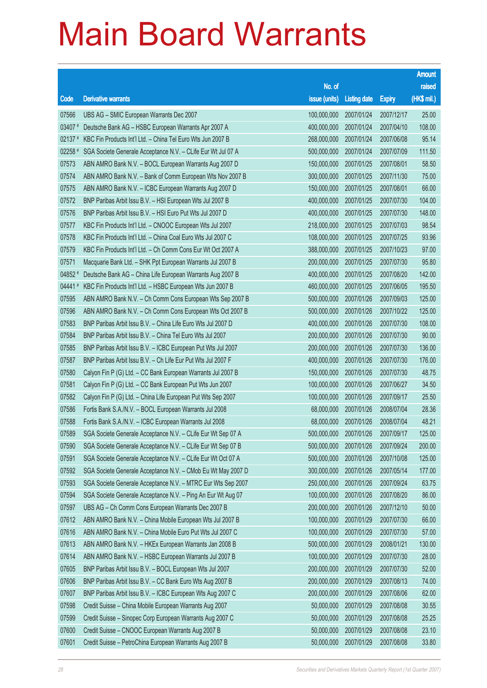|         |                                                              |                        |                     |               | <b>Amount</b> |
|---------|--------------------------------------------------------------|------------------------|---------------------|---------------|---------------|
|         |                                                              | No. of                 |                     |               | raised        |
| Code    | <b>Derivative warrants</b>                                   | issue (units)          | <b>Listing date</b> | <b>Expiry</b> | (HK\$ mil.)   |
| 07566   | UBS AG - SMIC European Warrants Dec 2007                     | 100,000,000            | 2007/01/24          | 2007/12/17    | 25.00         |
| 03407 # | Deutsche Bank AG - HSBC European Warrants Apr 2007 A         | 400,000,000            | 2007/01/24          | 2007/04/10    | 108.00        |
| 02137 # | KBC Fin Products Int'l Ltd. - China Tel Euro Wts Jun 2007 B  | 268,000,000            | 2007/01/24          | 2007/06/08    | 95.14         |
| 02258 # | SGA Societe Generale Acceptance N.V. - CLife Eur Wt Jul 07 A | 500,000,000            | 2007/01/24          | 2007/07/09    | 111.50        |
| 07573   | ABN AMRO Bank N.V. - BOCL European Warrants Aug 2007 D       | 150,000,000            | 2007/01/25          | 2007/08/01    | 58.50         |
| 07574   | ABN AMRO Bank N.V. - Bank of Comm European Wts Nov 2007 B    | 300,000,000            | 2007/01/25          | 2007/11/30    | 75.00         |
| 07575   | ABN AMRO Bank N.V. - ICBC European Warrants Aug 2007 D       | 150,000,000            | 2007/01/25          | 2007/08/01    | 66.00         |
| 07572   | BNP Paribas Arbit Issu B.V. - HSI European Wts Jul 2007 B    | 400,000,000            | 2007/01/25          | 2007/07/30    | 104.00        |
| 07576   | BNP Paribas Arbit Issu B.V. - HSI Euro Put Wts Jul 2007 D    | 400,000,000            | 2007/01/25          | 2007/07/30    | 148.00        |
| 07577   | KBC Fin Products Int'l Ltd. - CNOOC European Wts Jul 2007    | 218,000,000            | 2007/01/25          | 2007/07/03    | 98.54         |
| 07578   | KBC Fin Products Int'l Ltd. - China Coal Euro Wts Jul 2007 C | 108,000,000            | 2007/01/25          | 2007/07/25    | 93.96         |
| 07579   | KBC Fin Products Int'l Ltd. - Ch Comm Cons Eur Wt Oct 2007 A | 388,000,000            | 2007/01/25          | 2007/10/23    | 97.00         |
| 07571   | Macquarie Bank Ltd. - SHK Ppt European Warrants Jul 2007 B   | 200,000,000            | 2007/01/25          | 2007/07/30    | 95.80         |
| 04852 # | Deutsche Bank AG - China Life European Warrants Aug 2007 B   | 400,000,000            | 2007/01/25          | 2007/08/20    | 142.00        |
| 04441#  | KBC Fin Products Int'l Ltd. - HSBC European Wts Jun 2007 B   | 460,000,000            | 2007/01/25          | 2007/06/05    | 195.50        |
| 07595   | ABN AMRO Bank N.V. - Ch Comm Cons European Wts Sep 2007 B    | 500,000,000            | 2007/01/26          | 2007/09/03    | 125.00        |
| 07596   | ABN AMRO Bank N.V. - Ch Comm Cons European Wts Oct 2007 B    | 500,000,000            | 2007/01/26          | 2007/10/22    | 125.00        |
| 07583   | BNP Paribas Arbit Issu B.V. - China Life Euro Wts Jul 2007 D | 400,000,000            | 2007/01/26          | 2007/07/30    | 108.00        |
| 07584   | BNP Paribas Arbit Issu B.V. - China Tel Euro Wts Jul 2007    | 200,000,000            | 2007/01/26          | 2007/07/30    | 90.00         |
| 07585   | BNP Paribas Arbit Issu B.V. - ICBC European Put Wts Jul 2007 | 200,000,000            | 2007/01/26          | 2007/07/30    | 136.00        |
| 07587   | BNP Paribas Arbit Issu B.V. - Ch Life Eur Put Wts Jul 2007 F | 400,000,000            | 2007/01/26          | 2007/07/30    | 176.00        |
| 07580   | Calyon Fin P (G) Ltd. - CC Bank European Warrants Jul 2007 B | 150,000,000            | 2007/01/26          | 2007/07/30    | 48.75         |
| 07581   | Calyon Fin P (G) Ltd. - CC Bank European Put Wts Jun 2007    | 100,000,000            | 2007/01/26          | 2007/06/27    | 34.50         |
| 07582   | Calyon Fin P (G) Ltd. - China Life European Put Wts Sep 2007 | 100,000,000            | 2007/01/26          | 2007/09/17    | 25.50         |
| 07586   | Fortis Bank S.A./N.V. - BOCL European Warrants Jul 2008      | 68,000,000             | 2007/01/26          | 2008/07/04    | 28.36         |
| 07588   | Fortis Bank S.A./N.V. - ICBC European Warrants Jul 2008      | 68,000,000             | 2007/01/26          | 2008/07/04    | 48.21         |
| 07589   | SGA Societe Generale Acceptance N.V. - CLife Eur Wt Sep 07 A | 500,000,000 2007/01/26 |                     | 2007/09/17    | 125.00        |
| 07590   | SGA Societe Generale Acceptance N.V. - CLife Eur Wt Sep 07 B | 500,000,000            | 2007/01/26          | 2007/09/24    | 200.00        |
| 07591   | SGA Societe Generale Acceptance N.V. - CLife Eur Wt Oct 07 A | 500,000,000            | 2007/01/26          | 2007/10/08    | 125.00        |
| 07592   | SGA Societe Generale Acceptance N.V. - CMob Eu Wt May 2007 D | 300,000,000            | 2007/01/26          | 2007/05/14    | 177.00        |
| 07593   | SGA Societe Generale Acceptance N.V. - MTRC Eur Wts Sep 2007 | 250,000,000            | 2007/01/26          | 2007/09/24    | 63.75         |
| 07594   | SGA Societe Generale Acceptance N.V. - Ping An Eur Wt Aug 07 | 100,000,000            | 2007/01/26          | 2007/08/20    | 86.00         |
| 07597   | UBS AG - Ch Comm Cons European Warrants Dec 2007 B           | 200,000,000            | 2007/01/26          | 2007/12/10    | 50.00         |
| 07612   | ABN AMRO Bank N.V. - China Mobile European Wts Jul 2007 B    | 100,000,000            | 2007/01/29          | 2007/07/30    | 66.00         |
| 07616   | ABN AMRO Bank N.V. - China Mobile Euro Put Wts Jul 2007 C    | 100,000,000            | 2007/01/29          | 2007/07/30    | 57.00         |
| 07613   | ABN AMRO Bank N.V. - HKEx European Warrants Jan 2008 B       | 500,000,000            | 2007/01/29          | 2008/01/21    | 130.00        |
| 07614   | ABN AMRO Bank N.V. - HSBC European Warrants Jul 2007 B       | 100,000,000            | 2007/01/29          | 2007/07/30    | 28.00         |
| 07605   | BNP Paribas Arbit Issu B.V. - BOCL European Wts Jul 2007     | 200,000,000            | 2007/01/29          | 2007/07/30    | 52.00         |
| 07606   | BNP Paribas Arbit Issu B.V. - CC Bank Euro Wts Aug 2007 B    | 200,000,000            | 2007/01/29          | 2007/08/13    | 74.00         |
| 07607   | BNP Paribas Arbit Issu B.V. - ICBC European Wts Aug 2007 C   | 200,000,000            | 2007/01/29          | 2007/08/06    | 62.00         |
| 07598   | Credit Suisse - China Mobile European Warrants Aug 2007      | 50,000,000             | 2007/01/29          | 2007/08/08    | 30.55         |
| 07599   | Credit Suisse - Sinopec Corp European Warrants Aug 2007 C    | 50,000,000             | 2007/01/29          | 2007/08/08    | 25.25         |
| 07600   | Credit Suisse - CNOOC European Warrants Aug 2007 B           | 50,000,000             | 2007/01/29          | 2007/08/08    | 23.10         |
| 07601   | Credit Suisse - PetroChina European Warrants Aug 2007 B      | 50,000,000             | 2007/01/29          | 2007/08/08    | 33.80         |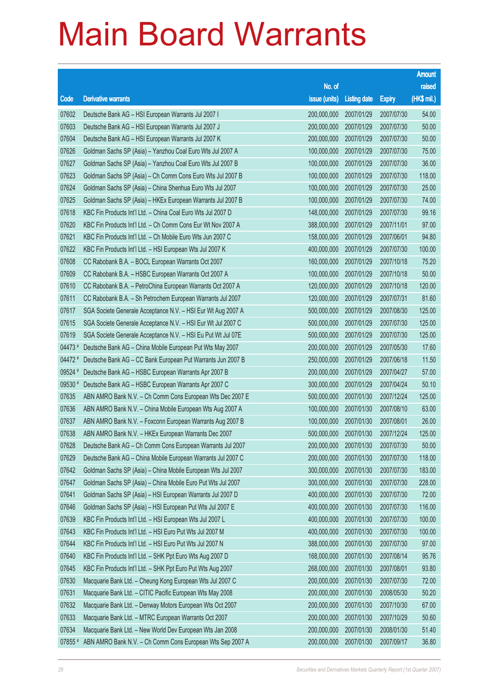|         |                                                              |                        |                     |               | <b>Amount</b> |
|---------|--------------------------------------------------------------|------------------------|---------------------|---------------|---------------|
|         |                                                              | No. of                 |                     |               | raised        |
| Code    | <b>Derivative warrants</b>                                   | issue (units)          | <b>Listing date</b> | <b>Expiry</b> | (HK\$ mil.)   |
| 07602   | Deutsche Bank AG - HSI European Warrants Jul 2007 I          | 200,000,000            | 2007/01/29          | 2007/07/30    | 54.00         |
| 07603   | Deutsche Bank AG - HSI European Warrants Jul 2007 J          | 200,000,000            | 2007/01/29          | 2007/07/30    | 50.00         |
| 07604   | Deutsche Bank AG - HSI European Warrants Jul 2007 K          | 200,000,000            | 2007/01/29          | 2007/07/30    | 50.00         |
| 07626   | Goldman Sachs SP (Asia) - Yanzhou Coal Euro Wts Jul 2007 A   | 100,000,000            | 2007/01/29          | 2007/07/30    | 75.00         |
| 07627   | Goldman Sachs SP (Asia) - Yanzhou Coal Euro Wts Jul 2007 B   | 100,000,000            | 2007/01/29          | 2007/07/30    | 36.00         |
| 07623   | Goldman Sachs SP (Asia) - Ch Comm Cons Euro Wts Jul 2007 B   | 100,000,000            | 2007/01/29          | 2007/07/30    | 118.00        |
| 07624   | Goldman Sachs SP (Asia) - China Shenhua Euro Wts Jul 2007    | 100,000,000            | 2007/01/29          | 2007/07/30    | 25.00         |
| 07625   | Goldman Sachs SP (Asia) - HKEx European Warrants Jul 2007 B  | 100,000,000            | 2007/01/29          | 2007/07/30    | 74.00         |
| 07618   | KBC Fin Products Int'l Ltd. - China Coal Euro Wts Jul 2007 D | 148,000,000            | 2007/01/29          | 2007/07/30    | 99.16         |
| 07620   | KBC Fin Products Int'l Ltd. - Ch Comm Cons Eur Wt Nov 2007 A | 388,000,000            | 2007/01/29          | 2007/11/01    | 97.00         |
| 07621   | KBC Fin Products Int'l Ltd. - Ch Mobile Euro Wts Jun 2007 C  | 158,000,000            | 2007/01/29          | 2007/06/01    | 94.80         |
| 07622   | KBC Fin Products Int'l Ltd. - HSI European Wts Jul 2007 K    | 400,000,000            | 2007/01/29          | 2007/07/30    | 100.00        |
| 07608   | CC Rabobank B.A. - BOCL European Warrants Oct 2007           | 160,000,000            | 2007/01/29          | 2007/10/18    | 75.20         |
| 07609   | CC Rabobank B.A. - HSBC European Warrants Oct 2007 A         | 100,000,000            | 2007/01/29          | 2007/10/18    | 50.00         |
| 07610   | CC Rabobank B.A. - PetroChina European Warrants Oct 2007 A   | 120,000,000            | 2007/01/29          | 2007/10/18    | 120.00        |
| 07611   | CC Rabobank B.A. - Sh Petrochem European Warrants Jul 2007   | 120,000,000            | 2007/01/29          | 2007/07/31    | 81.60         |
| 07617   | SGA Societe Generale Acceptance N.V. - HSI Eur Wt Aug 2007 A | 500,000,000            | 2007/01/29          | 2007/08/30    | 125.00        |
| 07615   | SGA Societe Generale Acceptance N.V. - HSI Eur Wt Jul 2007 C | 500,000,000            | 2007/01/29          | 2007/07/30    | 125.00        |
| 07619   | SGA Societe Generale Acceptance N.V. - HSI Eu Put Wt Jul 07E | 500,000,000            | 2007/01/29          | 2007/07/30    | 125.00        |
| 04473 # | Deutsche Bank AG - China Mobile European Put Wts May 2007    | 200,000,000            | 2007/01/29          | 2007/05/30    | 17.60         |
| 04472 # | Deutsche Bank AG - CC Bank European Put Warrants Jun 2007 B  | 250,000,000            | 2007/01/29          | 2007/06/18    | 11.50         |
| 09524 # | Deutsche Bank AG - HSBC European Warrants Apr 2007 B         | 200,000,000            | 2007/01/29          | 2007/04/27    | 57.00         |
| 09530 # | Deutsche Bank AG - HSBC European Warrants Apr 2007 C         | 300,000,000            | 2007/01/29          | 2007/04/24    | 50.10         |
| 07635   | ABN AMRO Bank N.V. - Ch Comm Cons European Wts Dec 2007 E    | 500,000,000            | 2007/01/30          | 2007/12/24    | 125.00        |
| 07636   | ABN AMRO Bank N.V. - China Mobile European Wts Aug 2007 A    | 100,000,000            | 2007/01/30          | 2007/08/10    | 63.00         |
| 07637   | ABN AMRO Bank N.V. - Foxconn European Warrants Aug 2007 B    | 100,000,000            | 2007/01/30          | 2007/08/01    | 26.00         |
| 07638   | ABN AMRO Bank N.V. - HKEx European Warrants Dec 2007         | 500,000,000 2007/01/30 |                     | 2007/12/24    | 125.00        |
| 07628   | Deutsche Bank AG - Ch Comm Cons European Warrants Jul 2007   | 200,000,000            | 2007/01/30          | 2007/07/30    | 50.00         |
| 07629   | Deutsche Bank AG - China Mobile European Warrants Jul 2007 C | 200,000,000            | 2007/01/30          | 2007/07/30    | 118.00        |
| 07642   | Goldman Sachs SP (Asia) - China Mobile European Wts Jul 2007 | 300,000,000            | 2007/01/30          | 2007/07/30    | 183.00        |
| 07647   | Goldman Sachs SP (Asia) - China Mobile Euro Put Wts Jul 2007 | 300,000,000            | 2007/01/30          | 2007/07/30    | 228.00        |
| 07641   | Goldman Sachs SP (Asia) - HSI European Warrants Jul 2007 D   | 400,000,000            | 2007/01/30          | 2007/07/30    | 72.00         |
| 07646   | Goldman Sachs SP (Asia) - HSI European Put Wts Jul 2007 E    | 400,000,000            | 2007/01/30          | 2007/07/30    | 116.00        |
| 07639   | KBC Fin Products Int'l Ltd. - HSI European Wts Jul 2007 L    | 400,000,000            | 2007/01/30          | 2007/07/30    | 100.00        |
| 07643   | KBC Fin Products Int'l Ltd. - HSI Euro Put Wts Jul 2007 M    | 400,000,000            | 2007/01/30          | 2007/07/30    | 100.00        |
| 07644   | KBC Fin Products Int'l Ltd. - HSI Euro Put Wts Jul 2007 N    | 388,000,000            | 2007/01/30          | 2007/07/30    | 97.00         |
| 07640   | KBC Fin Products Int'l Ltd. - SHK Ppt Euro Wts Aug 2007 D    | 168,000,000            | 2007/01/30          | 2007/08/14    | 95.76         |
| 07645   | KBC Fin Products Int'l Ltd. - SHK Ppt Euro Put Wts Aug 2007  | 268,000,000            | 2007/01/30          | 2007/08/01    | 93.80         |
| 07630   | Macquarie Bank Ltd. - Cheung Kong European Wts Jul 2007 C    | 200,000,000            | 2007/01/30          | 2007/07/30    | 72.00         |
| 07631   | Macquarie Bank Ltd. - CITIC Pacific European Wts May 2008    | 200,000,000            | 2007/01/30          | 2008/05/30    | 50.20         |
| 07632   | Macquarie Bank Ltd. - Denway Motors European Wts Oct 2007    | 200,000,000            | 2007/01/30          | 2007/10/30    | 67.00         |
| 07633   | Macquarie Bank Ltd. - MTRC European Warrants Oct 2007        | 200,000,000            | 2007/01/30          | 2007/10/29    | 50.60         |
| 07634   | Macquarie Bank Ltd. - New World Dev European Wts Jan 2008    | 200,000,000            | 2007/01/30          | 2008/01/30    | 51.40         |
| 07855 # | ABN AMRO Bank N.V. - Ch Comm Cons European Wts Sep 2007 A    | 200,000,000            | 2007/01/30          | 2007/09/17    | 36.80         |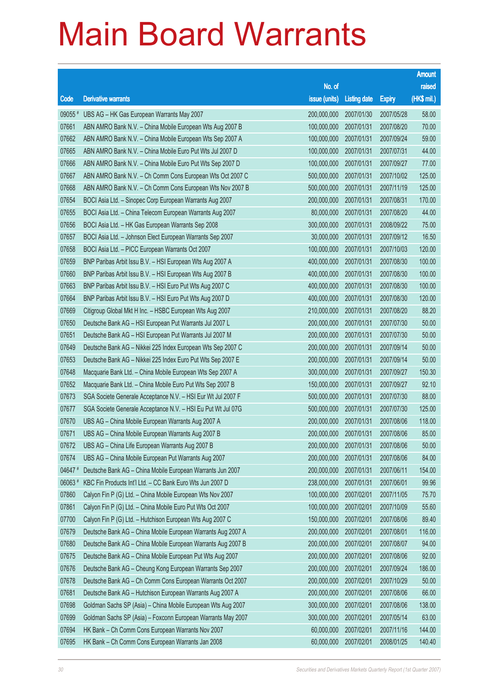|         |                                                              |                        |                     |               | <b>Amount</b> |
|---------|--------------------------------------------------------------|------------------------|---------------------|---------------|---------------|
|         |                                                              | No. of                 |                     |               | raised        |
| Code    | <b>Derivative warrants</b>                                   | issue (units)          | <b>Listing date</b> | <b>Expiry</b> | (HK\$ mil.)   |
| 09055 # | UBS AG - HK Gas European Warrants May 2007                   | 200,000,000            | 2007/01/30          | 2007/05/28    | 58.00         |
| 07661   | ABN AMRO Bank N.V. - China Mobile European Wts Aug 2007 B    | 100,000,000            | 2007/01/31          | 2007/08/20    | 70.00         |
| 07662   | ABN AMRO Bank N.V. - China Mobile European Wts Sep 2007 A    | 100,000,000            | 2007/01/31          | 2007/09/24    | 59.00         |
| 07665   | ABN AMRO Bank N.V. - China Mobile Euro Put Wts Jul 2007 D    | 100,000,000            | 2007/01/31          | 2007/07/31    | 44.00         |
| 07666   | ABN AMRO Bank N.V. - China Mobile Euro Put Wts Sep 2007 D    | 100,000,000            | 2007/01/31          | 2007/09/27    | 77.00         |
| 07667   | ABN AMRO Bank N.V. - Ch Comm Cons European Wts Oct 2007 C    | 500,000,000            | 2007/01/31          | 2007/10/02    | 125.00        |
| 07668   | ABN AMRO Bank N.V. - Ch Comm Cons European Wts Nov 2007 B    | 500,000,000            | 2007/01/31          | 2007/11/19    | 125.00        |
| 07654   | BOCI Asia Ltd. - Sinopec Corp European Warrants Aug 2007     | 200,000,000            | 2007/01/31          | 2007/08/31    | 170.00        |
| 07655   | BOCI Asia Ltd. - China Telecom European Warrants Aug 2007    | 80,000,000             | 2007/01/31          | 2007/08/20    | 44.00         |
| 07656   | BOCI Asia Ltd. - HK Gas European Warrants Sep 2008           | 300,000,000            | 2007/01/31          | 2008/09/22    | 75.00         |
| 07657   | BOCI Asia Ltd. - Johnson Elect European Warrants Sep 2007    | 30,000,000             | 2007/01/31          | 2007/09/12    | 16.50         |
| 07658   | BOCI Asia Ltd. - PICC European Warrants Oct 2007             | 100,000,000            | 2007/01/31          | 2007/10/03    | 120.00        |
| 07659   | BNP Paribas Arbit Issu B.V. - HSI European Wts Aug 2007 A    | 400,000,000            | 2007/01/31          | 2007/08/30    | 100.00        |
| 07660   | BNP Paribas Arbit Issu B.V. - HSI European Wts Aug 2007 B    | 400,000,000            | 2007/01/31          | 2007/08/30    | 100.00        |
| 07663   | BNP Paribas Arbit Issu B.V. - HSI Euro Put Wts Aug 2007 C    | 400,000,000            | 2007/01/31          | 2007/08/30    | 100.00        |
| 07664   | BNP Paribas Arbit Issu B.V. - HSI Euro Put Wts Aug 2007 D    | 400,000,000            | 2007/01/31          | 2007/08/30    | 120.00        |
| 07669   | Citigroup Global Mkt H Inc. - HSBC European Wts Aug 2007     | 210,000,000            | 2007/01/31          | 2007/08/20    | 88.20         |
| 07650   | Deutsche Bank AG - HSI European Put Warrants Jul 2007 L      | 200,000,000            | 2007/01/31          | 2007/07/30    | 50.00         |
| 07651   | Deutsche Bank AG - HSI European Put Warrants Jul 2007 M      | 200,000,000            | 2007/01/31          | 2007/07/30    | 50.00         |
| 07649   | Deutsche Bank AG - Nikkei 225 Index European Wts Sep 2007 C  | 200,000,000            | 2007/01/31          | 2007/09/14    | 50.00         |
| 07653   | Deutsche Bank AG - Nikkei 225 Index Euro Put Wts Sep 2007 E  | 200,000,000            | 2007/01/31          | 2007/09/14    | 50.00         |
| 07648   | Macquarie Bank Ltd. - China Mobile European Wts Sep 2007 A   | 300,000,000            | 2007/01/31          | 2007/09/27    | 150.30        |
| 07652   | Macquarie Bank Ltd. - China Mobile Euro Put Wts Sep 2007 B   | 150,000,000            | 2007/01/31          | 2007/09/27    | 92.10         |
| 07673   | SGA Societe Generale Acceptance N.V. - HSI Eur Wt Jul 2007 F | 500,000,000            | 2007/01/31          | 2007/07/30    | 88.00         |
| 07677   | SGA Societe Generale Acceptance N.V. - HSI Eu Put Wt Jul 07G | 500,000,000            | 2007/01/31          | 2007/07/30    | 125.00        |
| 07670   | UBS AG - China Mobile European Warrants Aug 2007 A           | 200,000,000            | 2007/01/31          | 2007/08/06    | 118.00        |
| 07671   | UBS AG - China Mobile European Warrants Aug 2007 B           | 200,000,000 2007/01/31 |                     | 2007/08/06    | 85.00         |
| 07672   | UBS AG - China Life European Warrants Aug 2007 B             | 200,000,000            | 2007/01/31          | 2007/08/06    | 50.00         |
| 07674   | UBS AG - China Mobile European Put Warrants Aug 2007         | 200,000,000            | 2007/01/31          | 2007/08/06    | 84.00         |
| 04647#  | Deutsche Bank AG - China Mobile European Warrants Jun 2007   | 200,000,000            | 2007/01/31          | 2007/06/11    | 154.00        |
| 06063#  | KBC Fin Products Int'l Ltd. - CC Bank Euro Wts Jun 2007 D    | 238,000,000            | 2007/01/31          | 2007/06/01    | 99.96         |
| 07860   | Calyon Fin P (G) Ltd. - China Mobile European Wts Nov 2007   | 100,000,000            | 2007/02/01          | 2007/11/05    | 75.70         |
| 07861   | Calyon Fin P (G) Ltd. - China Mobile Euro Put Wts Oct 2007   | 100,000,000            | 2007/02/01          | 2007/10/09    | 55.60         |
| 07700   | Calyon Fin P (G) Ltd. - Hutchison European Wts Aug 2007 C    | 150,000,000            | 2007/02/01          | 2007/08/06    | 89.40         |
| 07679   | Deutsche Bank AG - China Mobile European Warrants Aug 2007 A | 200,000,000            | 2007/02/01          | 2007/08/01    | 116.00        |
| 07680   | Deutsche Bank AG - China Mobile European Warrants Aug 2007 B | 200,000,000            | 2007/02/01          | 2007/08/07    | 94.00         |
| 07675   | Deutsche Bank AG - China Mobile European Put Wts Aug 2007    | 200,000,000            | 2007/02/01          | 2007/08/06    | 92.00         |
| 07676   | Deutsche Bank AG - Cheung Kong European Warrants Sep 2007    | 200,000,000            | 2007/02/01          | 2007/09/24    | 186.00        |
| 07678   | Deutsche Bank AG - Ch Comm Cons European Warrants Oct 2007   | 200,000,000            | 2007/02/01          | 2007/10/29    | 50.00         |
| 07681   | Deutsche Bank AG - Hutchison European Warrants Aug 2007 A    | 200,000,000            | 2007/02/01          | 2007/08/06    | 66.00         |
| 07698   | Goldman Sachs SP (Asia) - China Mobile European Wts Aug 2007 | 300,000,000            | 2007/02/01          | 2007/08/06    | 138.00        |
| 07699   | Goldman Sachs SP (Asia) - Foxconn European Warrants May 2007 | 300,000,000            | 2007/02/01          | 2007/05/14    | 63.00         |
| 07694   | HK Bank - Ch Comm Cons European Warrants Nov 2007            | 60,000,000             | 2007/02/01          | 2007/11/16    | 144.00        |
| 07695   | HK Bank - Ch Comm Cons European Warrants Jan 2008            | 60,000,000             | 2007/02/01          | 2008/01/25    | 140.40        |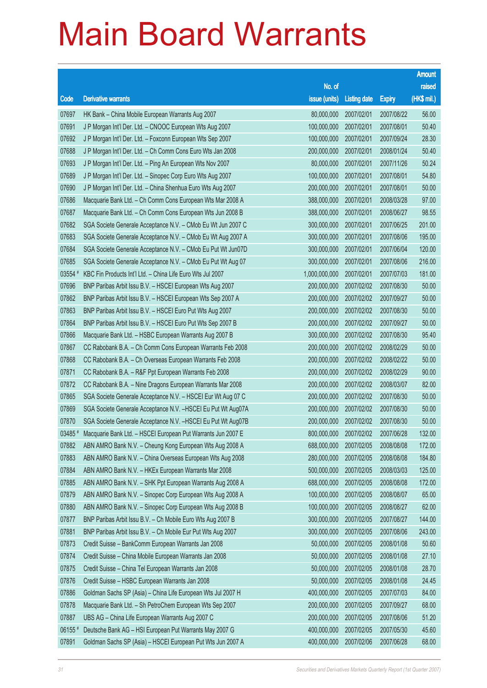|         |                                                               |                        |                     |               | <b>Amount</b> |
|---------|---------------------------------------------------------------|------------------------|---------------------|---------------|---------------|
|         |                                                               | No. of                 |                     |               | raised        |
| Code    | <b>Derivative warrants</b>                                    | issue (units)          | <b>Listing date</b> | <b>Expiry</b> | (HK\$ mil.)   |
| 07697   | HK Bank - China Mobile European Warrants Aug 2007             | 80,000,000             | 2007/02/01          | 2007/08/22    | 56.00         |
| 07691   | J P Morgan Int'l Der. Ltd. - CNOOC European Wts Aug 2007      | 100,000,000            | 2007/02/01          | 2007/08/01    | 50.40         |
| 07692   | J P Morgan Int'l Der. Ltd. - Foxconn European Wts Sep 2007    | 100,000,000            | 2007/02/01          | 2007/09/24    | 28.30         |
| 07688   | J P Morgan Int'l Der. Ltd. - Ch Comm Cons Euro Wts Jan 2008   | 200,000,000            | 2007/02/01          | 2008/01/24    | 50.40         |
| 07693   | J P Morgan Int'l Der. Ltd. - Ping An European Wts Nov 2007    | 80,000,000             | 2007/02/01          | 2007/11/26    | 50.24         |
| 07689   | J P Morgan Int'l Der. Ltd. - Sinopec Corp Euro Wts Aug 2007   | 100,000,000            | 2007/02/01          | 2007/08/01    | 54.80         |
| 07690   | J P Morgan Int'l Der. Ltd. - China Shenhua Euro Wts Aug 2007  | 200,000,000            | 2007/02/01          | 2007/08/01    | 50.00         |
| 07686   | Macquarie Bank Ltd. - Ch Comm Cons European Wts Mar 2008 A    | 388,000,000            | 2007/02/01          | 2008/03/28    | 97.00         |
| 07687   | Macquarie Bank Ltd. - Ch Comm Cons European Wts Jun 2008 B    | 388,000,000            | 2007/02/01          | 2008/06/27    | 98.55         |
| 07682   | SGA Societe Generale Acceptance N.V. - CMob Eu Wt Jun 2007 C  | 300,000,000            | 2007/02/01          | 2007/06/25    | 201.00        |
| 07683   | SGA Societe Generale Acceptance N.V. - CMob Eu Wt Aug 2007 A  | 300,000,000            | 2007/02/01          | 2007/08/06    | 195.00        |
| 07684   | SGA Societe Generale Acceptance N.V. - CMob Eu Put Wt Jun07D  | 300,000,000            | 2007/02/01          | 2007/06/04    | 120.00        |
| 07685   | SGA Societe Generale Acceptance N.V. - CMob Eu Put Wt Aug 07  | 300,000,000            | 2007/02/01          | 2007/08/06    | 216.00        |
| 03554 # | KBC Fin Products Int'l Ltd. - China Life Euro Wts Jul 2007    | 1,000,000,000          | 2007/02/01          | 2007/07/03    | 181.00        |
| 07696   | BNP Paribas Arbit Issu B.V. - HSCEI European Wts Aug 2007     | 200,000,000            | 2007/02/02          | 2007/08/30    | 50.00         |
| 07862   | BNP Paribas Arbit Issu B.V. - HSCEI European Wts Sep 2007 A   | 200,000,000            | 2007/02/02          | 2007/09/27    | 50.00         |
| 07863   | BNP Paribas Arbit Issu B.V. - HSCEI Euro Put Wts Aug 2007     | 200,000,000            | 2007/02/02          | 2007/08/30    | 50.00         |
| 07864   | BNP Paribas Arbit Issu B.V. - HSCEI Euro Put Wts Sep 2007 B   | 200,000,000            | 2007/02/02          | 2007/09/27    | 50.00         |
| 07866   | Macquarie Bank Ltd. - HSBC European Warrants Aug 2007 B       | 300,000,000            | 2007/02/02          | 2007/08/30    | 95.40         |
| 07867   | CC Rabobank B.A. - Ch Comm Cons European Warrants Feb 2008    | 200,000,000            | 2007/02/02          | 2008/02/29    | 50.00         |
| 07868   | CC Rabobank B.A. - Ch Overseas European Warrants Feb 2008     | 200,000,000            | 2007/02/02          | 2008/02/22    | 50.00         |
| 07871   | CC Rabobank B.A. - R&F Ppt European Warrants Feb 2008         | 200,000,000            | 2007/02/02          | 2008/02/29    | 90.00         |
| 07872   | CC Rabobank B.A. - Nine Dragons European Warrants Mar 2008    | 200,000,000            | 2007/02/02          | 2008/03/07    | 82.00         |
| 07865   | SGA Societe Generale Acceptance N.V. - HSCEI Eur Wt Aug 07 C  | 200,000,000            | 2007/02/02          | 2007/08/30    | 50.00         |
| 07869   | SGA Societe Generale Acceptance N.V. - HSCEI Eu Put Wt Aug07A | 200,000,000            | 2007/02/02          | 2007/08/30    | 50.00         |
| 07870   | SGA Societe Generale Acceptance N.V. - HSCEI Eu Put Wt Aug07B | 200,000,000            | 2007/02/02          | 2007/08/30    | 50.00         |
| 03485 # | Macquarie Bank Ltd. - HSCEI European Put Warrants Jun 2007 E  | 800,000,000 2007/02/02 |                     | 2007/06/28    | 132.00        |
| 07882   | ABN AMRO Bank N.V. - Cheung Kong European Wts Aug 2008 A      | 688,000,000            | 2007/02/05          | 2008/08/08    | 172.00        |
| 07883   | ABN AMRO Bank N.V. - China Overseas European Wts Aug 2008     | 280,000,000            | 2007/02/05          | 2008/08/08    | 184.80        |
| 07884   | ABN AMRO Bank N.V. - HKEx European Warrants Mar 2008          | 500,000,000            | 2007/02/05          | 2008/03/03    | 125.00        |
| 07885   | ABN AMRO Bank N.V. - SHK Ppt European Warrants Aug 2008 A     | 688,000,000            | 2007/02/05          | 2008/08/08    | 172.00        |
| 07879   | ABN AMRO Bank N.V. - Sinopec Corp European Wts Aug 2008 A     | 100,000,000            | 2007/02/05          | 2008/08/07    | 65.00         |
| 07880   | ABN AMRO Bank N.V. - Sinopec Corp European Wts Aug 2008 B     | 100,000,000            | 2007/02/05          | 2008/08/27    | 62.00         |
| 07877   | BNP Paribas Arbit Issu B.V. - Ch Mobile Euro Wts Aug 2007 B   | 300,000,000            | 2007/02/05          | 2007/08/27    | 144.00        |
| 07881   | BNP Paribas Arbit Issu B.V. - Ch Mobile Eur Put Wts Aug 2007  | 300,000,000            | 2007/02/05          | 2007/08/06    | 243.00        |
| 07873   | Credit Suisse - BankComm European Warrants Jan 2008           | 50,000,000             | 2007/02/05          | 2008/01/08    | 50.60         |
| 07874   | Credit Suisse - China Mobile European Warrants Jan 2008       | 50,000,000             | 2007/02/05          | 2008/01/08    | 27.10         |
| 07875   | Credit Suisse - China Tel European Warrants Jan 2008          | 50,000,000             | 2007/02/05          | 2008/01/08    | 28.70         |
| 07876   | Credit Suisse - HSBC European Warrants Jan 2008               | 50,000,000             | 2007/02/05          | 2008/01/08    | 24.45         |
| 07886   | Goldman Sachs SP (Asia) - China Life European Wts Jul 2007 H  | 400,000,000            | 2007/02/05          | 2007/07/03    | 84.00         |
| 07878   | Macquarie Bank Ltd. - Sh PetroChem European Wts Sep 2007      | 200,000,000            | 2007/02/05          | 2007/09/27    | 68.00         |
| 07887   | UBS AG - China Life European Warrants Aug 2007 C              | 200,000,000            | 2007/02/05          | 2007/08/06    | 51.20         |
| 06155 # | Deutsche Bank AG - HSI European Put Warrants May 2007 G       | 400,000,000            | 2007/02/05          | 2007/05/30    | 45.60         |
| 07891   | Goldman Sachs SP (Asia) - HSCEI European Put Wts Jun 2007 A   | 400,000,000            | 2007/02/06          | 2007/06/28    | 68.00         |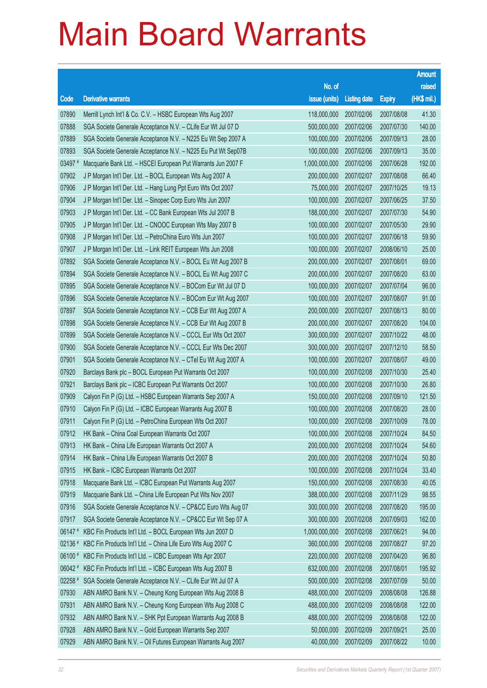|         |                                                              |                        |                     |               | <b>Amount</b> |
|---------|--------------------------------------------------------------|------------------------|---------------------|---------------|---------------|
|         |                                                              | No. of                 |                     |               | raised        |
| Code    | <b>Derivative warrants</b>                                   | issue (units)          | <b>Listing date</b> | <b>Expiry</b> | (HK\$ mil.)   |
| 07890   | Merrill Lynch Int'l & Co. C.V. - HSBC European Wts Aug 2007  | 118,000,000            | 2007/02/06          | 2007/08/08    | 41.30         |
| 07888   | SGA Societe Generale Acceptance N.V. - CLife Eur Wt Jul 07 D | 500,000,000            | 2007/02/06          | 2007/07/30    | 140.00        |
| 07889   | SGA Societe Generale Acceptance N.V. - N225 Eu Wt Sep 2007 A | 100,000,000            | 2007/02/06          | 2007/09/13    | 28.00         |
| 07893   | SGA Societe Generale Acceptance N.V. - N225 Eu Put Wt Sep07B | 100,000,000            | 2007/02/06          | 2007/09/13    | 35.00         |
| 03497 # | Macquarie Bank Ltd. - HSCEI European Put Warrants Jun 2007 F | 1,000,000,000          | 2007/02/06          | 2007/06/28    | 192.00        |
| 07902   | J P Morgan Int'l Der. Ltd. - BOCL European Wts Aug 2007 A    | 200,000,000            | 2007/02/07          | 2007/08/08    | 66.40         |
| 07906   | J P Morgan Int'l Der. Ltd. - Hang Lung Ppt Euro Wts Oct 2007 | 75,000,000             | 2007/02/07          | 2007/10/25    | 19.13         |
| 07904   | J P Morgan Int'l Der. Ltd. - Sinopec Corp Euro Wts Jun 2007  | 100,000,000            | 2007/02/07          | 2007/06/25    | 37.50         |
| 07903   | J P Morgan Int'l Der. Ltd. - CC Bank European Wts Jul 2007 B | 188,000,000            | 2007/02/07          | 2007/07/30    | 54.90         |
| 07905   | J P Morgan Int'l Der. Ltd. - CNOOC European Wts May 2007 B   | 100,000,000            | 2007/02/07          | 2007/05/30    | 29.90         |
| 07908   | J P Morgan Int'l Der. Ltd. - PetroChina Euro Wts Jun 2007    | 100,000,000            | 2007/02/07          | 2007/06/18    | 59.90         |
| 07907   | J P Morgan Int'l Der. Ltd. - Link REIT European Wts Jun 2008 | 100,000,000            | 2007/02/07          | 2008/06/10    | 25.00         |
| 07892   | SGA Societe Generale Acceptance N.V. - BOCL Eu Wt Aug 2007 B | 200,000,000            | 2007/02/07          | 2007/08/01    | 69.00         |
| 07894   | SGA Societe Generale Acceptance N.V. - BOCL Eu Wt Aug 2007 C | 200,000,000            | 2007/02/07          | 2007/08/20    | 63.00         |
| 07895   | SGA Societe Generale Acceptance N.V. - BOCom Eur Wt Jul 07 D | 100,000,000            | 2007/02/07          | 2007/07/04    | 96.00         |
| 07896   | SGA Societe Generale Acceptance N.V. - BOCom Eur Wt Aug 2007 | 100,000,000            | 2007/02/07          | 2007/08/07    | 91.00         |
| 07897   | SGA Societe Generale Acceptance N.V. - CCB Eur Wt Aug 2007 A | 200,000,000            | 2007/02/07          | 2007/08/13    | 80.00         |
| 07898   | SGA Societe Generale Acceptance N.V. - CCB Eur Wt Aug 2007 B | 200,000,000            | 2007/02/07          | 2007/08/20    | 104.00        |
| 07899   | SGA Societe Generale Acceptance N.V. - CCCL Eur Wts Oct 2007 | 300,000,000            | 2007/02/07          | 2007/10/22    | 48.00         |
| 07900   | SGA Societe Generale Acceptance N.V. - CCCL Eur Wts Dec 2007 | 300,000,000            | 2007/02/07          | 2007/12/10    | 58.50         |
| 07901   | SGA Societe Generale Acceptance N.V. - CTel Eu Wt Aug 2007 A | 100,000,000            | 2007/02/07          | 2007/08/07    | 49.00         |
| 07920   | Barclays Bank plc - BOCL European Put Warrants Oct 2007      | 100,000,000            | 2007/02/08          | 2007/10/30    | 25.40         |
| 07921   | Barclays Bank plc - ICBC European Put Warrants Oct 2007      | 100,000,000            | 2007/02/08          | 2007/10/30    | 26.80         |
| 07909   | Calyon Fin P (G) Ltd. - HSBC European Warrants Sep 2007 A    | 150,000,000            | 2007/02/08          | 2007/09/10    | 121.50        |
| 07910   | Calyon Fin P (G) Ltd. - ICBC European Warrants Aug 2007 B    | 100,000,000            | 2007/02/08          | 2007/08/20    | 28.00         |
| 07911   | Calyon Fin P (G) Ltd. - PetroChina European Wts Oct 2007     | 100,000,000            | 2007/02/08          | 2007/10/09    | 78.00         |
| 07912   | HK Bank - China Coal European Warrants Oct 2007              | 100,000,000 2007/02/08 |                     | 2007/10/24    | 84.50         |
| 07913   | HK Bank - China Life European Warrants Oct 2007 A            | 200,000,000            | 2007/02/08          | 2007/10/24    | 54.60         |
| 07914   | HK Bank - China Life European Warrants Oct 2007 B            | 200,000,000            | 2007/02/08          | 2007/10/24    | 50.80         |
| 07915   | HK Bank - ICBC European Warrants Oct 2007                    | 100,000,000            | 2007/02/08          | 2007/10/24    | 33.40         |
| 07918   | Macquarie Bank Ltd. - ICBC European Put Warrants Aug 2007    | 150,000,000            | 2007/02/08          | 2007/08/30    | 40.05         |
| 07919   | Macquarie Bank Ltd. - China Life European Put Wts Nov 2007   | 388,000,000            | 2007/02/08          | 2007/11/29    | 98.55         |
| 07916   | SGA Societe Generale Acceptance N.V. - CP&CC Euro Wts Aug 07 | 300,000,000            | 2007/02/08          | 2007/08/20    | 195.00        |
| 07917   | SGA Societe Generale Acceptance N.V. - CP&CC Eur Wt Sep 07 A | 300,000,000            | 2007/02/08          | 2007/09/03    | 162.00        |
| 06147#  | KBC Fin Products Int'l Ltd. - BOCL European Wts Jun 2007 D   | 1,000,000,000          | 2007/02/08          | 2007/06/21    | 94.00         |
| 02136 # | KBC Fin Products Int'l Ltd. - China Life Euro Wts Aug 2007 C | 360,000,000            | 2007/02/08          | 2007/08/27    | 97.20         |
| 06100 # | KBC Fin Products Int'l Ltd. - ICBC European Wts Apr 2007     | 220,000,000            | 2007/02/08          | 2007/04/20    | 96.80         |
| 06042#  | KBC Fin Products Int'l Ltd. - ICBC European Wts Aug 2007 B   | 632,000,000            | 2007/02/08          | 2007/08/01    | 195.92        |
| 02258 # | SGA Societe Generale Acceptance N.V. - CLife Eur Wt Jul 07 A | 500,000,000            | 2007/02/08          | 2007/07/09    | 50.00         |
| 07930   | ABN AMRO Bank N.V. - Cheung Kong European Wts Aug 2008 B     | 488,000,000            | 2007/02/09          | 2008/08/08    | 126.88        |
| 07931   | ABN AMRO Bank N.V. - Cheung Kong European Wts Aug 2008 C     | 488,000,000            | 2007/02/09          | 2008/08/08    | 122.00        |
| 07932   | ABN AMRO Bank N.V. - SHK Ppt European Warrants Aug 2008 B    | 488,000,000            | 2007/02/09          | 2008/08/08    | 122.00        |
| 07928   | ABN AMRO Bank N.V. - Gold European Warrants Sep 2007         | 50,000,000             | 2007/02/09          | 2007/09/21    | 25.00         |
| 07929   | ABN AMRO Bank N.V. - Oil Futures European Warrants Aug 2007  | 40,000,000             | 2007/02/09          | 2007/08/22    | 10.00         |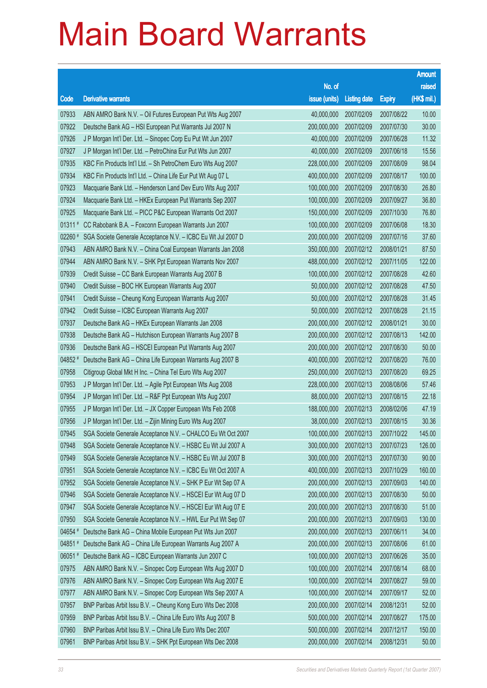|         |                                                              |                        |                     |               | <b>Amount</b> |
|---------|--------------------------------------------------------------|------------------------|---------------------|---------------|---------------|
|         |                                                              | No. of                 |                     |               | raised        |
| Code    | <b>Derivative warrants</b>                                   | issue (units)          | <b>Listing date</b> | <b>Expiry</b> | (HK\$ mil.)   |
| 07933   | ABN AMRO Bank N.V. - Oil Futures European Put Wts Aug 2007   | 40,000,000             | 2007/02/09          | 2007/08/22    | 10.00         |
| 07922   | Deutsche Bank AG - HSI European Put Warrants Jul 2007 N      | 200,000,000            | 2007/02/09          | 2007/07/30    | 30.00         |
| 07926   | J P Morgan Int'l Der. Ltd. - Sinopec Corp Eu Put Wt Jun 2007 | 40,000,000             | 2007/02/09          | 2007/06/28    | 11.32         |
| 07927   | J P Morgan Int'l Der. Ltd. - PetroChina Eur Put Wts Jun 2007 | 40,000,000             | 2007/02/09          | 2007/06/18    | 15.56         |
| 07935   | KBC Fin Products Int'l Ltd. - Sh PetroChem Euro Wts Aug 2007 | 228,000,000            | 2007/02/09          | 2007/08/09    | 98.04         |
| 07934   | KBC Fin Products Int'l Ltd. - China Life Eur Put Wt Aug 07 L | 400,000,000            | 2007/02/09          | 2007/08/17    | 100.00        |
| 07923   | Macquarie Bank Ltd. - Henderson Land Dev Euro Wts Aug 2007   | 100,000,000            | 2007/02/09          | 2007/08/30    | 26.80         |
| 07924   | Macquarie Bank Ltd. - HKEx European Put Warrants Sep 2007    | 100,000,000            | 2007/02/09          | 2007/09/27    | 36.80         |
| 07925   | Macquarie Bank Ltd. - PICC P&C European Warrants Oct 2007    | 150,000,000            | 2007/02/09          | 2007/10/30    | 76.80         |
| 01311#  | CC Rabobank B.A. - Foxconn European Warrants Jun 2007        | 100,000,000            | 2007/02/09          | 2007/06/08    | 18.30         |
| 02260 # | SGA Societe Generale Acceptance N.V. - ICBC Eu Wt Jul 2007 D | 200,000,000            | 2007/02/09          | 2007/07/16    | 37.60         |
| 07943   | ABN AMRO Bank N.V. - China Coal European Warrants Jan 2008   | 350,000,000            | 2007/02/12          | 2008/01/21    | 87.50         |
| 07944   | ABN AMRO Bank N.V. - SHK Ppt European Warrants Nov 2007      | 488,000,000            | 2007/02/12          | 2007/11/05    | 122.00        |
| 07939   | Credit Suisse - CC Bank European Warrants Aug 2007 B         | 100,000,000            | 2007/02/12          | 2007/08/28    | 42.60         |
| 07940   | Credit Suisse - BOC HK European Warrants Aug 2007            | 50,000,000             | 2007/02/12          | 2007/08/28    | 47.50         |
| 07941   | Credit Suisse - Cheung Kong European Warrants Aug 2007       | 50,000,000             | 2007/02/12          | 2007/08/28    | 31.45         |
| 07942   | Credit Suisse - ICBC European Warrants Aug 2007              | 50,000,000             | 2007/02/12          | 2007/08/28    | 21.15         |
| 07937   | Deutsche Bank AG - HKEx European Warrants Jan 2008           | 200,000,000            | 2007/02/12          | 2008/01/21    | 30.00         |
| 07938   | Deutsche Bank AG - Hutchison European Warrants Aug 2007 B    | 200,000,000            | 2007/02/12          | 2007/08/13    | 142.00        |
| 07936   | Deutsche Bank AG - HSCEI European Put Warrants Aug 2007      | 200,000,000            | 2007/02/12          | 2007/08/30    | 50.00         |
| 04852 # | Deutsche Bank AG - China Life European Warrants Aug 2007 B   | 400,000,000            | 2007/02/12          | 2007/08/20    | 76.00         |
| 07958   | Citigroup Global Mkt H Inc. - China Tel Euro Wts Aug 2007    | 250,000,000            | 2007/02/13          | 2007/08/20    | 69.25         |
| 07953   | J P Morgan Int'l Der. Ltd. - Agile Ppt European Wts Aug 2008 | 228,000,000            | 2007/02/13          | 2008/08/06    | 57.46         |
| 07954   | J P Morgan Int'l Der. Ltd. - R&F Ppt European Wts Aug 2007   | 88,000,000             | 2007/02/13          | 2007/08/15    | 22.18         |
| 07955   | J P Morgan Int'l Der. Ltd. - JX Copper European Wts Feb 2008 | 188,000,000            | 2007/02/13          | 2008/02/06    | 47.19         |
| 07956   | J P Morgan Int'l Der. Ltd. - Zijin Mining Euro Wts Aug 2007  | 38,000,000             | 2007/02/13          | 2007/08/15    | 30.36         |
| 07945   | SGA Societe Generale Acceptance N.V. - CHALCO Eu Wt Oct 2007 | 100,000,000 2007/02/13 |                     | 2007/10/22    | 145.00        |
| 07948   | SGA Societe Generale Acceptance N.V. - HSBC Eu Wt Jul 2007 A | 300,000,000            | 2007/02/13          | 2007/07/23    | 126.00        |
| 07949   | SGA Societe Generale Acceptance N.V. - HSBC Eu Wt Jul 2007 B | 300,000,000            | 2007/02/13          | 2007/07/30    | 90.00         |
| 07951   | SGA Societe Generale Acceptance N.V. - ICBC Eu Wt Oct 2007 A | 400,000,000            | 2007/02/13          | 2007/10/29    | 160.00        |
| 07952   | SGA Societe Generale Acceptance N.V. - SHK P Eur Wt Sep 07 A | 200,000,000            | 2007/02/13          | 2007/09/03    | 140.00        |
| 07946   | SGA Societe Generale Acceptance N.V. - HSCEI Eur Wt Aug 07 D | 200,000,000            | 2007/02/13          | 2007/08/30    | 50.00         |
| 07947   | SGA Societe Generale Acceptance N.V. - HSCEI Eur Wt Aug 07 E | 200,000,000            | 2007/02/13          | 2007/08/30    | 51.00         |
| 07950   | SGA Societe Generale Acceptance N.V. - HWL Eur Put Wt Sep 07 | 200,000,000            | 2007/02/13          | 2007/09/03    | 130.00        |
| 04654 # | Deutsche Bank AG - China Mobile European Put Wts Jun 2007    | 200,000,000            | 2007/02/13          | 2007/06/11    | 34.00         |
| 04851 # | Deutsche Bank AG - China Life European Warrants Aug 2007 A   | 200,000,000            | 2007/02/13          | 2007/08/06    | 61.00         |
| 06051#  | Deutsche Bank AG - ICBC European Warrants Jun 2007 C         | 100,000,000            | 2007/02/13          | 2007/06/26    | 35.00         |
| 07975   | ABN AMRO Bank N.V. - Sinopec Corp European Wts Aug 2007 D    | 100,000,000            | 2007/02/14          | 2007/08/14    | 68.00         |
| 07976   | ABN AMRO Bank N.V. - Sinopec Corp European Wts Aug 2007 E    | 100,000,000            | 2007/02/14          | 2007/08/27    | 59.00         |
| 07977   | ABN AMRO Bank N.V. - Sinopec Corp European Wts Sep 2007 A    | 100,000,000            | 2007/02/14          | 2007/09/17    | 52.00         |
| 07957   | BNP Paribas Arbit Issu B.V. - Cheung Kong Euro Wts Dec 2008  | 200,000,000            | 2007/02/14          | 2008/12/31    | 52.00         |
| 07959   | BNP Paribas Arbit Issu B.V. - China Life Euro Wts Aug 2007 B | 500,000,000            | 2007/02/14          | 2007/08/27    | 175.00        |
| 07960   | BNP Paribas Arbit Issu B.V. - China Life Euro Wts Dec 2007   | 500,000,000            | 2007/02/14          | 2007/12/17    | 150.00        |
| 07961   | BNP Paribas Arbit Issu B.V. - SHK Ppt European Wts Dec 2008  | 200,000,000            | 2007/02/14          | 2008/12/31    | 50.00         |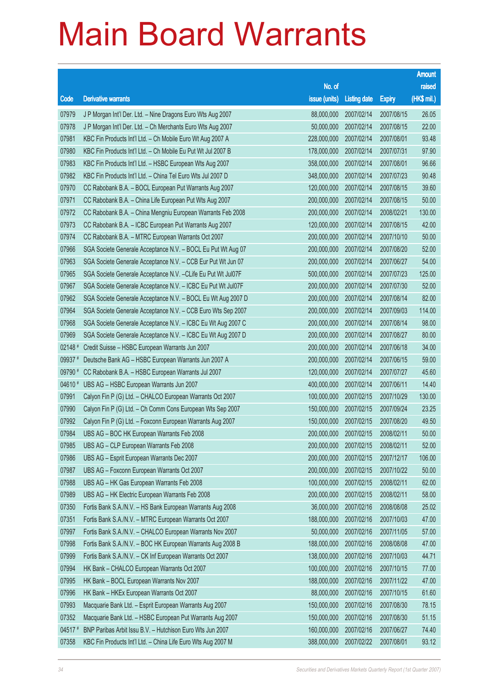|         |                                                               |                        |                     |               | <b>Amount</b> |
|---------|---------------------------------------------------------------|------------------------|---------------------|---------------|---------------|
|         |                                                               | No. of                 |                     |               | raised        |
| Code    | <b>Derivative warrants</b>                                    | issue (units)          | <b>Listing date</b> | <b>Expiry</b> | (HK\$ mil.)   |
| 07979   | J P Morgan Int'l Der. Ltd. - Nine Dragons Euro Wts Aug 2007   | 88,000,000             | 2007/02/14          | 2007/08/15    | 26.05         |
| 07978   | J P Morgan Int'l Der. Ltd. - Ch Merchants Euro Wts Aug 2007   | 50,000,000             | 2007/02/14          | 2007/08/15    | 22.00         |
| 07981   | KBC Fin Products Int'l Ltd. - Ch Mobile Euro Wt Aug 2007 A    | 228,000,000            | 2007/02/14          | 2007/08/01    | 93.48         |
| 07980   | KBC Fin Products Int'l Ltd. - Ch Mobile Eu Put Wt Jul 2007 B  | 178,000,000            | 2007/02/14          | 2007/07/31    | 97.90         |
| 07983   | KBC Fin Products Int'l Ltd. - HSBC European Wts Aug 2007      | 358,000,000            | 2007/02/14          | 2007/08/01    | 96.66         |
| 07982   | KBC Fin Products Int'l Ltd. - China Tel Euro Wts Jul 2007 D   | 348,000,000            | 2007/02/14          | 2007/07/23    | 90.48         |
| 07970   | CC Rabobank B.A. - BOCL European Put Warrants Aug 2007        | 120,000,000            | 2007/02/14          | 2007/08/15    | 39.60         |
| 07971   | CC Rabobank B.A. - China Life European Put Wts Aug 2007       | 200,000,000            | 2007/02/14          | 2007/08/15    | 50.00         |
| 07972   | CC Rabobank B.A. - China Mengniu European Warrants Feb 2008   | 200,000,000            | 2007/02/14          | 2008/02/21    | 130.00        |
| 07973   | CC Rabobank B.A. - ICBC European Put Warrants Aug 2007        | 120,000,000            | 2007/02/14          | 2007/08/15    | 42.00         |
| 07974   | CC Rabobank B.A. - MTRC European Warrants Oct 2007            | 200,000,000            | 2007/02/14          | 2007/10/10    | 50.00         |
| 07966   | SGA Societe Generale Acceptance N.V. - BOCL Eu Put Wt Aug 07  | 200,000,000            | 2007/02/14          | 2007/08/20    | 52.00         |
| 07963   | SGA Societe Generale Acceptance N.V. - CCB Eur Put Wt Jun 07  | 200,000,000            | 2007/02/14          | 2007/06/27    | 54.00         |
| 07965   | SGA Societe Generale Acceptance N.V. - CLife Eu Put Wt Jul07F | 500,000,000            | 2007/02/14          | 2007/07/23    | 125.00        |
| 07967   | SGA Societe Generale Acceptance N.V. - ICBC Eu Put Wt Jul07F  | 200,000,000            | 2007/02/14          | 2007/07/30    | 52.00         |
| 07962   | SGA Societe Generale Acceptance N.V. - BOCL Eu Wt Aug 2007 D  | 200,000,000            | 2007/02/14          | 2007/08/14    | 82.00         |
| 07964   | SGA Societe Generale Acceptance N.V. - CCB Euro Wts Sep 2007  | 200,000,000            | 2007/02/14          | 2007/09/03    | 114.00        |
| 07968   | SGA Societe Generale Acceptance N.V. - ICBC Eu Wt Aug 2007 C  | 200,000,000            | 2007/02/14          | 2007/08/14    | 98.00         |
| 07969   | SGA Societe Generale Acceptance N.V. - ICBC Eu Wt Aug 2007 D  | 200,000,000            | 2007/02/14          | 2007/08/27    | 80.00         |
| 02148 # | Credit Suisse - HSBC European Warrants Jun 2007               | 200,000,000            | 2007/02/14          | 2007/06/18    | 34.00         |
| 09937 # | Deutsche Bank AG - HSBC European Warrants Jun 2007 A          | 200,000,000            | 2007/02/14          | 2007/06/15    | 59.00         |
| 09790 # | CC Rabobank B.A. - HSBC European Warrants Jul 2007            | 120,000,000            | 2007/02/14          | 2007/07/27    | 45.60         |
| 04610 # | UBS AG - HSBC European Warrants Jun 2007                      | 400,000,000            | 2007/02/14          | 2007/06/11    | 14.40         |
| 07991   | Calyon Fin P (G) Ltd. - CHALCO European Warrants Oct 2007     | 100,000,000            | 2007/02/15          | 2007/10/29    | 130.00        |
| 07990   | Calyon Fin P (G) Ltd. - Ch Comm Cons European Wts Sep 2007    | 150,000,000            | 2007/02/15          | 2007/09/24    | 23.25         |
| 07992   | Calyon Fin P (G) Ltd. - Foxconn European Warrants Aug 2007    | 150,000,000            | 2007/02/15          | 2007/08/20    | 49.50         |
| 07984   | UBS AG - BOC HK European Warrants Feb 2008                    | 200,000,000 2007/02/15 |                     | 2008/02/11    | 50.00         |
| 07985   | UBS AG - CLP European Warrants Feb 2008                       | 200,000,000            | 2007/02/15          | 2008/02/11    | 52.00         |
| 07986   | UBS AG - Esprit European Warrants Dec 2007                    | 200,000,000            | 2007/02/15          | 2007/12/17    | 106.00        |
| 07987   | UBS AG - Foxconn European Warrants Oct 2007                   | 200,000,000            | 2007/02/15          | 2007/10/22    | 50.00         |
| 07988   | UBS AG - HK Gas European Warrants Feb 2008                    | 100,000,000            | 2007/02/15          | 2008/02/11    | 62.00         |
| 07989   | UBS AG - HK Electric European Warrants Feb 2008               | 200,000,000            | 2007/02/15          | 2008/02/11    | 58.00         |
| 07350   | Fortis Bank S.A./N.V. - HS Bank European Warrants Aug 2008    | 36,000,000             | 2007/02/16          | 2008/08/08    | 25.02         |
| 07351   | Fortis Bank S.A./N.V. - MTRC European Warrants Oct 2007       | 188,000,000            | 2007/02/16          | 2007/10/03    | 47.00         |
| 07997   | Fortis Bank S.A./N.V. - CHALCO European Warrants Nov 2007     | 50,000,000             | 2007/02/16          | 2007/11/05    | 57.00         |
| 07998   | Fortis Bank S.A./N.V. - BOC HK European Warrants Aug 2008 B   | 188,000,000            | 2007/02/16          | 2008/08/08    | 47.00         |
| 07999   | Fortis Bank S.A./N.V. - CK Inf European Warrants Oct 2007     | 138,000,000            | 2007/02/16          | 2007/10/03    | 44.71         |
| 07994   | HK Bank - CHALCO European Warrants Oct 2007                   | 100,000,000            | 2007/02/16          | 2007/10/15    | 77.00         |
| 07995   | HK Bank - BOCL European Warrants Nov 2007                     | 188,000,000            | 2007/02/16          | 2007/11/22    | 47.00         |
| 07996   | HK Bank - HKEx European Warrants Oct 2007                     | 88,000,000             | 2007/02/16          | 2007/10/15    | 61.60         |
| 07993   | Macquarie Bank Ltd. - Esprit European Warrants Aug 2007       | 150,000,000            | 2007/02/16          | 2007/08/30    | 78.15         |
| 07352   | Macquarie Bank Ltd. - HSBC European Put Warrants Aug 2007     | 150,000,000            | 2007/02/16          | 2007/08/30    | 51.15         |
| 04517#  | BNP Paribas Arbit Issu B.V. - Hutchison Euro Wts Jun 2007     | 160,000,000            | 2007/02/16          | 2007/06/27    | 74.40         |
| 07358   | KBC Fin Products Int'l Ltd. - China Life Euro Wts Aug 2007 M  | 388,000,000            | 2007/02/22          | 2007/08/01    | 93.12         |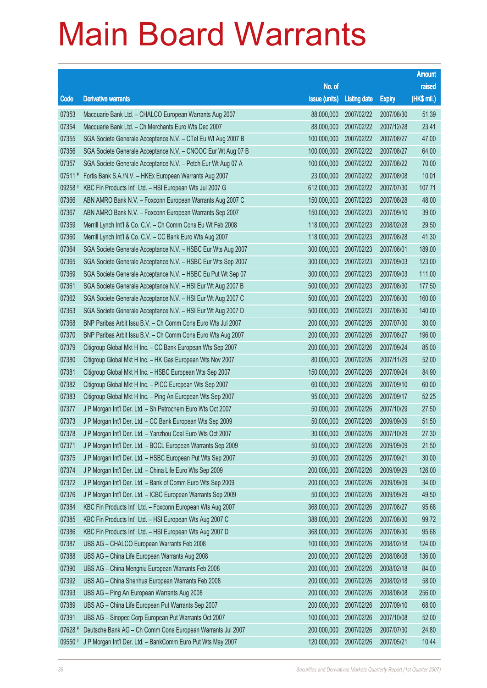|                      |                                                              |               |                       |               | <b>Amount</b> |
|----------------------|--------------------------------------------------------------|---------------|-----------------------|---------------|---------------|
|                      |                                                              | No. of        |                       |               | raised        |
| Code                 | <b>Derivative warrants</b>                                   | issue (units) | <b>Listing date</b>   | <b>Expiry</b> | (HK\$ mil.)   |
| 07353                | Macquarie Bank Ltd. - CHALCO European Warrants Aug 2007      | 88,000,000    | 2007/02/22            | 2007/08/30    | 51.39         |
| 07354                | Macquarie Bank Ltd. - Ch Merchants Euro Wts Dec 2007         | 88,000,000    | 2007/02/22            | 2007/12/28    | 23.41         |
| 07355                | SGA Societe Generale Acceptance N.V. - CTel Eu Wt Aug 2007 B | 100,000,000   | 2007/02/22            | 2007/08/27    | 47.00         |
| 07356                | SGA Societe Generale Acceptance N.V. - CNOOC Eur Wt Aug 07 B | 100,000,000   | 2007/02/22            | 2007/08/27    | 64.00         |
| 07357                | SGA Societe Generale Acceptance N.V. - Petch Eur Wt Aug 07 A | 100,000,000   | 2007/02/22            | 2007/08/22    | 70.00         |
| $07511$ <sup>#</sup> | Fortis Bank S.A./N.V. - HKEx European Warrants Aug 2007      | 23,000,000    | 2007/02/22            | 2007/08/08    | 10.01         |
| 09258 #              | KBC Fin Products Int'l Ltd. - HSI European Wts Jul 2007 G    | 612,000,000   | 2007/02/22            | 2007/07/30    | 107.71        |
| 07366                | ABN AMRO Bank N.V. - Foxconn European Warrants Aug 2007 C    | 150,000,000   | 2007/02/23            | 2007/08/28    | 48.00         |
| 07367                | ABN AMRO Bank N.V. - Foxconn European Warrants Sep 2007      | 150,000,000   | 2007/02/23            | 2007/09/10    | 39.00         |
| 07359                | Merrill Lynch Int'l & Co. C.V. - Ch Comm Cons Eu Wt Feb 2008 | 118,000,000   | 2007/02/23            | 2008/02/28    | 29.50         |
| 07360                | Merrill Lynch Int'l & Co. C.V. - CC Bank Euro Wts Aug 2007   | 118,000,000   | 2007/02/23            | 2007/08/28    | 41.30         |
| 07364                | SGA Societe Generale Acceptance N.V. - HSBC Eur Wts Aug 2007 | 300,000,000   | 2007/02/23            | 2007/08/01    | 189.00        |
| 07365                | SGA Societe Generale Acceptance N.V. - HSBC Eur Wts Sep 2007 | 300,000,000   | 2007/02/23            | 2007/09/03    | 123.00        |
| 07369                | SGA Societe Generale Acceptance N.V. - HSBC Eu Put Wt Sep 07 | 300,000,000   | 2007/02/23            | 2007/09/03    | 111.00        |
| 07361                | SGA Societe Generale Acceptance N.V. - HSI Eur Wt Aug 2007 B | 500,000,000   | 2007/02/23            | 2007/08/30    | 177.50        |
| 07362                | SGA Societe Generale Acceptance N.V. - HSI Eur Wt Aug 2007 C | 500,000,000   | 2007/02/23            | 2007/08/30    | 160.00        |
| 07363                | SGA Societe Generale Acceptance N.V. - HSI Eur Wt Aug 2007 D | 500,000,000   | 2007/02/23            | 2007/08/30    | 140.00        |
| 07368                | BNP Paribas Arbit Issu B.V. - Ch Comm Cons Euro Wts Jul 2007 | 200,000,000   | 2007/02/26            | 2007/07/30    | 30.00         |
| 07370                | BNP Paribas Arbit Issu B.V. - Ch Comm Cons Euro Wts Aug 2007 | 200,000,000   | 2007/02/26            | 2007/08/27    | 196.00        |
| 07379                | Citigroup Global Mkt H Inc. - CC Bank European Wts Sep 2007  | 200,000,000   | 2007/02/26            | 2007/09/24    | 85.00         |
| 07380                | Citigroup Global Mkt H Inc. - HK Gas European Wts Nov 2007   | 80,000,000    | 2007/02/26            | 2007/11/29    | 52.00         |
| 07381                | Citigroup Global Mkt H Inc. - HSBC European Wts Sep 2007     | 150,000,000   | 2007/02/26            | 2007/09/24    | 84.90         |
| 07382                | Citigroup Global Mkt H Inc. - PICC European Wts Sep 2007     | 60,000,000    | 2007/02/26            | 2007/09/10    | 60.00         |
| 07383                | Citigroup Global Mkt H Inc. - Ping An European Wts Sep 2007  | 95,000,000    | 2007/02/26            | 2007/09/17    | 52.25         |
| 07377                | J P Morgan Int'l Der. Ltd. - Sh Petrochem Euro Wts Oct 2007  | 50,000,000    | 2007/02/26            | 2007/10/29    | 27.50         |
| 07373                | J P Morgan Int'l Der. Ltd. - CC Bank European Wts Sep 2009   | 50,000,000    | 2007/02/26            | 2009/09/09    | 51.50         |
| 07378                | J P Morgan Int'l Der. Ltd. - Yanzhou Coal Euro Wts Oct 2007  |               | 30,000,000 2007/02/26 | 2007/10/29    | 27.30         |
| 07371                | J P Morgan Int'l Der. Ltd. - BOCL European Warrants Sep 2009 | 50,000,000    | 2007/02/26            | 2009/09/09    | 21.50         |
| 07375                | J P Morgan Int'l Der. Ltd. - HSBC European Put Wts Sep 2007  | 50,000,000    | 2007/02/26            | 2007/09/21    | 30.00         |
| 07374                | J P Morgan Int'l Der. Ltd. - China Life Euro Wts Sep 2009    | 200,000,000   | 2007/02/26            | 2009/09/29    | 126.00        |
| 07372                | J P Morgan Int'l Der. Ltd. - Bank of Comm Euro Wts Sep 2009  | 200,000,000   | 2007/02/26            | 2009/09/09    | 34.00         |
| 07376                | J P Morgan Int'l Der. Ltd. - ICBC European Warrants Sep 2009 | 50,000,000    | 2007/02/26            | 2009/09/29    | 49.50         |
| 07384                | KBC Fin Products Int'l Ltd. - Foxconn European Wts Aug 2007  | 368,000,000   | 2007/02/26            | 2007/08/27    | 95.68         |
| 07385                | KBC Fin Products Int'l Ltd. - HSI European Wts Aug 2007 C    | 388,000,000   | 2007/02/26            | 2007/08/30    | 99.72         |
| 07386                | KBC Fin Products Int'l Ltd. - HSI European Wts Aug 2007 D    | 368,000,000   | 2007/02/26            | 2007/08/30    | 95.68         |
| 07387                | UBS AG - CHALCO European Warrants Feb 2008                   | 100,000,000   | 2007/02/26            | 2008/02/18    | 124.00        |
| 07388                | UBS AG - China Life European Warrants Aug 2008               | 200,000,000   | 2007/02/26            | 2008/08/08    | 136.00        |
| 07390                | UBS AG - China Mengniu European Warrants Feb 2008            | 200,000,000   | 2007/02/26            | 2008/02/18    | 84.00         |
| 07392                | UBS AG - China Shenhua European Warrants Feb 2008            | 200,000,000   | 2007/02/26            | 2008/02/18    | 58.00         |
| 07393                | UBS AG - Ping An European Warrants Aug 2008                  | 200,000,000   | 2007/02/26            | 2008/08/08    | 256.00        |
| 07389                | UBS AG - China Life European Put Warrants Sep 2007           | 200,000,000   | 2007/02/26            | 2007/09/10    | 68.00         |
| 07391                | UBS AG - Sinopec Corp European Put Warrants Oct 2007         | 100,000,000   | 2007/02/26            | 2007/10/08    | 52.00         |
| 07628 #              | Deutsche Bank AG - Ch Comm Cons European Warrants Jul 2007   | 200,000,000   | 2007/02/26            | 2007/07/30    | 24.80         |
| 09550 #              | J P Morgan Int'l Der. Ltd. - BankComm Euro Put Wts May 2007  | 120,000,000   | 2007/02/26            | 2007/05/21    | 10.44         |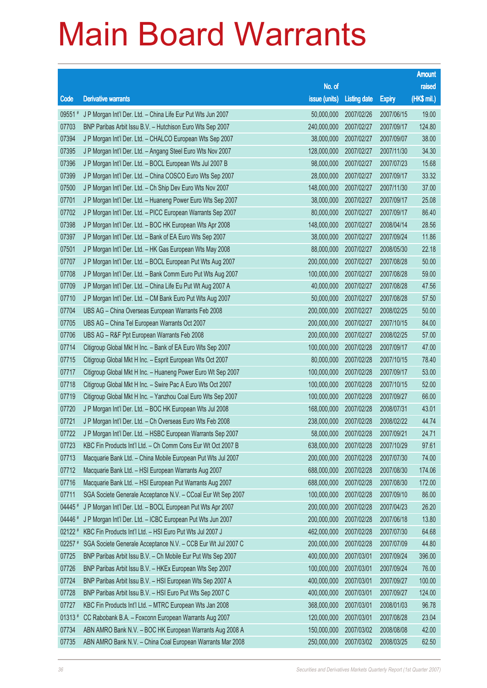|           |                                                              |               |                       |               | <b>Amount</b> |
|-----------|--------------------------------------------------------------|---------------|-----------------------|---------------|---------------|
|           |                                                              | No. of        |                       |               | raised        |
| Code      | <b>Derivative warrants</b>                                   | issue (units) | <b>Listing date</b>   | <b>Expiry</b> | (HK\$ mil.)   |
| 09551 #   | J P Morgan Int'l Der. Ltd. - China Life Eur Put Wts Jun 2007 | 50,000,000    | 2007/02/26            | 2007/06/15    | 19.00         |
| 07703     | BNP Paribas Arbit Issu B.V. - Hutchison Euro Wts Sep 2007    | 240,000,000   | 2007/02/27            | 2007/09/17    | 124.80        |
| 07394     | J P Morgan Int'l Der. Ltd. - CHALCO European Wts Sep 2007    | 38,000,000    | 2007/02/27            | 2007/09/07    | 38.00         |
| 07395     | J P Morgan Int'l Der. Ltd. - Angang Steel Euro Wts Nov 2007  | 128,000,000   | 2007/02/27            | 2007/11/30    | 34.30         |
| 07396     | J P Morgan Int'l Der. Ltd. - BOCL European Wts Jul 2007 B    | 98,000,000    | 2007/02/27            | 2007/07/23    | 15.68         |
| 07399     | J P Morgan Int'l Der. Ltd. - China COSCO Euro Wts Sep 2007   | 28,000,000    | 2007/02/27            | 2007/09/17    | 33.32         |
| 07500     | J P Morgan Int'l Der. Ltd. - Ch Ship Dev Euro Wts Nov 2007   | 148,000,000   | 2007/02/27            | 2007/11/30    | 37.00         |
| 07701     | J P Morgan Int'l Der. Ltd. - Huaneng Power Euro Wts Sep 2007 | 38,000,000    | 2007/02/27            | 2007/09/17    | 25.08         |
| 07702     | J P Morgan Int'l Der. Ltd. - PICC European Warrants Sep 2007 | 80,000,000    | 2007/02/27            | 2007/09/17    | 86.40         |
| 07398     | J P Morgan Int'l Der. Ltd. - BOC HK European Wts Apr 2008    | 148,000,000   | 2007/02/27            | 2008/04/14    | 28.56         |
| 07397     | J P Morgan Int'l Der. Ltd. - Bank of EA Euro Wts Sep 2007    | 38,000,000    | 2007/02/27            | 2007/09/24    | 11.86         |
| 07501     | J P Morgan Int'l Der. Ltd. - HK Gas European Wts May 2008    | 88,000,000    | 2007/02/27            | 2008/05/30    | 22.18         |
| 07707     | J P Morgan Int'l Der. Ltd. - BOCL European Put Wts Aug 2007  | 200,000,000   | 2007/02/27            | 2007/08/28    | 50.00         |
| 07708     | J P Morgan Int'l Der. Ltd. - Bank Comm Euro Put Wts Aug 2007 | 100,000,000   | 2007/02/27            | 2007/08/28    | 59.00         |
| 07709     | J P Morgan Int'l Der. Ltd. - China Life Eu Put Wt Aug 2007 A | 40,000,000    | 2007/02/27            | 2007/08/28    | 47.56         |
| 07710     | J P Morgan Int'l Der. Ltd. - CM Bank Euro Put Wts Aug 2007   | 50,000,000    | 2007/02/27            | 2007/08/28    | 57.50         |
| 07704     | UBS AG - China Overseas European Warrants Feb 2008           | 200,000,000   | 2007/02/27            | 2008/02/25    | 50.00         |
| 07705     | UBS AG - China Tel European Warrants Oct 2007                | 200,000,000   | 2007/02/27            | 2007/10/15    | 84.00         |
| 07706     | UBS AG - R&F Ppt European Warrants Feb 2008                  | 200,000,000   | 2007/02/27            | 2008/02/25    | 57.00         |
| 07714     | Citigroup Global Mkt H Inc. - Bank of EA Euro Wts Sep 2007   | 100,000,000   | 2007/02/28            | 2007/09/17    | 47.00         |
| 07715     | Citigroup Global Mkt H Inc. - Esprit European Wts Oct 2007   | 80,000,000    | 2007/02/28            | 2007/10/15    | 78.40         |
| 07717     | Citigroup Global Mkt H Inc. - Huaneng Power Euro Wt Sep 2007 | 100,000,000   | 2007/02/28            | 2007/09/17    | 53.00         |
| 07718     | Citigroup Global Mkt H Inc. - Swire Pac A Euro Wts Oct 2007  | 100,000,000   | 2007/02/28            | 2007/10/15    | 52.00         |
| 07719     | Citigroup Global Mkt H Inc. - Yanzhou Coal Euro Wts Sep 2007 | 100,000,000   | 2007/02/28            | 2007/09/27    | 66.00         |
| 07720     | J P Morgan Int'l Der. Ltd. - BOC HK European Wts Jul 2008    | 168,000,000   | 2007/02/28            | 2008/07/31    | 43.01         |
| 07721     | J P Morgan Int'l Der. Ltd. - Ch Overseas Euro Wts Feb 2008   | 238,000,000   | 2007/02/28            | 2008/02/22    | 44.74         |
| 07722     | J P Morgan Int'l Der. Ltd. - HSBC European Warrants Sep 2007 |               | 58,000,000 2007/02/28 | 2007/09/21    | 24.71         |
| 07723     | KBC Fin Products Int'l Ltd. - Ch Comm Cons Eur Wt Oct 2007 B | 638,000,000   | 2007/02/28            | 2007/10/29    | 97.61         |
| 07713     | Macquarie Bank Ltd. - China Mobile European Put Wts Jul 2007 | 200,000,000   | 2007/02/28            | 2007/07/30    | 74.00         |
| 07712     | Macquarie Bank Ltd. - HSI European Warrants Aug 2007         | 688,000,000   | 2007/02/28            | 2007/08/30    | 174.06        |
| 07716     | Macquarie Bank Ltd. - HSI European Put Warrants Aug 2007     | 688,000,000   | 2007/02/28            | 2007/08/30    | 172.00        |
| 07711     | SGA Societe Generale Acceptance N.V. - CCoal Eur Wt Sep 2007 | 100,000,000   | 2007/02/28            | 2007/09/10    | 86.00         |
| 04445 #   | J P Morgan Int'l Der. Ltd. - BOCL European Put Wts Apr 2007  | 200,000,000   | 2007/02/28            | 2007/04/23    | 26.20         |
| 04446 #   | J P Morgan Int'l Der. Ltd. - ICBC European Put Wts Jun 2007  | 200,000,000   | 2007/02/28            | 2007/06/18    | 13.80         |
| 02122 #   | KBC Fin Products Int'l Ltd. - HSI Euro Put Wts Jul 2007 J    | 462,000,000   | 2007/02/28            | 2007/07/30    | 64.68         |
| $02257$ # | SGA Societe Generale Acceptance N.V. - CCB Eur Wt Jul 2007 C | 200,000,000   | 2007/02/28            | 2007/07/09    | 44.80         |
| 07725     | BNP Paribas Arbit Issu B.V. - Ch Mobile Eur Put Wts Sep 2007 | 400,000,000   | 2007/03/01            | 2007/09/24    | 396.00        |
| 07726     | BNP Paribas Arbit Issu B.V. - HKEx European Wts Sep 2007     | 100,000,000   | 2007/03/01            | 2007/09/24    | 76.00         |
| 07724     | BNP Paribas Arbit Issu B.V. - HSI European Wts Sep 2007 A    | 400,000,000   | 2007/03/01            | 2007/09/27    | 100.00        |
| 07728     | BNP Paribas Arbit Issu B.V. - HSI Euro Put Wts Sep 2007 C    | 400,000,000   | 2007/03/01            | 2007/09/27    | 124.00        |
| 07727     | KBC Fin Products Int'l Ltd. - MTRC European Wts Jan 2008     | 368,000,000   | 2007/03/01            | 2008/01/03    | 96.78         |
| $01313*$  | CC Rabobank B.A. - Foxconn European Warrants Aug 2007        | 120,000,000   | 2007/03/01            | 2007/08/28    | 23.04         |
| 07734     | ABN AMRO Bank N.V. - BOC HK European Warrants Aug 2008 A     | 150,000,000   | 2007/03/02            | 2008/08/08    | 42.00         |
| 07735     | ABN AMRO Bank N.V. - China Coal European Warrants Mar 2008   | 250,000,000   | 2007/03/02            | 2008/03/25    | 62.50         |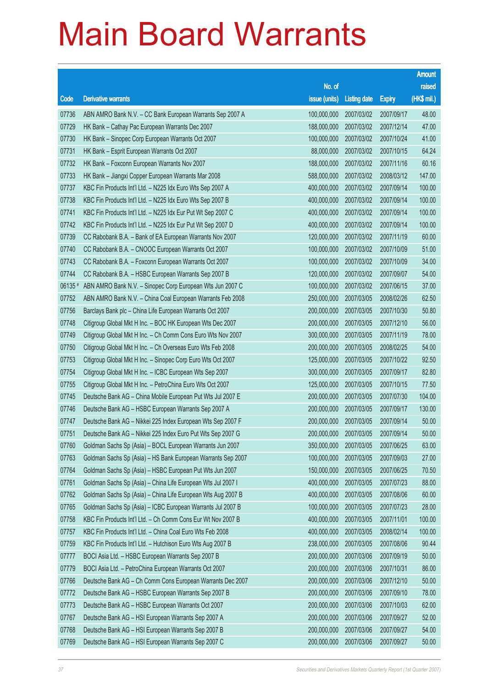|         |                                                              |                        |                     |               | <b>Amount</b> |
|---------|--------------------------------------------------------------|------------------------|---------------------|---------------|---------------|
|         |                                                              | No. of                 |                     |               | raised        |
| Code    | <b>Derivative warrants</b>                                   | issue (units)          | <b>Listing date</b> | <b>Expiry</b> | (HK\$ mil.)   |
| 07736   | ABN AMRO Bank N.V. - CC Bank European Warrants Sep 2007 A    | 100,000,000            | 2007/03/02          | 2007/09/17    | 48.00         |
| 07729   | HK Bank - Cathay Pac European Warrants Dec 2007              | 188,000,000            | 2007/03/02          | 2007/12/14    | 47.00         |
| 07730   | HK Bank - Sinopec Corp European Warrants Oct 2007            | 100,000,000            | 2007/03/02          | 2007/10/24    | 41.00         |
| 07731   | HK Bank - Esprit European Warrants Oct 2007                  | 88,000,000             | 2007/03/02          | 2007/10/15    | 64.24         |
| 07732   | HK Bank - Foxconn European Warrants Nov 2007                 | 188,000,000            | 2007/03/02          | 2007/11/16    | 60.16         |
| 07733   | HK Bank - Jiangxi Copper European Warrants Mar 2008          | 588,000,000            | 2007/03/02          | 2008/03/12    | 147.00        |
| 07737   | KBC Fin Products Int'l Ltd. - N225 Idx Euro Wts Sep 2007 A   | 400,000,000            | 2007/03/02          | 2007/09/14    | 100.00        |
| 07738   | KBC Fin Products Int'l Ltd. - N225 Idx Euro Wts Sep 2007 B   | 400,000,000            | 2007/03/02          | 2007/09/14    | 100.00        |
| 07741   | KBC Fin Products Int'l Ltd. - N225 Idx Eur Put Wt Sep 2007 C | 400,000,000            | 2007/03/02          | 2007/09/14    | 100.00        |
| 07742   | KBC Fin Products Int'l Ltd. - N225 Idx Eur Put Wt Sep 2007 D | 400,000,000            | 2007/03/02          | 2007/09/14    | 100.00        |
| 07739   | CC Rabobank B.A. - Bank of EA European Warrants Nov 2007     | 120,000,000            | 2007/03/02          | 2007/11/19    | 60.00         |
| 07740   | CC Rabobank B.A. - CNOOC European Warrants Oct 2007          | 100,000,000            | 2007/03/02          | 2007/10/09    | 51.00         |
| 07743   | CC Rabobank B.A. - Foxconn European Warrants Oct 2007        | 100,000,000            | 2007/03/02          | 2007/10/09    | 34.00         |
| 07744   | CC Rabobank B.A. - HSBC European Warrants Sep 2007 B         | 120,000,000            | 2007/03/02          | 2007/09/07    | 54.00         |
| 06135 # | ABN AMRO Bank N.V. - Sinopec Corp European Wts Jun 2007 C    | 100,000,000            | 2007/03/02          | 2007/06/15    | 37.00         |
| 07752   | ABN AMRO Bank N.V. - China Coal European Warrants Feb 2008   | 250,000,000            | 2007/03/05          | 2008/02/26    | 62.50         |
| 07756   | Barclays Bank plc - China Life European Warrants Oct 2007    | 200,000,000            | 2007/03/05          | 2007/10/30    | 50.80         |
| 07748   | Citigroup Global Mkt H Inc. - BOC HK European Wts Dec 2007   | 200,000,000            | 2007/03/05          | 2007/12/10    | 56.00         |
| 07749   | Citigroup Global Mkt H Inc. - Ch Comm Cons Euro Wts Nov 2007 | 300,000,000            | 2007/03/05          | 2007/11/19    | 78.00         |
| 07750   | Citigroup Global Mkt H Inc. - Ch Overseas Euro Wts Feb 2008  | 200,000,000            | 2007/03/05          | 2008/02/25    | 54.00         |
| 07753   | Citigroup Global Mkt H Inc. - Sinopec Corp Euro Wts Oct 2007 | 125,000,000            | 2007/03/05          | 2007/10/22    | 92.50         |
| 07754   | Citigroup Global Mkt H Inc. - ICBC European Wts Sep 2007     | 300,000,000            | 2007/03/05          | 2007/09/17    | 82.80         |
| 07755   | Citigroup Global Mkt H Inc. - PetroChina Euro Wts Oct 2007   | 125,000,000            | 2007/03/05          | 2007/10/15    | 77.50         |
| 07745   | Deutsche Bank AG - China Mobile European Put Wts Jul 2007 E  | 200,000,000            | 2007/03/05          | 2007/07/30    | 104.00        |
| 07746   | Deutsche Bank AG - HSBC European Warrants Sep 2007 A         | 200,000,000            | 2007/03/05          | 2007/09/17    | 130.00        |
| 07747   | Deutsche Bank AG - Nikkei 225 Index European Wts Sep 2007 F  | 200,000,000            | 2007/03/05          | 2007/09/14    | 50.00         |
| 07751   | Deutsche Bank AG - Nikkei 225 Index Euro Put Wts Sep 2007 G  | 200,000,000 2007/03/05 |                     | 2007/09/14    | 50.00         |
| 07760   | Goldman Sachs Sp (Asia) - BOCL European Warrants Jun 2007    | 350,000,000            | 2007/03/05          | 2007/06/25    | 63.00         |
| 07763   | Goldman Sachs Sp (Asia) - HS Bank European Warrants Sep 2007 | 100,000,000            | 2007/03/05          | 2007/09/03    | 27.00         |
| 07764   | Goldman Sachs Sp (Asia) - HSBC European Put Wts Jun 2007     | 150,000,000            | 2007/03/05          | 2007/06/25    | 70.50         |
| 07761   | Goldman Sachs Sp (Asia) - China Life European Wts Jul 2007 I | 400,000,000            | 2007/03/05          | 2007/07/23    | 88.00         |
| 07762   | Goldman Sachs Sp (Asia) - China Life European Wts Aug 2007 B | 400,000,000            | 2007/03/05          | 2007/08/06    | 60.00         |
| 07765   | Goldman Sachs Sp (Asia) - ICBC European Warrants Jul 2007 B  | 100,000,000            | 2007/03/05          | 2007/07/23    | 28.00         |
| 07758   | KBC Fin Products Int'l Ltd. - Ch Comm Cons Eur Wt Nov 2007 B | 400,000,000            | 2007/03/05          | 2007/11/01    | 100.00        |
| 07757   | KBC Fin Products Int'l Ltd. - China Coal Euro Wts Feb 2008   | 400,000,000            | 2007/03/05          | 2008/02/14    | 100.00        |
| 07759   | KBC Fin Products Int'l Ltd. - Hutchison Euro Wts Aug 2007 B  | 238,000,000            | 2007/03/05          | 2007/08/06    | 90.44         |
| 07777   | BOCI Asia Ltd. - HSBC European Warrants Sep 2007 B           | 200,000,000            | 2007/03/06          | 2007/09/19    | 50.00         |
| 07779   | BOCI Asia Ltd. - PetroChina European Warrants Oct 2007       | 200,000,000            | 2007/03/06          | 2007/10/31    | 86.00         |
| 07766   | Deutsche Bank AG - Ch Comm Cons European Warrants Dec 2007   | 200,000,000            | 2007/03/06          | 2007/12/10    | 50.00         |
| 07772   | Deutsche Bank AG - HSBC European Warrants Sep 2007 B         | 200,000,000            | 2007/03/06          | 2007/09/10    | 78.00         |
| 07773   | Deutsche Bank AG - HSBC European Warrants Oct 2007           | 200,000,000            | 2007/03/06          | 2007/10/03    | 62.00         |
| 07767   | Deutsche Bank AG - HSI European Warrants Sep 2007 A          | 200,000,000            | 2007/03/06          | 2007/09/27    | 52.00         |
| 07768   | Deutsche Bank AG - HSI European Warrants Sep 2007 B          | 200,000,000            | 2007/03/06          | 2007/09/27    | 54.00         |
| 07769   | Deutsche Bank AG - HSI European Warrants Sep 2007 C          | 200,000,000            | 2007/03/06          | 2007/09/27    | 50.00         |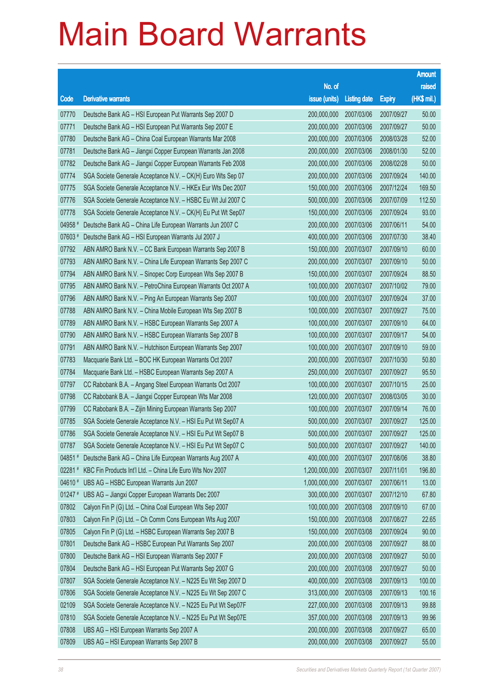|           |                                                              |                        |                     |               | <b>Amount</b> |
|-----------|--------------------------------------------------------------|------------------------|---------------------|---------------|---------------|
|           |                                                              | No. of                 |                     |               | raised        |
| Code      | <b>Derivative warrants</b>                                   | issue (units)          | <b>Listing date</b> | <b>Expiry</b> | (HK\$ mil.)   |
| 07770     | Deutsche Bank AG - HSI European Put Warrants Sep 2007 D      | 200,000,000            | 2007/03/06          | 2007/09/27    | 50.00         |
| 07771     | Deutsche Bank AG - HSI European Put Warrants Sep 2007 E      | 200,000,000            | 2007/03/06          | 2007/09/27    | 50.00         |
| 07780     | Deutsche Bank AG - China Coal European Warrants Mar 2008     | 200,000,000            | 2007/03/06          | 2008/03/28    | 52.00         |
| 07781     | Deutsche Bank AG - Jiangxi Copper European Warrants Jan 2008 | 200,000,000            | 2007/03/06          | 2008/01/30    | 52.00         |
| 07782     | Deutsche Bank AG - Jiangxi Copper European Warrants Feb 2008 | 200,000,000            | 2007/03/06          | 2008/02/28    | 50.00         |
| 07774     | SGA Societe Generale Acceptance N.V. - CK(H) Euro Wts Sep 07 | 200,000,000            | 2007/03/06          | 2007/09/24    | 140.00        |
| 07775     | SGA Societe Generale Acceptance N.V. - HKEx Eur Wts Dec 2007 | 150,000,000            | 2007/03/06          | 2007/12/24    | 169.50        |
| 07776     | SGA Societe Generale Acceptance N.V. - HSBC Eu Wt Jul 2007 C | 500,000,000            | 2007/03/06          | 2007/07/09    | 112.50        |
| 07778     | SGA Societe Generale Acceptance N.V. - CK(H) Eu Put Wt Sep07 | 150,000,000            | 2007/03/06          | 2007/09/24    | 93.00         |
| 04958 #   | Deutsche Bank AG - China Life European Warrants Jun 2007 C   | 200,000,000            | 2007/03/06          | 2007/06/11    | 54.00         |
| 07603 #   | Deutsche Bank AG - HSI European Warrants Jul 2007 J          | 400,000,000            | 2007/03/06          | 2007/07/30    | 38.40         |
| 07792     | ABN AMRO Bank N.V. - CC Bank European Warrants Sep 2007 B    | 150,000,000            | 2007/03/07          | 2007/09/10    | 60.00         |
| 07793     | ABN AMRO Bank N.V. - China Life European Warrants Sep 2007 C | 200,000,000            | 2007/03/07          | 2007/09/10    | 50.00         |
| 07794     | ABN AMRO Bank N.V. - Sinopec Corp European Wts Sep 2007 B    | 150,000,000            | 2007/03/07          | 2007/09/24    | 88.50         |
| 07795     | ABN AMRO Bank N.V. - PetroChina European Warrants Oct 2007 A | 100,000,000            | 2007/03/07          | 2007/10/02    | 79.00         |
| 07796     | ABN AMRO Bank N.V. - Ping An European Warrants Sep 2007      | 100,000,000            | 2007/03/07          | 2007/09/24    | 37.00         |
| 07788     | ABN AMRO Bank N.V. - China Mobile European Wts Sep 2007 B    | 100,000,000            | 2007/03/07          | 2007/09/27    | 75.00         |
| 07789     | ABN AMRO Bank N.V. - HSBC European Warrants Sep 2007 A       | 100,000,000            | 2007/03/07          | 2007/09/10    | 64.00         |
| 07790     | ABN AMRO Bank N.V. - HSBC European Warrants Sep 2007 B       | 100,000,000            | 2007/03/07          | 2007/09/17    | 54.00         |
| 07791     | ABN AMRO Bank N.V. - Hutchison European Warrants Sep 2007    | 100,000,000            | 2007/03/07          | 2007/09/10    | 59.00         |
| 07783     | Macquarie Bank Ltd. - BOC HK European Warrants Oct 2007      | 200,000,000            | 2007/03/07          | 2007/10/30    | 50.80         |
| 07784     | Macquarie Bank Ltd. - HSBC European Warrants Sep 2007 A      | 250,000,000            | 2007/03/07          | 2007/09/27    | 95.50         |
| 07797     | CC Rabobank B.A. - Angang Steel European Warrants Oct 2007   | 100,000,000            | 2007/03/07          | 2007/10/15    | 25.00         |
| 07798     | CC Rabobank B.A. - Jiangxi Copper European Wts Mar 2008      | 120,000,000            | 2007/03/07          | 2008/03/05    | 30.00         |
| 07799     | CC Rabobank B.A. - Zijin Mining European Warrants Sep 2007   | 100,000,000            | 2007/03/07          | 2007/09/14    | 76.00         |
| 07785     | SGA Societe Generale Acceptance N.V. - HSI Eu Put Wt Sep07 A | 500,000,000            | 2007/03/07          | 2007/09/27    | 125.00        |
| 07786     | SGA Societe Generale Acceptance N.V. - HSI Eu Put Wt Sep07 B | 500,000,000 2007/03/07 |                     | 2007/09/27    | 125.00        |
| 07787     | SGA Societe Generale Acceptance N.V. - HSI Eu Put Wt Sep07 C | 500,000,000            | 2007/03/07          | 2007/09/27    | 140.00        |
| 04851#    | Deutsche Bank AG - China Life European Warrants Aug 2007 A   | 400,000,000            | 2007/03/07          | 2007/08/06    | 38.80         |
| 02281 #   | KBC Fin Products Int'l Ltd. - China Life Euro Wts Nov 2007   | 1,200,000,000          | 2007/03/07          | 2007/11/01    | 196.80        |
| 04610 #   | UBS AG - HSBC European Warrants Jun 2007                     | 1,000,000,000          | 2007/03/07          | 2007/06/11    | 13.00         |
| $01247$ # | UBS AG - Jiangxi Copper European Warrants Dec 2007           | 300,000,000            | 2007/03/07          | 2007/12/10    | 67.80         |
| 07802     | Calyon Fin P (G) Ltd. - China Coal European Wts Sep 2007     | 100,000,000            | 2007/03/08          | 2007/09/10    | 67.00         |
| 07803     | Calyon Fin P (G) Ltd. - Ch Comm Cons European Wts Aug 2007   | 150,000,000            | 2007/03/08          | 2007/08/27    | 22.65         |
| 07805     | Calyon Fin P (G) Ltd. - HSBC European Warrants Sep 2007 B    | 150,000,000            | 2007/03/08          | 2007/09/24    | 90.00         |
| 07801     | Deutsche Bank AG - HSBC European Put Warrants Sep 2007       | 200,000,000            | 2007/03/08          | 2007/09/27    | 88.00         |
| 07800     | Deutsche Bank AG - HSI European Warrants Sep 2007 F          | 200,000,000            | 2007/03/08          | 2007/09/27    | 50.00         |
| 07804     | Deutsche Bank AG - HSI European Put Warrants Sep 2007 G      | 200,000,000            | 2007/03/08          | 2007/09/27    | 50.00         |
| 07807     | SGA Societe Generale Acceptance N.V. - N225 Eu Wt Sep 2007 D | 400,000,000            | 2007/03/08          | 2007/09/13    | 100.00        |
| 07806     | SGA Societe Generale Acceptance N.V. - N225 Eu Wt Sep 2007 C | 313,000,000            | 2007/03/08          | 2007/09/13    | 100.16        |
| 02109     | SGA Societe Generale Acceptance N.V. - N225 Eu Put Wt Sep07F | 227,000,000            | 2007/03/08          | 2007/09/13    | 99.88         |
| 07810     | SGA Societe Generale Acceptance N.V. - N225 Eu Put Wt Sep07E | 357,000,000            | 2007/03/08          | 2007/09/13    | 99.96         |
| 07808     | UBS AG - HSI European Warrants Sep 2007 A                    | 200,000,000            | 2007/03/08          | 2007/09/27    | 65.00         |
| 07809     | UBS AG - HSI European Warrants Sep 2007 B                    | 200,000,000            | 2007/03/08          | 2007/09/27    | 55.00         |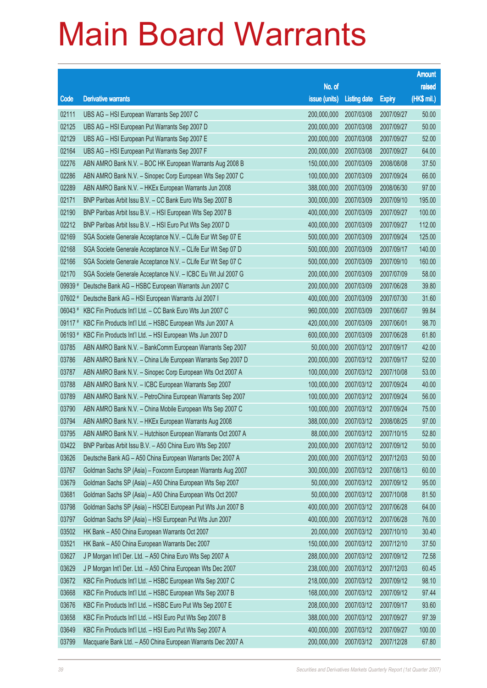|         |                                                              |               |                       |               | <b>Amount</b> |
|---------|--------------------------------------------------------------|---------------|-----------------------|---------------|---------------|
|         |                                                              | No. of        |                       |               | raised        |
| Code    | <b>Derivative warrants</b>                                   | issue (units) | <b>Listing date</b>   | <b>Expiry</b> | (HK\$ mil.)   |
| 02111   | UBS AG - HSI European Warrants Sep 2007 C                    | 200,000,000   | 2007/03/08            | 2007/09/27    | 50.00         |
| 02125   | UBS AG - HSI European Put Warrants Sep 2007 D                | 200,000,000   | 2007/03/08            | 2007/09/27    | 50.00         |
| 02129   | UBS AG - HSI European Put Warrants Sep 2007 E                | 200,000,000   | 2007/03/08            | 2007/09/27    | 52.00         |
| 02164   | UBS AG - HSI European Put Warrants Sep 2007 F                | 200,000,000   | 2007/03/08            | 2007/09/27    | 64.00         |
| 02276   | ABN AMRO Bank N.V. - BOC HK European Warrants Aug 2008 B     | 150,000,000   | 2007/03/09            | 2008/08/08    | 37.50         |
| 02286   | ABN AMRO Bank N.V. - Sinopec Corp European Wts Sep 2007 C    | 100,000,000   | 2007/03/09            | 2007/09/24    | 66.00         |
| 02289   | ABN AMRO Bank N.V. - HKEx European Warrants Jun 2008         | 388,000,000   | 2007/03/09            | 2008/06/30    | 97.00         |
| 02171   | BNP Paribas Arbit Issu B.V. - CC Bank Euro Wts Sep 2007 B    | 300,000,000   | 2007/03/09            | 2007/09/10    | 195.00        |
| 02190   | BNP Paribas Arbit Issu B.V. - HSI European Wts Sep 2007 B    | 400,000,000   | 2007/03/09            | 2007/09/27    | 100.00        |
| 02212   | BNP Paribas Arbit Issu B.V. - HSI Euro Put Wts Sep 2007 D    | 400,000,000   | 2007/03/09            | 2007/09/27    | 112.00        |
| 02169   | SGA Societe Generale Acceptance N.V. - CLife Eur Wt Sep 07 E | 500,000,000   | 2007/03/09            | 2007/09/24    | 125.00        |
| 02168   | SGA Societe Generale Acceptance N.V. - CLife Eur Wt Sep 07 D | 500,000,000   | 2007/03/09            | 2007/09/17    | 140.00        |
| 02166   | SGA Societe Generale Acceptance N.V. - CLife Eur Wt Sep 07 C | 500,000,000   | 2007/03/09            | 2007/09/10    | 160.00        |
| 02170   | SGA Societe Generale Acceptance N.V. - ICBC Eu Wt Jul 2007 G | 200,000,000   | 2007/03/09            | 2007/07/09    | 58.00         |
| 09939#  | Deutsche Bank AG - HSBC European Warrants Jun 2007 C         | 200,000,000   | 2007/03/09            | 2007/06/28    | 39.80         |
| 07602 # | Deutsche Bank AG - HSI European Warrants Jul 2007 I          | 400,000,000   | 2007/03/09            | 2007/07/30    | 31.60         |
| 06043#  | KBC Fin Products Int'l Ltd. - CC Bank Euro Wts Jun 2007 C    | 960,000,000   | 2007/03/09            | 2007/06/07    | 99.84         |
| 09117#  | KBC Fin Products Int'l Ltd. - HSBC European Wts Jun 2007 A   | 420,000,000   | 2007/03/09            | 2007/06/01    | 98.70         |
| 06193#  | KBC Fin Products Int'l Ltd. - HSI European Wts Jun 2007 D    | 600,000,000   | 2007/03/09            | 2007/06/28    | 61.80         |
| 03785   | ABN AMRO Bank N.V. - BankComm European Warrants Sep 2007     | 50,000,000    | 2007/03/12            | 2007/09/17    | 42.00         |
| 03786   | ABN AMRO Bank N.V. - China Life European Warrants Sep 2007 D | 200,000,000   | 2007/03/12            | 2007/09/17    | 52.00         |
| 03787   | ABN AMRO Bank N.V. - Sinopec Corp European Wts Oct 2007 A    | 100,000,000   | 2007/03/12            | 2007/10/08    | 53.00         |
| 03788   | ABN AMRO Bank N.V. - ICBC European Warrants Sep 2007         | 100,000,000   | 2007/03/12            | 2007/09/24    | 40.00         |
| 03789   | ABN AMRO Bank N.V. - PetroChina European Warrants Sep 2007   | 100,000,000   | 2007/03/12            | 2007/09/24    | 56.00         |
| 03790   | ABN AMRO Bank N.V. - China Mobile European Wts Sep 2007 C    | 100,000,000   | 2007/03/12            | 2007/09/24    | 75.00         |
| 03794   | ABN AMRO Bank N.V. - HKEx European Warrants Aug 2008         | 388,000,000   | 2007/03/12            | 2008/08/25    | 97.00         |
| 03795   | ABN AMRO Bank N.V. - Hutchison European Warrants Oct 2007 A  |               | 88,000,000 2007/03/12 | 2007/10/15    | 52.80         |
| 03422   | BNP Paribas Arbit Issu B.V. - A50 China Euro Wts Sep 2007    | 200,000,000   | 2007/03/12            | 2007/09/12    | 50.00         |
| 03626   | Deutsche Bank AG - A50 China European Warrants Dec 2007 A    | 200,000,000   | 2007/03/12            | 2007/12/03    | 50.00         |
| 03767   | Goldman Sachs SP (Asia) - Foxconn European Warrants Aug 2007 | 300,000,000   | 2007/03/12            | 2007/08/13    | 60.00         |
| 03679   | Goldman Sachs SP (Asia) - A50 China European Wts Sep 2007    | 50,000,000    | 2007/03/12            | 2007/09/12    | 95.00         |
| 03681   | Goldman Sachs SP (Asia) - A50 China European Wts Oct 2007    | 50,000,000    | 2007/03/12            | 2007/10/08    | 81.50         |
| 03798   | Goldman Sachs SP (Asia) - HSCEI European Put Wts Jun 2007 B  | 400,000,000   | 2007/03/12            | 2007/06/28    | 64.00         |
| 03797   | Goldman Sachs SP (Asia) - HSI European Put Wts Jun 2007      | 400,000,000   | 2007/03/12            | 2007/06/28    | 76.00         |
| 03502   | HK Bank - A50 China European Warrants Oct 2007               | 20,000,000    | 2007/03/12            | 2007/10/10    | 30.40         |
| 03521   | HK Bank - A50 China European Warrants Dec 2007               | 150,000,000   | 2007/03/12            | 2007/12/10    | 37.50         |
| 03627   | J P Morgan Int'l Der. Ltd. - A50 China Euro Wts Sep 2007 A   | 288,000,000   | 2007/03/12            | 2007/09/12    | 72.58         |
| 03629   | J P Morgan Int'l Der. Ltd. - A50 China European Wts Dec 2007 | 238,000,000   | 2007/03/12            | 2007/12/03    | 60.45         |
| 03672   | KBC Fin Products Int'l Ltd. - HSBC European Wts Sep 2007 C   | 218,000,000   | 2007/03/12            | 2007/09/12    | 98.10         |
| 03668   | KBC Fin Products Int'l Ltd. - HSBC European Wts Sep 2007 B   | 168,000,000   | 2007/03/12            | 2007/09/12    | 97.44         |
| 03676   | KBC Fin Products Int'l Ltd. - HSBC Euro Put Wts Sep 2007 E   | 208,000,000   | 2007/03/12            | 2007/09/17    | 93.60         |
| 03658   | KBC Fin Products Int'l Ltd. - HSI Euro Put Wts Sep 2007 B    | 388,000,000   | 2007/03/12            | 2007/09/27    | 97.39         |
| 03649   | KBC Fin Products Int'l Ltd. - HSI Euro Put Wts Sep 2007 A    | 400,000,000   | 2007/03/12            | 2007/09/27    | 100.00        |
| 03799   | Macquarie Bank Ltd. - A50 China European Warrants Dec 2007 A | 200,000,000   | 2007/03/12            | 2007/12/28    | 67.80         |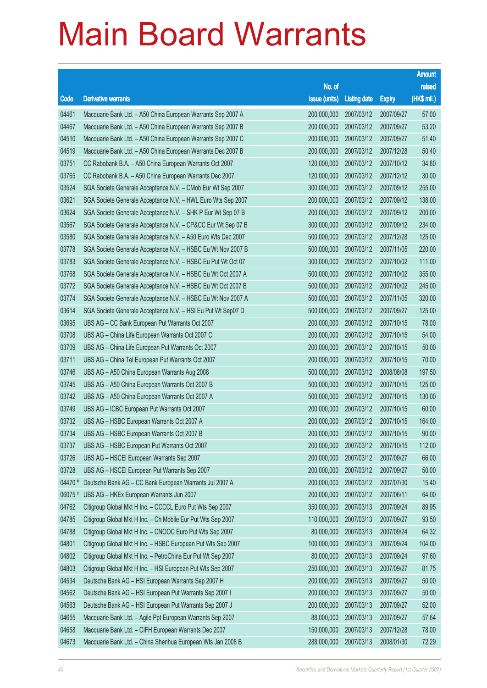|         |                                                              |                        |                     |               | <b>Amount</b> |
|---------|--------------------------------------------------------------|------------------------|---------------------|---------------|---------------|
|         |                                                              | No. of                 |                     |               | raised        |
| Code    | <b>Derivative warrants</b>                                   | issue (units)          | <b>Listing date</b> | <b>Expiry</b> | (HK\$ mil.)   |
| 04461   | Macquarie Bank Ltd. - A50 China European Warrants Sep 2007 A | 200,000,000            | 2007/03/12          | 2007/09/27    | 57.00         |
| 04467   | Macquarie Bank Ltd. - A50 China European Warrants Sep 2007 B | 200,000,000            | 2007/03/12          | 2007/09/27    | 53.20         |
| 04510   | Macquarie Bank Ltd. - A50 China European Warrants Sep 2007 C | 200,000,000            | 2007/03/12          | 2007/09/27    | 51.40         |
| 04519   | Macquarie Bank Ltd. - A50 China European Warrants Dec 2007 B | 200,000,000            | 2007/03/12          | 2007/12/28    | 50.40         |
| 03751   | CC Rabobank B.A. - A50 China European Warrants Oct 2007      | 120,000,000            | 2007/03/12          | 2007/10/12    | 34.80         |
| 03765   | CC Rabobank B.A. - A50 China European Warrants Dec 2007      | 120,000,000            | 2007/03/12          | 2007/12/12    | 30.00         |
| 03524   | SGA Societe Generale Acceptance N.V. - CMob Eur Wt Sep 2007  | 300,000,000            | 2007/03/12          | 2007/09/12    | 255.00        |
| 03621   | SGA Societe Generale Acceptance N.V. - HWL Euro Wts Sep 2007 | 200,000,000            | 2007/03/12          | 2007/09/12    | 138.00        |
| 03624   | SGA Societe Generale Acceptance N.V. - SHK P Eur Wt Sep 07 B | 200,000,000            | 2007/03/12          | 2007/09/12    | 200.00        |
| 03567   | SGA Societe Generale Acceptance N.V. - CP&CC Eur Wt Sep 07 B | 300,000,000            | 2007/03/12          | 2007/09/12    | 234.00        |
| 03580   | SGA Societe Generale Acceptance N.V. - A50 Euro Wts Dec 2007 | 500,000,000            | 2007/03/12          | 2007/12/28    | 125.00        |
| 03778   | SGA Societe Generale Acceptance N.V. - HSBC Eu Wt Nov 2007 B | 500,000,000            | 2007/03/12          | 2007/11/05    | 220.00        |
| 03783   | SGA Societe Generale Acceptance N.V. - HSBC Eu Put Wt Oct 07 | 300,000,000            | 2007/03/12          | 2007/10/02    | 111.00        |
| 03768   | SGA Societe Generale Acceptance N.V. - HSBC Eu Wt Oct 2007 A | 500,000,000            | 2007/03/12          | 2007/10/02    | 355.00        |
| 03772   | SGA Societe Generale Acceptance N.V. - HSBC Eu Wt Oct 2007 B | 500,000,000            | 2007/03/12          | 2007/10/02    | 245.00        |
| 03774   | SGA Societe Generale Acceptance N.V. - HSBC Eu Wt Nov 2007 A | 500,000,000            | 2007/03/12          | 2007/11/05    | 320.00        |
| 03614   | SGA Societe Generale Acceptance N.V. - HSI Eu Put Wt Sep07 D | 500,000,000            | 2007/03/12          | 2007/09/27    | 125.00        |
| 03695   | UBS AG – CC Bank European Put Warrants Oct 2007              | 200,000,000            | 2007/03/12          | 2007/10/15    | 78.00         |
| 03708   | UBS AG - China Life European Warrants Oct 2007 C             | 200,000,000            | 2007/03/12          | 2007/10/15    | 54.00         |
| 03709   | UBS AG - China Life European Put Warrants Oct 2007           | 200,000,000            | 2007/03/12          | 2007/10/15    | 50.00         |
| 03711   | UBS AG - China Tel European Put Warrants Oct 2007            | 200,000,000            | 2007/03/12          | 2007/10/15    | 70.00         |
| 03746   | UBS AG - A50 China European Warrants Aug 2008                | 500,000,000            | 2007/03/12          | 2008/08/08    | 197.50        |
| 03745   | UBS AG - A50 China European Warrants Oct 2007 B              | 500,000,000            | 2007/03/12          | 2007/10/15    | 125.00        |
| 03742   | UBS AG - A50 China European Warrants Oct 2007 A              | 500,000,000            | 2007/03/12          | 2007/10/15    | 130.00        |
| 03749   | UBS AG - ICBC European Put Warrants Oct 2007                 | 200,000,000            | 2007/03/12          | 2007/10/15    | 60.00         |
| 03732   | UBS AG - HSBC European Warrants Oct 2007 A                   | 200,000,000            | 2007/03/12          | 2007/10/15    | 164.00        |
| 03734   | UBS AG - HSBC European Warrants Oct 2007 B                   | 200,000,000 2007/03/12 |                     | 2007/10/15    | 90.00         |
| 03737   | UBS AG - HSBC European Put Warrants Oct 2007                 | 200,000,000            | 2007/03/12          | 2007/10/15    | 112.00        |
| 03726   | UBS AG - HSCEI European Warrants Sep 2007                    | 200,000,000            | 2007/03/12          | 2007/09/27    | 66.00         |
| 03728   | UBS AG - HSCEI European Put Warrants Sep 2007                | 200,000,000            | 2007/03/12          | 2007/09/27    | 50.00         |
| 04470 # | Deutsche Bank AG - CC Bank European Warrants Jul 2007 A      | 200,000,000            | 2007/03/12          | 2007/07/30    | 15.40         |
| 06075 # | UBS AG - HKEx European Warrants Jun 2007                     | 200,000,000            | 2007/03/12          | 2007/06/11    | 64.00         |
| 04762   | Citigroup Global Mkt H Inc. - CCCCL Euro Put Wts Sep 2007    | 350,000,000            | 2007/03/13          | 2007/09/24    | 89.95         |
| 04785   | Citigroup Global Mkt H Inc. - Ch Mobile Eur Put Wts Sep 2007 | 110,000,000            | 2007/03/13          | 2007/09/27    | 93.50         |
| 04788   | Citigroup Global Mkt H Inc. - CNOOC Euro Put Wts Sep 2007    | 80,000,000             | 2007/03/13          | 2007/09/24    | 64.32         |
| 04801   | Citigroup Global Mkt H Inc. - HSBC European Put Wts Sep 2007 | 100,000,000            | 2007/03/13          | 2007/09/24    | 104.00        |
| 04802   | Citigroup Global Mkt H Inc. - PetroChina Eur Put Wt Sep 2007 | 80,000,000             | 2007/03/13          | 2007/09/24    | 97.60         |
| 04803   | Citigroup Global Mkt H Inc. - HSI European Put Wts Sep 2007  | 250,000,000            | 2007/03/13          | 2007/09/27    | 81.75         |
| 04534   | Deutsche Bank AG - HSI European Warrants Sep 2007 H          | 200,000,000            | 2007/03/13          | 2007/09/27    | 50.00         |
| 04562   | Deutsche Bank AG - HSI European Put Warrants Sep 2007 I      | 200,000,000            | 2007/03/13          | 2007/09/27    | 50.00         |
| 04563   | Deutsche Bank AG - HSI European Put Warrants Sep 2007 J      | 200,000,000            | 2007/03/13          | 2007/09/27    | 52.00         |
| 04655   | Macquarie Bank Ltd. - Agile Ppt European Warrants Sep 2007   | 88,000,000             | 2007/03/13          | 2007/09/27    | 57.64         |
| 04658   | Macquarie Bank Ltd. - CIFH European Warrants Dec 2007        | 150,000,000            | 2007/03/13          | 2007/12/28    | 78.00         |
| 04673   | Macquarie Bank Ltd. - China Shenhua European Wts Jan 2008 B  | 288,000,000            | 2007/03/13          | 2008/01/30    | 72.29         |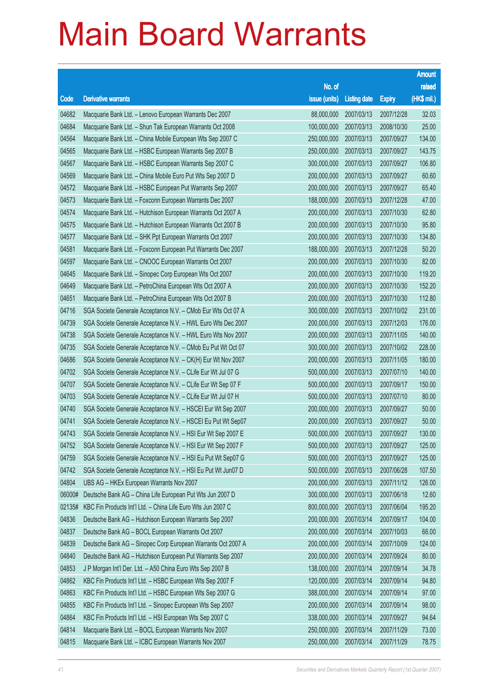|        |                                                              |               |                     |               | <b>Amount</b> |
|--------|--------------------------------------------------------------|---------------|---------------------|---------------|---------------|
|        |                                                              | No. of        |                     |               | raised        |
| Code   | <b>Derivative warrants</b>                                   | issue (units) | <b>Listing date</b> | <b>Expiry</b> | (HK\$ mil.)   |
| 04682  | Macquarie Bank Ltd. - Lenovo European Warrants Dec 2007      | 88,000,000    | 2007/03/13          | 2007/12/28    | 32.03         |
| 04684  | Macquarie Bank Ltd. - Shun Tak European Warrants Oct 2008    | 100,000,000   | 2007/03/13          | 2008/10/30    | 25.00         |
| 04564  | Macquarie Bank Ltd. - China Mobile European Wts Sep 2007 C   | 250,000,000   | 2007/03/13          | 2007/09/27    | 134.00        |
| 04565  | Macquarie Bank Ltd. - HSBC European Warrants Sep 2007 B      | 250,000,000   | 2007/03/13          | 2007/09/27    | 143.75        |
| 04567  | Macquarie Bank Ltd. - HSBC European Warrants Sep 2007 C      | 300,000,000   | 2007/03/13          | 2007/09/27    | 106.80        |
| 04569  | Macquarie Bank Ltd. - China Mobile Euro Put Wts Sep 2007 D   | 200,000,000   | 2007/03/13          | 2007/09/27    | 60.60         |
| 04572  | Macquarie Bank Ltd. - HSBC European Put Warrants Sep 2007    | 200,000,000   | 2007/03/13          | 2007/09/27    | 65.40         |
| 04573  | Macquarie Bank Ltd. - Foxconn European Warrants Dec 2007     | 188,000,000   | 2007/03/13          | 2007/12/28    | 47.00         |
| 04574  | Macquarie Bank Ltd. - Hutchison European Warrants Oct 2007 A | 200,000,000   | 2007/03/13          | 2007/10/30    | 62.80         |
| 04575  | Macquarie Bank Ltd. - Hutchison European Warrants Oct 2007 B | 200,000,000   | 2007/03/13          | 2007/10/30    | 95.80         |
| 04577  | Macquarie Bank Ltd. - SHK Ppt European Warrants Oct 2007     | 200,000,000   | 2007/03/13          | 2007/10/30    | 134.80        |
| 04581  | Macquarie Bank Ltd. - Foxconn European Put Warrants Dec 2007 | 188,000,000   | 2007/03/13          | 2007/12/28    | 50.20         |
| 04597  | Macquarie Bank Ltd. - CNOOC European Warrants Oct 2007       | 200,000,000   | 2007/03/13          | 2007/10/30    | 82.00         |
| 04645  | Macquarie Bank Ltd. - Sinopec Corp European Wts Oct 2007     | 200,000,000   | 2007/03/13          | 2007/10/30    | 119.20        |
| 04649  | Macquarie Bank Ltd. - PetroChina European Wts Oct 2007 A     | 200,000,000   | 2007/03/13          | 2007/10/30    | 152.20        |
| 04651  | Macquarie Bank Ltd. - PetroChina European Wts Oct 2007 B     | 200,000,000   | 2007/03/13          | 2007/10/30    | 112.80        |
| 04716  | SGA Societe Generale Acceptance N.V. - CMob Eur Wts Oct 07 A | 300,000,000   | 2007/03/13          | 2007/10/02    | 231.00        |
| 04739  | SGA Societe Generale Acceptance N.V. - HWL Euro Wts Dec 2007 | 200,000,000   | 2007/03/13          | 2007/12/03    | 176.00        |
| 04738  | SGA Societe Generale Acceptance N.V. - HWL Euro Wts Nov 2007 | 200,000,000   | 2007/03/13          | 2007/11/05    | 140.00        |
| 04735  | SGA Societe Generale Acceptance N.V. - CMob Eu Put Wt Oct 07 | 300,000,000   | 2007/03/13          | 2007/10/02    | 228.00        |
| 04686  | SGA Societe Generale Acceptance N.V. - CK(H) Eur Wt Nov 2007 | 200,000,000   | 2007/03/13          | 2007/11/05    | 180.00        |
| 04702  | SGA Societe Generale Acceptance N.V. - CLife Eur Wt Jul 07 G | 500,000,000   | 2007/03/13          | 2007/07/10    | 140.00        |
| 04707  | SGA Societe Generale Acceptance N.V. - CLife Eur Wt Sep 07 F | 500,000,000   | 2007/03/13          | 2007/09/17    | 150.00        |
| 04703  | SGA Societe Generale Acceptance N.V. - CLife Eur Wt Jul 07 H | 500,000,000   | 2007/03/13          | 2007/07/10    | 80.00         |
| 04740  | SGA Societe Generale Acceptance N.V. - HSCEI Eur Wt Sep 2007 | 200,000,000   | 2007/03/13          | 2007/09/27    | 50.00         |
| 04741  | SGA Societe Generale Acceptance N.V. - HSCEI Eu Put Wt Sep07 | 200,000,000   | 2007/03/13          | 2007/09/27    | 50.00         |
| 04743  | SGA Societe Generale Acceptance N.V. - HSI Eur Wt Sep 2007 E | 500,000,000   | 2007/03/13          | 2007/09/27    | 130.00        |
| 04752  | SGA Societe Generale Acceptance N.V. - HSI Eur Wt Sep 2007 F | 500,000,000   | 2007/03/13          | 2007/09/27    | 125.00        |
| 04759  | SGA Societe Generale Acceptance N.V. - HSI Eu Put Wt Sep07 G | 500,000,000   | 2007/03/13          | 2007/09/27    | 125.00        |
| 04742  | SGA Societe Generale Acceptance N.V. - HSI Eu Put Wt Jun07 D | 500,000,000   | 2007/03/13          | 2007/06/28    | 107.50        |
| 04804  | UBS AG - HKEx European Warrants Nov 2007                     | 200,000,000   | 2007/03/13          | 2007/11/12    | 126.00        |
| 06000# | Deutsche Bank AG - China Life European Put Wts Jun 2007 D    | 300,000,000   | 2007/03/13          | 2007/06/18    | 12.60         |
| 02135# | KBC Fin Products Int'l Ltd. - China Life Euro Wts Jun 2007 C | 800,000,000   | 2007/03/13          | 2007/06/04    | 195.20        |
| 04836  | Deutsche Bank AG - Hutchison European Warrants Sep 2007      | 200,000,000   | 2007/03/14          | 2007/09/17    | 104.00        |
| 04837  | Deutsche Bank AG - BOCL European Warrants Oct 2007           | 200,000,000   | 2007/03/14          | 2007/10/03    | 66.00         |
| 04839  | Deutsche Bank AG - Sinopec Corp European Warrants Oct 2007 A | 200,000,000   | 2007/03/14          | 2007/10/09    | 124.00        |
| 04840  | Deutsche Bank AG - Hutchison European Put Warrants Sep 2007  | 200,000,000   | 2007/03/14          | 2007/09/24    | 80.00         |
| 04853  | J P Morgan Int'l Der. Ltd. - A50 China Euro Wts Sep 2007 B   | 138,000,000   | 2007/03/14          | 2007/09/14    | 34.78         |
| 04862  | KBC Fin Products Int'l Ltd. - HSBC European Wts Sep 2007 F   | 120,000,000   | 2007/03/14          | 2007/09/14    | 94.80         |
| 04863  | KBC Fin Products Int'l Ltd. - HSBC European Wts Sep 2007 G   | 388,000,000   | 2007/03/14          | 2007/09/14    | 97.00         |
| 04855  | KBC Fin Products Int'l Ltd. - Sinopec European Wts Sep 2007  | 200,000,000   | 2007/03/14          | 2007/09/14    | 98.00         |
| 04864  | KBC Fin Products Int'l Ltd. - HSI European Wts Sep 2007 C    | 338,000,000   | 2007/03/14          | 2007/09/27    | 94.64         |
| 04814  | Macquarie Bank Ltd. - BOCL European Warrants Nov 2007        | 250,000,000   | 2007/03/14          | 2007/11/29    | 73.00         |
| 04815  | Macquarie Bank Ltd. - ICBC European Warrants Nov 2007        | 250,000,000   | 2007/03/14          | 2007/11/29    | 78.75         |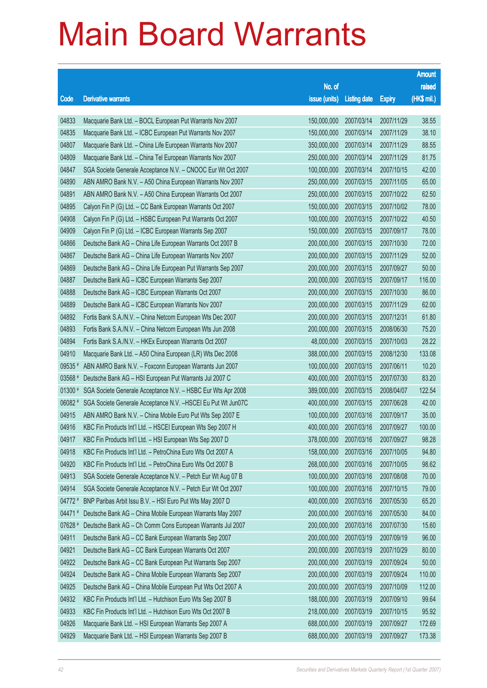|         |                                                               |               |                     |               | <b>Amount</b> |
|---------|---------------------------------------------------------------|---------------|---------------------|---------------|---------------|
|         |                                                               | No. of        |                     |               | raised        |
| Code    | Derivative warrants                                           | issue (units) | <b>Listing date</b> | <b>Expiry</b> | (HK\$ mil.)   |
| 04833   | Macquarie Bank Ltd. - BOCL European Put Warrants Nov 2007     | 150,000,000   | 2007/03/14          | 2007/11/29    | 38.55         |
| 04835   | Macquarie Bank Ltd. - ICBC European Put Warrants Nov 2007     | 150,000,000   | 2007/03/14          | 2007/11/29    | 38.10         |
| 04807   | Macquarie Bank Ltd. - China Life European Warrants Nov 2007   | 350,000,000   | 2007/03/14          | 2007/11/29    | 88.55         |
| 04809   | Macquarie Bank Ltd. - China Tel European Warrants Nov 2007    | 250,000,000   | 2007/03/14          | 2007/11/29    | 81.75         |
| 04847   | SGA Societe Generale Acceptance N.V. - CNOOC Eur Wt Oct 2007  | 100,000,000   | 2007/03/14          | 2007/10/15    | 42.00         |
| 04890   | ABN AMRO Bank N.V. - A50 China European Warrants Nov 2007     | 250,000,000   | 2007/03/15          | 2007/11/05    | 65.00         |
| 04891   | ABN AMRO Bank N.V. - A50 China European Warrants Oct 2007     | 250,000,000   | 2007/03/15          | 2007/10/22    | 62.50         |
| 04895   | Calyon Fin P (G) Ltd. - CC Bank European Warrants Oct 2007    | 150,000,000   | 2007/03/15          | 2007/10/02    | 78.00         |
| 04908   | Calyon Fin P (G) Ltd. - HSBC European Put Warrants Oct 2007   | 100,000,000   | 2007/03/15          | 2007/10/22    | 40.50         |
| 04909   | Calyon Fin P (G) Ltd. - ICBC European Warrants Sep 2007       | 150,000,000   | 2007/03/15          | 2007/09/17    | 78.00         |
| 04866   | Deutsche Bank AG - China Life European Warrants Oct 2007 B    | 200,000,000   | 2007/03/15          | 2007/10/30    | 72.00         |
| 04867   | Deutsche Bank AG - China Life European Warrants Nov 2007      | 200,000,000   | 2007/03/15          | 2007/11/29    | 52.00         |
| 04869   | Deutsche Bank AG - China Life European Put Warrants Sep 2007  | 200,000,000   | 2007/03/15          | 2007/09/27    | 50.00         |
| 04887   | Deutsche Bank AG - ICBC European Warrants Sep 2007            | 200,000,000   | 2007/03/15          | 2007/09/17    | 116.00        |
| 04888   | Deutsche Bank AG - ICBC European Warrants Oct 2007            | 200,000,000   | 2007/03/15          | 2007/10/30    | 86.00         |
| 04889   | Deutsche Bank AG - ICBC European Warrants Nov 2007            | 200,000,000   | 2007/03/15          | 2007/11/29    | 62.00         |
| 04892   | Fortis Bank S.A./N.V. - China Netcom European Wts Dec 2007    | 200,000,000   | 2007/03/15          | 2007/12/31    | 61.80         |
| 04893   | Fortis Bank S.A./N.V. - China Netcom European Wts Jun 2008    | 200,000,000   | 2007/03/15          | 2008/06/30    | 75.20         |
| 04894   | Fortis Bank S.A./N.V. - HKEx European Warrants Oct 2007       | 48,000,000    | 2007/03/15          | 2007/10/03    | 28.22         |
| 04910   | Macquarie Bank Ltd. - A50 China European (LR) Wts Dec 2008    | 388,000,000   | 2007/03/15          | 2008/12/30    | 133.08        |
| 09535 # | ABN AMRO Bank N.V. - Foxconn European Warrants Jun 2007       | 100,000,000   | 2007/03/15          | 2007/06/11    | 10.20         |
| 03568 # | Deutsche Bank AG - HSI European Put Warrants Jul 2007 C       | 400,000,000   | 2007/03/15          | 2007/07/30    | 83.20         |
| 01300 # | SGA Societe Generale Acceptance N.V. - HSBC Eur Wts Apr 2008  | 389,000,000   | 2007/03/15          | 2008/04/07    | 122.54        |
| 06082 # | SGA Societe Generale Acceptance N.V. - HSCEI Eu Put Wt Jun07C | 400,000,000   | 2007/03/15          | 2007/06/28    | 42.00         |
| 04915   | ABN AMRO Bank N.V. - China Mobile Euro Put Wts Sep 2007 E     | 100,000,000   | 2007/03/16          | 2007/09/17    | 35.00         |
| 04916   | KBC Fin Products Int'l Ltd. - HSCEI European Wts Sep 2007 H   | 400,000,000   | 2007/03/16          | 2007/09/27    | 100.00        |
| 04917   | KBC Fin Products Int'l Ltd. - HSI European Wts Sep 2007 D     | 378,000,000   | 2007/03/16          | 2007/09/27    | 98.28         |
| 04918   | KBC Fin Products Int'l Ltd. - PetroChina Euro Wts Oct 2007 A  | 158,000,000   | 2007/03/16          | 2007/10/05    | 94.80         |
| 04920   | KBC Fin Products Int'l Ltd. - PetroChina Euro Wts Oct 2007 B  | 268,000,000   | 2007/03/16          | 2007/10/05    | 98.62         |
| 04913   | SGA Societe Generale Acceptance N.V. - Petch Eur Wt Aug 07 B  | 100,000,000   | 2007/03/16          | 2007/08/08    | 70.00         |
| 04914   | SGA Societe Generale Acceptance N.V. - Petch Eur Wt Oct 2007  | 100,000,000   | 2007/03/16          | 2007/10/15    | 79.00         |
| 04772 # | BNP Paribas Arbit Issu B.V. - HSI Euro Put Wts May 2007 D     | 400,000,000   | 2007/03/16          | 2007/05/30    | 65.20         |
| 04471#  | Deutsche Bank AG - China Mobile European Warrants May 2007    | 200,000,000   | 2007/03/16          | 2007/05/30    | 84.00         |
| 07628 # | Deutsche Bank AG - Ch Comm Cons European Warrants Jul 2007    | 200,000,000   | 2007/03/16          | 2007/07/30    | 15.60         |
| 04911   | Deutsche Bank AG - CC Bank European Warrants Sep 2007         | 200,000,000   | 2007/03/19          | 2007/09/19    | 96.00         |
| 04921   | Deutsche Bank AG - CC Bank European Warrants Oct 2007         | 200,000,000   | 2007/03/19          | 2007/10/29    | 80.00         |
| 04922   | Deutsche Bank AG - CC Bank European Put Warrants Sep 2007     | 200,000,000   | 2007/03/19          | 2007/09/24    | 50.00         |
| 04924   | Deutsche Bank AG - China Mobile European Warrants Sep 2007    | 200,000,000   | 2007/03/19          | 2007/09/24    | 110.00        |
| 04925   | Deutsche Bank AG - China Mobile European Put Wts Oct 2007 A   | 200,000,000   | 2007/03/19          | 2007/10/09    | 112.00        |
| 04932   | KBC Fin Products Int'l Ltd. - Hutchison Euro Wts Sep 2007 B   | 188,000,000   | 2007/03/19          | 2007/09/10    | 99.64         |
| 04933   | KBC Fin Products Int'l Ltd. - Hutchison Euro Wts Oct 2007 B   | 218,000,000   | 2007/03/19          | 2007/10/15    | 95.92         |
| 04926   | Macquarie Bank Ltd. - HSI European Warrants Sep 2007 A        | 688,000,000   | 2007/03/19          | 2007/09/27    | 172.69        |
| 04929   | Macquarie Bank Ltd. - HSI European Warrants Sep 2007 B        | 688,000,000   | 2007/03/19          | 2007/09/27    | 173.38        |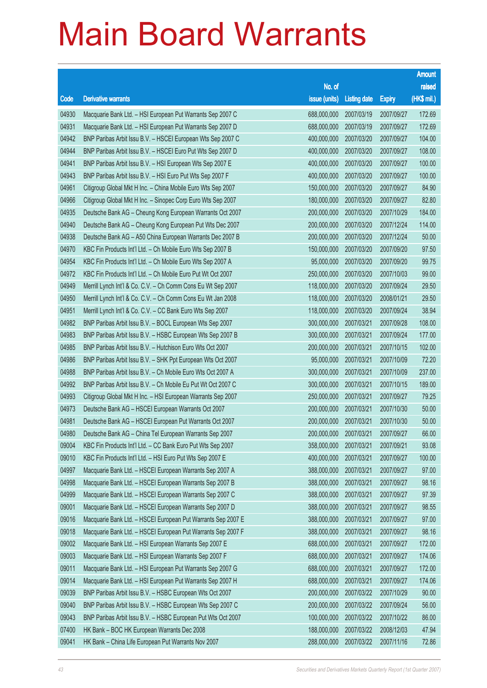|       |                                                              |                        |                     |               | <b>Amount</b> |
|-------|--------------------------------------------------------------|------------------------|---------------------|---------------|---------------|
|       |                                                              | No. of                 |                     |               | raised        |
| Code  | <b>Derivative warrants</b>                                   | issue (units)          | <b>Listing date</b> | <b>Expiry</b> | (HK\$ mil.)   |
| 04930 | Macquarie Bank Ltd. - HSI European Put Warrants Sep 2007 C   | 688,000,000            | 2007/03/19          | 2007/09/27    | 172.69        |
| 04931 | Macquarie Bank Ltd. - HSI European Put Warrants Sep 2007 D   | 688,000,000            | 2007/03/19          | 2007/09/27    | 172.69        |
| 04942 | BNP Paribas Arbit Issu B.V. - HSCEI European Wts Sep 2007 C  | 400,000,000            | 2007/03/20          | 2007/09/27    | 104.00        |
| 04944 | BNP Paribas Arbit Issu B.V. - HSCEI Euro Put Wts Sep 2007 D  | 400,000,000            | 2007/03/20          | 2007/09/27    | 108.00        |
| 04941 | BNP Paribas Arbit Issu B.V. - HSI European Wts Sep 2007 E    | 400,000,000            | 2007/03/20          | 2007/09/27    | 100.00        |
| 04943 | BNP Paribas Arbit Issu B.V. - HSI Euro Put Wts Sep 2007 F    | 400,000,000            | 2007/03/20          | 2007/09/27    | 100.00        |
| 04961 | Citigroup Global Mkt H Inc. - China Mobile Euro Wts Sep 2007 | 150,000,000            | 2007/03/20          | 2007/09/27    | 84.90         |
| 04966 | Citigroup Global Mkt H Inc. - Sinopec Corp Euro Wts Sep 2007 | 180,000,000            | 2007/03/20          | 2007/09/27    | 82.80         |
| 04935 | Deutsche Bank AG - Cheung Kong European Warrants Oct 2007    | 200,000,000            | 2007/03/20          | 2007/10/29    | 184.00        |
| 04940 | Deutsche Bank AG - Cheung Kong European Put Wts Dec 2007     | 200,000,000            | 2007/03/20          | 2007/12/24    | 114.00        |
| 04938 | Deutsche Bank AG - A50 China European Warrants Dec 2007 B    | 200,000,000            | 2007/03/20          | 2007/12/24    | 50.00         |
| 04970 | KBC Fin Products Int'l Ltd. - Ch Mobile Euro Wts Sep 2007 B  | 150,000,000            | 2007/03/20          | 2007/09/20    | 97.50         |
| 04954 | KBC Fin Products Int'l Ltd. - Ch Mobile Euro Wts Sep 2007 A  | 95,000,000             | 2007/03/20          | 2007/09/20    | 99.75         |
| 04972 | KBC Fin Products Int'l Ltd. - Ch Mobile Euro Put Wt Oct 2007 | 250,000,000            | 2007/03/20          | 2007/10/03    | 99.00         |
| 04949 | Merrill Lynch Int'l & Co. C.V. - Ch Comm Cons Eu Wt Sep 2007 | 118,000,000            | 2007/03/20          | 2007/09/24    | 29.50         |
| 04950 | Merrill Lynch Int'l & Co. C.V. - Ch Comm Cons Eu Wt Jan 2008 | 118,000,000            | 2007/03/20          | 2008/01/21    | 29.50         |
| 04951 | Merrill Lynch Int'l & Co. C.V. - CC Bank Euro Wts Sep 2007   | 118,000,000            | 2007/03/20          | 2007/09/24    | 38.94         |
| 04982 | BNP Paribas Arbit Issu B.V. - BOCL European Wts Sep 2007     | 300,000,000            | 2007/03/21          | 2007/09/28    | 108.00        |
| 04983 | BNP Paribas Arbit Issu B.V. - HSBC European Wts Sep 2007 B   | 300,000,000            | 2007/03/21          | 2007/09/24    | 177.00        |
| 04985 | BNP Paribas Arbit Issu B.V. - Hutchison Euro Wts Oct 2007    | 200,000,000            | 2007/03/21          | 2007/10/15    | 102.00        |
| 04986 | BNP Paribas Arbit Issu B.V. - SHK Ppt European Wts Oct 2007  | 95,000,000             | 2007/03/21          | 2007/10/09    | 72.20         |
| 04988 | BNP Paribas Arbit Issu B.V. - Ch Mobile Euro Wts Oct 2007 A  | 300,000,000            | 2007/03/21          | 2007/10/09    | 237.00        |
| 04992 | BNP Paribas Arbit Issu B.V. - Ch Mobile Eu Put Wt Oct 2007 C | 300,000,000            | 2007/03/21          | 2007/10/15    | 189.00        |
| 04993 | Citigroup Global Mkt H Inc. - HSI European Warrants Sep 2007 | 250,000,000            | 2007/03/21          | 2007/09/27    | 79.25         |
| 04973 | Deutsche Bank AG - HSCEI European Warrants Oct 2007          | 200,000,000            | 2007/03/21          | 2007/10/30    | 50.00         |
| 04981 | Deutsche Bank AG - HSCEI European Put Warrants Oct 2007      | 200,000,000            | 2007/03/21          | 2007/10/30    | 50.00         |
| 04980 | Deutsche Bank AG - China Tel European Warrants Sep 2007      | 200,000,000 2007/03/21 |                     | 2007/09/27    | 66.00         |
| 09004 | KBC Fin Products Int'l Ltd. - CC Bank Euro Put Wts Sep 2007  | 358,000,000            | 2007/03/21          | 2007/09/21    | 93.08         |
| 09010 | KBC Fin Products Int'l Ltd. - HSI Euro Put Wts Sep 2007 E    | 400,000,000            | 2007/03/21          | 2007/09/27    | 100.00        |
| 04997 | Macquarie Bank Ltd. - HSCEI European Warrants Sep 2007 A     | 388,000,000            | 2007/03/21          | 2007/09/27    | 97.00         |
| 04998 | Macquarie Bank Ltd. - HSCEI European Warrants Sep 2007 B     | 388,000,000            | 2007/03/21          | 2007/09/27    | 98.16         |
| 04999 | Macquarie Bank Ltd. - HSCEI European Warrants Sep 2007 C     | 388,000,000            | 2007/03/21          | 2007/09/27    | 97.39         |
| 09001 | Macquarie Bank Ltd. - HSCEI European Warrants Sep 2007 D     | 388,000,000            | 2007/03/21          | 2007/09/27    | 98.55         |
| 09016 | Macquarie Bank Ltd. - HSCEI European Put Warrants Sep 2007 E | 388,000,000            | 2007/03/21          | 2007/09/27    | 97.00         |
| 09018 | Macquarie Bank Ltd. - HSCEI European Put Warrants Sep 2007 F | 388,000,000            | 2007/03/21          | 2007/09/27    | 98.16         |
| 09002 | Macquarie Bank Ltd. - HSI European Warrants Sep 2007 E       | 688,000,000            | 2007/03/21          | 2007/09/27    | 172.00        |
| 09003 | Macquarie Bank Ltd. - HSI European Warrants Sep 2007 F       | 688,000,000            | 2007/03/21          | 2007/09/27    | 174.06        |
| 09011 | Macquarie Bank Ltd. - HSI European Put Warrants Sep 2007 G   | 688,000,000            | 2007/03/21          | 2007/09/27    | 172.00        |
| 09014 | Macquarie Bank Ltd. - HSI European Put Warrants Sep 2007 H   | 688,000,000            | 2007/03/21          | 2007/09/27    | 174.06        |
| 09039 | BNP Paribas Arbit Issu B.V. - HSBC European Wts Oct 2007     | 200,000,000            | 2007/03/22          | 2007/10/29    | 90.00         |
| 09040 | BNP Paribas Arbit Issu B.V. - HSBC European Wts Sep 2007 C   | 200,000,000            | 2007/03/22          | 2007/09/24    | 56.00         |
| 09043 | BNP Paribas Arbit Issu B.V. - HSBC European Put Wts Oct 2007 | 100,000,000            | 2007/03/22          | 2007/10/22    | 86.00         |
| 07400 | HK Bank - BOC HK European Warrants Dec 2008                  | 188,000,000            | 2007/03/22          | 2008/12/03    | 47.94         |
| 09041 | HK Bank - China Life European Put Warrants Nov 2007          | 288,000,000            | 2007/03/22          | 2007/11/16    | 72.86         |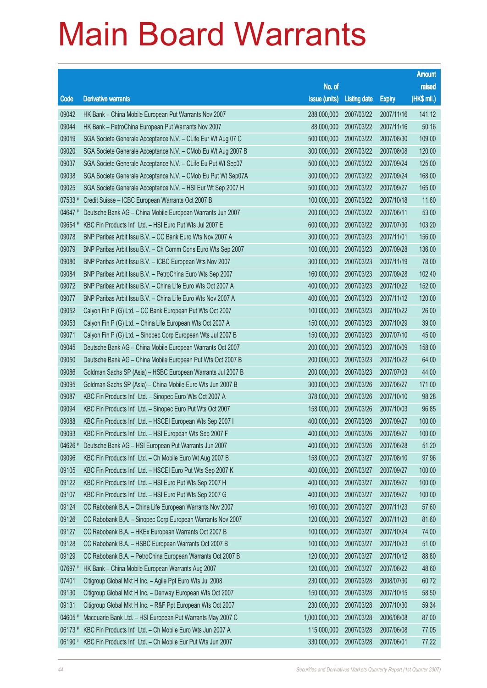|         |                                                              |                        |                     |               | <b>Amount</b> |
|---------|--------------------------------------------------------------|------------------------|---------------------|---------------|---------------|
|         |                                                              | No. of                 |                     |               | raised        |
| Code    | <b>Derivative warrants</b>                                   | issue (units)          | <b>Listing date</b> | <b>Expiry</b> | (HK\$ mil.)   |
| 09042   | HK Bank - China Mobile European Put Warrants Nov 2007        | 288,000,000            | 2007/03/22          | 2007/11/16    | 141.12        |
| 09044   | HK Bank - PetroChina European Put Warrants Nov 2007          | 88,000,000             | 2007/03/22          | 2007/11/16    | 50.16         |
| 09019   | SGA Societe Generale Acceptance N.V. - CLife Eur Wt Aug 07 C | 500,000,000            | 2007/03/22          | 2007/08/30    | 109.00        |
| 09020   | SGA Societe Generale Acceptance N.V. - CMob Eu Wt Aug 2007 B | 300,000,000            | 2007/03/22          | 2007/08/08    | 120.00        |
| 09037   | SGA Societe Generale Acceptance N.V. - CLife Eu Put Wt Sep07 | 500,000,000            | 2007/03/22          | 2007/09/24    | 125.00        |
| 09038   | SGA Societe Generale Acceptance N.V. - CMob Eu Put Wt Sep07A | 300,000,000            | 2007/03/22          | 2007/09/24    | 168.00        |
| 09025   | SGA Societe Generale Acceptance N.V. - HSI Eur Wt Sep 2007 H | 500,000,000            | 2007/03/22          | 2007/09/27    | 165.00        |
| 07533#  | Credit Suisse - ICBC European Warrants Oct 2007 B            | 100,000,000            | 2007/03/22          | 2007/10/18    | 11.60         |
| 04647#  | Deutsche Bank AG - China Mobile European Warrants Jun 2007   | 200,000,000            | 2007/03/22          | 2007/06/11    | 53.00         |
| 09654 # | KBC Fin Products Int'l Ltd. - HSI Euro Put Wts Jul 2007 E    | 600,000,000            | 2007/03/22          | 2007/07/30    | 103.20        |
| 09078   | BNP Paribas Arbit Issu B.V. - CC Bank Euro Wts Nov 2007 A    | 300,000,000            | 2007/03/23          | 2007/11/01    | 156.00        |
| 09079   | BNP Paribas Arbit Issu B.V. - Ch Comm Cons Euro Wts Sep 2007 | 100,000,000            | 2007/03/23          | 2007/09/28    | 136.00        |
| 09080   | BNP Paribas Arbit Issu B.V. - ICBC European Wts Nov 2007     | 300,000,000            | 2007/03/23          | 2007/11/19    | 78.00         |
| 09084   | BNP Paribas Arbit Issu B.V. - PetroChina Euro Wts Sep 2007   | 160,000,000            | 2007/03/23          | 2007/09/28    | 102.40        |
| 09072   | BNP Paribas Arbit Issu B.V. - China Life Euro Wts Oct 2007 A | 400,000,000            | 2007/03/23          | 2007/10/22    | 152.00        |
| 09077   | BNP Paribas Arbit Issu B.V. - China Life Euro Wts Nov 2007 A | 400,000,000            | 2007/03/23          | 2007/11/12    | 120.00        |
| 09052   | Calyon Fin P (G) Ltd. - CC Bank European Put Wts Oct 2007    | 100,000,000            | 2007/03/23          | 2007/10/22    | 26.00         |
| 09053   | Calyon Fin P (G) Ltd. - China Life European Wts Oct 2007 A   | 150,000,000            | 2007/03/23          | 2007/10/29    | 39.00         |
| 09071   | Calyon Fin P (G) Ltd. - Sinopec Corp European Wts Jul 2007 B | 150,000,000            | 2007/03/23          | 2007/07/10    | 45.00         |
| 09045   | Deutsche Bank AG - China Mobile European Warrants Oct 2007   | 200,000,000            | 2007/03/23          | 2007/10/09    | 158.00        |
| 09050   | Deutsche Bank AG - China Mobile European Put Wts Oct 2007 B  | 200,000,000            | 2007/03/23          | 2007/10/22    | 64.00         |
| 09086   | Goldman Sachs SP (Asia) - HSBC European Warrants Jul 2007 B  | 200,000,000            | 2007/03/23          | 2007/07/03    | 44.00         |
| 09095   | Goldman Sachs SP (Asia) - China Mobile Euro Wts Jun 2007 B   | 300,000,000            | 2007/03/26          | 2007/06/27    | 171.00        |
| 09087   | KBC Fin Products Int'l Ltd. - Sinopec Euro Wts Oct 2007 A    | 378,000,000            | 2007/03/26          | 2007/10/10    | 98.28         |
| 09094   | KBC Fin Products Int'l Ltd. - Sinopec Euro Put Wts Oct 2007  | 158,000,000            | 2007/03/26          | 2007/10/03    | 96.85         |
| 09088   | KBC Fin Products Int'l Ltd. - HSCEI European Wts Sep 2007 I  | 400,000,000            | 2007/03/26          | 2007/09/27    | 100.00        |
| 09093   | KBC Fin Products Int'l Ltd. - HSI European Wts Sep 2007 F    | 400,000,000 2007/03/26 |                     | 2007/09/27    | 100.00        |
| 04626 # | Deutsche Bank AG - HSI European Put Warrants Jun 2007        | 400,000,000            | 2007/03/26          | 2007/06/28    | 51.20         |
| 09096   | KBC Fin Products Int'l Ltd. - Ch Mobile Euro Wt Aug 2007 B   | 158,000,000            | 2007/03/27          | 2007/08/10    | 97.96         |
| 09105   | KBC Fin Products Int'l Ltd. - HSCEI Euro Put Wts Sep 2007 K  | 400,000,000            | 2007/03/27          | 2007/09/27    | 100.00        |
| 09122   | KBC Fin Products Int'l Ltd. - HSI Euro Put Wts Sep 2007 H    | 400,000,000            | 2007/03/27          | 2007/09/27    | 100.00        |
| 09107   | KBC Fin Products Int'l Ltd. - HSI Euro Put Wts Sep 2007 G    | 400,000,000            | 2007/03/27          | 2007/09/27    | 100.00        |
| 09124   | CC Rabobank B.A. - China Life European Warrants Nov 2007     | 160,000,000            | 2007/03/27          | 2007/11/23    | 57.60         |
| 09126   | CC Rabobank B.A. - Sinopec Corp European Warrants Nov 2007   | 120,000,000            | 2007/03/27          | 2007/11/23    | 81.60         |
| 09127   | CC Rabobank B.A. - HKEx European Warrants Oct 2007 B         | 100,000,000            | 2007/03/27          | 2007/10/24    | 74.00         |
| 09128   | CC Rabobank B.A. - HSBC European Warrants Oct 2007 B         | 100,000,000            | 2007/03/27          | 2007/10/23    | 51.00         |
| 09129   | CC Rabobank B.A. - PetroChina European Warrants Oct 2007 B   | 120,000,000            | 2007/03/27          | 2007/10/12    | 88.80         |
| 07697 # | HK Bank - China Mobile European Warrants Aug 2007            | 120,000,000            | 2007/03/27          | 2007/08/22    | 48.60         |
| 07401   | Citigroup Global Mkt H Inc. - Agile Ppt Euro Wts Jul 2008    | 230,000,000            | 2007/03/28          | 2008/07/30    | 60.72         |
| 09130   | Citigroup Global Mkt H Inc. - Denway European Wts Oct 2007   | 150,000,000            | 2007/03/28          | 2007/10/15    | 58.50         |
| 09131   | Citigroup Global Mkt H Inc. - R&F Ppt European Wts Oct 2007  | 230,000,000            | 2007/03/28          | 2007/10/30    | 59.34         |
| 04605 # | Macquarie Bank Ltd. - HSI European Put Warrants May 2007 C   | 1,000,000,000          | 2007/03/28          | 2006/08/08    | 87.00         |
| 06173#  | KBC Fin Products Int'l Ltd. - Ch Mobile Euro Wts Jun 2007 A  | 115,000,000            | 2007/03/28          | 2007/06/08    | 77.05         |
| 06190 # | KBC Fin Products Int'l Ltd. - Ch Mobile Eur Put Wts Jun 2007 | 330,000,000            | 2007/03/28          | 2007/06/01    | 77.22         |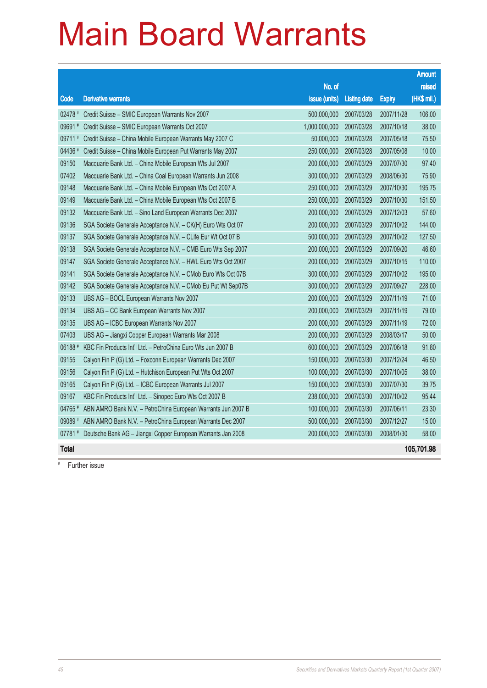|              |                                                              |               |                     |               | <b>Amount</b> |
|--------------|--------------------------------------------------------------|---------------|---------------------|---------------|---------------|
|              |                                                              | No. of        |                     |               | raised        |
| Code         | <b>Derivative warrants</b>                                   | issue (units) | <b>Listing date</b> | <b>Expiry</b> | (HK\$ mil.)   |
| 02478 #      | Credit Suisse - SMIC European Warrants Nov 2007              | 500,000,000   | 2007/03/28          | 2007/11/28    | 106.00        |
| 09691#       | Credit Suisse - SMIC European Warrants Oct 2007              | 1,000,000,000 | 2007/03/28          | 2007/10/18    | 38.00         |
| 09711        | Credit Suisse - China Mobile European Warrants May 2007 C    | 50,000,000    | 2007/03/28          | 2007/05/18    | 75.50         |
| 04436 #      | Credit Suisse - China Mobile European Put Warrants May 2007  | 250,000,000   | 2007/03/28          | 2007/05/08    | 10.00         |
| 09150        | Macquarie Bank Ltd. - China Mobile European Wts Jul 2007     | 200,000,000   | 2007/03/29          | 2007/07/30    | 97.40         |
| 07402        | Macquarie Bank Ltd. - China Coal European Warrants Jun 2008  | 300,000,000   | 2007/03/29          | 2008/06/30    | 75.90         |
| 09148        | Macquarie Bank Ltd. - China Mobile European Wts Oct 2007 A   | 250,000,000   | 2007/03/29          | 2007/10/30    | 195.75        |
| 09149        | Macquarie Bank Ltd. - China Mobile European Wts Oct 2007 B   | 250,000,000   | 2007/03/29          | 2007/10/30    | 151.50        |
| 09132        | Macquarie Bank Ltd. - Sino Land European Warrants Dec 2007   | 200,000,000   | 2007/03/29          | 2007/12/03    | 57.60         |
| 09136        | SGA Societe Generale Acceptance N.V. - CK(H) Euro Wts Oct 07 | 200,000,000   | 2007/03/29          | 2007/10/02    | 144.00        |
| 09137        | SGA Societe Generale Acceptance N.V. - CLife Eur Wt Oct 07 B | 500,000,000   | 2007/03/29          | 2007/10/02    | 127.50        |
| 09138        | SGA Societe Generale Acceptance N.V. - CMB Euro Wts Sep 2007 | 200,000,000   | 2007/03/29          | 2007/09/20    | 46.60         |
| 09147        | SGA Societe Generale Acceptance N.V. - HWL Euro Wts Oct 2007 | 200,000,000   | 2007/03/29          | 2007/10/15    | 110.00        |
| 09141        | SGA Societe Generale Acceptance N.V. - CMob Euro Wts Oct 07B | 300,000,000   | 2007/03/29          | 2007/10/02    | 195.00        |
| 09142        | SGA Societe Generale Acceptance N.V. - CMob Eu Put Wt Sep07B | 300,000,000   | 2007/03/29          | 2007/09/27    | 228.00        |
| 09133        | UBS AG - BOCL European Warrants Nov 2007                     | 200,000,000   | 2007/03/29          | 2007/11/19    | 71.00         |
| 09134        | UBS AG - CC Bank European Warrants Nov 2007                  | 200,000,000   | 2007/03/29          | 2007/11/19    | 79.00         |
| 09135        | UBS AG - ICBC European Warrants Nov 2007                     | 200,000,000   | 2007/03/29          | 2007/11/19    | 72.00         |
| 07403        | UBS AG - Jiangxi Copper European Warrants Mar 2008           | 200,000,000   | 2007/03/29          | 2008/03/17    | 50.00         |
| 06188#       | KBC Fin Products Int'l Ltd. - PetroChina Euro Wts Jun 2007 B | 600,000,000   | 2007/03/29          | 2007/06/18    | 91.80         |
| 09155        | Calyon Fin P (G) Ltd. - Foxconn European Warrants Dec 2007   | 150,000,000   | 2007/03/30          | 2007/12/24    | 46.50         |
| 09156        | Calyon Fin P (G) Ltd. - Hutchison European Put Wts Oct 2007  | 100,000,000   | 2007/03/30          | 2007/10/05    | 38.00         |
| 09165        | Calyon Fin P (G) Ltd. - ICBC European Warrants Jul 2007      | 150,000,000   | 2007/03/30          | 2007/07/30    | 39.75         |
| 09167        | KBC Fin Products Int'l Ltd. - Sinopec Euro Wts Oct 2007 B    | 238,000,000   | 2007/03/30          | 2007/10/02    | 95.44         |
| 04765 #      | ABN AMRO Bank N.V. - PetroChina European Warrants Jun 2007 B | 100,000,000   | 2007/03/30          | 2007/06/11    | 23.30         |
| 09089 #      | ABN AMRO Bank N.V. - PetroChina European Warrants Dec 2007   | 500,000,000   | 2007/03/30          | 2007/12/27    | 15.00         |
| 07781#       | Deutsche Bank AG - Jiangxi Copper European Warrants Jan 2008 | 200,000,000   | 2007/03/30          | 2008/01/30    | 58.00         |
| <b>Total</b> |                                                              |               |                     |               | 105,701.98    |

# Further issue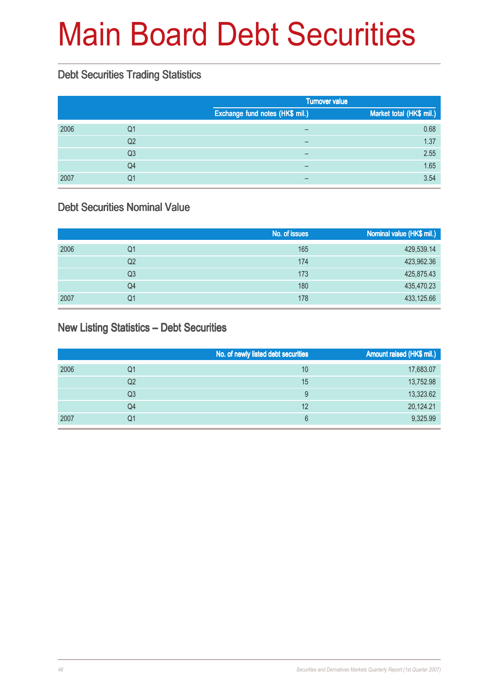# Main Board Debt Securities

### Debt Securities Trading Statistics

|      |                |                                 | <b>Turnover value</b>    |  |  |
|------|----------------|---------------------------------|--------------------------|--|--|
|      |                | Exchange fund notes (HK\$ mil.) | Market total (HK\$ mil.) |  |  |
| 2006 | Q1             | -                               | 0.68                     |  |  |
|      | Q <sub>2</sub> |                                 | 1.37                     |  |  |
|      | Q <sub>3</sub> | $\overline{\phantom{0}}$        | 2.55                     |  |  |
|      | Q <sub>4</sub> | $\overline{\phantom{m}}$        | 1.65                     |  |  |
| 2007 | Q1             |                                 | 3.54                     |  |  |

#### Debt Securities Nominal Value

|      |    | No. of issues | Nominal value (HK\$ mil.) |
|------|----|---------------|---------------------------|
| 2006 | Q1 | 165           | 429,539.14                |
|      | Q2 | 174           | 423,962.36                |
|      | Q3 | 173           | 425,875.43                |
|      | Q4 | 180           | 435,470.23                |
| 2007 | Q1 | 178           | 433,125.66                |

#### New Listing Statistics – Debt Securities

|      |    | No. of newly listed debt securities | Amount raised (HK\$ mil.) |
|------|----|-------------------------------------|---------------------------|
| 2006 | Q1 | 10                                  | 17,683.07                 |
|      | Q2 | 15                                  | 13,752.98                 |
|      | Q3 | 9                                   | 13,323.62                 |
|      | Q4 | 12                                  | 20,124.21                 |
| 2007 | Q1 | 6                                   | 9,325.99                  |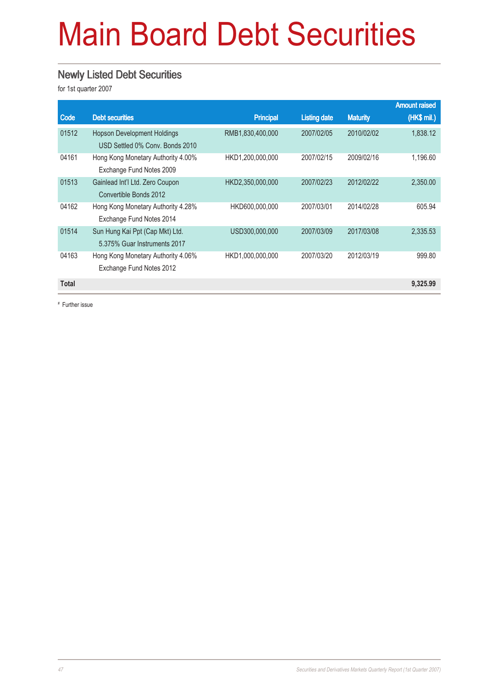# Main Board Debt Securities

#### Newly Listed Debt Securities

for 1st quarter 2007

|              |                                    |                  |                     |                 | <b>Amount raised</b> |
|--------------|------------------------------------|------------------|---------------------|-----------------|----------------------|
| Code         | <b>Debt securities</b>             | <b>Principal</b> | <b>Listing date</b> | <b>Maturity</b> | (HK\$ mil.)          |
| 01512        | <b>Hopson Development Holdings</b> | RMB1,830,400,000 | 2007/02/05          | 2010/02/02      | 1,838.12             |
|              | USD Settled 0% Conv. Bonds 2010    |                  |                     |                 |                      |
| 04161        | Hong Kong Monetary Authority 4.00% | HKD1,200,000,000 | 2007/02/15          | 2009/02/16      | 1,196.60             |
|              | Exchange Fund Notes 2009           |                  |                     |                 |                      |
| 01513        | Gainlead Int'l Ltd. Zero Coupon    | HKD2,350,000,000 | 2007/02/23          | 2012/02/22      | 2,350.00             |
|              | Convertible Bonds 2012             |                  |                     |                 |                      |
| 04162        | Hong Kong Monetary Authority 4.28% | HKD600,000,000   | 2007/03/01          | 2014/02/28      | 605.94               |
|              | Exchange Fund Notes 2014           |                  |                     |                 |                      |
| 01514        | Sun Hung Kai Ppt (Cap Mkt) Ltd.    | USD300,000,000   | 2007/03/09          | 2017/03/08      | 2,335.53             |
|              | 5.375% Guar Instruments 2017       |                  |                     |                 |                      |
| 04163        | Hong Kong Monetary Authority 4.06% | HKD1,000,000,000 | 2007/03/20          | 2012/03/19      | 999.80               |
|              | Exchange Fund Notes 2012           |                  |                     |                 |                      |
| <b>Total</b> |                                    |                  |                     |                 | 9,325.99             |
|              |                                    |                  |                     |                 |                      |

# Further issue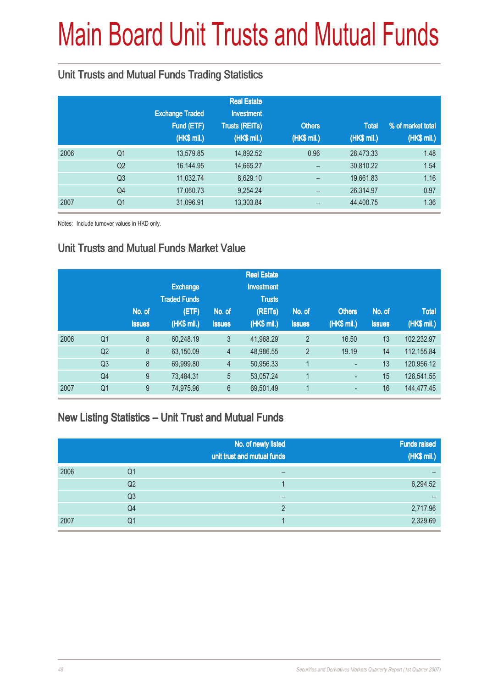# Main Board Unit Trusts and Mutual Funds

### Unit Trusts and Mutual Funds Trading Statistics

|      |                |                        | <b>Real Estate</b>    |               |              |                   |
|------|----------------|------------------------|-----------------------|---------------|--------------|-------------------|
|      |                | <b>Exchange Traded</b> | <b>Investment</b>     |               |              |                   |
|      |                | Fund (ETF)             | <b>Trusts (REITs)</b> | <b>Others</b> | <b>Total</b> | % of market total |
|      |                | (HK\$ mil.)            | (HK\$ mil.)           | (HK\$ mil.)   | (HK\$ mil.)  | (HK\$ mil.)       |
| 2006 | Q <sub>1</sub> | 13,579.85              | 14,892.52             | 0.96          | 28,473.33    | 1.48              |
|      | Q <sub>2</sub> | 16,144.95              | 14,665.27             |               | 30,810.22    | 1.54              |
|      | Q <sub>3</sub> | 11,032.74              | 8,629.10              |               | 19,661.83    | 1.16              |
|      | Q4             | 17,060.73              | 9,254.24              |               | 26,314.97    | 0.97              |
| 2007 | Q <sub>1</sub> | 31,096.91              | 13,303.84             | -             | 44,400.75    | 1.36              |

Notes: Include turnover values in HKD only.

#### Unit Trusts and Mutual Funds Market Value

|      |                |               |                     |                | <b>Real Estate</b> |                |               |               |              |
|------|----------------|---------------|---------------------|----------------|--------------------|----------------|---------------|---------------|--------------|
|      |                |               | <b>Exchange</b>     |                | <b>Investment</b>  |                |               |               |              |
|      |                |               | <b>Traded Funds</b> |                | <b>Trusts</b>      |                |               |               |              |
|      |                | No. of        | (ETF)               | No. of         | (REITs)            | No. of         | <b>Others</b> | No. of        | <b>Total</b> |
|      |                | <b>issues</b> | (HK\$ mil.)         | <b>issues</b>  | (HK\$ mil.)        | <b>issues</b>  | (HK\$ mil.)   | <b>issues</b> | (HK\$ mil.)  |
| 2006 | Q <sub>1</sub> | 8             | 60,248.19           | 3              | 41,968.29          | $\overline{2}$ | 16.50         | 13            | 102,232.97   |
|      | Q <sub>2</sub> | 8             | 63,150.09           | $\overline{4}$ | 48,986.55          | $\overline{2}$ | 19.19         | 14            | 112,155.84   |
|      | Q <sub>3</sub> | 8             | 69,999.80           | $\overline{4}$ | 50,956.33          | 1              | ٠             | 13            | 120,956.12   |
|      | Q4             | 9             | 73,484.31           | 5              | 53,057.24          | 1              | ٠             | 15            | 126,541.55   |
| 2007 | Q <sub>1</sub> | 9             | 74,975.96           | $6\phantom{1}$ | 69,501.49          | 1              | ٠             | 16            | 144,477.45   |

#### New Listing Statistics – Unit Trust and Mutual Funds

|      |                | No. of newly listed<br>unit trust and mutual funds | <b>Funds raised</b><br>(HK\$ mil.) |
|------|----------------|----------------------------------------------------|------------------------------------|
| 2006 | Q1             |                                                    |                                    |
|      | Q <sub>2</sub> |                                                    | 6,294.52                           |
|      | Q <sub>3</sub> | –                                                  |                                    |
|      | Q4             | ∩                                                  | 2,717.96                           |
| 2007 | Q1             |                                                    | 2,329.69                           |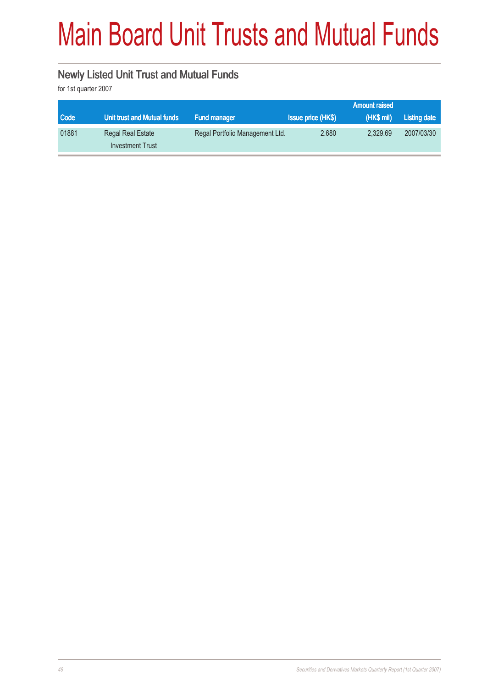# Main Board Unit Trusts and Mutual Funds

### Newly Listed Unit Trust and Mutual Funds

for 1st quarter 2007

|       |                             |                                 |                           | <b>Amount raised</b> |              |
|-------|-----------------------------|---------------------------------|---------------------------|----------------------|--------------|
| Code  | Unit trust and Mutual funds | <b>Fund manager</b>             | <b>Issue price (HK\$)</b> | (HK\$ mil)           | Listing date |
| 01881 | Regal Real Estate           | Regal Portfolio Management Ltd. | 2.680                     | 2.329.69             | 2007/03/30   |
|       | <b>Investment Trust</b>     |                                 |                           |                      |              |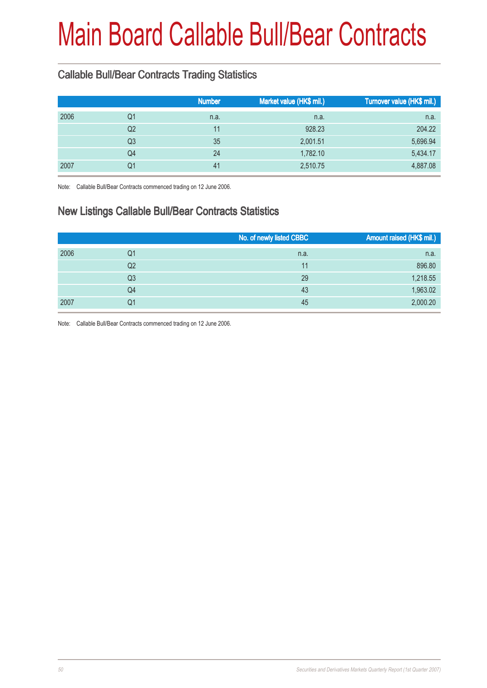## Main Board Callable Bull/Bear Contracts

### Callable Bull/Bear Contracts Trading Statistics

|            | <b>Number</b> | Market value (HK\$ mil.) | Turnover value (HK\$ mil.) |
|------------|---------------|--------------------------|----------------------------|
| 2006<br>Q1 | n.a.          | n.a.                     | n.a.                       |
| Q2         | 11            | 928.23                   | 204.22                     |
| Q3         | 35            | 2,001.51                 | 5,696.94                   |
| Q4         | 24            | 1,782.10                 | 5,434.17                   |
| 2007<br>Q1 | 41            | 2,510.75                 | 4,887.08                   |

Note: Callable Bull/Bear Contracts commenced trading on 12 June 2006.

### New Listings Callable Bull/Bear Contracts Statistics

|      |                | No. of newly listed CBBC | Amount raised (HK\$ mil.) |
|------|----------------|--------------------------|---------------------------|
| 2006 | Q1             | n.a.                     | n.a.                      |
|      | Q <sub>2</sub> | 11                       | 896.80                    |
|      | Q <sub>3</sub> | 29                       | 1,218.55                  |
|      | Q4             | 43                       | 1,963.02                  |
| 2007 | Q1             | 45                       | 2,000.20                  |

Note: Callable Bull/Bear Contracts commenced trading on 12 June 2006.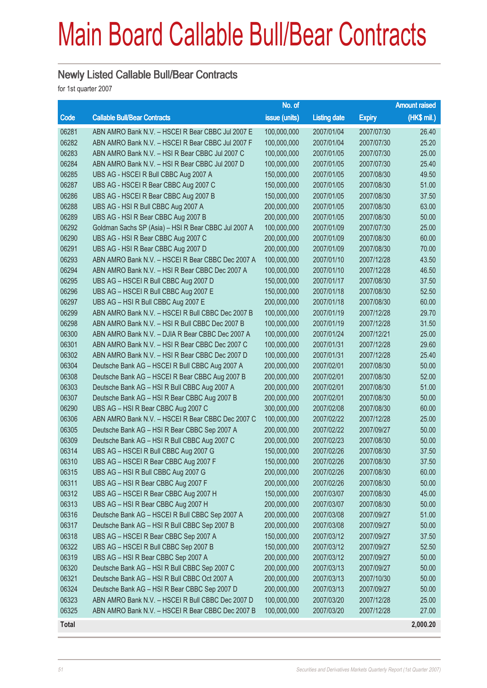## Main Board Callable Bull/Bear Contracts

#### Newly Listed Callable Bull/Bear Contracts

for 1st quarter 2007

|       |                                                      | No. of        |                     |               | <b>Amount raised</b> |
|-------|------------------------------------------------------|---------------|---------------------|---------------|----------------------|
| Code  | <b>Callable Bull/Bear Contracts</b>                  | issue (units) | <b>Listing date</b> | <b>Expiry</b> | (HK\$ mil.)          |
| 06281 | ABN AMRO Bank N.V. - HSCEI R Bear CBBC Jul 2007 E    | 100,000,000   | 2007/01/04          | 2007/07/30    | 26.40                |
| 06282 | ABN AMRO Bank N.V. - HSCEI R Bear CBBC Jul 2007 F    | 100,000,000   | 2007/01/04          | 2007/07/30    | 25.20                |
| 06283 | ABN AMRO Bank N.V. - HSI R Bear CBBC Jul 2007 C      | 100,000,000   | 2007/01/05          | 2007/07/30    | 25.00                |
| 06284 | ABN AMRO Bank N.V. - HSI R Bear CBBC Jul 2007 D      | 100,000,000   | 2007/01/05          | 2007/07/30    | 25.40                |
| 06285 | UBS AG - HSCEI R Bull CBBC Aug 2007 A                | 150,000,000   | 2007/01/05          | 2007/08/30    | 49.50                |
| 06287 | UBS AG - HSCEI R Bear CBBC Aug 2007 C                | 150,000,000   | 2007/01/05          | 2007/08/30    | 51.00                |
| 06286 | UBS AG - HSCEI R Bear CBBC Aug 2007 B                | 150,000,000   | 2007/01/05          | 2007/08/30    | 37.50                |
| 06288 | UBS AG - HSI R Bull CBBC Aug 2007 A                  | 200,000,000   | 2007/01/05          | 2007/08/30    | 63.00                |
| 06289 | UBS AG - HSI R Bear CBBC Aug 2007 B                  | 200,000,000   | 2007/01/05          | 2007/08/30    | 50.00                |
| 06292 | Goldman Sachs SP (Asia) - HSI R Bear CBBC Jul 2007 A | 100,000,000   | 2007/01/09          | 2007/07/30    | 25.00                |
| 06290 | UBS AG - HSI R Bear CBBC Aug 2007 C                  | 200,000,000   | 2007/01/09          | 2007/08/30    | 60.00                |
| 06291 | UBS AG - HSI R Bear CBBC Aug 2007 D                  | 200,000,000   | 2007/01/09          | 2007/08/30    | 70.00                |
| 06293 | ABN AMRO Bank N.V. - HSCEI R Bear CBBC Dec 2007 A    | 100,000,000   | 2007/01/10          | 2007/12/28    | 43.50                |
| 06294 | ABN AMRO Bank N.V. - HSI R Bear CBBC Dec 2007 A      | 100,000,000   | 2007/01/10          | 2007/12/28    | 46.50                |
| 06295 | UBS AG - HSCEI R Bull CBBC Aug 2007 D                | 150,000,000   | 2007/01/17          | 2007/08/30    | 37.50                |
| 06296 | UBS AG - HSCEI R Bull CBBC Aug 2007 E                | 150,000,000   | 2007/01/18          | 2007/08/30    | 52.50                |
| 06297 | UBS AG - HSI R Bull CBBC Aug 2007 E                  | 200,000,000   | 2007/01/18          | 2007/08/30    | 60.00                |
| 06299 | ABN AMRO Bank N.V. - HSCEI R Bull CBBC Dec 2007 B    | 100,000,000   | 2007/01/19          | 2007/12/28    | 29.70                |
| 06298 | ABN AMRO Bank N.V. - HSI R Bull CBBC Dec 2007 B      | 100,000,000   | 2007/01/19          | 2007/12/28    | 31.50                |
| 06300 | ABN AMRO Bank N.V. - DJIA R Bear CBBC Dec 2007 A     | 100,000,000   | 2007/01/24          | 2007/12/21    | 25.00                |
| 06301 | ABN AMRO Bank N.V. - HSI R Bear CBBC Dec 2007 C      | 100,000,000   | 2007/01/31          | 2007/12/28    | 29.60                |
| 06302 | ABN AMRO Bank N.V. - HSI R Bear CBBC Dec 2007 D      | 100,000,000   | 2007/01/31          | 2007/12/28    | 25.40                |
| 06304 | Deutsche Bank AG - HSCEI R Bull CBBC Aug 2007 A      | 200,000,000   | 2007/02/01          | 2007/08/30    | 50.00                |
| 06308 | Deutsche Bank AG - HSCEI R Bear CBBC Aug 2007 B      | 200,000,000   | 2007/02/01          | 2007/08/30    | 52.00                |
| 06303 | Deutsche Bank AG - HSI R Bull CBBC Aug 2007 A        | 200,000,000   | 2007/02/01          | 2007/08/30    | 51.00                |
| 06307 | Deutsche Bank AG - HSI R Bear CBBC Aug 2007 B        | 200,000,000   | 2007/02/01          | 2007/08/30    | 50.00                |
| 06290 | UBS AG - HSI R Bear CBBC Aug 2007 C                  | 300,000,000   | 2007/02/08          | 2007/08/30    | 60.00                |
| 06306 | ABN AMRO Bank N.V. - HSCEI R Bear CBBC Dec 2007 C    | 100,000,000   | 2007/02/22          | 2007/12/28    | 25.00                |
| 06305 | Deutsche Bank AG - HSI R Bear CBBC Sep 2007 A        | 200,000,000   | 2007/02/22          | 2007/09/27    | 50.00                |
| 06309 | Deutsche Bank AG - HSI R Bull CBBC Aug 2007 C        | 200,000,000   | 2007/02/23          | 2007/08/30    | 50.00                |
| 06314 | UBS AG - HSCEI R Bull CBBC Aug 2007 G                | 150,000,000   | 2007/02/26          | 2007/08/30    | 37.50                |
| 06310 | UBS AG - HSCEI R Bear CBBC Aug 2007 F                | 150,000,000   | 2007/02/26          | 2007/08/30    | 37.50                |
| 06315 | UBS AG - HSI R Bull CBBC Aug 2007 G                  | 200,000,000   | 2007/02/26          | 2007/08/30    | 60.00                |
| 06311 | UBS AG - HSI R Bear CBBC Aug 2007 F                  | 200,000,000   | 2007/02/26          | 2007/08/30    | 50.00                |
| 06312 | UBS AG - HSCEI R Bear CBBC Aug 2007 H                | 150,000,000   | 2007/03/07          | 2007/08/30    | 45.00                |
| 06313 | UBS AG - HSI R Bear CBBC Aug 2007 H                  | 200,000,000   | 2007/03/07          | 2007/08/30    | 50.00                |
| 06316 | Deutsche Bank AG - HSCEI R Bull CBBC Sep 2007 A      | 200,000,000   | 2007/03/08          | 2007/09/27    | 51.00                |
| 06317 | Deutsche Bank AG - HSI R Bull CBBC Sep 2007 B        | 200,000,000   | 2007/03/08          | 2007/09/27    | 50.00                |
| 06318 | UBS AG - HSCEI R Bear CBBC Sep 2007 A                | 150,000,000   | 2007/03/12          | 2007/09/27    | 37.50                |
| 06322 | UBS AG - HSCEI R Bull CBBC Sep 2007 B                | 150,000,000   | 2007/03/12          | 2007/09/27    | 52.50                |
| 06319 | UBS AG - HSI R Bear CBBC Sep 2007 A                  | 200,000,000   | 2007/03/12          | 2007/09/27    | 50.00                |
| 06320 | Deutsche Bank AG - HSI R Bull CBBC Sep 2007 C        | 200,000,000   | 2007/03/13          | 2007/09/27    | 50.00                |
| 06321 | Deutsche Bank AG - HSI R Bull CBBC Oct 2007 A        | 200,000,000   | 2007/03/13          | 2007/10/30    | 50.00                |
| 06324 | Deutsche Bank AG - HSI R Bear CBBC Sep 2007 D        | 200,000,000   | 2007/03/13          | 2007/09/27    | 50.00                |
| 06323 | ABN AMRO Bank N.V. - HSCEI R Bull CBBC Dec 2007 D    | 100,000,000   | 2007/03/20          | 2007/12/28    | 25.00                |
| 06325 | ABN AMRO Bank N.V. - HSCEI R Bear CBBC Dec 2007 B    | 100,000,000   | 2007/03/20          | 2007/12/28    | 27.00                |
| Total |                                                      |               |                     |               | 2,000.20             |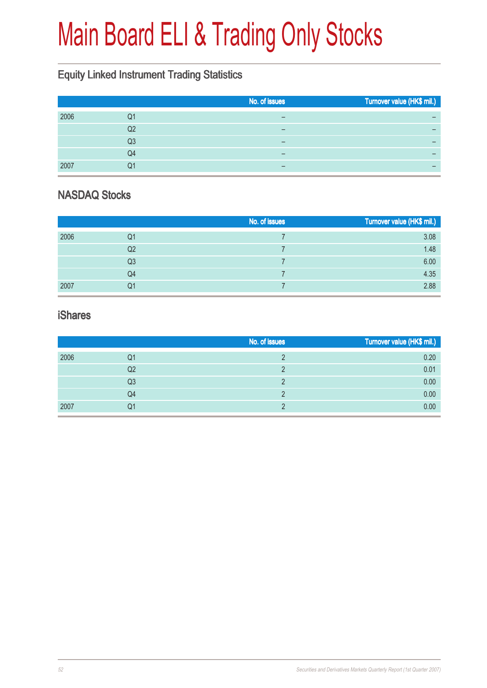# Main Board ELI & Trading Only Stocks

### Equity Linked Instrument Trading Statistics

|      |    | No. of issues | Turnover value (HK\$ mil.) |
|------|----|---------------|----------------------------|
| 2006 | Q1 | –             |                            |
|      | Q2 |               | -                          |
|      | Q3 | -             |                            |
|      | Q4 | –             | -                          |
| 2007 | Q1 | -             | -                          |

### NASDAQ Stocks

|      |    | No. of issues | Turnover value (HK\$ mil.) |
|------|----|---------------|----------------------------|
| 2006 | Q1 |               | 3.08                       |
|      | Q2 |               | 1.48                       |
|      | Q3 |               | 6.00                       |
|      | Q4 |               | 4.35                       |
| 2007 | Q1 |               | 2.88                       |

#### iShares

|      |                | No. of issues | Turnover value (HK\$ mil.) |
|------|----------------|---------------|----------------------------|
| 2006 | Q1             |               | 0.20                       |
|      | Q2             |               | 0.01                       |
|      | Q <sub>3</sub> |               | 0.00                       |
|      | Q4             |               | 0.00                       |
| 2007 | Q1             |               | 0.00                       |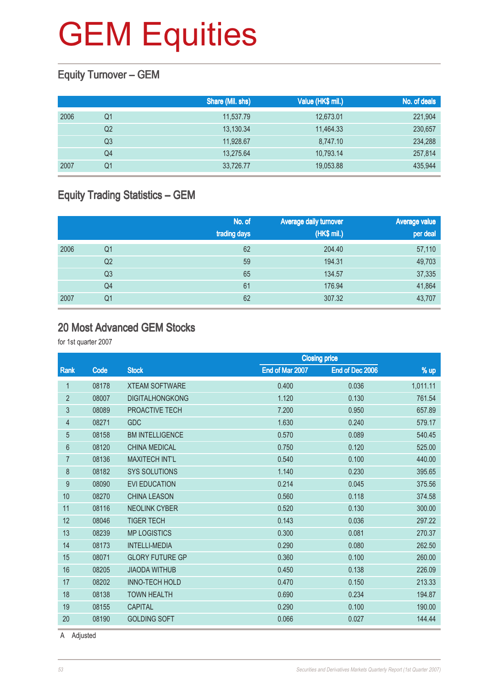### Equity Turnover – GEM

|      |                | Share (Mil. shs) | Value (HK\$ mil.) | No. of deals |
|------|----------------|------------------|-------------------|--------------|
| 2006 | Q1             | 11,537.79        | 12,673.01         | 221,904      |
|      | Q <sub>2</sub> | 13,130.34        | 11,464.33         | 230,657      |
|      | Q3             | 11.928.67        | 8,747.10          | 234,288      |
|      | Q4             | 13,275.64        | 10,793.14         | 257,814      |
| 2007 | Q1             | 33,726.77        | 19,053.88         | 435,944      |

### Equity Trading Statistics – GEM

|      |                | No. of<br>trading days | Average daily turnover<br>(HK\$ mil.) | <b>Average value</b><br>per deal |
|------|----------------|------------------------|---------------------------------------|----------------------------------|
| 2006 | Q1             | 62                     | 204.40                                | 57,110                           |
|      | Q <sub>2</sub> | 59                     | 194.31                                | 49,703                           |
|      | Q <sub>3</sub> | 65                     | 134.57                                | 37,335                           |
|      | Q4             | 61                     | 176.94                                | 41,864                           |
| 2007 | Q <sub>1</sub> | 62                     | 307.32                                | 43,707                           |

#### 20 Most Advanced GEM Stocks

for 1st quarter 2007

|                |       |                        |                 | <b>Closing price</b> |          |  |
|----------------|-------|------------------------|-----------------|----------------------|----------|--|
| Rank           | Code  | <b>Stock</b>           | End of Mar 2007 | End of Dec 2006      | % up     |  |
| 1              | 08178 | <b>XTEAM SOFTWARE</b>  | 0.400           | 0.036                | 1,011.11 |  |
| $\overline{2}$ | 08007 | <b>DIGITALHONGKONG</b> | 1.120           | 0.130                | 761.54   |  |
| 3              | 08089 | PROACTIVE TECH         | 7.200           | 0.950                | 657.89   |  |
| 4              | 08271 | <b>GDC</b>             | 1.630           | 0.240                | 579.17   |  |
| 5              | 08158 | <b>BM INTELLIGENCE</b> | 0.570           | 0.089                | 540.45   |  |
| 6              | 08120 | <b>CHINA MEDICAL</b>   | 0.750           | 0.120                | 525.00   |  |
| $\overline{7}$ | 08136 | <b>MAXITECH INT'L</b>  | 0.540           | 0.100                | 440.00   |  |
| 8              | 08182 | <b>SYS SOLUTIONS</b>   | 1.140           | 0.230                | 395.65   |  |
| 9              | 08090 | <b>EVI EDUCATION</b>   | 0.214           | 0.045                | 375.56   |  |
| 10             | 08270 | <b>CHINA LEASON</b>    | 0.560           | 0.118                | 374.58   |  |
| 11             | 08116 | <b>NEOLINK CYBER</b>   | 0.520           | 0.130                | 300.00   |  |
| 12             | 08046 | <b>TIGER TECH</b>      | 0.143           | 0.036                | 297.22   |  |
| 13             | 08239 | <b>MP LOGISTICS</b>    | 0.300           | 0.081                | 270.37   |  |
| 14             | 08173 | <b>INTELLI-MEDIA</b>   | 0.290           | 0.080                | 262.50   |  |
| 15             | 08071 | <b>GLORY FUTURE GP</b> | 0.360           | 0.100                | 260.00   |  |
| 16             | 08205 | <b>JIAODA WITHUB</b>   | 0.450           | 0.138                | 226.09   |  |
| 17             | 08202 | <b>INNO-TECH HOLD</b>  | 0.470           | 0.150                | 213.33   |  |
| 18             | 08138 | <b>TOWN HEALTH</b>     | 0.690           | 0.234                | 194.87   |  |
| 19             | 08155 | <b>CAPITAL</b>         | 0.290           | 0.100                | 190.00   |  |
| 20             | 08190 | <b>GOLDING SOFT</b>    | 0.066           | 0.027                | 144.44   |  |

A Adjusted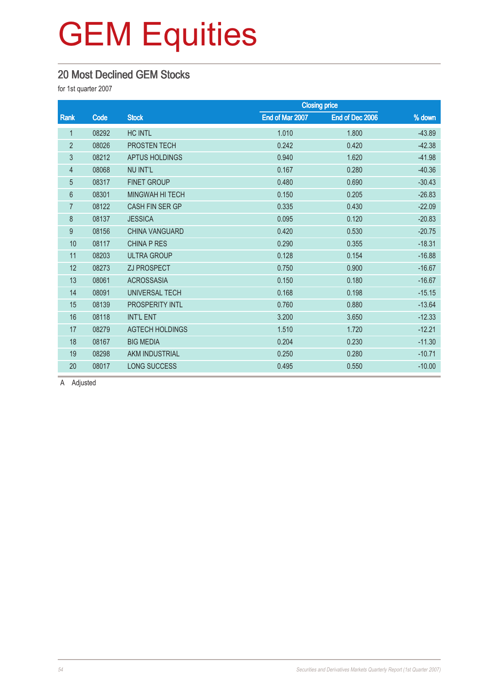### 20 Most Declined GEM Stocks

for 1st quarter 2007

|                |       |                        |                 | <b>Closing price</b> |          |
|----------------|-------|------------------------|-----------------|----------------------|----------|
| Rank           | Code  | <b>Stock</b>           | End of Mar 2007 | End of Dec 2006      | % down   |
| $\mathbf 1$    | 08292 | <b>HC INTL</b>         | 1.010           | 1.800                | $-43.89$ |
| $\overline{2}$ | 08026 | PROSTEN TECH           | 0.242           | 0.420                | $-42.38$ |
| 3              | 08212 | <b>APTUS HOLDINGS</b>  | 0.940           | 1.620                | $-41.98$ |
| $\overline{4}$ | 08068 | <b>NU INT'L</b>        | 0.167           | 0.280                | $-40.36$ |
| 5              | 08317 | <b>FINET GROUP</b>     | 0.480           | 0.690                | $-30.43$ |
| 6              | 08301 | <b>MINGWAH HI TECH</b> | 0.150           | 0.205                | $-26.83$ |
| $\overline{7}$ | 08122 | <b>CASH FIN SER GP</b> | 0.335           | 0.430                | $-22.09$ |
| 8              | 08137 | <b>JESSICA</b>         | 0.095           | 0.120                | $-20.83$ |
| 9              | 08156 | <b>CHINA VANGUARD</b>  | 0.420           | 0.530                | $-20.75$ |
| 10             | 08117 | <b>CHINA P RES</b>     | 0.290           | 0.355                | $-18.31$ |
| 11             | 08203 | <b>ULTRA GROUP</b>     | 0.128           | 0.154                | $-16.88$ |
| 12             | 08273 | <b>ZJ PROSPECT</b>     | 0.750           | 0.900                | $-16.67$ |
| 13             | 08061 | <b>ACROSSASIA</b>      | 0.150           | 0.180                | $-16.67$ |
| 14             | 08091 | UNIVERSAL TECH         | 0.168           | 0.198                | $-15.15$ |
| 15             | 08139 | <b>PROSPERITY INTL</b> | 0.760           | 0.880                | $-13.64$ |
| 16             | 08118 | <b>INT'L ENT</b>       | 3.200           | 3.650                | $-12.33$ |
| 17             | 08279 | <b>AGTECH HOLDINGS</b> | 1.510           | 1.720                | $-12.21$ |
| 18             | 08167 | <b>BIG MEDIA</b>       | 0.204           | 0.230                | $-11.30$ |
| 19             | 08298 | AKM INDUSTRIAL         | 0.250           | 0.280                | $-10.71$ |
| 20             | 08017 | <b>LONG SUCCESS</b>    | 0.495           | 0.550                | $-10.00$ |

A Adjusted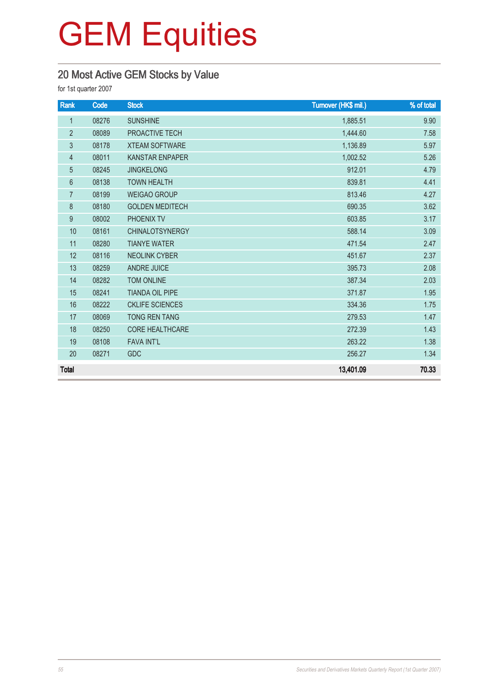### 20 Most Active GEM Stocks by Value

for 1st quarter 2007

| Rank             | Code  | <b>Stock</b>           | Turnover (HK\$ mil.) | % of total |
|------------------|-------|------------------------|----------------------|------------|
| $\mathbf{1}$     | 08276 | <b>SUNSHINE</b>        | 1,885.51             | 9.90       |
| $\overline{2}$   | 08089 | PROACTIVE TECH         | 1,444.60             | 7.58       |
| $\mathfrak{Z}$   | 08178 | <b>XTEAM SOFTWARE</b>  | 1,136.89             | 5.97       |
| 4                | 08011 | <b>KANSTAR ENPAPER</b> | 1,002.52             | 5.26       |
| 5                | 08245 | <b>JINGKELONG</b>      | 912.01               | 4.79       |
| 6                | 08138 | <b>TOWN HEALTH</b>     | 839.81               | 4.41       |
| $\overline{7}$   | 08199 | <b>WEIGAO GROUP</b>    | 813.46               | 4.27       |
| $\,8\,$          | 08180 | <b>GOLDEN MEDITECH</b> | 690.35               | 3.62       |
| $\boldsymbol{9}$ | 08002 | PHOENIX TV             | 603.85               | 3.17       |
| 10               | 08161 | <b>CHINALOTSYNERGY</b> | 588.14               | 3.09       |
| 11               | 08280 | <b>TIANYE WATER</b>    | 471.54               | 2.47       |
| 12               | 08116 | <b>NEOLINK CYBER</b>   | 451.67               | 2.37       |
| 13               | 08259 | <b>ANDRE JUICE</b>     | 395.73               | 2.08       |
| 14               | 08282 | <b>TOM ONLINE</b>      | 387.34               | 2.03       |
| 15               | 08241 | <b>TIANDA OIL PIPE</b> | 371.87               | 1.95       |
| 16               | 08222 | <b>CKLIFE SCIENCES</b> | 334.36               | 1.75       |
| 17               | 08069 | <b>TONG REN TANG</b>   | 279.53               | 1.47       |
| 18               | 08250 | <b>CORE HEALTHCARE</b> | 272.39               | 1.43       |
| 19               | 08108 | <b>FAVA INT'L</b>      | 263.22               | 1.38       |
| 20               | 08271 | GDC                    | 256.27               | 1.34       |
| <b>Total</b>     |       |                        | 13,401.09            | 70.33      |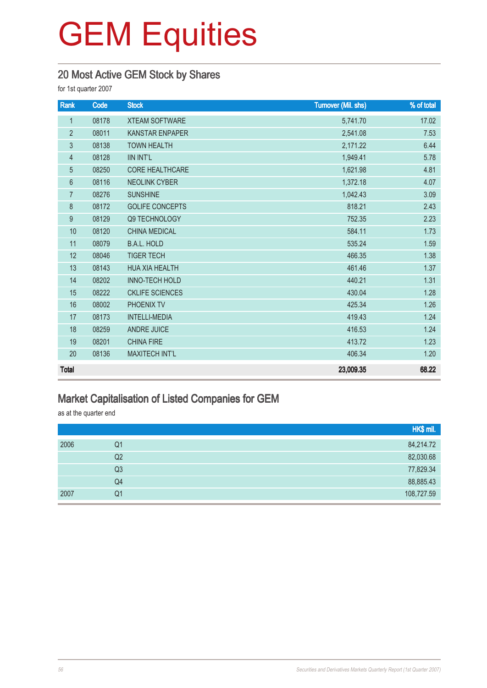### 20 Most Active GEM Stock by Shares

for 1st quarter 2007

| Rank            | Code  | <b>Stock</b>           | Turnover (Mil. shs) | % of total |
|-----------------|-------|------------------------|---------------------|------------|
| $\mathbf{1}$    | 08178 | <b>XTEAM SOFTWARE</b>  | 5,741.70            | 17.02      |
| $\overline{2}$  | 08011 | <b>KANSTAR ENPAPER</b> | 2,541.08            | 7.53       |
| 3               | 08138 | <b>TOWN HEALTH</b>     | 2,171.22            | 6.44       |
| $\overline{4}$  | 08128 | <b>IIN INT'L</b>       | 1,949.41            | 5.78       |
| $\overline{5}$  | 08250 | <b>CORE HEALTHCARE</b> | 1,621.98            | 4.81       |
| $6\phantom{1}6$ | 08116 | <b>NEOLINK CYBER</b>   | 1,372.18            | 4.07       |
| $\overline{7}$  | 08276 | <b>SUNSHINE</b>        | 1,042.43            | 3.09       |
| 8               | 08172 | <b>GOLIFE CONCEPTS</b> | 818.21              | 2.43       |
| 9               | 08129 | Q9 TECHNOLOGY          | 752.35              | 2.23       |
| 10              | 08120 | <b>CHINA MEDICAL</b>   | 584.11              | 1.73       |
| 11              | 08079 | <b>B.A.L. HOLD</b>     | 535.24              | 1.59       |
| 12              | 08046 | <b>TIGER TECH</b>      | 466.35              | 1.38       |
| 13              | 08143 | <b>HUA XIA HEALTH</b>  | 461.46              | 1.37       |
| 14              | 08202 | <b>INNO-TECH HOLD</b>  | 440.21              | 1.31       |
| 15              | 08222 | <b>CKLIFE SCIENCES</b> | 430.04              | 1.28       |
| 16              | 08002 | PHOENIX TV             | 425.34              | 1.26       |
| 17              | 08173 | <b>INTELLI-MEDIA</b>   | 419.43              | 1.24       |
| 18              | 08259 | <b>ANDRE JUICE</b>     | 416.53              | 1.24       |
| 19              | 08201 | <b>CHINA FIRE</b>      | 413.72              | 1.23       |
| 20              | 08136 | <b>MAXITECH INT'L</b>  | 406.34              | 1.20       |
| <b>Total</b>    |       |                        | 23,009.35           | 68.22      |

### Market Capitalisation of Listed Companies for GEM

as at the quarter end

|      |    | HK\$ mil.  |
|------|----|------------|
| 2006 | Q1 | 84,214.72  |
|      | Q2 | 82,030.68  |
|      | Q3 | 77,829.34  |
|      | Q4 | 88,885.43  |
| 2007 | Q1 | 108,727.59 |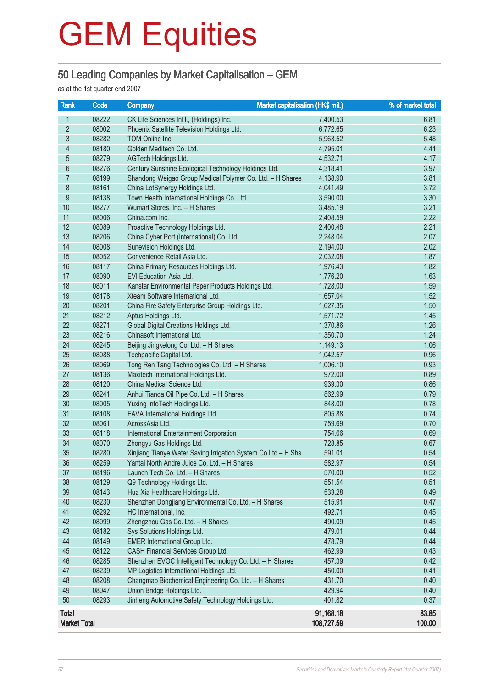### 50 Leading Companies by Market Capitalisation – GEM

as at the 1st quarter end 2007

| Rank                     | Code  | Market capitalisation (HK\$ mil.)<br><b>Company</b>           |            | % of market total |
|--------------------------|-------|---------------------------------------------------------------|------------|-------------------|
| 1                        | 08222 | CK Life Sciences Int'l., (Holdings) Inc.                      | 7,400.53   | 6.81              |
| $\overline{2}$           | 08002 | Phoenix Satellite Television Holdings Ltd.                    | 6,772.65   | 6.23              |
| $\overline{3}$           | 08282 | TOM Online Inc.                                               | 5,963.52   | 5.48              |
| $\overline{\mathcal{L}}$ | 08180 | Golden Meditech Co. Ltd.                                      | 4,795.01   | 4.41              |
| $\overline{5}$           | 08279 | AGTech Holdings Ltd.                                          | 4,532.71   | 4.17              |
| 6                        | 08276 | Century Sunshine Ecological Technology Holdings Ltd.          | 4,318.41   | 3.97              |
| $\overline{7}$           | 08199 | Shandong Weigao Group Medical Polymer Co. Ltd. - H Shares     | 4,138.90   | 3.81              |
| $8\,$                    | 08161 | China LotSynergy Holdings Ltd.                                | 4,041.49   | 3.72              |
| $\overline{9}$           | 08138 | Town Health International Holdings Co. Ltd.                   | 3,590.00   | 3.30              |
| 10                       | 08277 | Wumart Stores, Inc. - H Shares                                | 3,485.19   | 3.21              |
| 11                       | 08006 | China.com Inc.                                                | 2,408.59   | 2.22              |
| 12                       | 08089 | Proactive Technology Holdings Ltd.                            | 2,400.48   | 2.21              |
| 13                       | 08206 | China Cyber Port (International) Co. Ltd.                     | 2,248.04   | 2.07              |
| 14                       | 08008 | Sunevision Holdings Ltd.                                      | 2,194.00   | 2.02              |
| 15                       | 08052 | Convenience Retail Asia Ltd.                                  | 2,032.08   | 1.87              |
| 16                       | 08117 | China Primary Resources Holdings Ltd.                         | 1,976.43   | 1.82              |
| 17                       | 08090 | EVI Education Asia Ltd.                                       | 1,776.20   | 1.63              |
| 18                       | 08011 | Kanstar Environmental Paper Products Holdings Ltd.            | 1,728.00   | 1.59              |
| 19                       | 08178 | Xteam Software International Ltd.                             | 1,657.04   | 1.52              |
| 20                       | 08201 | China Fire Safety Enterprise Group Holdings Ltd.              | 1,627.35   | 1.50              |
| 21                       | 08212 | Aptus Holdings Ltd.                                           | 1,571.72   | 1.45              |
| 22                       | 08271 | Global Digital Creations Holdings Ltd.                        | 1,370.86   | 1.26              |
| 23                       | 08216 | Chinasoft International Ltd.                                  | 1,350.70   | 1.24              |
| 24                       | 08245 | Beijing Jingkelong Co. Ltd. - H Shares                        | 1,149.13   | 1.06              |
| 25                       | 08088 | Techpacific Capital Ltd.                                      | 1,042.57   | 0.96              |
| 26                       | 08069 | Tong Ren Tang Technologies Co. Ltd. - H Shares                | 1,006.10   | 0.93              |
| 27                       | 08136 | Maxitech International Holdings Ltd.                          | 972.00     | 0.89              |
| 28                       | 08120 | China Medical Science Ltd.                                    | 939.30     | 0.86              |
| 29                       | 08241 | Anhui Tianda Oil Pipe Co. Ltd. - H Shares                     | 862.99     | 0.79              |
| 30                       | 08005 | Yuxing InfoTech Holdings Ltd.                                 | 848.00     | 0.78              |
| 31                       | 08108 | FAVA International Holdings Ltd.                              | 805.88     | 0.74              |
| 32                       | 08061 | AcrossAsia Ltd.                                               | 759.69     | 0.70              |
| 33                       | 08118 | International Entertainment Corporation                       | 754.66     | 0.69              |
| 34                       | 08070 | Zhongyu Gas Holdings Ltd.                                     | 728.85     | 0.67              |
| 35                       | 08280 | Xinjiang Tianye Water Saving Irrigation System Co Ltd - H Shs | 591.01     | 0.54              |
| 36                       | 08259 | Yantai North Andre Juice Co. Ltd. - H Shares                  | 582.97     | 0.54              |
| 37                       | 08196 | Launch Tech Co. Ltd. - H Shares                               | 570.00     | 0.52              |
| 38                       | 08129 | Q9 Technology Holdings Ltd.                                   | 551.54     | 0.51              |
| 39                       | 08143 | Hua Xia Healthcare Holdings Ltd.                              | 533.28     | 0.49              |
| 40                       | 08230 | Shenzhen Dongjiang Environmental Co. Ltd. - H Shares          | 515.91     | 0.47              |
| 41                       | 08292 | HC International, Inc.                                        | 492.71     | 0.45              |
| 42                       | 08099 | Zhengzhou Gas Co. Ltd. - H Shares                             | 490.09     | 0.45              |
| 43                       | 08182 | Sys Solutions Holdings Ltd.                                   | 479.01     | 0.44              |
| 44                       | 08149 | <b>EMER International Group Ltd.</b>                          | 478.79     | 0.44              |
| 45                       | 08122 | CASH Financial Services Group Ltd.                            | 462.99     | 0.43              |
| 46                       | 08285 | Shenzhen EVOC Intelligent Technology Co. Ltd. - H Shares      | 457.39     | 0.42              |
| 47                       | 08239 | MP Logistics International Holdings Ltd.                      | 450.00     | 0.41              |
| 48                       | 08208 | Changmao Biochemical Engineering Co. Ltd. - H Shares          | 431.70     | 0.40              |
| 49                       | 08047 | Union Bridge Holdings Ltd.                                    | 429.94     | 0.40              |
| 50                       | 08293 | Jinheng Automotive Safety Technology Holdings Ltd.            | 401.82     | 0.37              |
| <b>Total</b>             |       |                                                               | 91,168.18  | 83.85             |
| <b>Market Total</b>      |       |                                                               | 108,727.59 | 100.00            |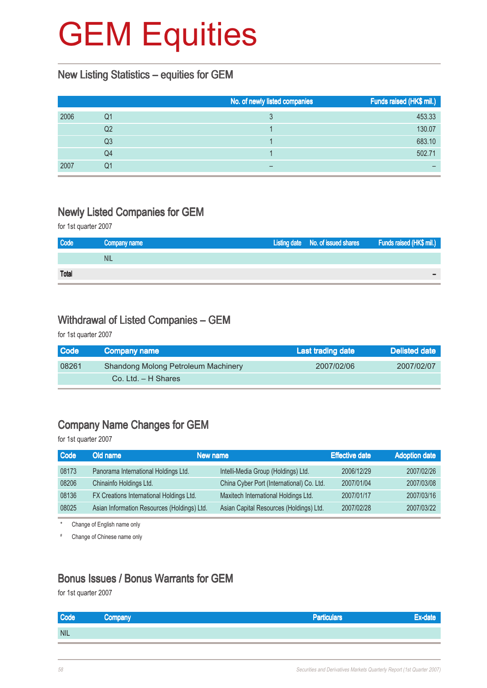#### New Listing Statistics – equities for GEM

|      |    | No. of newly listed companies | Funds raised (HK\$ mil.) |
|------|----|-------------------------------|--------------------------|
| 2006 | Q1 |                               | 453.33                   |
|      | Q2 |                               | 130.07                   |
|      | Q3 |                               | 683.10                   |
|      | Q4 |                               | 502.71                   |
| 2007 | Q1 |                               |                          |

### Newly Listed Companies for GEM

for 1st quarter 2007

| Code         | Company name | Listing date No. of issued shares | <b>Funds raised (HK\$ mil.)</b> |
|--------------|--------------|-----------------------------------|---------------------------------|
|              | <b>NIL</b>   |                                   |                                 |
| <b>Total</b> |              |                                   |                                 |

#### Withdrawal of Listed Companies – GEM

for 1st quarter 2007

| <b>Code</b> | Company name                               | Last trading date | Delisted date |
|-------------|--------------------------------------------|-------------------|---------------|
| 08261       | <b>Shandong Molong Petroleum Machinery</b> | 2007/02/06        | 2007/02/07    |
|             | $Co.$ Ltd. $-$ H Shares                    |                   |               |

### Company Name Changes for GEM

for 1st quarter 2007

| <b>Code</b> | Old name                                    | New name                                  | <b>Effective date</b> | <b>Adoption date</b> |
|-------------|---------------------------------------------|-------------------------------------------|-----------------------|----------------------|
| 08173       | Panorama International Holdings Ltd.        | Intelli-Media Group (Holdings) Ltd.       | 2006/12/29            | 2007/02/26           |
| 08206       | Chinainfo Holdings Ltd.                     | China Cyber Port (International) Co. Ltd. | 2007/01/04            | 2007/03/08           |
| 08136       | FX Creations International Holdings Ltd.    | Maxitech International Holdings Ltd.      | 2007/01/17            | 2007/03/16           |
| 08025       | Asian Information Resources (Holdings) Ltd. | Asian Capital Resources (Holdings) Ltd.   | 2007/02/28            | 2007/03/22           |

\* Change of English name only

# Change of Chinese name only

#### Bonus Issues / Bonus Warrants for GEM

for 1st quarter 2007

| Code       | Company | Particulars <sup>1</sup> | нте : |
|------------|---------|--------------------------|-------|
| <b>NIL</b> |         |                          |       |
|            |         |                          |       |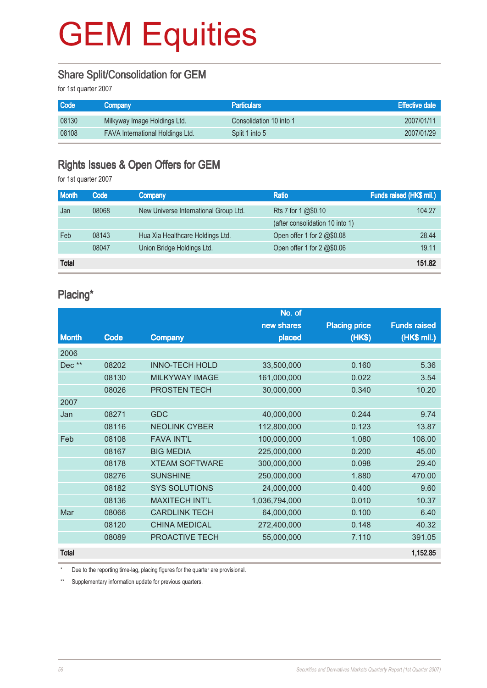### Share Split/Consolidation for GEM

for 1st quarter 2007

| <b>Code</b> | <b>Company</b>                          | <b>Particulars</b>      | <b>Effective date</b> |
|-------------|-----------------------------------------|-------------------------|-----------------------|
| 08130       | Milkyway Image Holdings Ltd.            | Consolidation 10 into 1 | 2007/01/11            |
| 08108       | <b>FAVA International Holdings Ltd.</b> | Split 1 into 5          | 2007/01/29            |

#### Rights Issues & Open Offers for GEM

for 1st quarter 2007

| <b>Month</b> | Code  | <b>Company</b>                        | <b>Ratio</b>                        | Funds raised (HK\$ mil.) |
|--------------|-------|---------------------------------------|-------------------------------------|--------------------------|
| Jan          | 08068 | New Universe International Group Ltd. | Rts 7 for 1 @\$0.10                 | 104.27                   |
|              |       |                                       | (after consolidation 10 into 1)     |                          |
| Feb          | 08143 | Hua Xia Healthcare Holdings Ltd.      | Open offer 1 for $2 \text{ }@$0.08$ | 28.44                    |
|              | 08047 | Union Bridge Holdings Ltd.            | Open offer 1 for 2 @\$0.06          | 19.11                    |
| <b>Total</b> |       |                                       |                                     | 151.82                   |

#### Placing\*

|              |       |                       | No. of        |                      |                     |
|--------------|-------|-----------------------|---------------|----------------------|---------------------|
|              |       |                       | new shares    | <b>Placing price</b> | <b>Funds raised</b> |
| <b>Month</b> | Code  | Company               | placed        | (HK\$)               | (HK\$ mil.)         |
| 2006         |       |                       |               |                      |                     |
| Dec**        | 08202 | <b>INNO-TECH HOLD</b> | 33,500,000    | 0.160                | 5.36                |
|              | 08130 | <b>MILKYWAY IMAGE</b> | 161,000,000   | 0.022                | 3.54                |
|              | 08026 | PROSTEN TECH          | 30,000,000    | 0.340                | 10.20               |
| 2007         |       |                       |               |                      |                     |
| Jan          | 08271 | <b>GDC</b>            | 40,000,000    | 0.244                | 9.74                |
|              | 08116 | <b>NEOLINK CYBER</b>  | 112,800,000   | 0.123                | 13.87               |
| Feb          | 08108 | <b>FAVA INT'L</b>     | 100,000,000   | 1.080                | 108.00              |
|              | 08167 | <b>BIG MEDIA</b>      | 225,000,000   | 0.200                | 45.00               |
|              | 08178 | <b>XTEAM SOFTWARE</b> | 300,000,000   | 0.098                | 29.40               |
|              | 08276 | <b>SUNSHINE</b>       | 250,000,000   | 1.880                | 470.00              |
|              | 08182 | <b>SYS SOLUTIONS</b>  | 24,000,000    | 0.400                | 9.60                |
|              | 08136 | <b>MAXITECH INT'L</b> | 1,036,794,000 | 0.010                | 10.37               |
| Mar          | 08066 | <b>CARDLINK TECH</b>  | 64,000,000    | 0.100                | 6.40                |
|              | 08120 | <b>CHINA MEDICAL</b>  | 272,400,000   | 0.148                | 40.32               |
|              | 08089 | PROACTIVE TECH        | 55,000,000    | 7.110                | 391.05              |
| <b>Total</b> |       |                       |               |                      | 1,152.85            |

\* Due to the reporting time-lag, placing figures for the quarter are provisional.

\*\* Supplementary information update for previous quarters.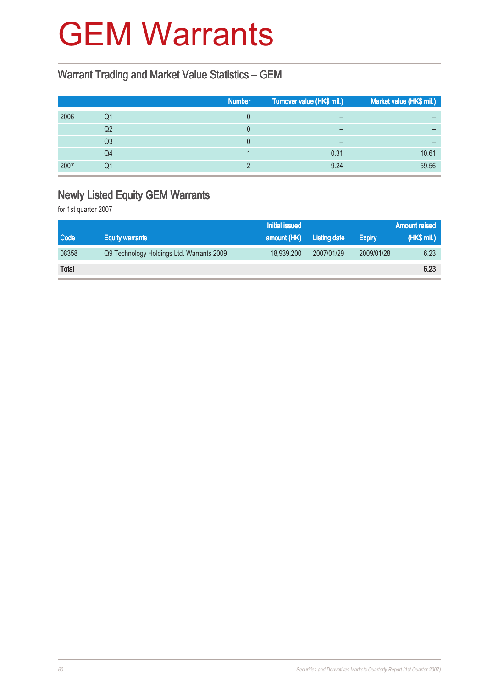### GEM Warrants

### Warrant Trading and Market Value Statistics – GEM

|      |                | <b>Number</b> | Turnover value (HK\$ mil.) | Market value (HK\$ mil.) |
|------|----------------|---------------|----------------------------|--------------------------|
| 2006 | Q1             |               | $\overline{\phantom{0}}$   | -                        |
|      | Q <sub>2</sub> |               | $\qquad \qquad$            |                          |
|      | Q3             |               | $\overline{\phantom{0}}$   | -                        |
|      | Q4             |               | 0.31                       | 10.61                    |
| 2007 | Q1             |               | 9.24                       | 59.56                    |

### Newly Listed Equity GEM Warrants

for 1st quarter 2007

|              |                                           | <b>Initial issued</b> |                     |               | <b>Amount raised</b> |
|--------------|-------------------------------------------|-----------------------|---------------------|---------------|----------------------|
| <b>Code</b>  | <b>Equity warrants</b>                    | amount (HK)           | <b>Listing date</b> | <b>Expiry</b> | (HK\$ mil.)          |
| 08358        | Q9 Technology Holdings Ltd. Warrants 2009 | 18,939,200            | 2007/01/29          | 2009/01/28    | 6.23                 |
| <b>Total</b> |                                           |                       |                     |               | 6.23                 |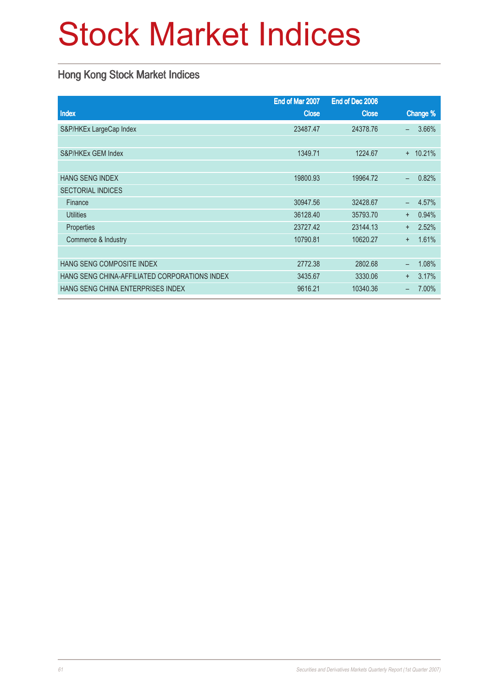# Stock Market Indices

### Hong Kong Stock Market Indices

|                                               | End of Mar 2007 | End of Dec 2006 |                                   |
|-----------------------------------------------|-----------------|-----------------|-----------------------------------|
| <b>Index</b>                                  | <b>Close</b>    | <b>Close</b>    | Change %                          |
| S&P/HKEx LargeCap Index                       | 23487.47        | 24378.76        | 3.66%<br>$\overline{\phantom{0}}$ |
|                                               |                 |                 |                                   |
| S&P/HKEx GEM Index                            | 1349.71         | 1224.67         | 10.21%<br>$+$                     |
|                                               |                 |                 |                                   |
| <b>HANG SENG INDEX</b>                        | 19800.93        | 19964.72        | 0.82%<br>$\equiv$                 |
| <b>SECTORIAL INDICES</b>                      |                 |                 |                                   |
| Finance                                       | 30947.56        | 32428.67        | 4.57%<br>$\equiv$                 |
| <b>Utilities</b>                              | 36128.40        | 35793.70        | 0.94%<br>$+$                      |
| <b>Properties</b>                             | 23727.42        | 23144.13        | 2.52%<br>$+$                      |
| Commerce & Industry                           | 10790.81        | 10620.27        | 1.61%<br>$+$                      |
|                                               |                 |                 |                                   |
| HANG SENG COMPOSITE INDEX                     | 2772.38         | 2802.68         | 1.08%<br>—                        |
| HANG SENG CHINA-AFFILIATED CORPORATIONS INDEX | 3435.67         | 3330.06         | 3.17%<br>$+$                      |
| HANG SENG CHINA ENTERPRISES INDEX             | 9616.21         | 10340.36        | 7.00%                             |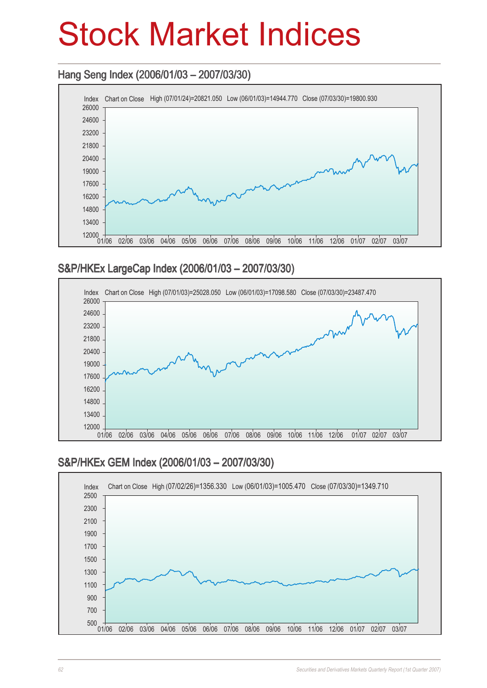## Stock Market Indices

### Hang Seng Index (2006/01/03 – 2007/03/30) Hang Seng 2007/03/30)



### S&P/HKEx LargeCap Index (2006/01/03 – 2007/03/30)



### S&P/HKEx GEM Index (2006/01/03 – 2007/03/30)

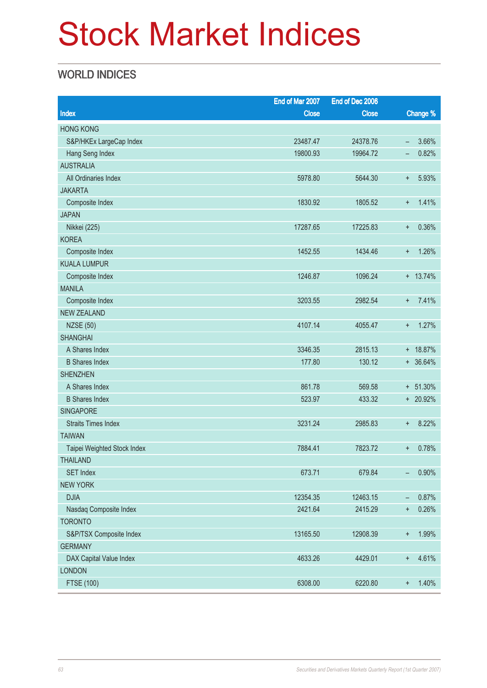## Stock Market Indices

### WORLD INDICES

|                             | End of Mar 2007 | End of Dec 2006 |                          |             |
|-----------------------------|-----------------|-----------------|--------------------------|-------------|
| <b>Index</b>                | <b>Close</b>    | <b>Close</b>    |                          | Change %    |
| <b>HONG KONG</b>            |                 |                 |                          |             |
| S&P/HKEx LargeCap Index     | 23487.47        | 24378.76        | $\overline{\phantom{m}}$ | 3.66%       |
| Hang Seng Index             | 19800.93        | 19964.72        | -                        | 0.82%       |
| <b>AUSTRALIA</b>            |                 |                 |                          |             |
| All Ordinaries Index        | 5978.80         | 5644.30         | $\ddot{}$                | 5.93%       |
| <b>JAKARTA</b>              |                 |                 |                          |             |
| Composite Index             | 1830.92         | 1805.52         | $\ddot{}$                | 1.41%       |
| <b>JAPAN</b>                |                 |                 |                          |             |
| Nikkei (225)                | 17287.65        | 17225.83        | $\ddot{}$                | 0.36%       |
| <b>KOREA</b>                |                 |                 |                          |             |
| Composite Index             | 1452.55         | 1434.46         | $\ddot{}$                | 1.26%       |
| <b>KUALA LUMPUR</b>         |                 |                 |                          |             |
| Composite Index             | 1246.87         | 1096.24         |                          | $+ 13.74%$  |
| <b>MANILA</b>               |                 |                 |                          |             |
| Composite Index             | 3203.55         | 2982.54         | $+$                      | 7.41%       |
| <b>NEW ZEALAND</b>          |                 |                 |                          |             |
| <b>NZSE (50)</b>            | 4107.14         | 4055.47         | $\pm$                    | 1.27%       |
| <b>SHANGHAI</b>             |                 |                 |                          |             |
| A Shares Index              | 3346.35         | 2815.13         |                          | + 18.87%    |
| <b>B</b> Shares Index       | 177.80          | 130.12          |                          | $+ 36.64%$  |
| <b>SHENZHEN</b>             |                 |                 |                          |             |
| A Shares Index              | 861.78          | 569.58          |                          | $+ 51.30\%$ |
| <b>B</b> Shares Index       | 523.97          | 433.32          |                          | + 20.92%    |
| <b>SINGAPORE</b>            |                 |                 |                          |             |
| <b>Straits Times Index</b>  | 3231.24         | 2985.83         | $\pm$                    | 8.22%       |
| <b>TAIWAN</b>               |                 |                 |                          |             |
| Taipei Weighted Stock Index | 7884.41         | 7823.72         | $\ddot{}$                | 0.78%       |
| <b>THAILAND</b>             |                 |                 |                          |             |
| <b>SET Index</b>            | 673.71          | 679.84          | -                        | 0.90%       |
| <b>NEW YORK</b>             |                 |                 |                          |             |
| <b>DJIA</b>                 | 12354.35        | 12463.15        | -                        | 0.87%       |
| Nasdaq Composite Index      | 2421.64         | 2415.29         | $\ddot{}$                | 0.26%       |
| <b>TORONTO</b>              |                 |                 |                          |             |
| S&P/TSX Composite Index     | 13165.50        | 12908.39        | $\boldsymbol{+}$         | 1.99%       |
| <b>GERMANY</b>              |                 |                 |                          |             |
| DAX Capital Value Index     | 4633.26         | 4429.01         | $\ddot{}$                | 4.61%       |
| <b>LONDON</b>               |                 |                 |                          |             |
| <b>FTSE (100)</b>           | 6308.00         | 6220.80         | $^{\mathrm{+}}$          | 1.40%       |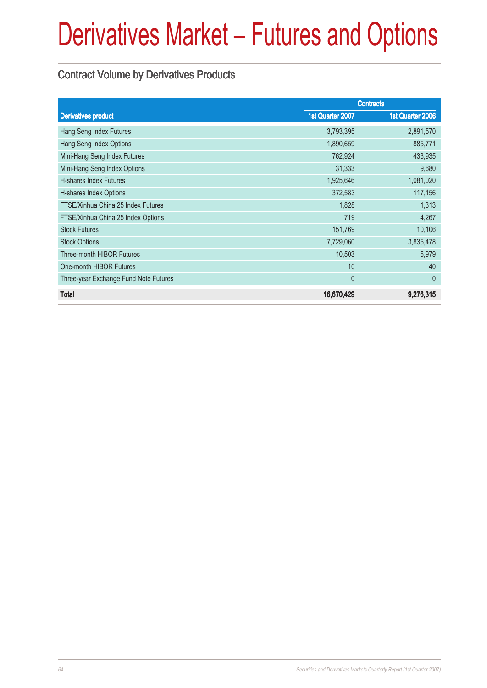### Contract Volume by Derivatives Products

|                                       | <b>Contracts</b> |                  |
|---------------------------------------|------------------|------------------|
| <b>Derivatives product</b>            | 1st Quarter 2007 | 1st Quarter 2006 |
| Hang Seng Index Futures               | 3,793,395        | 2,891,570        |
| Hang Seng Index Options               | 1,890,659        | 885,771          |
| Mini-Hang Seng Index Futures          | 762,924          | 433,935          |
| Mini-Hang Seng Index Options          | 31,333           | 9,680            |
| <b>H-shares Index Futures</b>         | 1,925,646        | 1,081,020        |
| H-shares Index Options                | 372,583          | 117,156          |
| FTSE/Xinhua China 25 Index Futures    | 1,828            | 1,313            |
| FTSE/Xinhua China 25 Index Options    | 719              | 4,267            |
| <b>Stock Futures</b>                  | 151,769          | 10,106           |
| <b>Stock Options</b>                  | 7,729,060        | 3,835,478        |
| Three-month HIBOR Futures             | 10,503           | 5,979            |
| One-month HIBOR Futures               | 10               | 40               |
| Three-year Exchange Fund Note Futures | $\theta$         | $\theta$         |
| <b>Total</b>                          | 16,670,429       | 9,276,315        |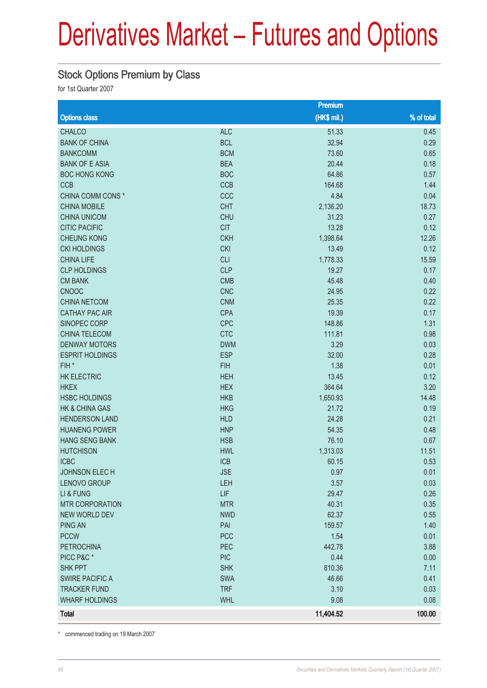#### Stock Options Premium by Class

for 1st Quarter 2007

|                           |            | Premium      |            |
|---------------------------|------------|--------------|------------|
| <b>Options class</b>      |            | $(HK$$ mil.) | % of total |
| <b>CHALCO</b>             | <b>ALC</b> | 51.33        | 0.45       |
| <b>BANK OF CHINA</b>      | <b>BCL</b> | 32.94        | 0.29       |
| <b>BANKCOMM</b>           | <b>BCM</b> | 73.60        | 0.65       |
| <b>BANK OF E ASIA</b>     | <b>BEA</b> | 20.44        | 0.18       |
| <b>BOC HONG KONG</b>      | <b>BOC</b> | 64.86        | 0.57       |
| <b>CCB</b>                | <b>CCB</b> | 164.68       | 1.44       |
| CHINA COMM CONS *         | CCC        | 4.84         | 0.04       |
| <b>CHINA MOBILE</b>       | <b>CHT</b> | 2,136.20     | 18.73      |
| <b>CHINA UNICOM</b>       | <b>CHU</b> | 31.23        | 0.27       |
| <b>CITIC PACIFIC</b>      | <b>CIT</b> | 13.28        | 0.12       |
| <b>CHEUNG KONG</b>        | <b>CKH</b> | 1,398.64     | 12.26      |
| <b>CKI HOLDINGS</b>       | <b>CKI</b> | 13.49        | 0.12       |
| <b>CHINA LIFE</b>         | <b>CLI</b> | 1,778.33     | 15.59      |
| <b>CLP HOLDINGS</b>       | <b>CLP</b> | 19.27        | 0.17       |
| <b>CM BANK</b>            | <b>CMB</b> | 45.48        | 0.40       |
| <b>CNOOC</b>              | <b>CNC</b> | 24.95        | 0.22       |
| <b>CHINA NETCOM</b>       | <b>CNM</b> | 25.35        | 0.22       |
| <b>CATHAY PAC AIR</b>     | <b>CPA</b> | 19.39        | 0.17       |
| SINOPEC CORP              | <b>CPC</b> | 148.86       | 1.31       |
| CHINA TELECOM             | <b>CTC</b> | 111.81       | 0.98       |
| <b>DENWAY MOTORS</b>      | <b>DWM</b> | 3.29         | 0.03       |
| <b>ESPRIT HOLDINGS</b>    | <b>ESP</b> | 32.00        | 0.28       |
| FIH <sup>*</sup>          | <b>FIH</b> | 1.38         | 0.01       |
| <b>HK ELECTRIC</b>        | <b>HEH</b> | 13.45        | 0.12       |
| <b>HKEX</b>               | <b>HEX</b> | 364.64       | 3.20       |
| <b>HSBC HOLDINGS</b>      | <b>HKB</b> | 1,650.93     | 14.48      |
| <b>HK &amp; CHINA GAS</b> | <b>HKG</b> | 21.72        | 0.19       |
| <b>HENDERSON LAND</b>     | <b>HLD</b> | 24.28        | 0.21       |
| <b>HUANENG POWER</b>      | <b>HNP</b> | 54.35        | 0.48       |
| <b>HANG SENG BANK</b>     | <b>HSB</b> | 76.10        | 0.67       |
| <b>HUTCHISON</b>          | <b>HWL</b> | 1,313.03     | 11.51      |
| <b>ICBC</b>               | <b>ICB</b> | 60.15        | 0.53       |
| JOHNSON ELECH             | <b>JSE</b> | 0.97         | 0.01       |
| <b>LENOVO GROUP</b>       | LEH        | 3.57         | 0.03       |
| LI & FUNG                 | <b>LIF</b> | 29.47        | 0.26       |
| <b>MTR CORPORATION</b>    | <b>MTR</b> | 40.31        | 0.35       |
| <b>NEW WORLD DEV</b>      | <b>NWD</b> | 62.37        | 0.55       |
| <b>PING AN</b>            | PAI        | 159.57       | 1.40       |
| <b>PCCW</b>               | <b>PCC</b> | 1.54         | 0.01       |
| <b>PETROCHINA</b>         | PEC        | 442.78       | 3.88       |
| PICC P&C*                 | <b>PIC</b> | 0.44         | 0.00       |
| <b>SHK PPT</b>            | <b>SHK</b> | 810.36       | 7.11       |
| <b>SWIRE PACIFIC A</b>    | <b>SWA</b> | 46.66        | 0.41       |
| <b>TRACKER FUND</b>       | <b>TRF</b> | 3.10         | 0.03       |
| <b>WHARF HOLDINGS</b>     | <b>WHL</b> | 9.08         | 0.08       |
| <b>Total</b>              |            | 11,404.52    | 100.00     |

\* commenced trading on 19 March 2007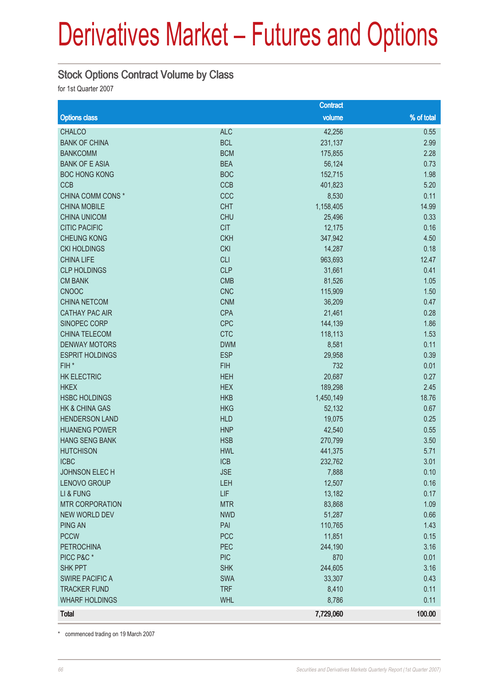#### Stock Options Contract Volume by Class

for 1st Quarter 2007

|                           |            | <b>Contract</b> |            |
|---------------------------|------------|-----------------|------------|
| <b>Options class</b>      |            | volume          | % of total |
| <b>CHALCO</b>             | <b>ALC</b> | 42,256          | 0.55       |
| <b>BANK OF CHINA</b>      | <b>BCL</b> | 231,137         | 2.99       |
| <b>BANKCOMM</b>           | <b>BCM</b> | 175,855         | 2.28       |
| <b>BANK OF E ASIA</b>     | <b>BEA</b> | 56,124          | 0.73       |
| <b>BOC HONG KONG</b>      | <b>BOC</b> | 152,715         | 1.98       |
| <b>CCB</b>                | CCB        | 401,823         | 5.20       |
| CHINA COMM CONS *         | CCC        | 8,530           | 0.11       |
| <b>CHINA MOBILE</b>       | <b>CHT</b> | 1,158,405       | 14.99      |
| <b>CHINA UNICOM</b>       | <b>CHU</b> | 25,496          | 0.33       |
| <b>CITIC PACIFIC</b>      | <b>CIT</b> | 12,175          | 0.16       |
| <b>CHEUNG KONG</b>        | <b>CKH</b> | 347,942         | 4.50       |
| <b>CKI HOLDINGS</b>       | <b>CKI</b> | 14,287          | 0.18       |
| <b>CHINA LIFE</b>         | <b>CLI</b> | 963,693         | 12.47      |
| <b>CLP HOLDINGS</b>       | <b>CLP</b> | 31,661          | 0.41       |
| <b>CM BANK</b>            | <b>CMB</b> | 81,526          | 1.05       |
| <b>CNOOC</b>              | <b>CNC</b> | 115,909         | 1.50       |
| <b>CHINA NETCOM</b>       | <b>CNM</b> | 36,209          | 0.47       |
| <b>CATHAY PAC AIR</b>     | <b>CPA</b> | 21,461          | 0.28       |
| SINOPEC CORP              | <b>CPC</b> | 144,139         | 1.86       |
| CHINA TELECOM             | <b>CTC</b> | 118,113         | 1.53       |
| <b>DENWAY MOTORS</b>      | <b>DWM</b> | 8,581           | 0.11       |
| <b>ESPRIT HOLDINGS</b>    | <b>ESP</b> | 29,958          | 0.39       |
| FIH*                      | <b>FIH</b> | 732             | 0.01       |
| <b>HK ELECTRIC</b>        | <b>HEH</b> | 20,687          | 0.27       |
| <b>HKEX</b>               | <b>HEX</b> | 189,298         | 2.45       |
| <b>HSBC HOLDINGS</b>      | <b>HKB</b> | 1,450,149       | 18.76      |
| <b>HK &amp; CHINA GAS</b> | <b>HKG</b> | 52,132          | 0.67       |
| <b>HENDERSON LAND</b>     | <b>HLD</b> | 19,075          | 0.25       |
| <b>HUANENG POWER</b>      | <b>HNP</b> | 42,540          | 0.55       |
| <b>HANG SENG BANK</b>     | <b>HSB</b> | 270,799         | 3.50       |
| <b>HUTCHISON</b>          | <b>HWL</b> | 441,375         | 5.71       |
| <b>ICBC</b>               | <b>ICB</b> | 232,762         | 3.01       |
| JOHNSON ELECH             | <b>JSE</b> | 7,888           | 0.10       |
| LENOVO GROUP              | LEH        | 12,507          | 0.16       |
| LI & FUNG                 | <b>LIF</b> | 13,182          | 0.17       |
| <b>MTR CORPORATION</b>    | <b>MTR</b> | 83,868          | 1.09       |
| <b>NEW WORLD DEV</b>      | <b>NWD</b> | 51,287          | 0.66       |
| <b>PING AN</b>            | PAI        | 110,765         | 1.43       |
| <b>PCCW</b>               | <b>PCC</b> | 11,851          | 0.15       |
| <b>PETROCHINA</b>         | PEC        | 244,190         | 3.16       |
| PICC P&C*                 | <b>PIC</b> | 870             | 0.01       |
| <b>SHK PPT</b>            | <b>SHK</b> | 244,605         | 3.16       |
| <b>SWIRE PACIFIC A</b>    | <b>SWA</b> | 33,307          | 0.43       |
| <b>TRACKER FUND</b>       | <b>TRF</b> | 8,410           | 0.11       |
| <b>WHARF HOLDINGS</b>     | <b>WHL</b> | 8,786           | 0.11       |
| <b>Total</b>              |            | 7,729,060       | 100.00     |

\* commenced trading on 19 March 2007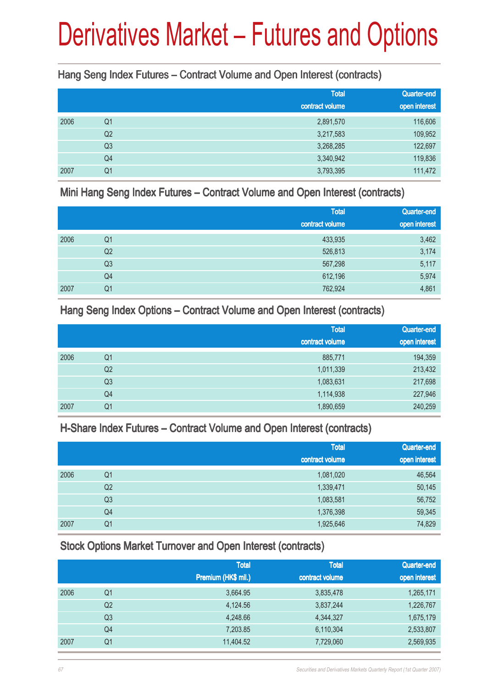#### Hang Seng Index Futures – Contract Volume and Open Interest (contracts)

|      |                | <b>Total</b><br>contract volume | Quarter-end<br>open interest |
|------|----------------|---------------------------------|------------------------------|
| 2006 | Q1             | 2,891,570                       | 116,606                      |
|      | Q <sub>2</sub> | 3,217,583                       | 109,952                      |
|      | Q3             | 3,268,285                       | 122,697                      |
|      | Q4             | 3,340,942                       | 119,836                      |
| 2007 | Q <sub>1</sub> | 3,793,395                       | 111,472                      |

Mini Hang Seng Index Futures – Contract Volume and Open Interest (contracts)

|      |                | <b>Total</b>    | Quarter-end   |
|------|----------------|-----------------|---------------|
|      |                | contract volume | open interest |
| 2006 | Q <sub>1</sub> | 433,935         | 3,462         |
|      | Q <sub>2</sub> | 526,813         | 3,174         |
|      | Q <sub>3</sub> | 567,298         | 5,117         |
|      | Q4             | 612,196         | 5,974         |
| 2007 | Q <sub>1</sub> | 762,924         | 4,861         |

Hang Seng Index Options – Contract Volume and Open Interest (contracts)

|      |                | <b>Total</b>    | Quarter-end   |
|------|----------------|-----------------|---------------|
|      |                | contract volume | open interest |
| 2006 | Q <sub>1</sub> | 885,771         | 194,359       |
|      | Q <sub>2</sub> | 1,011,339       | 213,432       |
|      | Q <sub>3</sub> | 1,083,631       | 217,698       |
|      | Q4             | 1,114,938       | 227,946       |
| 2007 | Q <sub>1</sub> | 1,890,659       | 240,259       |

#### H-Share Index Futures – Contract Volume and Open Interest (contracts)

|      |                | <b>Total</b><br>contract volume | Quarter-end<br>open interest |
|------|----------------|---------------------------------|------------------------------|
| 2006 | Q <sub>1</sub> | 1,081,020                       | 46,564                       |
|      | Q <sub>2</sub> | 1,339,471                       | 50,145                       |
|      | Q <sub>3</sub> | 1,083,581                       | 56,752                       |
|      | Q4             | 1,376,398                       | 59,345                       |
| 2007 | Q <sub>1</sub> | 1,925,646                       | 74,829                       |

#### Stock Options Market Turnover and Open Interest (contracts)

|      |                | <b>Total</b><br>Premium (HK\$ mil.) | <b>Total</b><br>contract volume | Quarter-end<br>open interest |
|------|----------------|-------------------------------------|---------------------------------|------------------------------|
| 2006 | Q1             | 3,664.95                            | 3,835,478                       | 1,265,171                    |
|      | Q2             | 4,124.56                            | 3,837,244                       | 1,226,767                    |
|      | Q3             | 4,248.66                            | 4,344,327                       | 1,675,179                    |
|      | Q <sub>4</sub> | 7,203.85                            | 6,110,304                       | 2,533,807                    |
| 2007 | Q1             | 11,404.52                           | 7,729,060                       | 2,569,935                    |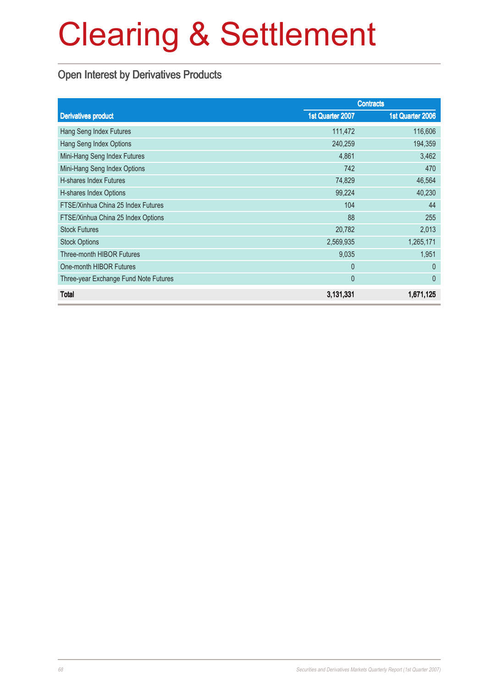### Open Interest by Derivatives Products

|                                       |                  | <b>Contracts</b> |
|---------------------------------------|------------------|------------------|
| <b>Derivatives product</b>            | 1st Quarter 2007 | 1st Quarter 2006 |
| Hang Seng Index Futures               | 111,472          | 116,606          |
| Hang Seng Index Options               | 240,259          | 194,359          |
| Mini-Hang Seng Index Futures          | 4,861            | 3,462            |
| Mini-Hang Seng Index Options          | 742              | 470              |
| <b>H-shares Index Futures</b>         | 74,829           | 46,564           |
| H-shares Index Options                | 99,224           | 40,230           |
| FTSE/Xinhua China 25 Index Futures    | 104              | 44               |
| FTSE/Xinhua China 25 Index Options    | 88               | 255              |
| <b>Stock Futures</b>                  | 20,782           | 2,013            |
| <b>Stock Options</b>                  | 2,569,935        | 1,265,171        |
| Three-month HIBOR Futures             | 9,035            | 1,951            |
| One-month HIBOR Futures               | $\theta$         | $\theta$         |
| Three-year Exchange Fund Note Futures | $\mathbf{0}$     | $\theta$         |
| <b>Total</b>                          | 3,131,331        | 1,671,125        |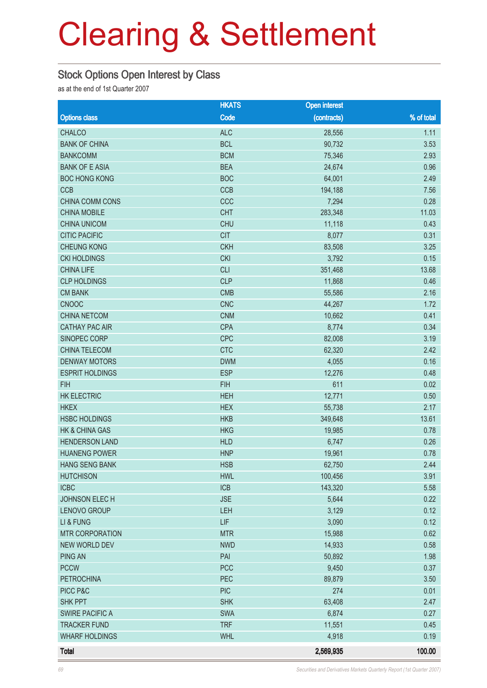#### Stock Options Open Interest by Class

as at the end of 1st Quarter 2007

|                           | <b>HKATS</b> | <b>Open interest</b> |            |
|---------------------------|--------------|----------------------|------------|
| <b>Options class</b>      | Code         | (contracts)          | % of total |
| <b>CHALCO</b>             | <b>ALC</b>   | 28,556               | 1.11       |
| <b>BANK OF CHINA</b>      | <b>BCL</b>   | 90,732               | 3.53       |
| <b>BANKCOMM</b>           | <b>BCM</b>   | 75,346               | 2.93       |
| <b>BANK OF E ASIA</b>     | <b>BEA</b>   | 24,674               | 0.96       |
| <b>BOC HONG KONG</b>      | <b>BOC</b>   | 64,001               | 2.49       |
| <b>CCB</b>                | CCB          | 194,188              | 7.56       |
| CHINA COMM CONS           | CCC          | 7,294                | 0.28       |
| <b>CHINA MOBILE</b>       | <b>CHT</b>   | 283,348              | 11.03      |
| <b>CHINA UNICOM</b>       | <b>CHU</b>   | 11,118               | 0.43       |
| <b>CITIC PACIFIC</b>      | <b>CIT</b>   | 8,077                | 0.31       |
| <b>CHEUNG KONG</b>        | <b>CKH</b>   | 83,508               | 3.25       |
| <b>CKI HOLDINGS</b>       | <b>CKI</b>   | 3,792                | 0.15       |
| <b>CHINA LIFE</b>         | <b>CLI</b>   | 351,468              | 13.68      |
| <b>CLP HOLDINGS</b>       | <b>CLP</b>   | 11,868               | 0.46       |
| <b>CM BANK</b>            | <b>CMB</b>   | 55,586               | 2.16       |
| <b>CNOOC</b>              | <b>CNC</b>   | 44,267               | 1.72       |
| <b>CHINA NETCOM</b>       | <b>CNM</b>   | 10,662               | 0.41       |
| <b>CATHAY PAC AIR</b>     | <b>CPA</b>   | 8,774                | 0.34       |
| SINOPEC CORP              | <b>CPC</b>   | 82,008               | 3.19       |
| CHINA TELECOM             | <b>CTC</b>   | 62,320               | 2.42       |
| <b>DENWAY MOTORS</b>      | <b>DWM</b>   | 4,055                | 0.16       |
| <b>ESPRIT HOLDINGS</b>    | <b>ESP</b>   | 12,276               | 0.48       |
| <b>FIH</b>                | <b>FIH</b>   | 611                  | 0.02       |
| <b>HK ELECTRIC</b>        | <b>HEH</b>   | 12,771               | 0.50       |
| <b>HKEX</b>               | <b>HEX</b>   | 55,738               | 2.17       |
| <b>HSBC HOLDINGS</b>      | <b>HKB</b>   | 349,648              | 13.61      |
| <b>HK &amp; CHINA GAS</b> | <b>HKG</b>   | 19,985               | 0.78       |
| <b>HENDERSON LAND</b>     | <b>HLD</b>   | 6,747                | 0.26       |
| <b>HUANENG POWER</b>      | <b>HNP</b>   | 19,961               | 0.78       |
| HANG SENG BANK            | <b>HSB</b>   | 62,750               | 2.44       |
| <b>HUTCHISON</b>          | <b>HWL</b>   | 100,456              | 3.91       |
| <b>ICBC</b>               | ICB          | 143,320              | 5.58       |
| JOHNSON ELECH             | <b>JSE</b>   | 5,644                | 0.22       |
| LENOVO GROUP              | LEH          | 3,129                | 0.12       |
| LI & FUNG                 | LIF          | 3,090                | 0.12       |
| <b>MTR CORPORATION</b>    | <b>MTR</b>   | 15,988               | 0.62       |
| NEW WORLD DEV             | <b>NWD</b>   | 14,933               | 0.58       |
| <b>PING AN</b>            | PAI          | 50,892               | 1.98       |
| <b>PCCW</b>               | <b>PCC</b>   | 9,450                | 0.37       |
| <b>PETROCHINA</b>         | PEC          | 89,879               | 3.50       |
| PICC P&C                  | <b>PIC</b>   | 274                  | 0.01       |
| <b>SHK PPT</b>            | <b>SHK</b>   | 63,408               | 2.47       |
| <b>SWIRE PACIFIC A</b>    | SWA          | 6,874                | 0.27       |
| <b>TRACKER FUND</b>       | <b>TRF</b>   | 11,551               | 0.45       |
| <b>WHARF HOLDINGS</b>     | <b>WHL</b>   | 4,918                | 0.19       |
| <b>Total</b>              |              | 2,569,935            | 100.00     |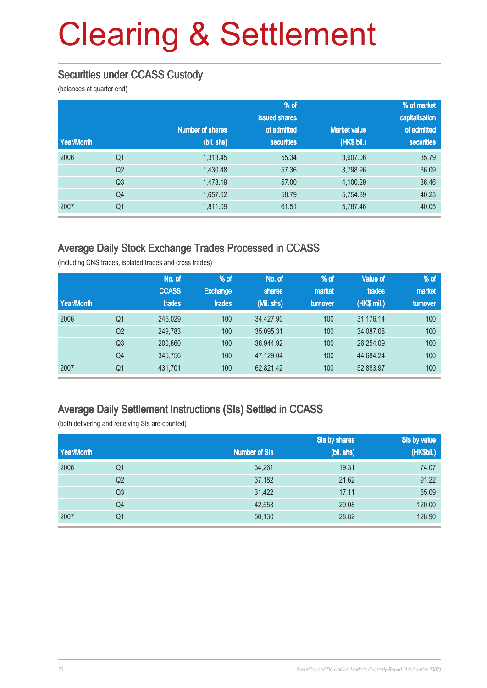### Securities under CCASS Custody

(balances at quarter end)

|            |                |                         | $\frac{9}{6}$ of  |                     | % of market    |
|------------|----------------|-------------------------|-------------------|---------------------|----------------|
|            |                |                         | issued shares     |                     | capitalisation |
|            |                | <b>Number of shares</b> | of admitted       | <b>Market value</b> | of admitted    |
| Year/Month |                | (bil. shs)              | <b>securities</b> | (HK\$ bil.)         | securities     |
| 2006       | Q <sub>1</sub> | 1,313.45                | 55.34             | 3,607.06            | 35.79          |
|            | Q <sub>2</sub> | 1,430.48                | 57.36             | 3,798.96            | 36.09          |
|            | Q <sub>3</sub> | 1,478.19                | 57.00             | 4,100.29            | 36.46          |
|            | Q <sub>4</sub> | 1,657.62                | 58.79             | 5,754.89            | 40.23          |
| 2007       | Q <sub>1</sub> | 1,811.09                | 61.51             | 5,787.46            | 40.05          |

#### Average Daily Stock Exchange Trades Processed in CCASS

(including CNS trades, isolated trades and cross trades)

| Year/Month |                | No. of<br><b>CCASS</b><br>trades | % of<br><b>Exchange</b><br>trades | No. of<br>shares<br>(Mil. shs) | % of<br>market<br>turnover | <b>Value of</b><br>trades<br>(HK\$ mil.) | $%$ of<br>market<br>turnover |
|------------|----------------|----------------------------------|-----------------------------------|--------------------------------|----------------------------|------------------------------------------|------------------------------|
| 2006       | Q <sub>1</sub> | 245,029                          | 100                               | 34.427.90                      | 100                        | 31.176.14                                | 100                          |
|            | Q <sub>2</sub> | 249,783                          | 100                               | 35,095.31                      | 100                        | 34,087.08                                | 100                          |
|            | Q <sub>3</sub> | 200,860                          | 100                               | 36.944.92                      | 100                        | 26.254.09                                | 100                          |
|            | Q4             | 345,756                          | 100                               | 47,129.04                      | 100                        | 44,684.24                                | 100                          |
| 2007       | Q1             | 431,701                          | 100                               | 62,821.42                      | 100                        | 52,883.97                                | 100                          |

#### Average Daily Settlement Instructions (SIs) Settled in CCASS

(both delivering and receiving SIs are counted)

|            |                |                      | Sis by shares | Sis by value |
|------------|----------------|----------------------|---------------|--------------|
| Year/Month |                | <b>Number of SIs</b> | (bil. shs)    | (HK\$bil.)   |
| 2006       | Q1             | 34,261               | 19.31         | 74.07        |
|            | Q <sub>2</sub> | 37,182               | 21.62         | 91.22        |
|            | Q <sub>3</sub> | 31,422               | 17.11         | 65.09        |
|            | Q <sub>4</sub> | 42,553               | 29.08         | 120.00       |
| 2007       | Q <sub>1</sub> | 50,130               | 28.82         | 128.90       |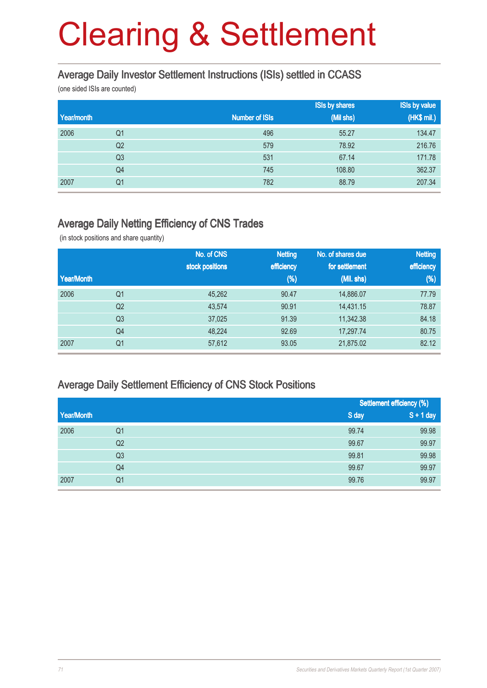#### Average Daily Investor Settlement Instructions (ISIs) settled in CCASS

(one sided ISIs are counted)

|            |                |                       | <b>ISIs by shares</b> | <b>ISIs by value</b> |
|------------|----------------|-----------------------|-----------------------|----------------------|
| Year/month |                | <b>Number of ISIs</b> | (Mil shs)             | (HK\$ mil.)          |
| 2006       | Q1             | 496                   | 55.27                 | 134.47               |
|            | Q <sub>2</sub> | 579                   | 78.92                 | 216.76               |
|            | Q <sub>3</sub> | 531                   | 67.14                 | 171.78               |
|            | Q4             | 745                   | 108.80                | 362.37               |
| 2007       | Q <sub>1</sub> | 782                   | 88.79                 | 207.34               |

#### Average Daily Netting Efficiency of CNS Trades

(in stock positions and share quantity)

|            |                | No. of CNS      | <b>Netting</b> | No. of shares due | <b>Netting</b> |
|------------|----------------|-----------------|----------------|-------------------|----------------|
|            |                | stock positions | efficiency     | for settlement    | efficiency     |
| Year/Month |                |                 | (%)            | (Mil. shs)        | $(\%)$         |
| 2006       | Q <sub>1</sub> | 45.262          | 90.47          | 14,886.07         | 77.79          |
|            | Q <sub>2</sub> | 43,574          | 90.91          | 14,431.15         | 78.87          |
|            | Q <sub>3</sub> | 37,025          | 91.39          | 11,342.38         | 84.18          |
|            | Q4             | 48,224          | 92.69          | 17,297.74         | 80.75          |
| 2007       | Q <sub>1</sub> | 57,612          | 93.05          | 21,875.02         | 82.12          |

#### Average Daily Settlement Efficiency of CNS Stock Positions

|            |                | Settlement efficiency (%) |             |
|------------|----------------|---------------------------|-------------|
| Year/Month |                | S day                     | $S + 1$ day |
| 2006       | Q1             | 99.74                     | 99.98       |
|            | Q <sub>2</sub> | 99.67                     | 99.97       |
|            | Q <sub>3</sub> | 99.81                     | 99.98       |
|            | Q4             | 99.67                     | 99.97       |
| 2007       | Q1             | 99.76                     | 99.97       |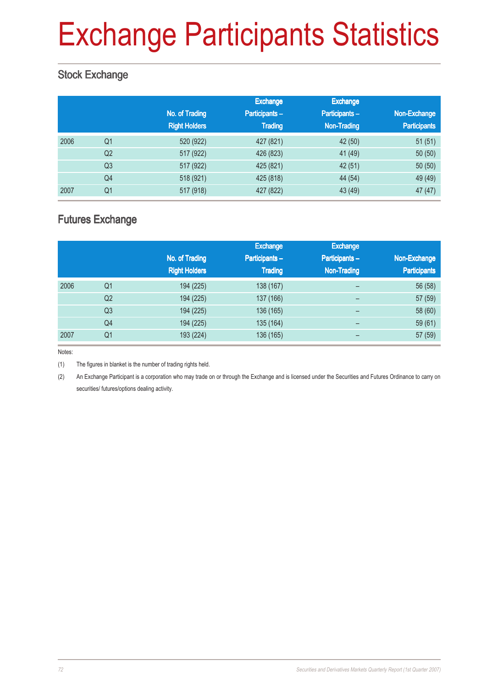# Exchange Participants Statistics

### Stock Exchange

|      |                | No. of Trading<br><b>Right Holders</b> | Exchange<br>Participants-<br><b>Trading</b> | <b>Exchange</b><br>Participants-<br><b>Non-Trading</b> | Non-Exchange<br><b>Participants</b> |
|------|----------------|----------------------------------------|---------------------------------------------|--------------------------------------------------------|-------------------------------------|
| 2006 | Q <sub>1</sub> | 520 (922)                              | 427 (821)                                   | 42 (50)                                                | 51(51)                              |
|      | Q <sub>2</sub> | 517 (922)                              | 426 (823)                                   | 41 (49)                                                | 50(50)                              |
|      | Q <sub>3</sub> | 517 (922)                              | 425 (821)                                   | 42(51)                                                 | 50(50)                              |
|      | Q4             | 518 (921)                              | 425 (818)                                   | 44 (54)                                                | 49 (49)                             |
| 2007 | Q <sub>1</sub> | 517 (918)                              | 427 (822)                                   | 43 (49)                                                | 47(47)                              |

### Futures Exchange

|      |                |                      | <b>Exchange</b> | <b>Exchange</b>          |                     |
|------|----------------|----------------------|-----------------|--------------------------|---------------------|
|      |                | No. of Trading       | Participants -  | <b>Participants-</b>     | Non-Exchange        |
|      |                | <b>Right Holders</b> | <b>Trading</b>  | <b>Non-Trading</b>       | <b>Participants</b> |
| 2006 | Q <sub>1</sub> | 194 (225)            | 138 (167)       | -                        | 56 (58)             |
|      | Q <sub>2</sub> | 194 (225)            | 137 (166)       | -                        | 57 (59)             |
|      | Q <sub>3</sub> | 194 (225)            | 136 (165)       | $\qquad \qquad$          | 58 (60)             |
|      | Q4             | 194 (225)            | 135 (164)       | $\overline{\phantom{0}}$ | 59(61)              |
| 2007 | Q <sub>1</sub> | 193 (224)            | 136 (165)       | -                        | 57 (59)             |

Notes:

(1) The figures in blanket is the number of trading rights held.

(2) An Exchange Participant is a corporation who may trade on or through the Exchange and is licensed under the Securities and Futures Ordinance to carry on securities/ futures/options dealing activity.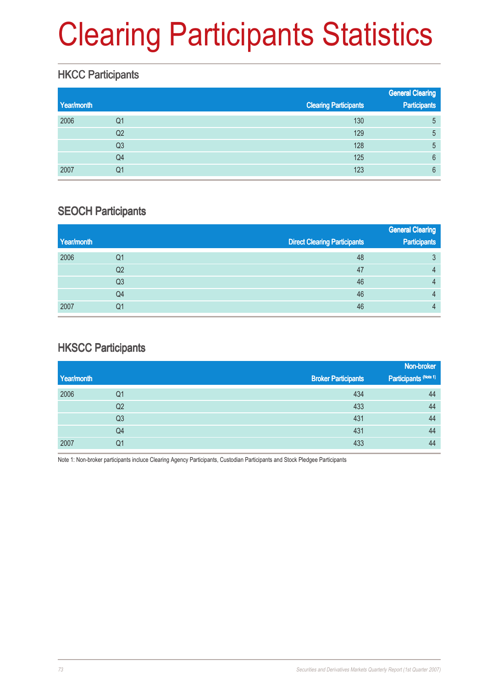# Clearing Participants Statistics

### **HKCC Participants**

| Year/month |    | <b>Clearing Participants</b> | <b>General Clearing</b><br><b>Participants</b> |
|------------|----|------------------------------|------------------------------------------------|
| 2006       | Q1 | 130                          | 5                                              |
|            | Q2 | 129                          | 5                                              |
|            | Q3 | 128                          | 5                                              |
|            | Q4 | 125                          | 6                                              |
| 2007       | Q1 | 123                          | 6                                              |

#### SEOCH Participants

|            |    |                                     | <b>General Clearing</b> |
|------------|----|-------------------------------------|-------------------------|
| Year/month |    | <b>Direct Clearing Participants</b> | <b>Participants</b>     |
| 2006       | Q1 | 48                                  | 3                       |
|            | Q2 | 47                                  | 4                       |
|            | Q3 | 46                                  | 4                       |
|            | Q4 | 46                                  | 4                       |
| 2007       | Q1 | 46                                  | 4                       |

### **HKSCC Participants**

|            |                |                            | Non-broker            |
|------------|----------------|----------------------------|-----------------------|
| Year/month |                | <b>Broker Participants</b> | Participants (Note 1) |
| 2006       | Q1             | 434                        | 44                    |
|            | Q <sub>2</sub> | 433                        | 44                    |
|            | Q <sub>3</sub> | 431                        | 44                    |
|            | Q4             | 431                        | 44                    |
| 2007       | Q1             | 433                        | 44                    |

Note 1: Non-broker participants incluce Clearing Agency Participants, Custodian Participants and Stock Pledgee Participants